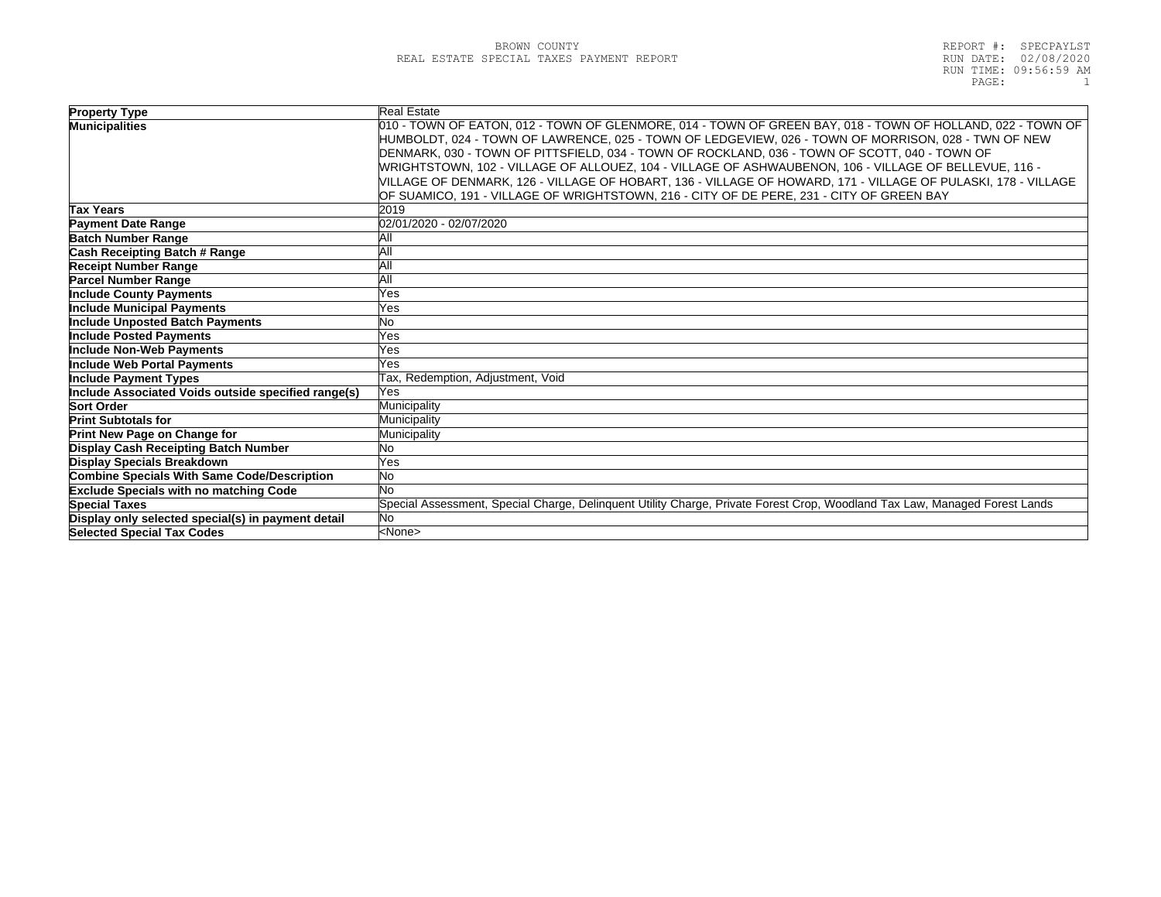| <b>Property Type</b>                                | <b>Real Estate</b>                                                                                                         |
|-----------------------------------------------------|----------------------------------------------------------------------------------------------------------------------------|
| <b>Municipalities</b>                               | 010 - TOWN OF EATON, 012 - TOWN OF GLENMORE, 014 - TOWN OF GREEN BAY, 018 - TOWN OF HOLLAND, 022 - TOWN OF                 |
|                                                     | HUMBOLDT, 024 - TOWN OF LAWRENCE, 025 - TOWN OF LEDGEVIEW, 026 - TOWN OF MORRISON, 028 - TWN OF NEW                        |
|                                                     | DENMARK, 030 - TOWN OF PITTSFIELD, 034 - TOWN OF ROCKLAND, 036 - TOWN OF SCOTT, 040 - TOWN OF                              |
|                                                     | MRIGHTSTOWN, 102 - VILLAGE OF ALLOUEZ, 104 - VILLAGE OF ASHWAUBENON, 106 - VILLAGE OF BELLEVUE, 116 -                      |
|                                                     | VILLAGE OF DENMARK, 126 - VILLAGE OF HOBART, 136 - VILLAGE OF HOWARD, 171 - VILLAGE OF PULASKI, 178 - VILLAGE              |
|                                                     | OF SUAMICO, 191 - VILLAGE OF WRIGHTSTOWN, 216 - CITY OF DE PERE, 231 - CITY OF GREEN BAY                                   |
| Tax Years                                           | 2019                                                                                                                       |
| <b>Payment Date Range</b>                           | 02/01/2020 - 02/07/2020                                                                                                    |
| <b>Batch Number Range</b>                           | ΆIΙ                                                                                                                        |
| Cash Receipting Batch # Range                       | ΆIΙ                                                                                                                        |
| <b>Receipt Number Range</b>                         | All                                                                                                                        |
| <b>Parcel Number Range</b>                          | AII                                                                                                                        |
| <b>Include County Payments</b>                      | Yes                                                                                                                        |
| <b>Include Municipal Payments</b>                   | Yes                                                                                                                        |
| <b>Include Unposted Batch Payments</b>              | No.                                                                                                                        |
| <b>Include Posted Payments</b>                      | Yes                                                                                                                        |
| Include Non-Web Payments                            | Yes                                                                                                                        |
| <b>Include Web Portal Payments</b>                  | Yes                                                                                                                        |
| <b>Include Payment Types</b>                        | Tax, Redemption, Adjustment, Void                                                                                          |
| Include Associated Voids outside specified range(s) | Yes                                                                                                                        |
| <b>Sort Order</b>                                   | Municipality                                                                                                               |
| <b>Print Subtotals for</b>                          | Municipality                                                                                                               |
| Print New Page on Change for                        | Municipality                                                                                                               |
| Display Cash Receipting Batch Number                | No.                                                                                                                        |
| Display Specials Breakdown                          | Yes                                                                                                                        |
| <b>Combine Specials With Same Code/Description</b>  | <b>No</b>                                                                                                                  |
| <b>Exclude Specials with no matching Code</b>       | No                                                                                                                         |
| <b>Special Taxes</b>                                | Special Assessment, Special Charge, Delinquent Utility Charge, Private Forest Crop, Woodland Tax Law, Managed Forest Lands |
| Display only selected special(s) in payment detail  | No.                                                                                                                        |
| <b>Selected Special Tax Codes</b>                   | <none></none>                                                                                                              |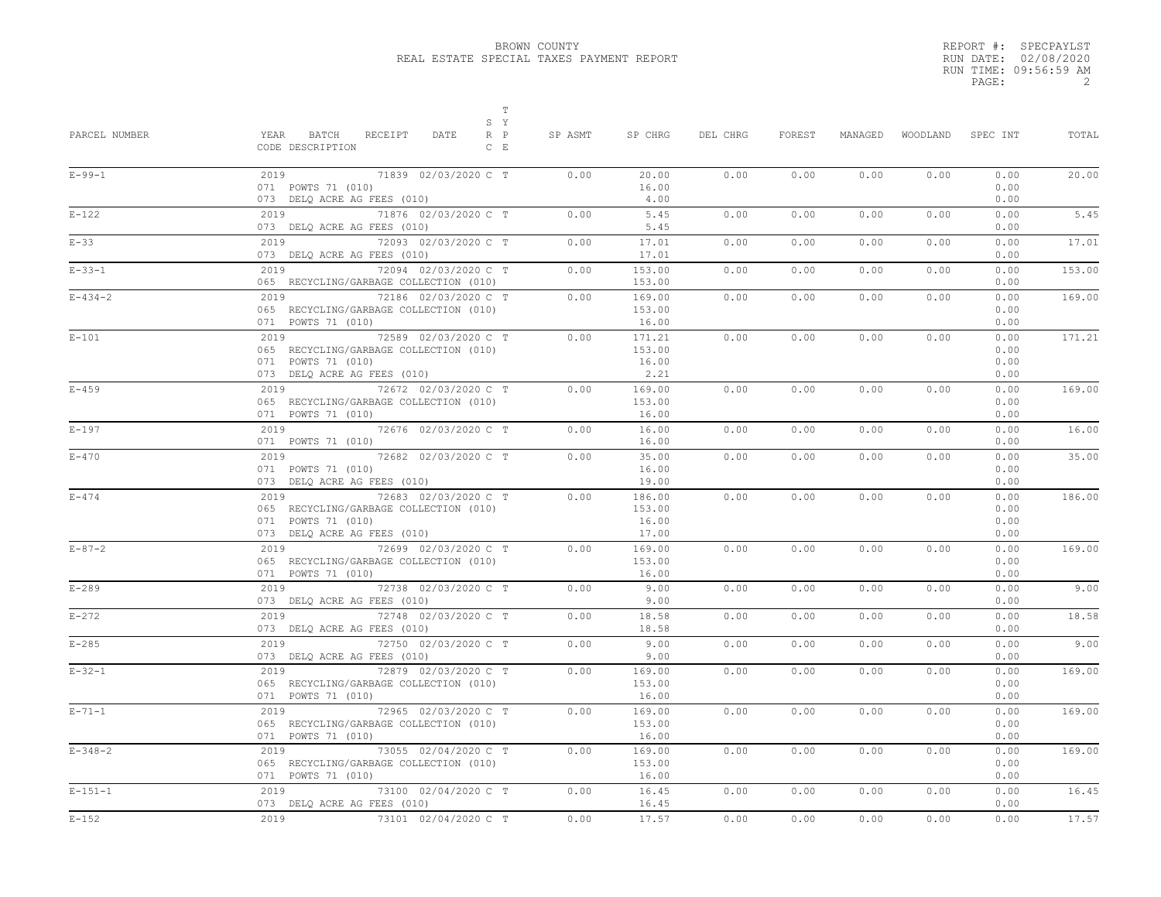|       | REPORT #: SPECPAYLST  |
|-------|-----------------------|
|       | RUN DATE: 02/08/2020  |
|       | RUN TIME: 09:56:59 AM |
| PAGE: |                       |

| PARCEL NUMBER | $\mathbb T$<br>S Y<br>YEAR<br>BATCH<br>RECEIPT<br>DATE<br>$R$ $P$<br>CODE DESCRIPTION<br>$C$ E                              | SP ASMT | SP CHRG                            | DEL CHRG | FOREST | MANAGED | WOODLAND | SPEC INT                     | TOTAL  |
|---------------|-----------------------------------------------------------------------------------------------------------------------------|---------|------------------------------------|----------|--------|---------|----------|------------------------------|--------|
| $E - 99 - 1$  | 2019<br>71839 02/03/2020 C T<br>071 POWTS 71 (010)<br>073 DELQ ACRE AG FEES (010)                                           | 0.00    | 20.00<br>16.00<br>4.00             | 0.00     | 0.00   | 0.00    | 0.00     | 0.00<br>0.00<br>0.00         | 20.00  |
| $E-122$       | 2019<br>71876 02/03/2020 C T<br>073 DELQ ACRE AG FEES (010)                                                                 | 0.00    | 5.45<br>5.45                       | 0.00     | 0.00   | 0.00    | 0.00     | 0.00<br>0.00                 | 5.45   |
| $E-33$        | 72093 02/03/2020 C T<br>2019<br>073 DELQ ACRE AG FEES (010)                                                                 | 0.00    | 17.01<br>17.01                     | 0.00     | 0.00   | 0.00    | 0.00     | 0.00<br>0.00                 | 17.01  |
| $E - 33 - 1$  | 2019<br>72094 02/03/2020 C T<br>065 RECYCLING/GARBAGE COLLECTION (010)                                                      | 0.00    | 153.00<br>153.00                   | 0.00     | 0.00   | 0.00    | 0.00     | 0.00<br>0.00                 | 153.00 |
| $E - 434 - 2$ | 72186 02/03/2020 C T<br>2019<br>065 RECYCLING/GARBAGE COLLECTION (010)<br>071 POWTS 71 (010)                                | 0.00    | 169.00<br>153.00<br>16.00          | 0.00     | 0.00   | 0.00    | 0.00     | 0.00<br>0.00<br>0.00         | 169.00 |
| $E-101$       | 72589 02/03/2020 C T<br>2019<br>065 RECYCLING/GARBAGE COLLECTION (010)<br>071 POWTS 71 (010)<br>073 DELQ ACRE AG FEES (010) | 0.00    | 171.21<br>153.00<br>16.00<br>2.21  | 0.00     | 0.00   | 0.00    | 0.00     | 0.00<br>0.00<br>0.00<br>0.00 | 171.21 |
| $E - 459$     | 2019<br>72672 02/03/2020 C T<br>065 RECYCLING/GARBAGE COLLECTION (010)<br>071 POWTS 71 (010)                                | 0.00    | 169.00<br>153.00<br>16.00          | 0.00     | 0.00   | 0.00    | 0.00     | 0.00<br>0.00<br>0.00         | 169.00 |
| $E - 197$     | 2019<br>72676 02/03/2020 C T<br>071 POWTS 71 (010)                                                                          | 0.00    | 16.00<br>16.00                     | 0.00     | 0.00   | 0.00    | 0.00     | 0.00<br>0.00                 | 16.00  |
| $E - 470$     | 72682 02/03/2020 C T<br>2019<br>071 POWTS 71 (010)<br>073 DELQ ACRE AG FEES (010)                                           | 0.00    | 35.00<br>16.00<br>19.00            | 0.00     | 0.00   | 0.00    | 0.00     | 0.00<br>0.00<br>0.00         | 35.00  |
| $E - 474$     | 72683 02/03/2020 C T<br>2019<br>065 RECYCLING/GARBAGE COLLECTION (010)<br>071 POWTS 71 (010)<br>073 DELQ ACRE AG FEES (010) | 0.00    | 186.00<br>153.00<br>16.00<br>17.00 | 0.00     | 0.00   | 0.00    | 0.00     | 0.00<br>0.00<br>0.00<br>0.00 | 186.00 |
| $E - 87 - 2$  | 2019 72699 02/03/2020 C T<br>065 RECYCLING/GARBAGE COLLECTION (010)<br>071 POWTS 71 (010)                                   | 0.00    | 169.00<br>153.00<br>16.00          | 0.00     | 0.00   | 0.00    | 0.00     | 0.00<br>0.00<br>0.00         | 169.00 |
| $E-289$       | 2019<br>72738 02/03/2020 C T<br>073 DELQ ACRE AG FEES (010)                                                                 | 0.00    | 9.00<br>9.00                       | 0.00     | 0.00   | 0.00    | 0.00     | 0.00<br>0.00                 | 9.00   |
| $E-272$       | 72748 02/03/2020 C T<br>2019<br>073 DELQ ACRE AG FEES (010)                                                                 | 0.00    | 18.58<br>18.58                     | 0.00     | 0.00   | 0.00    | 0.00     | 0.00<br>0.00                 | 18.58  |
| $E - 285$     | 72750 02/03/2020 C T<br>2019<br>073 DELQ ACRE AG FEES (010)                                                                 | 0.00    | 9.00<br>9.00                       | 0.00     | 0.00   | 0.00    | 0.00     | 0.00<br>0.00                 | 9.00   |
| $E - 32 - 1$  | 2019<br>72879 02/03/2020 C T<br>065 RECYCLING/GARBAGE COLLECTION (010)<br>071 POWTS 71 (010)                                | 0.00    | 169.00<br>153.00<br>16.00          | 0.00     | 0.00   | 0.00    | 0.00     | 0.00<br>0.00<br>0.00         | 169.00 |
| $E - 71 - 1$  | 72965 02/03/2020 C T<br>2019<br>065 RECYCLING/GARBAGE COLLECTION (010)<br>071 POWTS 71 (010)                                | 0.00    | 169.00<br>153.00<br>16.00          | 0.00     | 0.00   | 0.00    | 0.00     | 0.00<br>0.00<br>0.00         | 169.00 |
| $E - 348 - 2$ | 73055 02/04/2020 C T<br>2019<br>065 RECYCLING/GARBAGE COLLECTION (010)<br>071 POWTS 71 (010)                                | 0.00    | 169.00<br>153.00<br>16.00          | 0.00     | 0.00   | 0.00    | 0.00     | 0.00<br>0.00<br>0.00         | 169.00 |
| $E - 151 - 1$ | 2019<br>73100 02/04/2020 C T<br>073 DELQ ACRE AG FEES (010)                                                                 | 0.00    | 16.45<br>16.45                     | 0.00     | 0.00   | 0.00    | 0.00     | 0.00<br>0.00                 | 16.45  |
| $E-152$       | 2019<br>73101 02/04/2020 C T                                                                                                | 0.00    | 17.57                              | 0.00     | 0.00   | 0.00    | 0.00     | 0.00                         | 17.57  |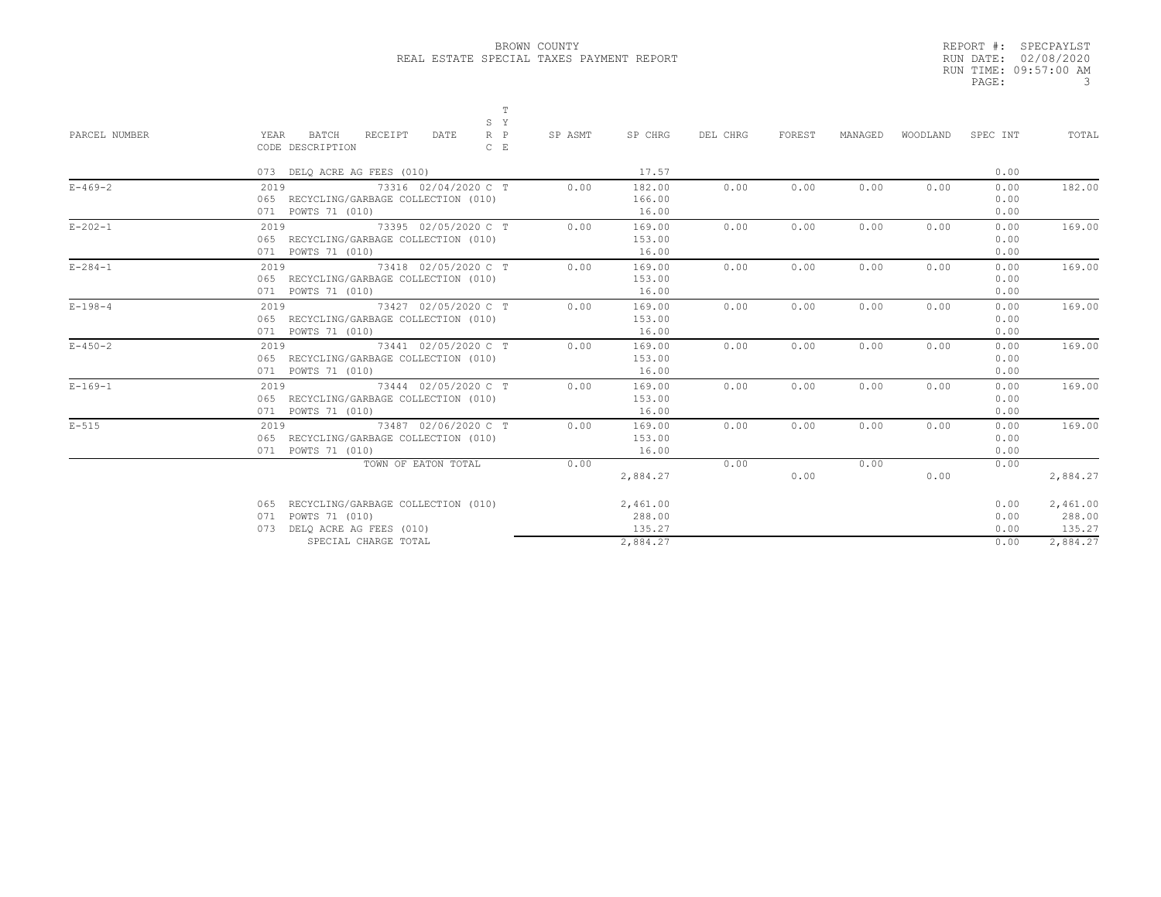|       | REPORT #: SPECPAYLST  |
|-------|-----------------------|
|       | RUN DATE: 02/08/2020  |
|       | RUN TIME: 09:57:00 AM |
| PAGE: |                       |

| PARCEL NUMBER | $\mathbb T$<br>S Y<br>$R$ $P$<br>YEAR<br>BATCH<br>RECEIPT<br>DATE<br>CODE DESCRIPTION<br>$C$ E       | SP ASMT | SP CHRG                      | DEL CHRG | <b>FOREST</b> | MANAGED | WOODLAND | SPEC INT             | TOTAL                        |
|---------------|------------------------------------------------------------------------------------------------------|---------|------------------------------|----------|---------------|---------|----------|----------------------|------------------------------|
|               | 073 DELQ ACRE AG FEES (010)                                                                          |         | 17.57                        |          |               |         |          | 0.00                 |                              |
| $E - 469 - 2$ | 73316 02/04/2020 C T<br>2019<br>065 RECYCLING/GARBAGE COLLECTION (010)<br>071 POWTS 71 (010)         | 0.00    | 182.00<br>166.00<br>16.00    | 0.00     | 0.00          | 0.00    | 0.00     | 0.00<br>0.00<br>0.00 | 182.00                       |
| $E - 202 - 1$ | 73395 02/05/2020 C T<br>2019<br>065 RECYCLING/GARBAGE COLLECTION (010)<br>071 POWTS 71 (010)         | 0.00    | 169.00<br>153.00<br>16.00    | 0.00     | 0.00          | 0.00    | 0.00     | 0.00<br>0.00<br>0.00 | 169.00                       |
| $E - 284 - 1$ | 73418 02/05/2020 C T<br>2019<br>065 RECYCLING/GARBAGE COLLECTION (010)<br>071 POWTS 71 (010)         | 0.00    | 169.00<br>153.00<br>16.00    | 0.00     | 0.00          | 0.00    | 0.00     | 0.00<br>0.00<br>0.00 | 169.00                       |
| $E - 198 - 4$ | 2019 73427 02/05/2020 C T<br>065 RECYCLING/GARBAGE COLLECTION (010)<br>071 POWTS 71 (010)            | 0.00    | 169.00<br>153.00<br>16.00    | 0.00     | 0.00          | 0.00    | 0.00     | 0.00<br>0.00<br>0.00 | 169.00                       |
| $E - 450 - 2$ | 73441 02/05/2020 C T<br>2019<br>065 RECYCLING/GARBAGE COLLECTION (010)<br>071 POWTS 71 (010)         | 0.00    | 169.00<br>153.00<br>16.00    | 0.00     | 0.00          | 0.00    | 0.00     | 0.00<br>0.00<br>0.00 | 169.00                       |
| $E - 169 - 1$ | 73444 02/05/2020 C T<br>2019<br>065 RECYCLING/GARBAGE COLLECTION (010)<br>071 POWTS 71 (010)         | 0.00    | 169.00<br>153.00<br>16.00    | 0.00     | 0.00          | 0.00    | 0.00     | 0.00<br>0.00<br>0.00 | 169.00                       |
| $E-515$       | 73487 02/06/2020 C T<br>2019<br>065 RECYCLING/GARBAGE COLLECTION (010)<br>071 POWTS 71 (010)         | 0.00    | 169.00<br>153.00<br>16.00    | 0.00     | 0.00          | 0.00    | 0.00     | 0.00<br>0.00<br>0.00 | 169.00                       |
|               | TOWN OF EATON TOTAL                                                                                  | 0.00    | 2,884.27                     | 0.00     | 0.00          | 0.00    | 0.00     | 0.00                 | 2,884.27                     |
|               | RECYCLING/GARBAGE COLLECTION (010)<br>065<br>POWTS 71 (010)<br>071<br>DELQ ACRE AG FEES (010)<br>073 |         | 2,461.00<br>288.00<br>135.27 |          |               |         |          | 0.00<br>0.00<br>0.00 | 2,461.00<br>288.00<br>135.27 |
|               | SPECIAL CHARGE TOTAL                                                                                 |         | 2.884.27                     |          |               |         |          | 0.00                 | 2.884.27                     |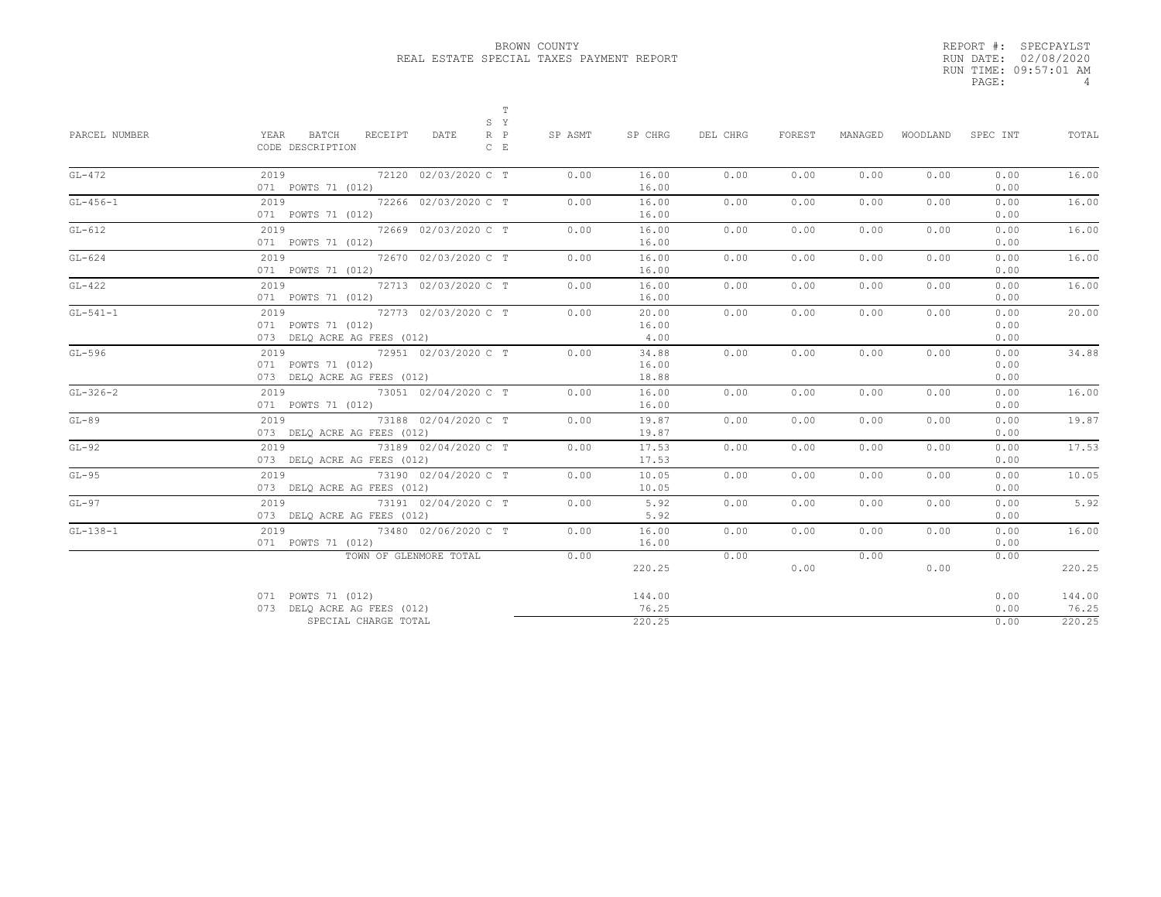|       | REPORT #: SPECPAYLST  |
|-------|-----------------------|
|       | RUN DATE: 02/08/2020  |
|       | RUN TIME: 09:57:01 AM |
| PAGE: | Δ                     |
|       |                       |

| PARCEL NUMBER | T<br>S Y<br>YEAR<br>BATCH<br>$R$ $P$<br>RECEIPT<br>DATE<br>CODE DESCRIPTION<br>$C$ $E$ | SP ASMT | SP CHRG                 | DEL CHRG | FOREST | MANAGED | WOODLAND | SPEC INT             | TOTAL           |
|---------------|----------------------------------------------------------------------------------------|---------|-------------------------|----------|--------|---------|----------|----------------------|-----------------|
| $GL-472$      | 2019<br>72120 02/03/2020 C T<br>071 POWTS 71 (012)                                     | 0.00    | 16.00<br>16.00          | 0.00     | 0.00   | 0.00    | 0.00     | 0.00<br>0.00         | 16.00           |
| $GL-456-1$    | 2019<br>72266 02/03/2020 C T<br>071 POWTS 71 (012)                                     | 0.00    | 16.00<br>16.00          | 0.00     | 0.00   | 0.00    | 0.00     | 0.00<br>0.00         | 16.00           |
| $GL-612$      | 72669 02/03/2020 C T<br>2019<br>071 POWTS 71 (012)                                     | 0.00    | 16.00<br>16.00          | 0.00     | 0.00   | 0.00    | 0.00     | 0.00<br>0.00         | 16.00           |
| $GL-624$      | 72670 02/03/2020 C T<br>2019<br>071 POWTS 71 (012)                                     | 0.00    | 16.00<br>16.00          | 0.00     | 0.00   | 0.00    | 0.00     | 0.00<br>0.00         | 16.00           |
| $GL-422$      | 72713 02/03/2020 C T<br>2019<br>071 POWTS 71 (012)                                     | 0.00    | 16.00<br>16.00          | 0.00     | 0.00   | 0.00    | 0.00     | 0.00<br>0.00         | 16.00           |
| $GL-541-1$    | 72773 02/03/2020 C T<br>2019<br>071 POWTS 71 (012)<br>073 DELO ACRE AG FEES (012)      | 0.00    | 20.00<br>16.00<br>4.00  | 0.00     | 0.00   | 0.00    | 0.00     | 0.00<br>0.00<br>0.00 | 20.00           |
| $GL-596$      | 72951 02/03/2020 C T<br>2019<br>071 POWTS 71 (012)<br>073 DELO ACRE AG FEES (012)      | 0.00    | 34.88<br>16.00<br>18.88 | 0.00     | 0.00   | 0.00    | 0.00     | 0.00<br>0.00<br>0.00 | 34.88           |
| $GL-326-2$    | 2019<br>73051 02/04/2020 C T<br>071 POWTS 71 (012)                                     | 0.00    | 16.00<br>16.00          | 0.00     | 0.00   | 0.00    | 0.00     | 0.00<br>0.00         | 16.00           |
| $GL-89$       | 2019<br>73188 02/04/2020 C T<br>073 DELQ ACRE AG FEES (012)                            | 0.00    | 19.87<br>19.87          | 0.00     | 0.00   | 0.00    | 0.00     | 0.00<br>0.00         | 19.87           |
| $GL-92$       | 73189 02/04/2020 C T<br>2019<br>073 DELQ ACRE AG FEES (012)                            | 0.00    | 17.53<br>17.53          | 0.00     | 0.00   | 0.00    | 0.00     | 0.00<br>0.00         | 17.53           |
| $GL-95$       | 2019<br>73190 02/04/2020 C T<br>073 DELO ACRE AG FEES (012)                            | 0.00    | 10.05<br>10.05          | 0.00     | 0.00   | 0.00    | 0.00     | 0.00<br>0.00         | 10.05           |
| $GT - 97$     | 73191 02/04/2020 C T<br>2019<br>073 DELQ ACRE AG FEES (012)                            | 0.00    | 5.92<br>5.92            | 0.00     | 0.00   | 0.00    | 0.00     | 0.00<br>0.00         | 5.92            |
| $GL-138-1$    | 2019<br>73480 02/06/2020 C T<br>071 POWTS 71 (012)                                     | 0.00    | 16.00<br>16.00          | 0.00     | 0.00   | 0.00    | 0.00     | 0.00<br>0.00         | 16.00           |
|               | TOWN OF GLENMORE TOTAL                                                                 | 0.00    | 220.25                  | 0.00     | 0.00   | 0.00    | 0.00     | 0.00                 | 220.25          |
|               | 071 POWTS 71 (012)<br>073 DELO ACRE AG FEES (012)                                      |         | 144.00<br>76.25         |          |        |         |          | 0.00<br>0.00         | 144.00<br>76.25 |
|               | SPECIAL CHARGE TOTAL                                                                   |         | 220.25                  |          |        |         |          | 0.00                 | 220.25          |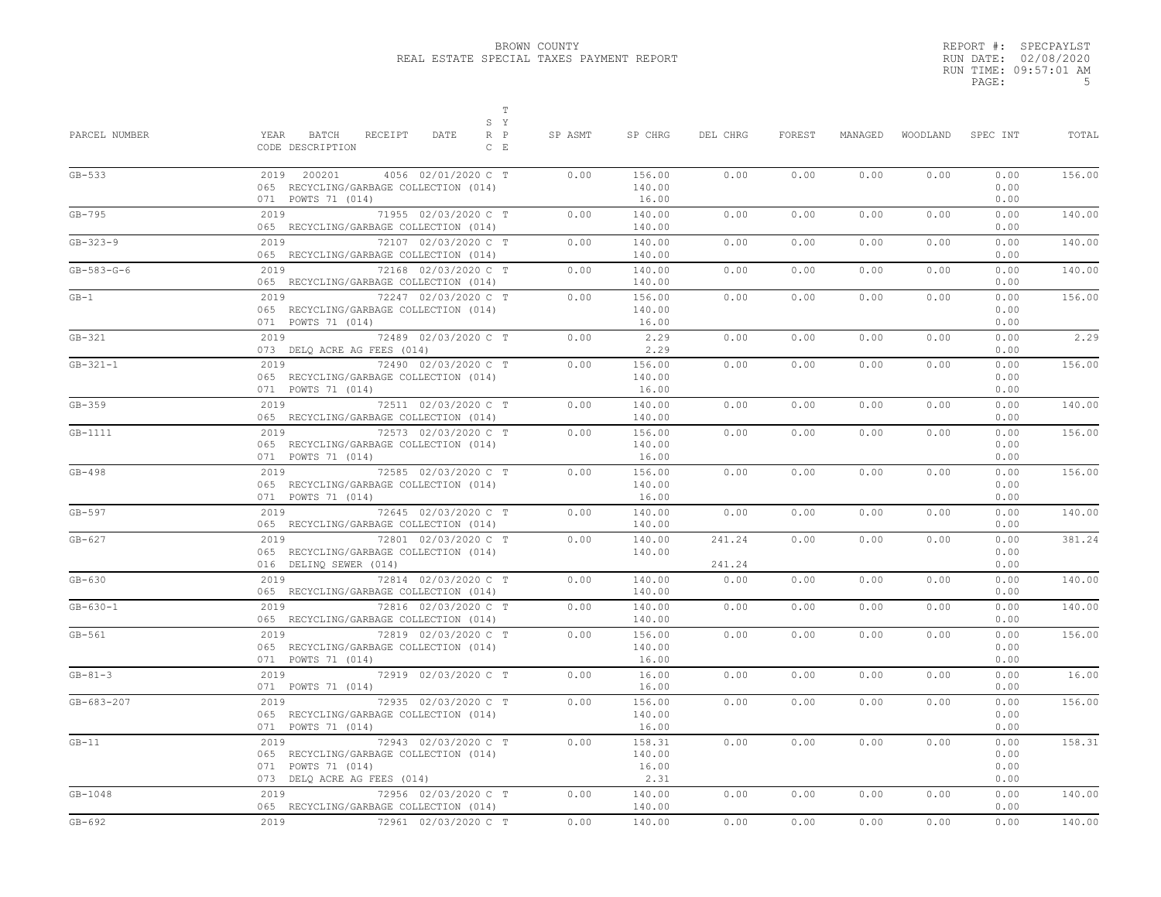|       | REPORT #: SPECPAYLST  |
|-------|-----------------------|
|       | RUN DATE: 02/08/2020  |
|       | RUN TIME: 09:57:01 AM |
| PAGE: | .5                    |

| PARCEL NUMBER  | $\mathbb T$<br>S Y<br>YEAR<br>BATCH<br>RECEIPT<br>DATE<br>R P<br>CODE DESCRIPTION<br>$C$ $E$                                | SP ASMT | SP CHRG                           | DEL CHRG         | FOREST | MANAGED | WOODLAND | SPEC INT                     | TOTAL  |
|----------------|-----------------------------------------------------------------------------------------------------------------------------|---------|-----------------------------------|------------------|--------|---------|----------|------------------------------|--------|
| $GB-533$       | 2019 200201<br>4056 02/01/2020 C T<br>065 RECYCLING/GARBAGE COLLECTION (014)<br>071 POWTS 71 (014)                          | 0.00    | 156.00<br>140.00<br>16.00         | 0.00             | 0.00   | 0.00    | 0.00     | 0.00<br>0.00<br>0.00         | 156.00 |
| $GB-795$       | 71955 02/03/2020 C T<br>2019<br>065 RECYCLING/GARBAGE COLLECTION (014)                                                      | 0.00    | 140.00<br>140.00                  | 0.00             | 0.00   | 0.00    | 0.00     | 0.00<br>0.00                 | 140.00 |
| $GB - 323 - 9$ | 72107 02/03/2020 C T<br>2019<br>065 RECYCLING/GARBAGE COLLECTION (014)                                                      | 0.00    | 140.00<br>140.00                  | 0.00             | 0.00   | 0.00    | 0.00     | 0.00<br>0.00                 | 140.00 |
| $GB-583-G-6$   | 2019<br>72168 02/03/2020 C T<br>065 RECYCLING/GARBAGE COLLECTION (014)                                                      | 0.00    | 140.00<br>140.00                  | 0.00             | 0.00   | 0.00    | 0.00     | 0.00<br>0.00                 | 140.00 |
| $GB-1$         | 72247 02/03/2020 C T<br>2019<br>065 RECYCLING/GARBAGE COLLECTION (014)<br>071 POWTS 71 (014)                                | 0.00    | 156.00<br>140.00<br>16.00         | 0.00             | 0.00   | 0.00    | 0.00     | 0.00<br>0.00<br>0.00         | 156.00 |
| $GB-321$       | 72489 02/03/2020 C T<br>2019<br>073 DELQ ACRE AG FEES (014)                                                                 | 0.00    | 2.29<br>2.29                      | 0.00             | 0.00   | 0.00    | 0.00     | 0.00<br>0.00                 | 2.29   |
| $GB-321-1$     | 2019<br>72490 02/03/2020 C T<br>065 RECYCLING/GARBAGE COLLECTION (014)<br>071 POWTS 71 (014)                                | 0.00    | 156.00<br>140.00<br>16.00         | 0.00             | 0.00   | 0.00    | 0.00     | 0.00<br>0.00<br>0.00         | 156.00 |
| $GB-359$       | 72511 02/03/2020 C T<br>2019<br>065 RECYCLING/GARBAGE COLLECTION (014)                                                      | 0.00    | 140.00<br>140.00                  | 0.00             | 0.00   | 0.00    | 0.00     | 0.00<br>0.00                 | 140.00 |
| $GB-1111$      | 2019<br>72573 02/03/2020 C T<br>065 RECYCLING/GARBAGE COLLECTION (014)<br>071 POWTS 71 (014)                                | 0.00    | 156.00<br>140.00<br>16.00         | 0.00             | 0.00   | 0.00    | 0.00     | 0.00<br>0.00<br>0.00         | 156.00 |
| $GB-498$       | 72585 02/03/2020 C T<br>2019<br>065 RECYCLING/GARBAGE COLLECTION (014)<br>071 POWTS 71 (014)                                | 0.00    | 156.00<br>140.00<br>16.00         | 0.00             | 0.00   | 0.00    | 0.00     | 0.00<br>0.00<br>0.00         | 156.00 |
| $GB-597$       | 2019<br>72645 02/03/2020 C T<br>065 RECYCLING/GARBAGE COLLECTION (014)                                                      | 0.00    | 140.00<br>140.00                  | 0.00             | 0.00   | 0.00    | 0.00     | 0.00<br>0.00                 | 140.00 |
| $GB-627$       | 2019<br>72801 02/03/2020 C T<br>065 RECYCLING/GARBAGE COLLECTION (014)<br>016 DELINQ SEWER (014)                            | 0.00    | 140.00<br>140.00                  | 241.24<br>241.24 | 0.00   | 0.00    | 0.00     | 0.00<br>0.00<br>0.00         | 381.24 |
| $GB-630$       | 72814 02/03/2020 C T<br>2019<br>065 RECYCLING/GARBAGE COLLECTION (014)                                                      | 0.00    | 140.00<br>140.00                  | 0.00             | 0.00   | 0.00    | 0.00     | 0.00<br>0.00                 | 140.00 |
| $GB - 630 - 1$ | 2019<br>72816 02/03/2020 C T<br>065 RECYCLING/GARBAGE COLLECTION (014)                                                      | 0.00    | 140.00<br>140.00                  | 0.00             | 0.00   | 0.00    | 0.00     | 0.00<br>0.00                 | 140.00 |
| $GB-561$       | 2019<br>72819 02/03/2020 C T<br>065 RECYCLING/GARBAGE COLLECTION (014)<br>071 POWTS 71 (014)                                | 0.00    | 156.00<br>140.00<br>16.00         | 0.00             | 0.00   | 0.00    | 0.00     | 0.00<br>0.00<br>0.00         | 156.00 |
| $GB-81-3$      | 2019<br>72919 02/03/2020 C T<br>071 POWTS 71 (014)                                                                          | 0.00    | 16.00<br>16.00                    | 0.00             | 0.00   | 0.00    | 0.00     | 0.00<br>0.00                 | 16.00  |
| GB-683-207     | 2019<br>72935 02/03/2020 C T<br>065 RECYCLING/GARBAGE COLLECTION (014)<br>071 POWTS 71 (014)                                | 0.00    | 156.00<br>140.00<br>16.00         | 0.00             | 0.00   | 0.00    | 0.00     | 0.00<br>0.00<br>0.00         | 156.00 |
| $GB-11$        | 2019<br>72943 02/03/2020 C T<br>065 RECYCLING/GARBAGE COLLECTION (014)<br>071 POWTS 71 (014)<br>073 DELQ ACRE AG FEES (014) | 0.00    | 158.31<br>140.00<br>16.00<br>2.31 | 0.00             | 0.00   | 0.00    | 0.00     | 0.00<br>0.00<br>0.00<br>0.00 | 158.31 |
| $GB-1048$      | 2019<br>72956 02/03/2020 C T<br>065 RECYCLING/GARBAGE COLLECTION (014)                                                      | 0.00    | 140.00<br>140.00                  | 0.00             | 0.00   | 0.00    | 0.00     | 0.00<br>0.00                 | 140.00 |
| $GB-692$       | 2019<br>72961 02/03/2020 C T                                                                                                | 0.00    | 140.00                            | 0.00             | 0.00   | 0.00    | 0.00     | 0.00                         | 140.00 |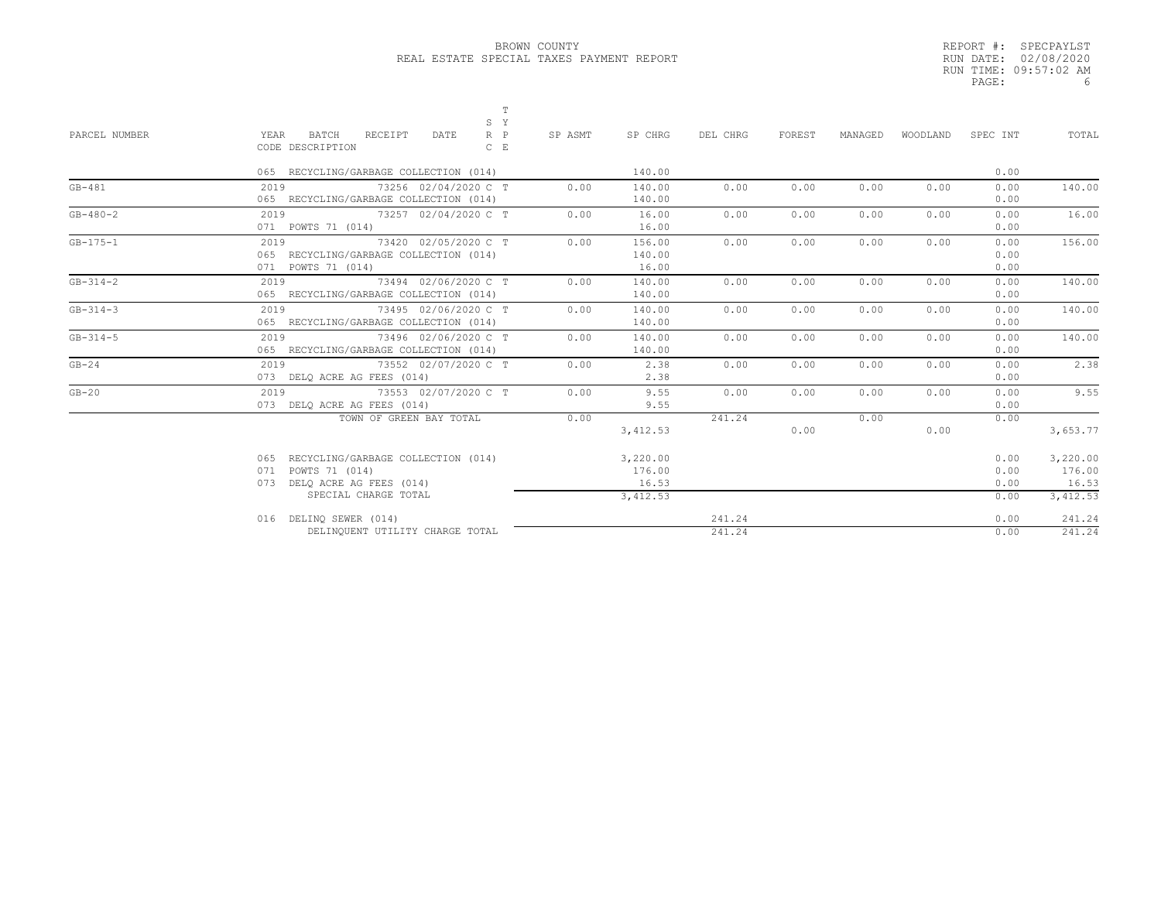|       | REPORT #: SPECPAYLST  |
|-------|-----------------------|
|       | RUN DATE: 02/08/2020  |
|       | RUN TIME: 09:57:02 AM |
| PAGE: | 6                     |

| PARCEL NUMBER  | YEAR<br>BATCH<br>RECEIPT                                                                             | S Y                        |         |                             |                  |        |         |          |                      |                             |
|----------------|------------------------------------------------------------------------------------------------------|----------------------------|---------|-----------------------------|------------------|--------|---------|----------|----------------------|-----------------------------|
|                | CODE DESCRIPTION                                                                                     | $R$ $P$<br>DATE<br>$C$ $E$ | SP ASMT | SP CHRG                     | DEL CHRG         | FOREST | MANAGED | WOODLAND | SPEC INT             | TOTAL                       |
|                | 065 RECYCLING/GARBAGE COLLECTION (014)                                                               |                            |         | 140.00                      |                  |        |         |          | 0.00                 |                             |
| $GB-481$       | 73256 02/04/2020 C T<br>2019<br>065 RECYCLING/GARBAGE COLLECTION (014)                               |                            | 0.00    | 140.00<br>140.00            | 0.00             | 0.00   | 0.00    | 0.00     | 0.00<br>0.00         | 140.00                      |
| $GB - 480 - 2$ | 2019 73257 02/04/2020 C T<br>071 POWTS 71 (014)                                                      |                            | 0.00    | 16.00<br>16.00              | 0.00             | 0.00   | 0.00    | 0.00     | 0.00<br>0.00         | 16.00                       |
| $GB - 175 - 1$ | 2019<br>065 RECYCLING/GARBAGE COLLECTION (014)<br>071 POWTS 71 (014)                                 | 73420 02/05/2020 C T       | 0.00    | 156.00<br>140.00<br>16.00   | 0.00             | 0.00   | 0.00    | 0.00     | 0.00<br>0.00<br>0.00 | 156.00                      |
| $GB - 314 - 2$ | 2019<br>73494 02/06/2020 C T<br>065 RECYCLING/GARBAGE COLLECTION (014)                               |                            | 0.00    | 140.00<br>140.00            | 0.00             | 0.00   | 0.00    | 0.00     | 0.00<br>0.00         | 140.00                      |
| $GB - 314 - 3$ | 2019<br>065 RECYCLING/GARBAGE COLLECTION (014)                                                       | 73495 02/06/2020 C T       | 0.00    | 140.00<br>140.00            | 0.00             | 0.00   | 0.00    | 0.00     | 0.00<br>0.00         | 140.00                      |
| $GB - 314 - 5$ | 2019<br>73496 02/06/2020 C T<br>065 RECYCLING/GARBAGE COLLECTION (014)                               |                            | 0.00    | 140.00<br>140.00            | 0.00             | 0.00   | 0.00    | 0.00     | 0.00<br>0.00         | 140.00                      |
| $GB-24$        | 2019<br>073 DELQ ACRE AG FEES (014)                                                                  | 73552 02/07/2020 C T       | 0.00    | 2.38<br>2.38                | 0.00             | 0.00   | 0.00    | 0.00     | 0.00<br>0.00         | 2.38                        |
| $GB-20$        | 2019<br>73553 02/07/2020 C T<br>073 DELQ ACRE AG FEES (014)                                          |                            | 0.00    | 9.55<br>9.55                | 0.00             | 0.00   | 0.00    | 0.00     | 0.00<br>0.00         | 9.55                        |
|                | TOWN OF GREEN BAY TOTAL                                                                              |                            | 0.00    | 3, 412.53                   | 241.24           | 0.00   | 0.00    | 0.00     | 0.00                 | 3,653.77                    |
|                | RECYCLING/GARBAGE COLLECTION (014)<br>065<br>POWTS 71 (014)<br>071<br>DELO ACRE AG FEES (014)<br>073 |                            |         | 3,220.00<br>176.00<br>16.53 |                  |        |         |          | 0.00<br>0.00<br>0.00 | 3,220.00<br>176.00<br>16.53 |
|                | SPECIAL CHARGE TOTAL                                                                                 |                            |         | 3,412.53                    |                  |        |         |          | 0.00                 | 3,412.53                    |
|                | 016 DELINQ SEWER (014)<br>DELINQUENT UTILITY CHARGE TOTAL                                            |                            |         |                             | 241.24<br>241.24 |        |         |          | 0.00<br>0.00         | 241.24<br>241.24            |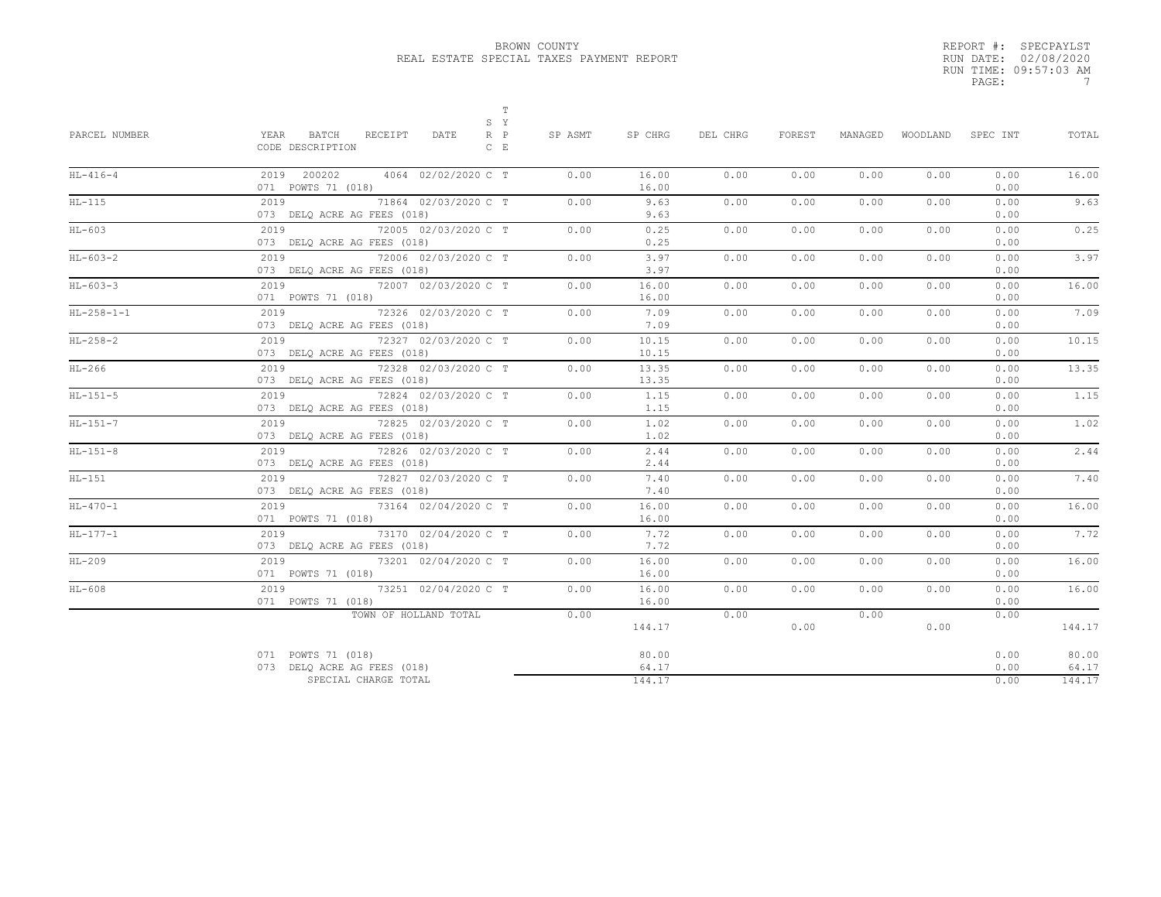|       | REPORT #: SPECPAYLST  |
|-------|-----------------------|
|       | RUN DATE: 02/08/2020  |
|       | RUN TIME: 09:57:03 AM |
| PAGE: |                       |
|       |                       |

| BATCH<br>$R$ $P$<br>PARCEL NUMBER<br>YEAR<br>RECEIPT<br>DATE<br>SP ASMT<br>SP CHRG<br>CODE DESCRIPTION<br>$C$ $E$                                                                                                                                                                                          | DEL CHRG<br>FOREST<br>MANAGED<br>WOODLAND SPEC INT<br>TOTAL                  |
|------------------------------------------------------------------------------------------------------------------------------------------------------------------------------------------------------------------------------------------------------------------------------------------------------------|------------------------------------------------------------------------------|
| $HL-416-4$<br>2019 200202<br>4064 02/02/2020 C T<br>0.00<br>071 POWTS 71 (018)                                                                                                                                                                                                                             | 16.00<br>16.00<br>0.00<br>0.00<br>0.00<br>0.00<br>0.00<br>0.00<br>16.00      |
| $HL-115$<br>2019 — 2019 — 2019 — 2019 — 2020 — 2020 — 2020 — 2020 — 2020 — 2020 — 2020 — 2020 — 2020 — 2020 — 2020 — 2020 — 2020 — 2020 — 2020 — 2020 — 2020 — 2020 — 2020 — 2020 — 2020 — 2020 — 2020 — 2020 — 2020 — 2020 — 2020 — 2020 —<br>71864 02/03/2020 C T<br>0.00<br>073 DELO ACRE AG FEES (018) | 9.63<br>9.63<br>0.00<br>0.00<br>0.00<br>0.00<br>0.00<br>9.63<br>0.00         |
| 72005 02/03/2020 C T<br>HL-603<br>2019<br>0.00<br>073 DELQ ACRE AG FEES (018)                                                                                                                                                                                                                              | 0.25<br>0.25<br>0.00<br>0.00<br>0.00<br>0.00<br>0.00<br>0.25<br>0.00         |
| $HL-603-2$<br>2019<br>72006 02/03/2020 C T<br>0.00<br>073 DELQ ACRE AG FEES (018)                                                                                                                                                                                                                          | 3.97<br>3.97<br>0.00<br>0.00<br>0.00<br>0.00<br>0.00<br>3.97<br>0.00         |
| $HL-603-3$<br>2019<br>72007 02/03/2020 C T<br>0.00<br>071 POWTS 71 (018)                                                                                                                                                                                                                                   | 16.00<br>16.00<br>0.00<br>0.00<br>0.00<br>0.00<br>0.00<br>16.00<br>0.00      |
| $2019$<br>$HL-258-1-1$<br>72326 02/03/2020 C T<br>0.00<br>073 DELO ACRE AG FEES (018)                                                                                                                                                                                                                      | 7.09<br>7.09<br>0.00<br>0.00<br>0.00<br>0.00<br>0.00<br>7.09<br>0.00         |
| $HL-258-2$<br>2019 — 2019 — 2019 — 2019 — 2020 — 2020 — 2020 — 2020 — 2020 — 2020 — 2020 — 2020 — 2020 — 2020 — 2020 — 20<br>72327 02/03/2020 C T<br>0.00<br>073 DELQ ACRE AG FEES (018)                                                                                                                   | 10.15<br>10.15<br>0.00<br>0.00<br>0.00<br>0.00<br>0.00<br>10.15<br>0.00      |
| $HL-266$<br>2019<br>72328 02/03/2020 C T<br>0.00<br>073 DELQ ACRE AG FEES (018)                                                                                                                                                                                                                            | 13.35<br>13.35<br>0.00<br>0.00<br>0.00<br>0.00<br>0.00<br>13.35<br>0.00      |
| $HL-151-5$<br>72824 02/03/2020 C T<br>0.00<br>2019<br>073 DELQ ACRE AG FEES (018)                                                                                                                                                                                                                          | 1.15<br>1.15<br>0.00<br>0.00<br>0.00<br>0.00<br>0.00<br>1.15<br>0.00         |
| $HL-151-7$<br>2019<br>72825 02/03/2020 C T<br>0.00<br>073 DELQ ACRE AG FEES (018)                                                                                                                                                                                                                          | 1.02<br>1.02<br>0.00<br>0.00<br>0.00<br>0.00<br>0.00<br>1.02<br>0.00         |
| 2019<br>$HL-151-8$<br>72826 02/03/2020 C T<br>0.00<br>073 DELQ ACRE AG FEES (018)                                                                                                                                                                                                                          | 2.44<br>2.44<br>0.00<br>0.00<br>0.00<br>0.00<br>0.00<br>0.00<br>2.44         |
| $HL-151$<br>2019 72827 02/03/2020 C T<br>0.00<br>073 DELQ ACRE AG FEES (018)                                                                                                                                                                                                                               | 7.40<br>7.40<br>0.00<br>0.00<br>0.00<br>0.00<br>0.00<br>7.40<br>0.00         |
| $HL - 470 - 1$<br>2019 73164 02/04/2020 C T<br>0.00<br>071 POWTS 71 (018)                                                                                                                                                                                                                                  | 16.00<br>16.00<br>0.00<br>0.00<br>0.00<br>0.00<br>0.00<br>16.00<br>0.00      |
| $HL-177-1$<br>2019<br>73170 02/04/2020 C T<br>0.00<br>073 DELQ ACRE AG FEES (018)                                                                                                                                                                                                                          | 7.72<br>7.72<br>0.00<br>0.00<br>0.00<br>0.00<br>0.00<br>7.72<br>0.00         |
| $2019$<br>$HL-209$<br>73201 02/04/2020 C T<br>0.00<br>071 POWTS 71 (018)                                                                                                                                                                                                                                   | 16.00<br>16.00<br>0.00<br>0.00<br>0.00<br>0.00<br>0.00<br>16.00<br>0.00      |
| 2019 73251 02/04/2020 C T<br>$HL-608$<br>0.00<br>071 POWTS 71 (018)                                                                                                                                                                                                                                        | 16.00<br>16.00<br>0.00<br>0.00<br>0.00<br>0.00<br>0.00<br>16.00<br>0.00      |
| TOWN OF HOLLAND TOTAL<br>0.00                                                                                                                                                                                                                                                                              | 0.00<br>0.00<br>0.00<br>144.17<br>0.00<br>0.00<br>144.17                     |
| 071 POWTS 71 (018)<br>073 DELQ ACRE AG FEES (018)<br>SPECIAL CHARGE TOTAL                                                                                                                                                                                                                                  | 80.00<br>0.00<br>80.00<br>64.17<br>0.00<br>64.17<br>144.17<br>0.00<br>144.17 |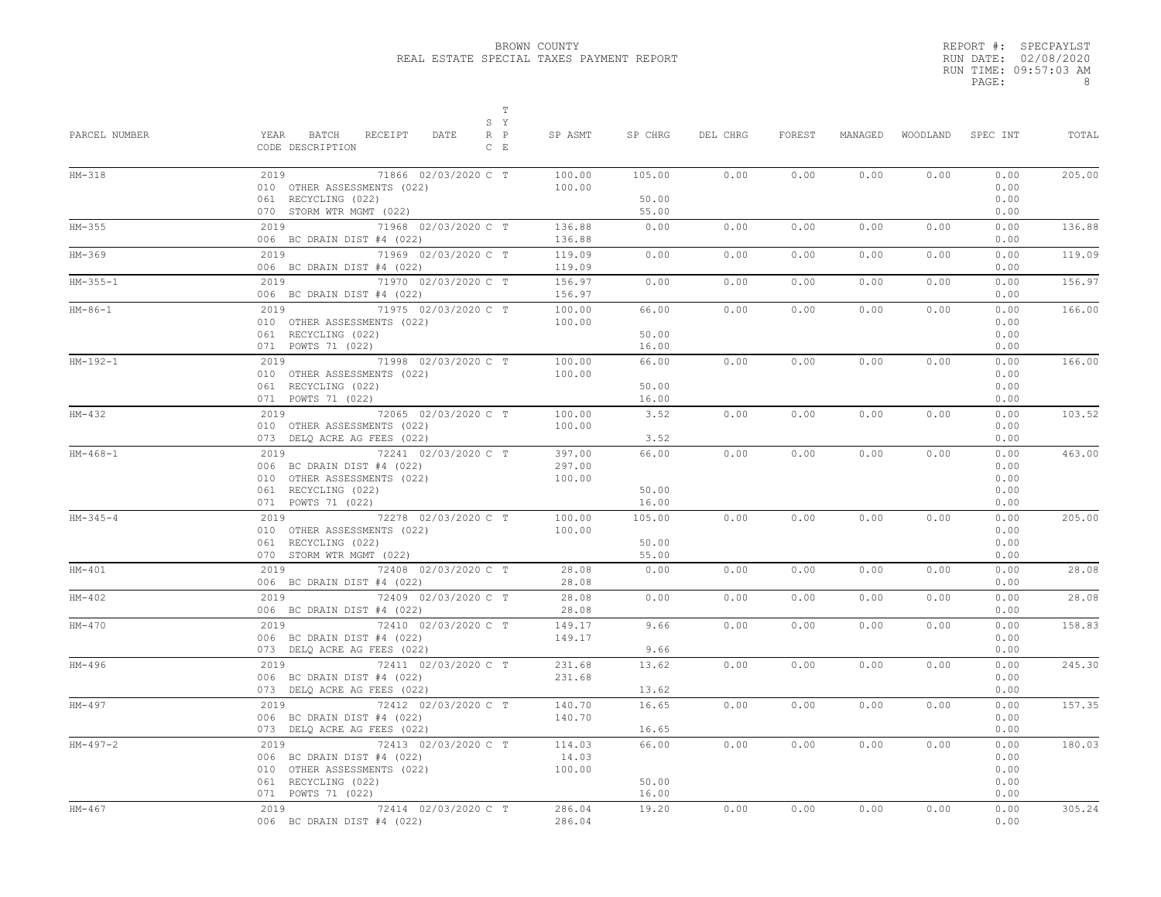|       | REPORT #: SPECPAYLST  |
|-------|-----------------------|
|       | RUN DATE: 02/08/2020  |
|       | RUN TIME: 09:57:03 AM |
| PAGE: | я                     |
|       |                       |

| PARCEL NUMBER | $\mathbb T$<br>S Y<br>YEAR<br>BATCH<br>RECEIPT<br>DATE<br>$R$ $P$<br>CODE DESCRIPTION<br>$C$ E                                         | SP ASMT                    | SP CHRG                  | DEL CHRG | FOREST | MANAGED | WOODLAND | SPEC INT                             | TOTAL  |
|---------------|----------------------------------------------------------------------------------------------------------------------------------------|----------------------------|--------------------------|----------|--------|---------|----------|--------------------------------------|--------|
| $HM-318$      | 2019<br>71866 02/03/2020 C T<br>010 OTHER ASSESSMENTS (022)<br>061 RECYCLING (022)                                                     | 100.00<br>100.00           | 105.00<br>50.00          | 0.00     | 0.00   | 0.00    | 0.00     | 0.00<br>0.00<br>0.00                 | 205.00 |
| $HM-355$      | 070 STORM WTR MGMT (022)<br>2019<br>71968 02/03/2020 C T                                                                               | 136.88                     | 55.00<br>0.00            | 0.00     | 0.00   | 0.00    | 0.00     | 0.00<br>0.00                         | 136.88 |
|               | 006 BC DRAIN DIST #4 (022)                                                                                                             | 136.88                     |                          |          |        |         |          | 0.00                                 |        |
| HM-369        | 2019<br>71969 02/03/2020 C T<br>006 BC DRAIN DIST #4 (022)                                                                             | 119.09<br>119.09           | 0.00                     | 0.00     | 0.00   | 0.00    | 0.00     | 0.00<br>0.00                         | 119.09 |
| $HM-355-1$    | $2019$<br>71970 02/03/2020 C T<br>006 BC DRAIN DIST #4 (022)                                                                           | 156.97<br>156.97           | 0.00                     | 0.00     | 0.00   | 0.00    | 0.00     | 0.00<br>0.00                         | 156.97 |
| $HM-86-1$     | 71975 02/03/2020 C T<br>2019<br>010 OTHER ASSESSMENTS (022)<br>061 RECYCLING (022)                                                     | 100.00<br>100.00           | 66.00<br>50.00           | 0.00     | 0.00   | 0.00    | 0.00     | 0.00<br>0.00<br>0.00                 | 166.00 |
|               | 071 POWTS 71 (022)                                                                                                                     |                            | 16.00                    |          |        |         |          | 0.00                                 |        |
| $HM-192-1$    | 2019 71998 02/03/2020 C T<br>010 OTHER ASSESSMENTS (022)<br>061 RECYCLING (022)                                                        | 100.00<br>100.00           | 66.00<br>50.00           | 0.00     | 0.00   | 0.00    | 0.00     | 0.00<br>0.00<br>0.00                 | 166.00 |
| $HM-432$      | 071 POWTS 71 (022)<br>2019 72065 02/03/2020 C T                                                                                        | 100.00                     | 16.00<br>3.52            | 0.00     | 0.00   | 0.00    | 0.00     | 0.00<br>0.00                         | 103.52 |
|               | 010 OTHER ASSESSMENTS (022)<br>073 DELQ ACRE AG FEES (022)                                                                             | 100.00                     | 3.52                     |          |        |         |          | 0.00<br>0.00                         |        |
| $HM-468-1$    | 72241 02/03/2020 C T<br>2019<br>006 BC DRAIN DIST #4 (022)<br>010 OTHER ASSESSMENTS (022)<br>061 RECYCLING (022)<br>071 POWTS 71 (022) | 397.00<br>297.00<br>100.00 | 66.00<br>50.00<br>16.00  | 0.00     | 0.00   | 0.00    | 0.00     | 0.00<br>0.00<br>0.00<br>0.00<br>0.00 | 463.00 |
| $HM-345-4$    | 72278 02/03/2020 C T<br>2019<br>010 OTHER ASSESSMENTS (022)<br>061 RECYCLING (022)<br>070 STORM WTR MGMT (022)                         | 100.00<br>100.00           | 105.00<br>50.00<br>55.00 | 0.00     | 0.00   | 0.00    | 0.00     | 0.00<br>0.00<br>0.00<br>0.00         | 205.00 |
| $HM-401$      | 2019 72408 02/03/2020 C T<br>006 BC DRAIN DIST #4 (022)                                                                                | 28.08<br>28.08             | 0.00                     | 0.00     | 0.00   | 0.00    | 0.00     | 0.00<br>0.00                         | 28.08  |
| $HM-402$      | 72409 02/03/2020 C T<br>2019<br>006 BC DRAIN DIST #4 (022)                                                                             | 28.08<br>28.08             | 0.00                     | 0.00     | 0.00   | 0.00    | 0.00     | 0.00<br>0.00                         | 28.08  |
| HM-470        | 2019<br>72410 02/03/2020 C T<br>006 BC DRAIN DIST #4 (022)<br>073 DELQ ACRE AG FEES (022)                                              | 149.17<br>149.17           | 9.66<br>9.66             | 0.00     | 0.00   | 0.00    | 0.00     | 0.00<br>0.00<br>0.00                 | 158.83 |
| HM-496        | 2019 72411 02/03/2020 C T<br>006 BC DRAIN DIST #4 (022)<br>073 DELQ ACRE AG FEES (022)                                                 | 231.68<br>231.68           | 13.62<br>13.62           | 0.00     | 0.00   | 0.00    | 0.00     | 0.00<br>0.00<br>0.00                 | 245.30 |
| HM-497        | 2019 72412 02/03/2020 C T<br>006 BC DRAIN DIST #4 (022)<br>073 DELQ ACRE AG FEES (022)                                                 | 140.70<br>140.70           | 16.65<br>16.65           | 0.00     | 0.00   | 0.00    | 0.00     | 0.00<br>0.00<br>0.00                 | 157.35 |
| $HM-497-2$    | 2019 72413 02/03/2020 C T<br>006 BC DRAIN DIST #4 (022)<br>010 OTHER ASSESSMENTS (022)<br>061 RECYCLING (022)<br>071 POWTS 71 (022)    | 114.03<br>14.03<br>100.00  | 66.00<br>50.00<br>16.00  | 0.00     | 0.00   | 0.00    | 0.00     | 0.00<br>0.00<br>0.00<br>0.00<br>0.00 | 180.03 |
| $HM-467$      | 72414 02/03/2020 C T<br>2019<br>006 BC DRAIN DIST #4 (022)                                                                             | 286.04<br>286.04           | 19.20                    | 0.00     | 0.00   | 0.00    | 0.00     | 0.00<br>0.00                         | 305.24 |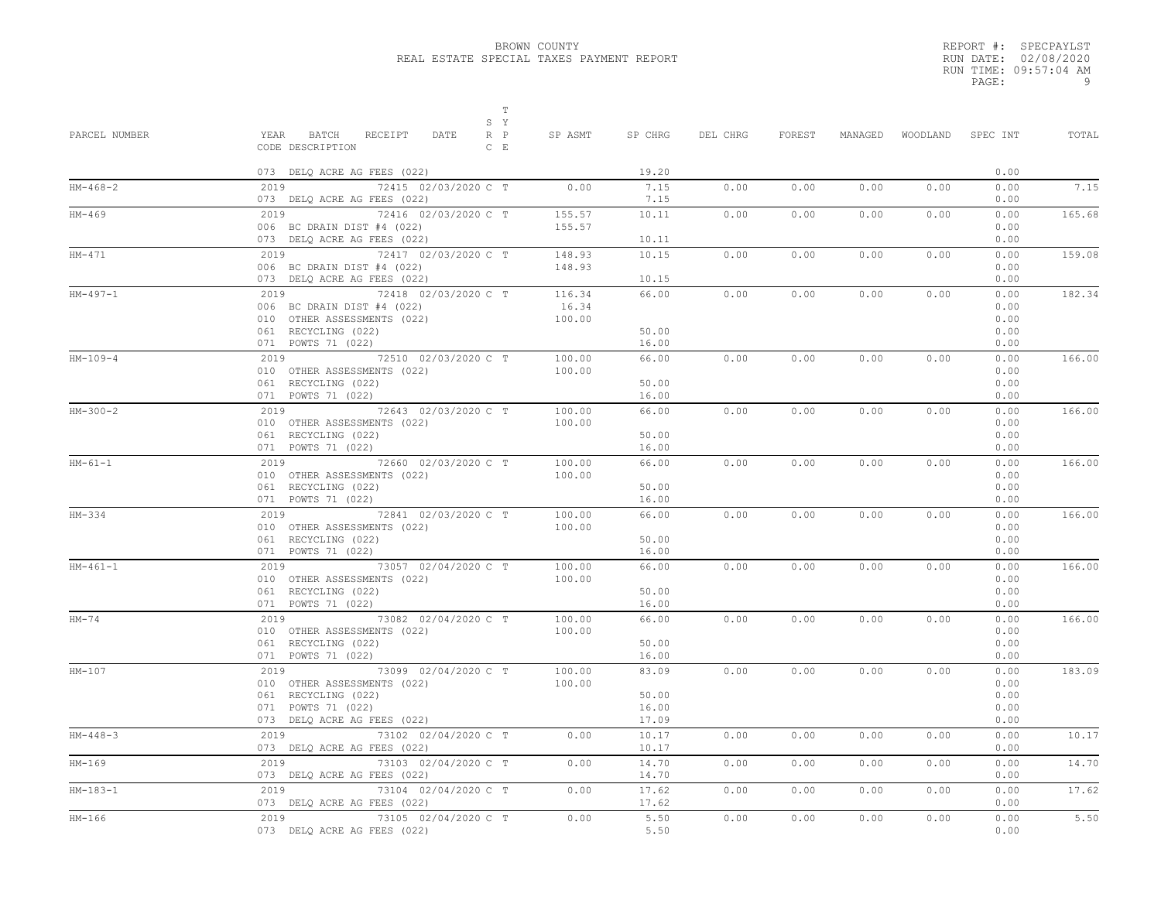|       | REPORT #: SPECPAYLST  |
|-------|-----------------------|
|       | RUN DATE: 02/08/2020  |
|       | RUN TIME: 09:57:04 AM |
| PAGE: | q                     |

| PARCEL NUMBER | Т<br>S Y<br>RECEIPT<br>YEAR BATCH<br>DATE<br>$R$ $P$<br>CODE DESCRIPTION<br>$C$ E                                                    | SP ASMT                   | SP CHRG                          | DEL CHRG | FOREST | MANAGED |      | WOODLAND SPEC INT                    | TOTAL  |
|---------------|--------------------------------------------------------------------------------------------------------------------------------------|---------------------------|----------------------------------|----------|--------|---------|------|--------------------------------------|--------|
|               | 073 DELQ ACRE AG FEES (022)                                                                                                          |                           | 19.20                            |          |        |         |      | 0.00                                 |        |
| $HM-468-2$    | 2019 72415 02/03/2020 C T<br>073 DELQ ACRE AG FEES (022)                                                                             | 0.00                      | 7.15<br>7.15                     | 0.00     | 0.00   | 0.00    | 0.00 | 0.00<br>0.00                         | 7.15   |
| HM-469        | 2019<br>72416 02/03/2020 C T<br>006 BC DRAIN DIST #4 (022)<br>073 DELQ ACRE AG FEES (022)                                            | 155.57<br>155.57          | 10.11<br>10.11                   | 0.00     | 0.00   | 0.00    | 0.00 | 0.00<br>0.00<br>0.00                 | 165.68 |
| $HM-471$      | 72417 02/03/2020 C T<br>2019<br>006 BC DRAIN DIST #4 (022)<br>073 DELQ ACRE AG FEES (022)                                            | 148.93<br>148.93          | 10.15<br>10.15                   | 0.00     | 0.00   | 0.00    | 0.00 | 0.00<br>0.00<br>0.00                 | 159.08 |
| $HM-497-1$    | 2019 72418 02/03/2020 C T<br>006 BC DRAIN DIST #4 (022)<br>010 OTHER ASSESSMENTS (022)<br>061 RECYCLING (022)<br>071 POWTS 71 (022)  | 116.34<br>16.34<br>100.00 | 66.00<br>50.00<br>16.00          | 0.00     | 0.00   | 0.00    | 0.00 | 0.00<br>0.00<br>0.00<br>0.00<br>0.00 | 182.34 |
| $HM-109-4$    | 2019 72510 02/03/2020 C T<br>010 OTHER ASSESSMENTS (022)<br>061 RECYCLING (022)<br>071 POWTS 71 (022)                                | 100.00<br>100.00          | 66.00<br>50.00<br>16.00          | 0.00     | 0.00   | 0.00    | 0.00 | 0.00<br>0.00<br>0.00<br>0.00         | 166.00 |
| $HM-300-2$    | 2019 72643 02/03/2020 C T<br>010 OTHER ASSESSMENTS (022)<br>061 RECYCLING (022)<br>071 POWTS 71 (022)                                | 100.00<br>100.00          | 66.00<br>50.00<br>16.00          | 0.00     | 0.00   | 0.00    | 0.00 | 0.00<br>0.00<br>0.00<br>0.00         | 166.00 |
| $HM-61-1$     | 2019 72660 02/03/2020 C T<br>010 OTHER ASSESSMENTS (022)<br>061 RECYCLING (022)<br>071 POWTS 71 (022)                                | 100.00<br>100.00          | 66.00<br>50.00<br>16.00          | 0.00     | 0.00   | 0.00    | 0.00 | 0.00<br>0.00<br>0.00<br>0.00         | 166.00 |
| HM-334        | 2019 72841 02/03/2020 C T<br>010 OTHER ASSESSMENTS (022)<br>061 RECYCLING (022)<br>071 POWTS 71 (022)                                | 100.00<br>100.00          | 66.00<br>50.00<br>16.00          | 0.00     | 0.00   | 0.00    | 0.00 | 0.00<br>0.00<br>0.00<br>0.00         | 166.00 |
| $HM-461-1$    | 2019 73057 02/04/2020 C T<br>010 OTHER ASSESSMENTS (022)<br>061 RECYCLING (022)<br>071 POWTS 71 (022)                                | 100.00<br>100.00          | 66.00<br>50.00<br>16.00          | 0.00     | 0.00   | 0.00    | 0.00 | 0.00<br>0.00<br>0.00<br>0.00         | 166.00 |
| $HM-74$       | 2019 73082 02/04/2020 C T<br>010 OTHER ASSESSMENTS (022)<br>061 RECYCLING (022)<br>071 POWTS 71 (022)                                | 100.00<br>100.00          | 66.00<br>50.00<br>16.00          | 0.00     | 0.00   | 0.00    | 0.00 | 0.00<br>0.00<br>0.00<br>0.00         | 166.00 |
| $HM-107$      | 2019 73099 02/04/2020 C T<br>010 OTHER ASSESSMENTS (022)<br>061 RECYCLING (022)<br>071 POWTS 71 (022)<br>073 DELQ ACRE AG FEES (022) | 100.00<br>100.00          | 83.09<br>50.00<br>16.00<br>17.09 | 0.00     | 0.00   | 0.00    | 0.00 | 0.00<br>0.00<br>0.00<br>0.00<br>0.00 | 183.09 |
| $HM-448-3$    | 2019 73102 02/04/2020 C T<br>073 DELQ ACRE AG FEES (022)                                                                             | 0.00                      | 10.17<br>10.17                   | 0.00     | 0.00   | 0.00    | 0.00 | 0.00<br>0.00                         | 10.17  |
| $HM-169$      | 73103 02/04/2020 C T<br>2019<br>073 DELQ ACRE AG FEES (022)                                                                          | 0.00                      | 14.70<br>14.70                   | 0.00     | 0.00   | 0.00    | 0.00 | 0.00<br>0.00                         | 14.70  |
| $HM-183-1$    | 2019 73104 02/04/2020 C T<br>073 DELQ ACRE AG FEES (022)                                                                             | 0.00                      | 17.62<br>17.62                   | 0.00     | 0.00   | 0.00    | 0.00 | 0.00<br>0.00                         | 17.62  |
| $HM-166$      | 2019<br>73105 02/04/2020 C T<br>073 DELQ ACRE AG FEES (022)                                                                          | 0.00                      | 5.50<br>5.50                     | 0.00     | 0.00   | 0.00    | 0.00 | 0.00<br>0.00                         | 5.50   |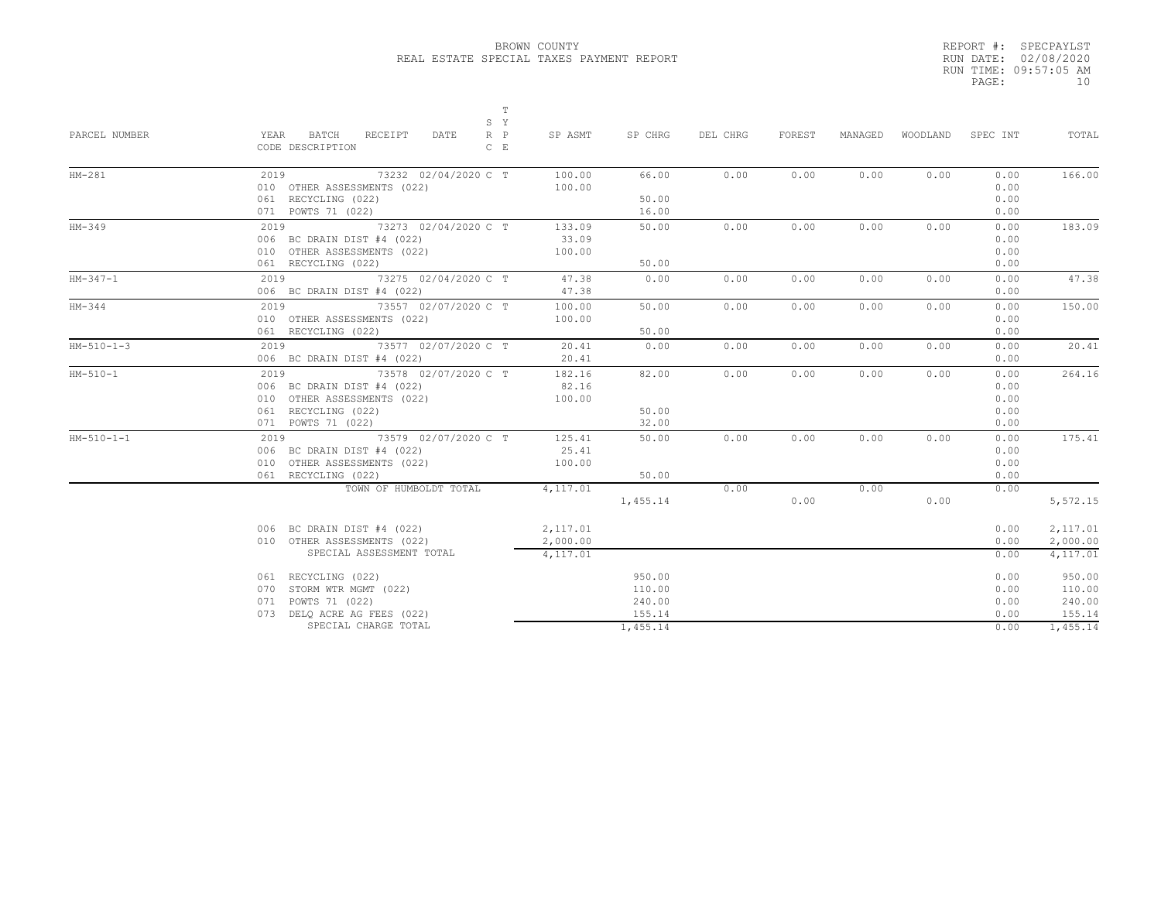|       | REPORT #: SPECPAYLST  |
|-------|-----------------------|
|       | RUN DATE: 02/08/2020  |
|       | RUN TIME: 09:57:05 AM |
| PAGE: | 1 N                   |
|       |                       |

|               | Т<br>S Y                                                                   |           |          |          |        |         |          |          |          |
|---------------|----------------------------------------------------------------------------|-----------|----------|----------|--------|---------|----------|----------|----------|
| PARCEL NUMBER | $R$ $P$<br>YEAR<br>BATCH<br>RECEIPT<br>DATE<br>CODE DESCRIPTION<br>$C$ $E$ | SP ASMT   | SP CHRG  | DEL CHRG | FOREST | MANAGED | WOODLAND | SPEC INT | TOTAL    |
| $HM-281$      | 2019 73232 02/04/2020 C T                                                  | 100.00    | 66.00    | 0.00     | 0.00   | 0.00    | 0.00     | 0.00     | 166.00   |
|               | 010 OTHER ASSESSMENTS (022)                                                | 100.00    |          |          |        |         |          | 0.00     |          |
|               | 061 RECYCLING (022)                                                        |           | 50.00    |          |        |         |          | 0.00     |          |
|               | 071 POWTS 71 (022)                                                         |           | 16.00    |          |        |         |          | 0.00     |          |
| $HM-349$      | 73273 02/04/2020 C T<br>2019                                               | 133.09    | 50.00    | 0.00     | 0.00   | 0.00    | 0.00     | 0.00     | 183.09   |
|               | 006 BC DRAIN DIST #4 (022)                                                 | 33.09     |          |          |        |         |          | 0.00     |          |
|               | 010 OTHER ASSESSMENTS (022)                                                | 100.00    |          |          |        |         |          | 0.00     |          |
|               | 061 RECYCLING (022)                                                        |           | 50.00    |          |        |         |          | 0.00     |          |
| $HM-347-1$    | 2019 73275 02/04/2020 C T                                                  | 47.38     | 0.00     | 0.00     | 0.00   | 0.00    | 0.00     | 0.00     | 47.38    |
|               | 006 BC DRAIN DIST #4 (022)                                                 | 47.38     |          |          |        |         |          | 0.00     |          |
| $HM-344$      | 2019 73557 02/07/2020 C T                                                  | 100.00    | 50.00    | 0.00     | 0.00   | 0.00    | 0.00     | 0.00     | 150.00   |
|               | 010 OTHER ASSESSMENTS (022)                                                | 100.00    |          |          |        |         |          | 0.00     |          |
|               | 061 RECYCLING (022)                                                        |           | 50.00    |          |        |         |          | 0.00     |          |
| $HM-510-1-3$  | 2019 73577 02/07/2020 C T                                                  | 20.41     | 0.00     | 0.00     | 0.00   | 0.00    | 0.00     | 0.00     | 20.41    |
|               | 006 BC DRAIN DIST #4 (022)                                                 | 20.41     |          |          |        |         |          | 0.00     |          |
| $HM-510-1$    | 2019 73578 02/07/2020 C T                                                  | 182.16    | 82.00    | 0.00     | 0.00   | 0.00    | 0.00     | 0.00     | 264.16   |
|               | 006 BC DRAIN DIST #4 (022)                                                 | 82.16     |          |          |        |         |          | 0.00     |          |
|               | 010 OTHER ASSESSMENTS (022)                                                | 100.00    |          |          |        |         |          | 0.00     |          |
|               | 061 RECYCLING (022)                                                        |           | 50.00    |          |        |         |          | 0.00     |          |
|               | 071 POWTS 71 (022)                                                         |           | 32.00    |          |        |         |          | 0.00     |          |
| $HM-510-1-1$  | 73579 02/07/2020 C T<br>2019                                               | 125.41    | 50.00    | 0.00     | 0.00   | 0.00    | 0.00     | 0.00     | 175.41   |
|               | 006 BC DRAIN DIST #4 (022)                                                 | 25.41     |          |          |        |         |          | 0.00     |          |
|               | 010 OTHER ASSESSMENTS (022)                                                | 100.00    |          |          |        |         |          | 0.00     |          |
|               | 061 RECYCLING (022)                                                        |           | 50.00    |          |        |         |          | 0.00     |          |
|               | TOWN OF HUMBOLDT TOTAL                                                     | 4,117.01  |          | 0.00     |        | 0.00    |          | 0.00     |          |
|               |                                                                            |           | 1,455.14 |          | 0.00   |         | 0.00     |          | 5,572.15 |
|               | 006 BC DRAIN DIST #4 (022)                                                 | 2,117.01  |          |          |        |         |          | 0.00     | 2,117.01 |
|               | 010 OTHER ASSESSMENTS (022)                                                | 2,000.00  |          |          |        |         |          | 0.00     | 2,000.00 |
|               | SPECIAL ASSESSMENT TOTAL                                                   | 4, 117.01 |          |          |        |         |          | 0.00     | 4,117.01 |
|               | 061 RECYCLING (022)                                                        |           | 950.00   |          |        |         |          | 0.00     | 950.00   |
|               | 070 STORM WTR MGMT (022)                                                   |           | 110.00   |          |        |         |          | 0.00     | 110.00   |
|               | 071 POWTS 71 (022)                                                         |           | 240.00   |          |        |         |          | 0.00     | 240.00   |
|               | 073 DELQ ACRE AG FEES (022)                                                |           | 155.14   |          |        |         |          | 0.00     | 155.14   |
|               | SPECIAL CHARGE TOTAL                                                       |           | 1.455.14 |          |        |         |          | 0.00     | 1,455.14 |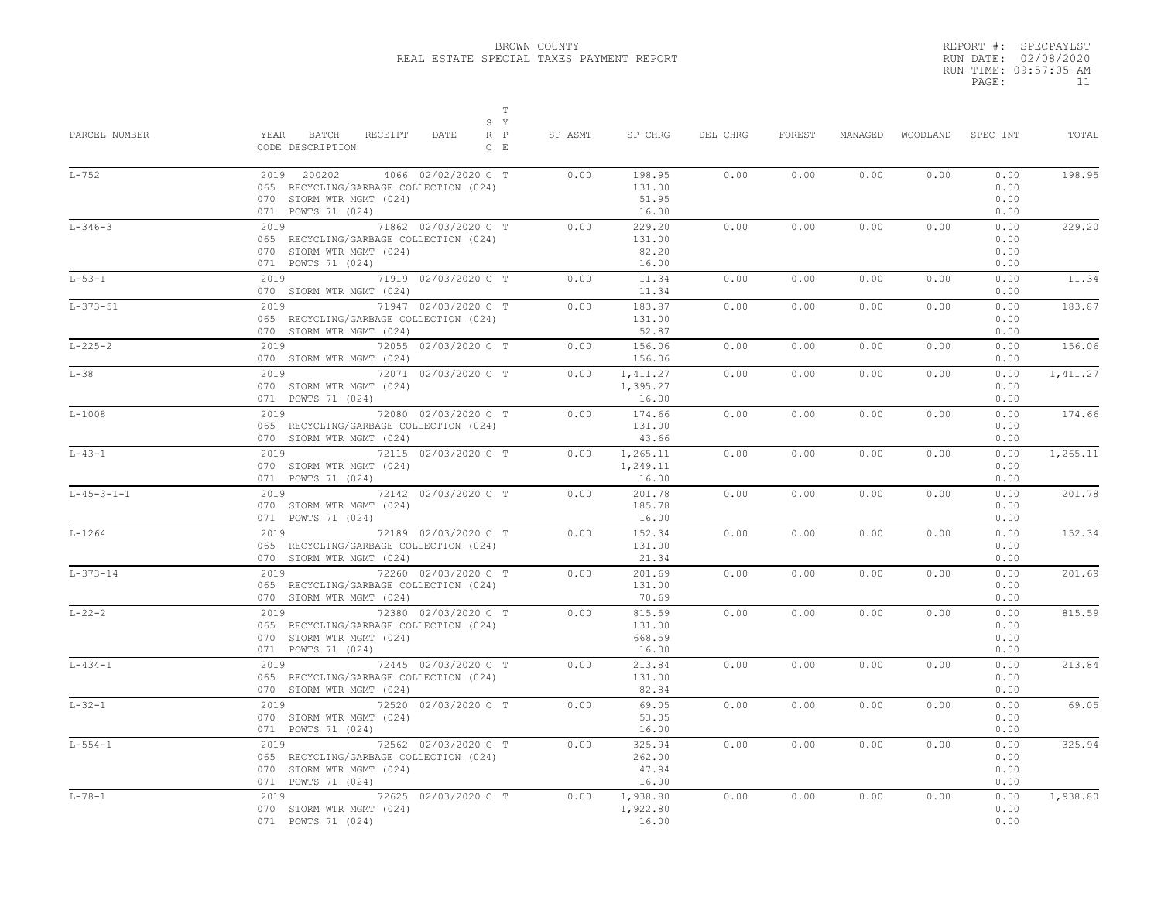|       | REPORT #: SPECPAYLST  |
|-------|-----------------------|
|       | RUN DATE: 02/08/2020  |
|       | RUN TIME: 09:57:05 AM |
| PAGE: | 11                    |
|       |                       |

| PARCEL NUMBER        | $\mathbb T$<br>S Y<br>YEAR<br>BATCH<br>RECEIPT<br>DATE<br>$R$ $P$<br>CODE DESCRIPTION<br>$C$ E                                 | SP ASMT | SP CHRG                             | DEL CHRG | FOREST | MANAGED |      | WOODLAND SPEC INT            | TOTAL     |
|----------------------|--------------------------------------------------------------------------------------------------------------------------------|---------|-------------------------------------|----------|--------|---------|------|------------------------------|-----------|
| $L-752$              | 2019 200202<br>4066 02/02/2020 C T<br>065 RECYCLING/GARBAGE COLLECTION (024)<br>070 STORM WTR MGMT (024)<br>071 POWTS 71 (024) | 0.00    | 198.95<br>131.00<br>51.95<br>16.00  | 0.00     | 0.00   | 0.00    | 0.00 | 0.00<br>0.00<br>0.00<br>0.00 | 198.95    |
| $L - 346 - 3$        | 2019 71862 02/03/2020 C T<br>065 RECYCLING/GARBAGE COLLECTION (024)<br>070 STORM WTR MGMT (024)<br>071 POWTS 71 (024)          | 0.00    | 229.20<br>131.00<br>82.20<br>16.00  | 0.00     | 0.00   | 0.00    | 0.00 | 0.00<br>0.00<br>0.00<br>0.00 | 229.20    |
| $L - 53 - 1$         | 2019 71919 02/03/2020 C T<br>070 STORM WTR MGMT (024)                                                                          | 0.00    | 11.34<br>11.34                      | 0.00     | 0.00   | 0.00    | 0.00 | 0.00<br>0.00                 | 11.34     |
| $L-373-51$           | 2019<br>71947 02/03/2020 C T<br>065 RECYCLING/GARBAGE COLLECTION (024)<br>070 STORM WTR MGMT (024)                             | 0.00    | 183.87<br>131.00<br>52.87           | 0.00     | 0.00   | 0.00    | 0.00 | 0.00<br>0.00<br>0.00         | 183.87    |
| $L - 225 - 2$        | 2019 72055 02/03/2020 C T<br>070 STORM WTR MGMT (024)                                                                          | 0.00    | 156.06<br>156.06                    | 0.00     | 0.00   | 0.00    | 0.00 | 0.00<br>0.00                 | 156.06    |
| $L-38$               | 2019 72071 02/03/2020 C T<br>070 STORM WTR MGMT (024)<br>071 POWTS 71 (024)                                                    | 0.00    | 1,411.27<br>1,395.27<br>16.00       | 0.00     | 0.00   | 0.00    | 0.00 | 0.00<br>0.00<br>0.00         | 1, 411.27 |
| $L-1008$             | 2019 72080 02/03/2020 C T<br>065 RECYCLING/GARBAGE COLLECTION (024)<br>070 STORM WTR MGMT (024)                                | 0.00    | 174.66<br>131.00<br>43.66           | 0.00     | 0.00   | 0.00    | 0.00 | 0.00<br>0.00<br>0.00         | 174.66    |
| $L - 43 - 1$         | 2019 72115 02/03/2020 C T<br>070 STORM WTR MGMT (024)<br>071 POWTS 71 (024)                                                    | 0.00    | 1,265.11<br>1,249.11<br>16.00       | 0.00     | 0.00   | 0.00    | 0.00 | 0.00<br>0.00<br>0.00         | 1,265.11  |
| $L - 45 - 3 - 1 - 1$ | 2019 72142 02/03/2020 C T<br>070 STORM WTR MGMT (024)<br>071 POWTS 71 (024)                                                    | 0.00    | 201.78<br>185.78<br>16.00           | 0.00     | 0.00   | 0.00    | 0.00 | 0.00<br>0.00<br>0.00         | 201.78    |
| $L - 1264$           | 2019 72189 02/03/2020 C T<br>065 RECYCLING/GARBAGE COLLECTION (024)<br>070 STORM WTR MGMT (024)                                | 0.00    | 152.34<br>131.00<br>21.34           | 0.00     | 0.00   | 0.00    | 0.00 | 0.00<br>0.00<br>0.00         | 152.34    |
| $L - 373 - 14$       | 2019 72260 02/03/2020 C T<br>065 RECYCLING/GARBAGE COLLECTION (024)<br>070 STORM WTR MGMT (024)                                | 0.00    | 201.69<br>131.00<br>70.69           | 0.00     | 0.00   | 0.00    | 0.00 | 0.00<br>0.00<br>0.00         | 201.69    |
| $L - 22 - 2$         | 2019 72380 02/03/2020 C T<br>065 RECYCLING/GARBAGE COLLECTION (024)<br>070 STORM WTR MGMT (024)<br>071 POWTS 71 (024)          | 0.00    | 815.59<br>131.00<br>668.59<br>16.00 | 0.00     | 0.00   | 0.00    | 0.00 | 0.00<br>0.00<br>0.00<br>0.00 | 815.59    |
| $L - 434 - 1$        | 2019 72445 02/03/2020 C T<br>065 RECYCLING/GARBAGE COLLECTION (024)<br>070 STORM WTR MGMT (024)                                | 0.00    | 213.84<br>131.00<br>82.84           | 0.00     | 0.00   | 0.00    | 0.00 | 0.00<br>0.00<br>0.00         | 213.84    |
| $L - 32 - 1$         | 2019 72520 02/03/2020 C T<br>070 STORM WTR MGMT (024)<br>071 POWTS 71 (024)                                                    | 0.00    | 69.05<br>53.05<br>16.00             | 0.00     | 0.00   | 0.00    | 0.00 | 0.00<br>0.00<br>0.00         | 69.05     |
| $L - 554 - 1$        | 2019 72562 02/03/2020 C T<br>065 RECYCLING/GARBAGE COLLECTION (024)<br>070 STORM WTR MGMT (024)<br>071 POWTS 71 (024)          | 0.00    | 325.94<br>262.00<br>47.94<br>16.00  | 0.00     | 0.00   | 0.00    | 0.00 | 0.00<br>0.00<br>0.00<br>0.00 | 325.94    |
| $L - 78 - 1$         | 2019 72625 02/03/2020 C T<br>070 STORM WTR MGMT (024)<br>071 POWTS 71 (024)                                                    | 0.00    | 1,938.80<br>1,922.80<br>16.00       | 0.00     | 0.00   | 0.00    | 0.00 | 0.00<br>0.00<br>0.00         | 1,938.80  |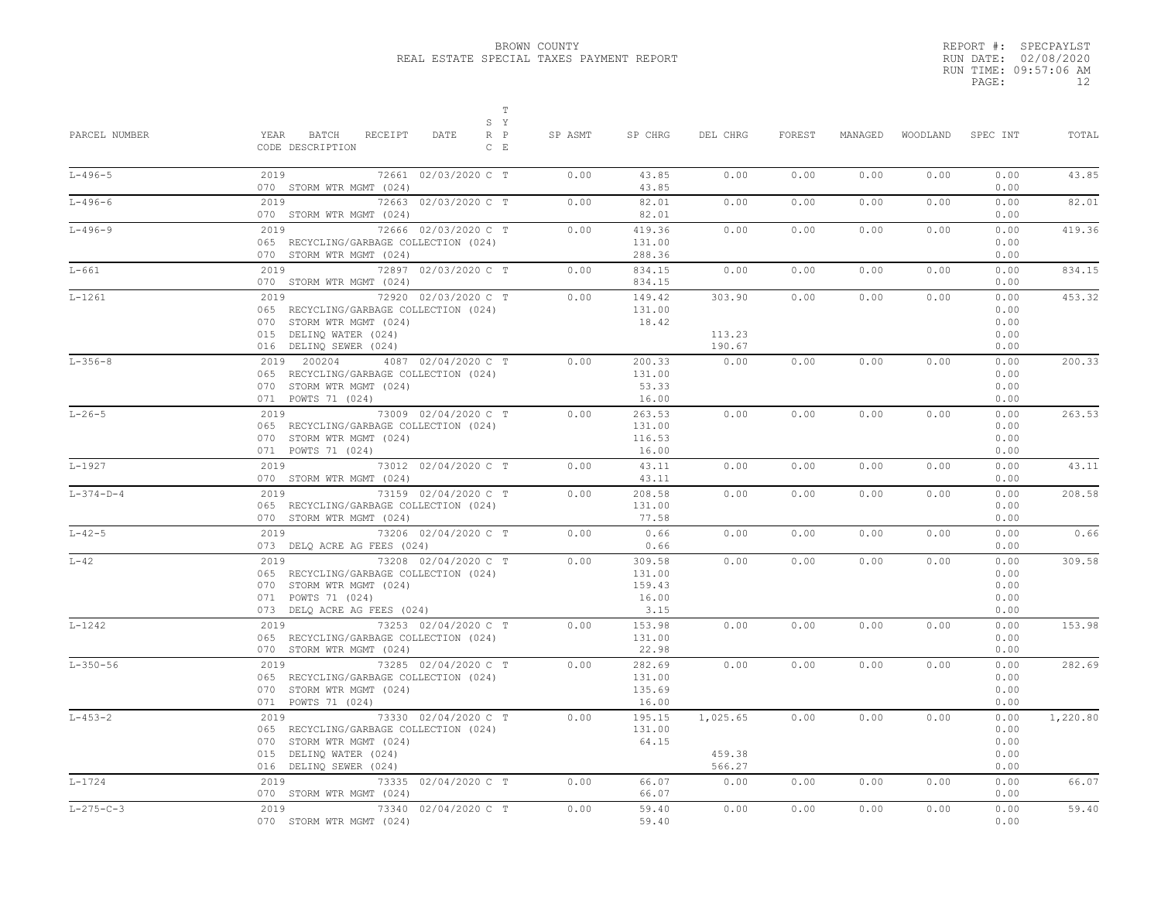|       | REPORT #: SPECPAYLST  |
|-------|-----------------------|
|       | RUN DATE: 02/08/2020  |
|       | RUN TIME: 09:57:06 AM |
| PAGE: | 12                    |
|       |                       |

| PARCEL NUMBER     | $\mathbb T$<br>S Y<br>YEAR BATCH<br>RECEIPT<br>DATE<br>$R$ $P$<br>CODE DESCRIPTION<br>$C$ E                                                            | SP ASMT | SP CHRG                                     | DEL CHRG                     | FOREST | MANAGED |      | WOODLAND SPEC INT                    | TOTAL    |
|-------------------|--------------------------------------------------------------------------------------------------------------------------------------------------------|---------|---------------------------------------------|------------------------------|--------|---------|------|--------------------------------------|----------|
| $L - 496 - 5$     | 2019<br>72661 02/03/2020 C T<br>070 STORM WTR MGMT (024)                                                                                               | 0.00    | 43.85<br>43.85                              | 0.00                         | 0.00   | 0.00    | 0.00 | 0.00<br>0.00                         | 43.85    |
| $L - 496 - 6$     | 2019 7<br>72663 02/03/2020 C T<br>070 STORM WTR MGMT (024)                                                                                             | 0.00    | 82.01<br>82.01                              | 0.00                         | 0.00   | 0.00    | 0.00 | 0.00<br>0.00                         | 82.01    |
| $L - 496 - 9$     | 72666 02/03/2020 C T<br>2019<br>065 RECYCLING/GARBAGE COLLECTION (024)<br>070 STORM WTR MGMT (024)                                                     | 0.00    | 419.36<br>131.00<br>288.36                  | 0.00                         | 0.00   | 0.00    | 0.00 | 0.00<br>0.00<br>0.00                 | 419.36   |
| $L-661$           | 2019 72897 02/03/2020 C T<br>070 STORM WTR MGMT (024)                                                                                                  | 0.00    | 834.15<br>834.15                            | 0.00                         | 0.00   | 0.00    | 0.00 | 0.00<br>0.00                         | 834.15   |
| $L-1261$          | 2019<br>72920 02/03/2020 C T<br>065 RECYCLING/GARBAGE COLLECTION (024)<br>070 STORM WTR MGMT (024)<br>015 DELINQ WATER (024)<br>016 DELINQ SEWER (024) | 0.00    | 149.42<br>131.00<br>18.42                   | 303.90<br>113.23<br>190.67   | 0.00   | 0.00    | 0.00 | 0.00<br>0.00<br>0.00<br>0.00<br>0.00 | 453.32   |
| $L - 356 - 8$     | 2019 200204 4087 02/04/2020 C T<br>065 RECYCLING/GARBAGE COLLECTION (024)<br>070 STORM WTR MGMT (024)<br>071 POWTS 71 (024)                            | 0.00    | 200.33<br>131.00<br>53.33<br>16.00          | 0.00                         | 0.00   | 0.00    | 0.00 | 0.00<br>0.00<br>0.00<br>0.00         | 200.33   |
| $L - 26 - 5$      | 2019 73009 02/04/2020 C T<br>065 RECYCLING/GARBAGE COLLECTION (024)<br>070 STORM WTR MGMT (024)<br>071 POWTS 71 (024)                                  | 0.00    | 263.53<br>131.00<br>116.53<br>16.00         | 0.00                         | 0.00   | 0.00    | 0.00 | 0.00<br>0.00<br>0.00<br>0.00         | 263.53   |
| L-1927            | 2019 73012 02/04/2020 C T<br>070 STORM WTR MGMT (024)                                                                                                  | 0.00    | 43.11<br>43.11                              | 0.00                         | 0.00   | 0.00    | 0.00 | 0.00<br>0.00                         | 43.11    |
| $L - 374 - D - 4$ | 2019 73159 02/04/2020 C T<br>065 RECYCLING/GARBAGE COLLECTION (024)<br>070 STORM WTR MGMT (024)                                                        | 0.00    | 208.58<br>131.00<br>77.58                   | 0.00                         | 0.00   | 0.00    | 0.00 | 0.00<br>0.00<br>0.00                 | 208.58   |
| $L - 42 - 5$      | 2019 73206 02/04/2020 C T<br>073 DELQ ACRE AG FEES (024)                                                                                               | 0.00    | 0.66<br>0.66                                | 0.00                         | 0.00   | 0.00    | 0.00 | 0.00<br>0.00                         | 0.66     |
| $L-42$            | 2019 73208 02/04/2020 C T<br>065 RECYCLING/GARBAGE COLLECTION (024)<br>070 STORM WTR MGMT (024)<br>071 POWTS 71 (024)<br>073 DELQ ACRE AG FEES (024)   | 0.00    | 309.58<br>131.00<br>159.43<br>16.00<br>3.15 | 0.00                         | 0.00   | 0.00    | 0.00 | 0.00<br>0.00<br>0.00<br>0.00<br>0.00 | 309.58   |
| $L - 1242$        | 2019 73253 02/04/2020 C T<br>065 RECYCLING/GARBAGE COLLECTION (024)<br>070 STORM WTR MGMT (024)                                                        | 0.00    | 153.98<br>131.00<br>22.98                   | 0.00                         | 0.00   | 0.00    | 0.00 | 0.00<br>0.00<br>0.00                 | 153.98   |
| $L - 350 - 56$    | 2019 73285 02/04/2020 C T<br>065 RECYCLING/GARBAGE COLLECTION (024)<br>070 STORM WTR MGMT (024)<br>071 POWTS 71 (024)                                  | 0.00    | 282.69<br>131.00<br>135.69<br>16.00         | 0.00                         | 0.00   | 0.00    | 0.00 | 0.00<br>0.00<br>0.00<br>0.00         | 282.69   |
| $L - 453 - 2$     | 2019 73330 02/04/2020 C T<br>065 RECYCLING/GARBAGE COLLECTION (024)<br>070 STORM WTR MGMT (024)<br>015 DELINQ WATER (024)<br>016 DELINQ SEWER (024)    | 0.00    | 195.15<br>131.00<br>64.15                   | 1,025.65<br>459.38<br>566.27 | 0.00   | 0.00    | 0.00 | 0.00<br>0.00<br>0.00<br>0.00<br>0.00 | 1,220.80 |
| $L - 1724$        | 2019<br>73335 02/04/2020 C T<br>070 STORM WTR MGMT (024)                                                                                               | 0.00    | 66.07<br>66.07                              | 0.00                         | 0.00   | 0.00    | 0.00 | 0.00<br>0.00                         | 66.07    |
| $L - 275 - C - 3$ | 73340 02/04/2020 C T<br>2019<br>070 STORM WTR MGMT (024)                                                                                               | 0.00    | 59.40<br>59.40                              | 0.00                         | 0.00   | 0.00    | 0.00 | 0.00<br>0.00                         | 59.40    |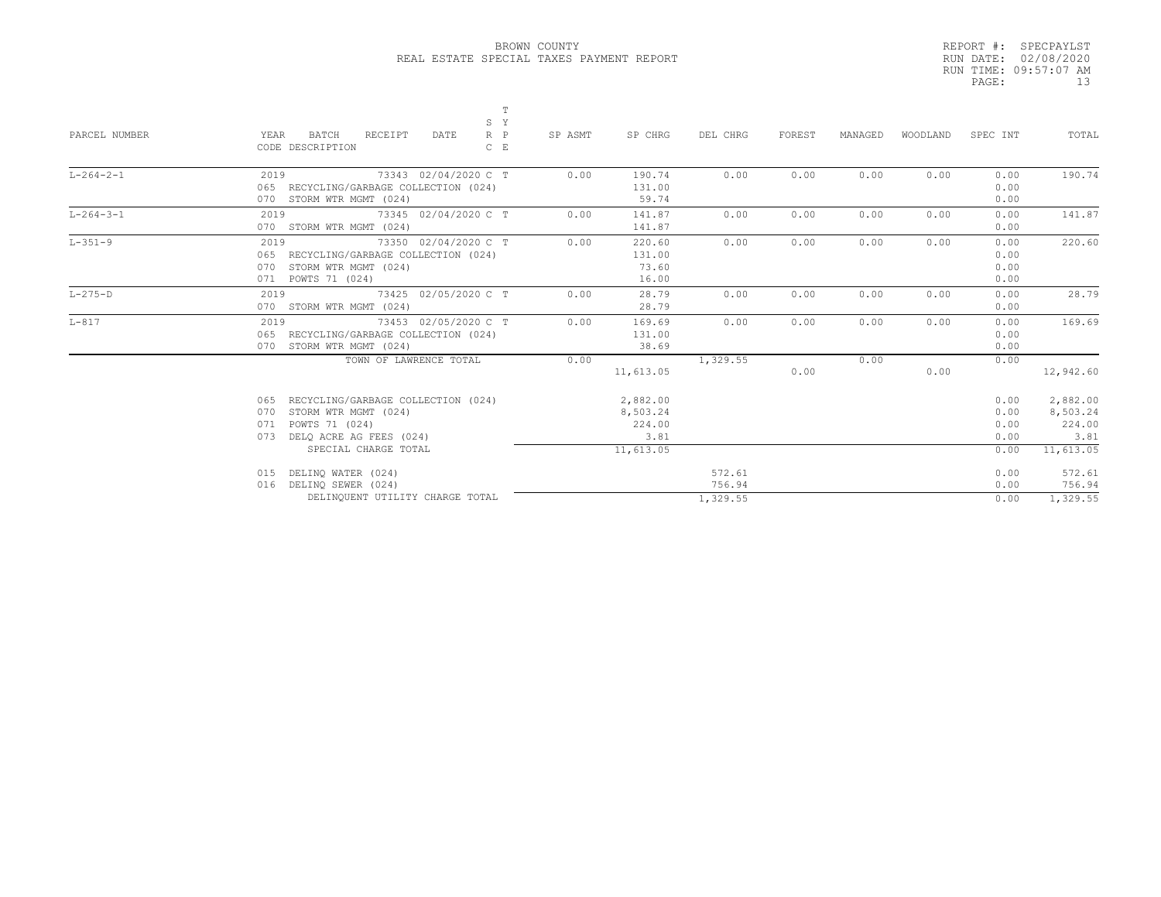|       | REPORT #: SPECPAYLST  |
|-------|-----------------------|
|       | RUN DATE: 02/08/2020  |
|       | RUN TIME: 09:57:07 AM |
| PAGE: | 13                    |

| PARCEL NUMBER     | YEAR<br>CODE DESCRIPTION   | BATCH<br>RECEIPT<br>DATE                                                                                    | T<br>S Y<br>$R$ $P$<br>$C$ $E$ | SP ASMT | SP CHRG                                | DEL CHRG                     | FOREST | MANAGED | WOODLAND | SPEC INT                     | TOTAL                                  |
|-------------------|----------------------------|-------------------------------------------------------------------------------------------------------------|--------------------------------|---------|----------------------------------------|------------------------------|--------|---------|----------|------------------------------|----------------------------------------|
| $L - 264 - 2 - 1$ | 2019                       | 73343 02/04/2020 C T<br>065 RECYCLING/GARBAGE COLLECTION (024)<br>070 STORM WTR MGMT (024)                  |                                | 0.00    | 190.74<br>131.00<br>59.74              | 0.00                         | 0.00   | 0.00    | 0.00     | 0.00<br>0.00<br>0.00         | 190.74                                 |
| $L - 264 - 3 - 1$ | 2019                       | 73345 02/04/2020 C T<br>070 STORM WTR MGMT (024)                                                            |                                | 0.00    | 141.87<br>141.87                       | 0.00                         | 0.00   | 0.00    | 0.00     | 0.00<br>0.00                 | 141.87                                 |
| $L - 351 - 9$     | 2019<br>071 POWTS 71 (024) | 73350 02/04/2020 C T<br>065 RECYCLING/GARBAGE COLLECTION (024)<br>070 STORM WTR MGMT (024)                  |                                | 0.00    | 220.60<br>131.00<br>73.60<br>16.00     | 0.00                         | 0.00   | 0.00    | 0.00     | 0.00<br>0.00<br>0.00<br>0.00 | 220.60                                 |
| $L-275-D$         | 2019                       | 73425 02/05/2020 C T<br>070 STORM WTR MGMT (024)                                                            |                                | 0.00    | 28.79<br>28.79                         | 0.00                         | 0.00   | 0.00    | 0.00     | 0.00<br>0.00                 | 28.79                                  |
| $L-817$           | 2019                       | 73453 02/05/2020 C T<br>065 RECYCLING/GARBAGE COLLECTION (024)<br>070 STORM WTR MGMT (024)                  |                                | 0.00    | 169.69<br>131.00<br>38.69              | 0.00                         | 0.00   | 0.00    | 0.00     | 0.00<br>0.00<br>0.00         | 169.69                                 |
|                   |                            | TOWN OF LAWRENCE TOTAL                                                                                      |                                | 0.00    | 11,613.05                              | 1,329.55                     | 0.00   | 0.00    | 0.00     | 0.00                         | 12,942.60                              |
|                   | 070<br>071<br>073          | 065 RECYCLING/GARBAGE COLLECTION (024)<br>STORM WTR MGMT (024)<br>POWTS 71 (024)<br>DELO ACRE AG FEES (024) |                                |         | 2,882.00<br>8,503.24<br>224.00<br>3.81 |                              |        |         |          | 0.00<br>0.00<br>0.00<br>0.00 | 2,882.00<br>8,503.24<br>224.00<br>3.81 |
|                   |                            | SPECIAL CHARGE TOTAL                                                                                        |                                |         | 11,613.05                              |                              |        |         |          | 0.00                         | 11,613.05                              |
|                   | 015<br>016                 | DELINQ WATER (024)<br>DELINO SEWER (024)<br>DELINQUENT UTILITY CHARGE TOTAL                                 |                                |         |                                        | 572.61<br>756.94<br>1,329.55 |        |         |          | 0.00<br>0.00<br>0.00         | 572.61<br>756.94<br>1.329.55           |
|                   |                            |                                                                                                             |                                |         |                                        |                              |        |         |          |                              |                                        |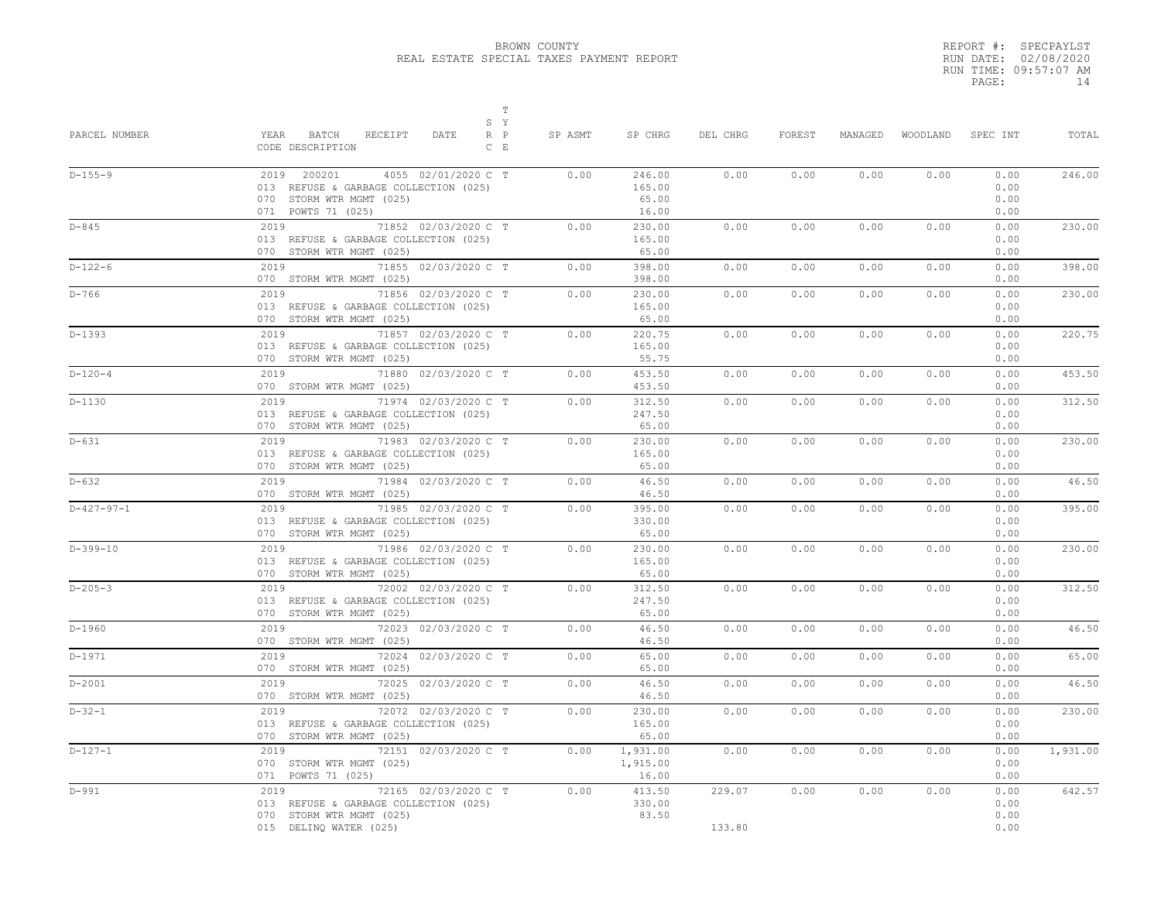|       | REPORT #: SPECPAYLST  |
|-------|-----------------------|
|       | RUN DATE: 02/08/2020  |
|       | RUN TIME: 09:57:07 AM |
| PAGE: | 14                    |

| PARCEL NUMBER | $\mathbb T$<br>S Y<br>YEAR<br>BATCH<br>RECEIPT<br>DATE<br>$R$ $P$<br>CODE DESCRIPTION<br>$C$ E                                | SP ASMT | SP CHRG                            | DEL CHRG         | FOREST | MANAGED |      | WOODLAND SPEC INT            | TOTAL    |
|---------------|-------------------------------------------------------------------------------------------------------------------------------|---------|------------------------------------|------------------|--------|---------|------|------------------------------|----------|
| $D-155-9$     | 2019 200201<br>4055 02/01/2020 C T<br>013 REFUSE & GARBAGE COLLECTION (025)<br>070 STORM WTR MGMT (025)<br>071 POWTS 71 (025) | 0.00    | 246.00<br>165.00<br>65.00<br>16.00 | 0.00             | 0.00   | 0.00    | 0.00 | 0.00<br>0.00<br>0.00<br>0.00 | 246.00   |
| $D - 845$     | 2019 71852 02/03/2020 C T<br>013 REFUSE & GARBAGE COLLECTION (025)<br>070 STORM WTR MGMT (025)                                | 0.00    | 230.00<br>165.00<br>65.00          | 0.00             | 0.00   | 0.00    | 0.00 | 0.00<br>0.00<br>0.00         | 230.00   |
| $D-122-6$     | 71855 02/03/2020 C T<br>2019<br>070 STORM WTR MGMT (025)                                                                      | 0.00    | 398.00<br>398.00                   | 0.00             | 0.00   | 0.00    | 0.00 | 0.00<br>0.00                 | 398.00   |
| D-766         | 2019<br>71856 02/03/2020 C T<br>013 REFUSE & GARBAGE COLLECTION (025)<br>070 STORM WTR MGMT (025)                             | 0.00    | 230.00<br>165.00<br>65.00          | 0.00             | 0.00   | 0.00    | 0.00 | 0.00<br>0.00<br>0.00         | 230.00   |
| D-1393        | 2019<br>71857 02/03/2020 C T<br>013 REFUSE & GARBAGE COLLECTION (025)<br>070 STORM WTR MGMT (025)                             | 0.00    | 220.75<br>165.00<br>55.75          | 0.00             | 0.00   | 0.00    | 0.00 | 0.00<br>0.00<br>0.00         | 220.75   |
| $D-120-4$     | 2019 71880 02/03/2020 C T<br>070 STORM WTR MGMT (025)                                                                         | 0.00    | 453.50<br>453.50                   | 0.00             | 0.00   | 0.00    | 0.00 | 0.00<br>0.00                 | 453.50   |
| $D-1130$      | 2019 71974 02/03/2020 C T<br>013 REFUSE & GARBAGE COLLECTION (025)<br>070 STORM WTR MGMT (025)                                | 0.00    | 312.50<br>247.50<br>65.00          | 0.00             | 0.00   | 0.00    | 0.00 | 0.00<br>0.00<br>0.00         | 312.50   |
| $D-631$       | 2019 71983 02/03/2020 C T<br>013 REFUSE & GARBAGE COLLECTION (025)<br>070 STORM WTR MGMT (025)                                | 0.00    | 230.00<br>165.00<br>65.00          | 0.00             | 0.00   | 0.00    | 0.00 | 0.00<br>0.00<br>0.00         | 230.00   |
| D-632         | 2019 71984 02/03/2020 C T<br>070 STORM WTR MGMT (025)                                                                         | 0.00    | 46.50<br>46.50                     | 0.00             | 0.00   | 0.00    | 0.00 | 0.00<br>0.00                 | 46.50    |
| $D-427-97-1$  | 71985 02/03/2020 C T<br>2019<br>013 REFUSE & GARBAGE COLLECTION (025)<br>070 STORM WTR MGMT (025)                             | 0.00    | 395.00<br>330.00<br>65.00          | 0.00             | 0.00   | 0.00    | 0.00 | 0.00<br>0.00<br>0.00         | 395.00   |
| $D-399-10$    | 71986 02/03/2020 C T<br>2019<br>013 REFUSE & GARBAGE COLLECTION (025)<br>070 STORM WTR MGMT (025)                             | 0.00    | 230.00<br>165.00<br>65.00          | 0.00             | 0.00   | 0.00    | 0.00 | 0.00<br>0.00<br>0.00         | 230.00   |
| $D - 205 - 3$ | 72002 02/03/2020 C T<br>2019<br>013 REFUSE & GARBAGE COLLECTION (025)<br>070 STORM WTR MGMT (025)                             | 0.00    | 312.50<br>247.50<br>65.00          | 0.00             | 0.00   | 0.00    | 0.00 | 0.00<br>0.00<br>0.00         | 312.50   |
| $D-1960$      | 72023 02/03/2020 C T<br>2019 72<br>070 STORM WTR MGMT (025)                                                                   | 0.00    | 46.50<br>46.50                     | 0.00             | 0.00   | 0.00    | 0.00 | 0.00<br>0.00                 | 46.50    |
| $D-1971$      | 2019 72024 02/03/2020 C T<br>070 STORM WTR MGMT (025)                                                                         | 0.00    | 65.00<br>65.00                     | 0.00             | 0.00   | 0.00    | 0.00 | 0.00<br>0.00                 | 65.00    |
| $D-2001$      | 2019<br>72025 02/03/2020 C T<br>070 STORM WTR MGMT (025)                                                                      | 0.00    | 46.50<br>46.50                     | 0.00             | 0.00   | 0.00    | 0.00 | 0.00<br>0.00                 | 46.50    |
| $D-32-1$      | 2019<br>72072 02/03/2020 C T<br>013 REFUSE & GARBAGE COLLECTION (025)<br>070 STORM WTR MGMT (025)                             | 0.00    | 230.00<br>165.00<br>65.00          | 0.00             | 0.00   | 0.00    | 0.00 | 0.00<br>0.00<br>0.00         | 230.00   |
| $D-127-1$     | 2019 72151 02/03/2020 C T<br>070 STORM WTR MGMT (025)<br>071 POWTS 71 (025)                                                   | 0.00    | 1,931.00<br>1,915.00<br>16.00      | 0.00             | 0.00   | 0.00    | 0.00 | 0.00<br>0.00<br>0.00         | 1,931.00 |
| D-991         | 72165 02/03/2020 C T<br>2019<br>013 REFUSE & GARBAGE COLLECTION (025)<br>070 STORM WTR MGMT (025)<br>015 DELINQ WATER (025)   | 0.00    | 413.50<br>330.00<br>83.50          | 229.07<br>133.80 | 0.00   | 0.00    | 0.00 | 0.00<br>0.00<br>0.00<br>0.00 | 642.57   |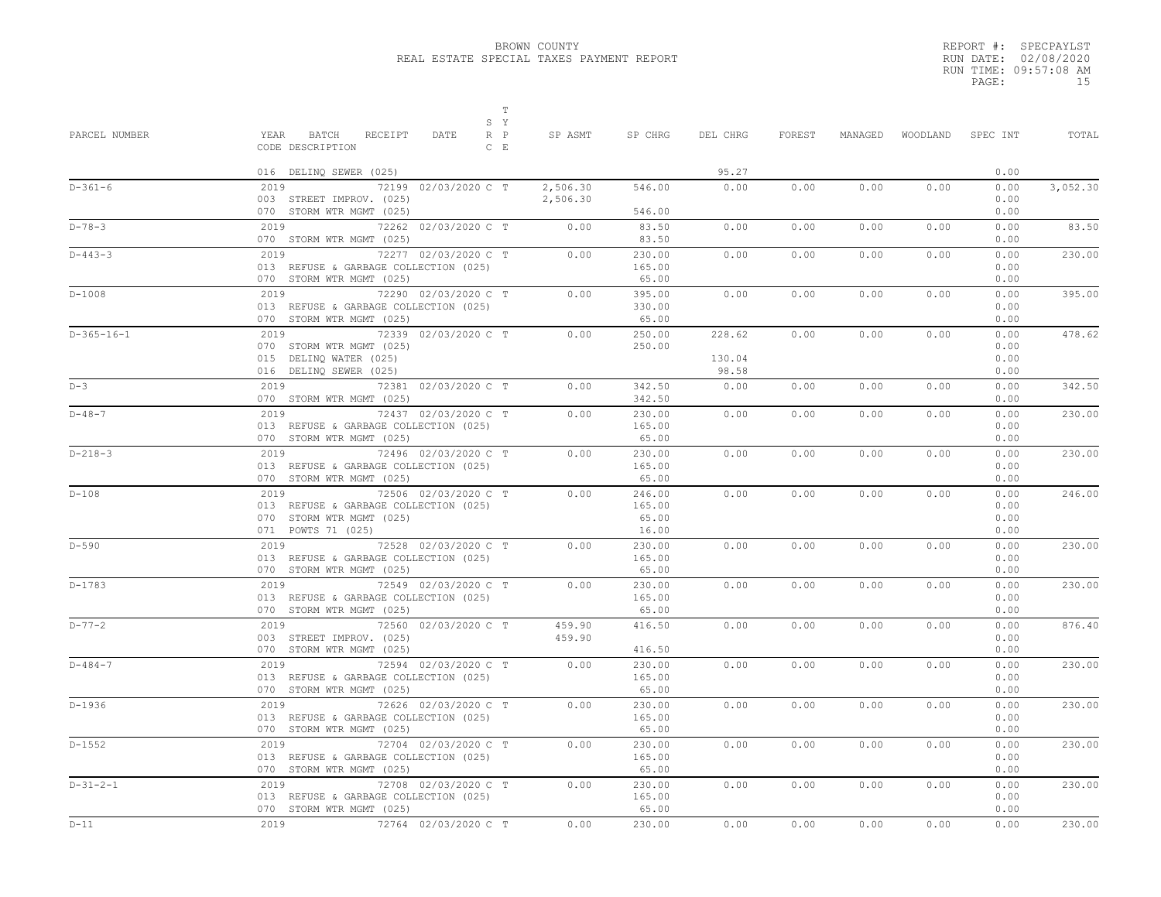|       | REPORT #: SPECPAYLST  |
|-------|-----------------------|
|       | RUN DATE: 02/08/2020  |
|       | RUN TIME: 09:57:08 AM |
| PAGE: | 1.5                   |

| PARCEL NUMBER | т<br>S Y<br>YEAR<br>BATCH<br>RECEIPT<br>$R$ $P$<br>DATE                                                                 | SP ASMT              | SP CHRG                            | DEL CHRG                  | FOREST | MANAGED |      | WOODLAND SPEC INT            | TOTAL    |
|---------------|-------------------------------------------------------------------------------------------------------------------------|----------------------|------------------------------------|---------------------------|--------|---------|------|------------------------------|----------|
|               | CODE DESCRIPTION<br>$C$ $E$                                                                                             |                      |                                    |                           |        |         |      |                              |          |
|               | 016 DELINQ SEWER (025)                                                                                                  |                      |                                    | 95.27                     |        |         |      | 0.00                         |          |
| $D-361-6$     | 2019<br>72199 02/03/2020 C T<br>003 STREET IMPROV. (025)                                                                | 2,506.30<br>2,506.30 | 546.00<br>546.00                   | 0.00                      | 0.00   | 0.00    | 0.00 | 0.00<br>0.00<br>0.00         | 3,052.30 |
|               | 070 STORM WTR MGMT (025)                                                                                                |                      |                                    |                           |        |         |      |                              |          |
| $D - 78 - 3$  | 72262 02/03/2020 C T<br>2019<br>070 STORM WTR MGMT (025)                                                                | 0.00                 | 83.50<br>83.50                     | 0.00                      | 0.00   | 0.00    | 0.00 | 0.00<br>0.00                 | 83.50    |
| $D - 443 - 3$ | 72277 02/03/2020 C T<br>2019<br>013 REFUSE & GARBAGE COLLECTION (025)<br>070 STORM WTR MGMT (025)                       | 0.00                 | 230.00<br>165.00<br>65.00          | 0.00                      | 0.00   | 0.00    | 0.00 | 0.00<br>0.00<br>0.00         | 230.00   |
| $D-1008$      | 72290 02/03/2020 C T<br>2019<br>013 REFUSE & GARBAGE COLLECTION (025)<br>070 STORM WTR MGMT (025)                       | 0.00                 | 395.00<br>330.00<br>65.00          | 0.00                      | 0.00   | 0.00    | 0.00 | 0.00<br>0.00<br>0.00         | 395.00   |
| $D-365-16-1$  | 72339 02/03/2020 C T<br>2019<br>070 STORM WTR MGMT (025)<br>015 DELINQ WATER (025)<br>016 DELINQ SEWER (025)            | 0.00                 | 250.00<br>250.00                   | 228.62<br>130.04<br>98.58 | 0.00   | 0.00    | 0.00 | 0.00<br>0.00<br>0.00<br>0.00 | 478.62   |
| $D-3$         | 2019 72381 02/03/2020 C T<br>070 STORM WTR MGMT (025)                                                                   | 0.00                 | 342.50<br>342.50                   | 0.00                      | 0.00   | 0.00    | 0.00 | 0.00<br>0.00                 | 342.50   |
| $D - 48 - 7$  | 72437 02/03/2020 C T<br>2019<br>013 REFUSE & GARBAGE COLLECTION (025)<br>070 STORM WTR MGMT (025)                       | 0.00                 | 230.00<br>165.00<br>65.00          | 0.00                      | 0.00   | 0.00    | 0.00 | 0.00<br>0.00<br>0.00         | 230.00   |
| $D-218-3$     | 2019<br>72496 02/03/2020 C T<br>013 REFUSE & GARBAGE COLLECTION (025)<br>070 STORM WTR MGMT (025)                       | 0.00                 | 230.00<br>165.00<br>65.00          | 0.00                      | 0.00   | 0.00    | 0.00 | 0.00<br>0.00<br>0.00         | 230.00   |
| $D-108$       | 72506 02/03/2020 C T<br>2019<br>013 REFUSE & GARBAGE COLLECTION (025)<br>070 STORM WTR MGMT (025)<br>071 POWTS 71 (025) | 0.00                 | 246.00<br>165.00<br>65.00<br>16.00 | 0.00                      | 0.00   | 0.00    | 0.00 | 0.00<br>0.00<br>0.00<br>0.00 | 246.00   |
| $D-590$       | 72528 02/03/2020 C T<br>2019<br>013 REFUSE & GARBAGE COLLECTION (025)<br>070 STORM WTR MGMT (025)                       | 0.00                 | 230.00<br>165.00<br>65.00          | 0.00                      | 0.00   | 0.00    | 0.00 | 0.00<br>0.00<br>0.00         | 230.00   |
| $D-1783$      | 72549 02/03/2020 C T<br>2019<br>013 REFUSE & GARBAGE COLLECTION (025)<br>070 STORM WTR MGMT (025)                       | 0.00                 | 230.00<br>165.00<br>65.00          | 0.00                      | 0.00   | 0.00    | 0.00 | 0.00<br>0.00<br>0.00         | 230.00   |
| $D - 77 - 2$  | 72560 02/03/2020 C T<br>2019<br>003 STREET IMPROV. (025)<br>070 STORM WTR MGMT (025)                                    | 459.90<br>459.90     | 416.50<br>416.50                   | 0.00                      | 0.00   | 0.00    | 0.00 | 0.00<br>0.00<br>0.00         | 876.40   |
| $D - 484 - 7$ | 72594 02/03/2020 C T<br>2019<br>013 REFUSE & GARBAGE COLLECTION (025)<br>070 STORM WTR MGMT (025)                       | 0.00                 | 230.00<br>165.00<br>65.00          | 0.00                      | 0.00   | 0.00    | 0.00 | 0.00<br>0.00<br>0.00         | 230.00   |
| $D-1936$      | 72626 02/03/2020 C T<br>2019<br>013 REFUSE & GARBAGE COLLECTION (025)<br>070 STORM WTR MGMT (025)                       | 0.00                 | 230.00<br>165.00<br>65.00          | 0.00                      | 0.00   | 0.00    | 0.00 | 0.00<br>0.00<br>0.00         | 230.00   |
| $D-1552$      | 72704 02/03/2020 C T<br>2019<br>013 REFUSE & GARBAGE COLLECTION (025)<br>070 STORM WTR MGMT (025)                       | 0.00                 | 230.00<br>165.00<br>65.00          | 0.00                      | 0.00   | 0.00    | 0.00 | 0.00<br>0.00<br>0.00         | 230.00   |
| $D-31-2-1$    | 2019<br>72708 02/03/2020 C T<br>013 REFUSE & GARBAGE COLLECTION (025)<br>070 STORM WTR MGMT (025)                       | 0.00                 | 230.00<br>165.00<br>65.00          | 0.00                      | 0.00   | 0.00    | 0.00 | 0.00<br>0.00<br>0.00         | 230.00   |
| $D-11$        | 2019 72764 02/03/2020 C T                                                                                               | 0.00                 | 230.00                             | 0.00                      | 0.00   | 0.00    | 0.00 | 0.00                         | 230.00   |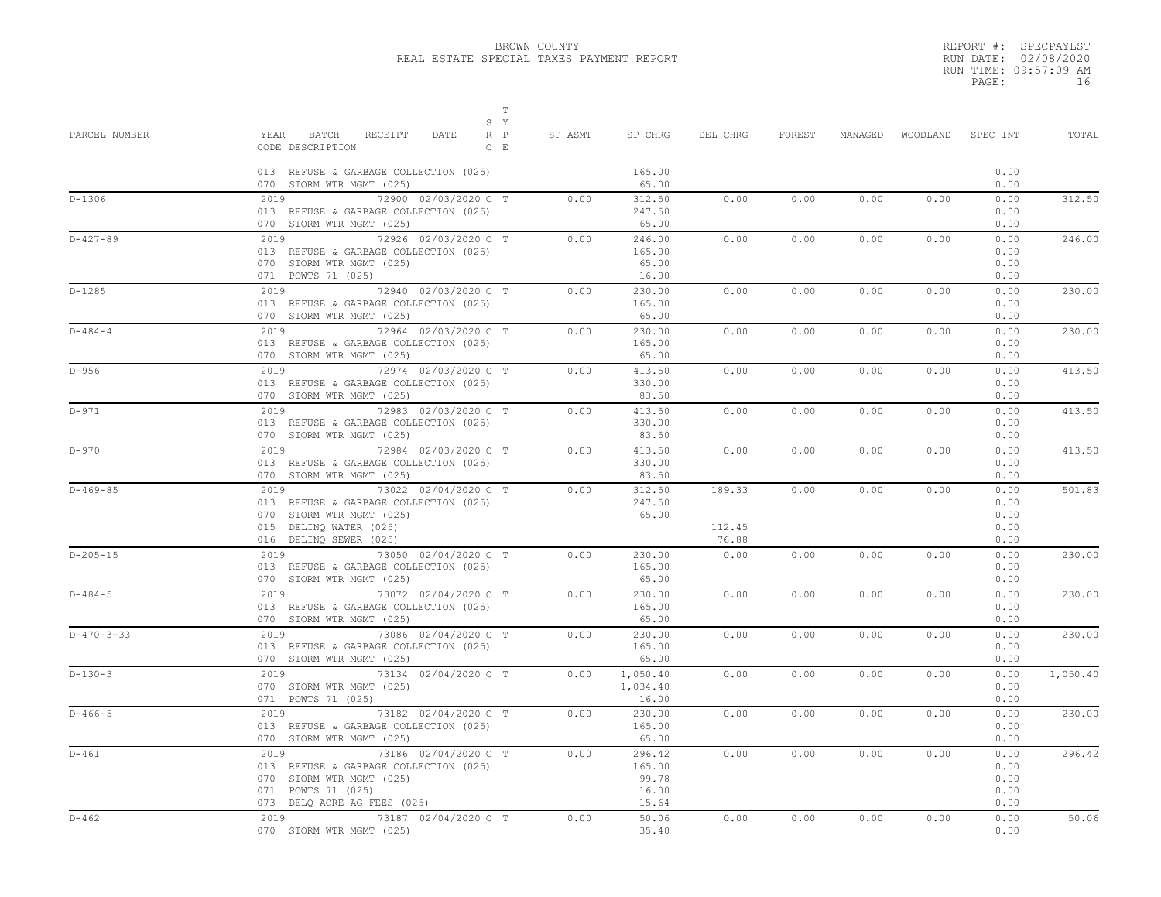| REPORT #: SPECPAYLST  |
|-----------------------|
| RUN DATE: 02/08/2020  |
| RUN TIME: 09:57:09 AM |
| 16                    |
|                       |

| PARCEL NUMBER | $\mathbb T$<br>S Y<br>YEAR<br>BATCH<br>RECEIPT<br>DATE<br>$R$ $P$<br>$C$ $E$<br>CODE DESCRIPTION<br>013 REFUSE & GARBAGE COLLECTION (025)              | SP ASMT | SP CHRG<br>165.00                           | DEL CHRG                  | FOREST | MANAGED |      | WOODLAND SPEC INT<br>0.00            | TOTAL    |
|---------------|--------------------------------------------------------------------------------------------------------------------------------------------------------|---------|---------------------------------------------|---------------------------|--------|---------|------|--------------------------------------|----------|
|               | 070 STORM WTR MGMT (025)                                                                                                                               |         | 65.00                                       |                           |        |         |      | 0.00                                 |          |
| $D-1306$      | 2019<br>72900 02/03/2020 C T<br>013 REFUSE & GARBAGE COLLECTION (025)<br>070 STORM WTR MGMT (025)                                                      | 0.00    | 312.50<br>247.50<br>65.00                   | 0.00                      | 0.00   | 0.00    | 0.00 | 0.00<br>0.00<br>0.00                 | 312.50   |
| $D-427-89$    | 2019 72926 02/03/2020 C T<br>013 REFUSE & GARBAGE COLLECTION (025)<br>070 STORM WTR MGMT (025)<br>071 POWTS 71 (025)                                   | 0.00    | 246.00<br>165.00<br>65.00<br>16.00          | 0.00                      | 0.00   | 0.00    | 0.00 | 0.00<br>0.00<br>0.00<br>0.00         | 246.00   |
| $D-1285$      | 2019 72940 02/03/2020 C T<br>013 REFUSE & GARBAGE COLLECTION (025)<br>070 STORM WTR MGMT (025)                                                         | 0.00    | 230.00<br>165.00<br>65.00                   | 0.00                      | 0.00   | 0.00    | 0.00 | 0.00<br>0.00<br>0.00                 | 230.00   |
| $D - 484 - 4$ | 2019 72964 02/03/2020 C T<br>013 REFUSE & GARBAGE COLLECTION (025)<br>070 STORM WTR MGMT (025)                                                         | 0.00    | 230.00<br>165.00<br>65.00                   | 0.00                      | 0.00   | 0.00    | 0.00 | 0.00<br>0.00<br>0.00                 | 230.00   |
| $D-956$       | 72974 02/03/2020 C T<br>2019<br>013 REFUSE & GARBAGE COLLECTION (025)<br>070 STORM WTR MGMT (025)                                                      | 0.00    | 413.50<br>330.00<br>83.50                   | 0.00                      | 0.00   | 0.00    | 0.00 | 0.00<br>0.00<br>0.00                 | 413.50   |
| $D-971$       | 2019 72983 02/03/2020 C T<br>013 REFUSE & GARBAGE COLLECTION (025)<br>070 STORM WTR MGMT (025)                                                         | 0.00    | 413.50<br>330.00<br>83.50                   | 0.00                      | 0.00   | 0.00    | 0.00 | 0.00<br>0.00<br>0.00                 | 413.50   |
| $D-970$       | 2019 72984 02/03/2020 C T<br>013 REFUSE & GARBAGE COLLECTION (025)<br>070 STORM WTR MGMT (025)                                                         | 0.00    | 413.50<br>330.00<br>83.50                   | 0.00                      | 0.00   | 0.00    | 0.00 | 0.00<br>0.00<br>0.00                 | 413.50   |
| $D-469-85$    | 2019 73022 02/04/2020 C T<br>013 REFUSE & GARBAGE COLLECTION (025)<br>070 STORM WTR MGMT (025)<br>015 DELINQ WATER (025)<br>016 DELINQ SEWER (025)     | 0.00    | 312.50<br>247.50<br>65.00                   | 189.33<br>112.45<br>76.88 | 0.00   | 0.00    | 0.00 | 0.00<br>0.00<br>0.00<br>0.00<br>0.00 | 501.83   |
| $D-205-15$    | 2019 73050 02/04/2020 C T<br>013 REFUSE & GARBAGE COLLECTION (025)<br>070 STORM WTR MGMT (025)                                                         | 0.00    | 230.00<br>165.00<br>65.00                   | 0.00                      | 0.00   | 0.00    | 0.00 | 0.00<br>0.00<br>0.00                 | 230.00   |
| $D - 484 - 5$ | 2019 73072 02/04/2020 C T<br>013 REFUSE & GARBAGE COLLECTION (025)<br>070 STORM WTR MGMT (025)                                                         | 0.00    | 230.00<br>165.00<br>65.00                   | 0.00                      | 0.00   | 0.00    | 0.00 | 0.00<br>0.00<br>0.00                 | 230.00   |
| $D-470-3-33$  | 2019 73086 02/04/2020 C T<br>013 REFUSE & GARBAGE COLLECTION (025)<br>070 STORM WTR MGMT (025)                                                         | 0.00    | 230.00<br>165.00<br>65.00                   | 0.00                      | 0.00   | 0.00    | 0.00 | 0.00<br>0.00<br>0.00                 | 230.00   |
| $D-130-3$     | 2019 73134 02/04/2020 C T<br>070 STORM WTR MGMT (025)<br>071 POWTS 71 (025)                                                                            | 0.00    | 1,050.40<br>1,034.40<br>16.00               | 0.00                      | 0.00   | 0.00    | 0.00 | 0.00<br>0.00<br>0.00                 | 1,050.40 |
| $D-466-5$     | 2019 73182 02/04/2020 C T<br>013 REFUSE & GARBAGE COLLECTION (025)<br>070 STORM WTR MGMT (025)                                                         | 0.00    | 230.00<br>165.00<br>65.00                   | 0.00                      | 0.00   | 0.00    | 0.00 | 0.00<br>0.00<br>0.00                 | 230.00   |
| $D-461$       | 73186 02/04/2020 C T<br>2019<br>013 REFUSE & GARBAGE COLLECTION (025)<br>070 STORM WTR MGMT (025)<br>071 POWTS 71 (025)<br>073 DELQ ACRE AG FEES (025) | 0.00    | 296.42<br>165.00<br>99.78<br>16.00<br>15.64 | 0.00                      | 0.00   | 0.00    | 0.00 | 0.00<br>0.00<br>0.00<br>0.00<br>0.00 | 296.42   |
| $D - 462$     | 73187 02/04/2020 C T<br>2019<br>070 STORM WTR MGMT (025)                                                                                               | 0.00    | 50.06<br>35.40                              | 0.00                      | 0.00   | 0.00    | 0.00 | 0.00<br>0.00                         | 50.06    |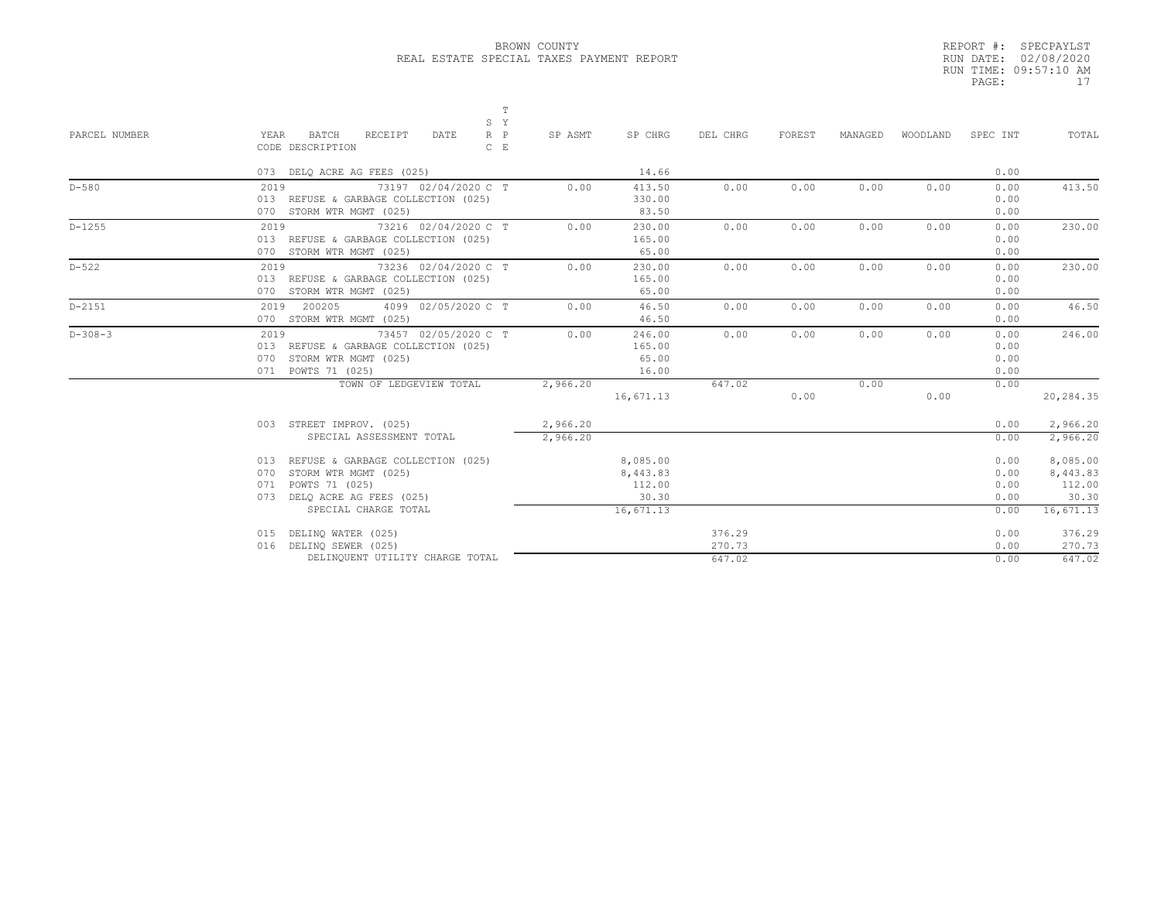|       | REPORT #: SPECPAYLST  |
|-------|-----------------------|
|       | RUN DATE: 02/08/2020  |
|       | RUN TIME: 09:57:10 AM |
| PAGE: | 17                    |

| PARCEL NUMBER | S Y<br>YEAR<br>$R$ $P$<br>BATCH<br>RECEIPT<br>DATE<br>CODE DESCRIPTION<br>$C$ $E$                                       | T<br>SP ASMT         | SP CHRG                            | DEL CHRG         | FOREST | MANAGED | WOODLAND | SPEC INT                     | TOTAL                        |
|---------------|-------------------------------------------------------------------------------------------------------------------------|----------------------|------------------------------------|------------------|--------|---------|----------|------------------------------|------------------------------|
|               | 073 DELQ ACRE AG FEES (025)                                                                                             |                      | 14.66                              |                  |        |         |          | 0.00                         |                              |
| $D-580$       | 73197 02/04/2020 C T<br>2019<br>013 REFUSE & GARBAGE COLLECTION (025)<br>070 STORM WTR MGMT (025)                       | 0.00                 | 413.50<br>330.00<br>83.50          | 0.00             | 0.00   | 0.00    | 0.00     | 0.00<br>0.00<br>0.00         | 413.50                       |
| $D-1255$      | 73216 02/04/2020 C T<br>2019<br>013 REFUSE & GARBAGE COLLECTION (025)<br>070 STORM WTR MGMT (025)                       | 0.00                 | 230.00<br>165.00<br>65.00          | 0.00             | 0.00   | 0.00    | 0.00     | 0.00<br>0.00<br>0.00         | 230.00                       |
| $D - 522$     | 73236 02/04/2020 C T<br>2019<br>013 REFUSE & GARBAGE COLLECTION (025)<br>070 STORM WTR MGMT (025)                       | 0.00                 | 230.00<br>165.00<br>65.00          | 0.00             | 0.00   | 0.00    | 0.00     | 0.00<br>0.00<br>0.00         | 230.00                       |
| $D-2151$      | 2019 200205<br>4099 02/05/2020 C T<br>070 STORM WTR MGMT (025)                                                          | 0.00                 | 46.50<br>46.50                     | 0.00             | 0.00   | 0.00    | 0.00     | 0.00<br>0.00                 | 46.50                        |
| $D-308-3$     | 73457 02/05/2020 C T<br>2019<br>013 REFUSE & GARBAGE COLLECTION (025)<br>070 STORM WTR MGMT (025)<br>071 POWTS 71 (025) | 0.00                 | 246.00<br>165.00<br>65.00<br>16.00 | 0.00             | 0.00   | 0.00    | 0.00     | 0.00<br>0.00<br>0.00<br>0.00 | 246.00                       |
|               | TOWN OF LEDGEVIEW TOTAL                                                                                                 | 2,966.20             | 16,671.13                          | 647.02           | 0.00   | 0.00    | 0.00     | 0.00                         | 20,284.35                    |
|               | 003 STREET IMPROV. (025)<br>SPECIAL ASSESSMENT TOTAL                                                                    | 2,966.20<br>2,966.20 |                                    |                  |        |         |          | 0.00<br>0.00                 | 2,966.20<br>2,966.20         |
|               | 013 REFUSE & GARBAGE COLLECTION (025)<br>STORM WTR MGMT (025)<br>070<br>POWTS 71 (025)                                  |                      | 8,085.00<br>8,443.83               |                  |        |         |          | 0.00<br>0.00                 | 8,085.00<br>8,443.83         |
|               | 071<br>073 DELQ ACRE AG FEES (025)<br>SPECIAL CHARGE TOTAL                                                              |                      | 112.00<br>30.30<br>16.671.13       |                  |        |         |          | 0.00<br>0.00<br>0.00         | 112.00<br>30.30<br>16,671.13 |
|               | 015 DELINQ WATER (025)<br>016 DELINO SEWER (025)                                                                        |                      |                                    | 376.29<br>270.73 |        |         |          | 0.00<br>0.00                 | 376.29<br>270.73             |
|               | DELINQUENT UTILITY CHARGE TOTAL                                                                                         |                      |                                    | 647.02           |        |         |          | 0.00                         | 647.02                       |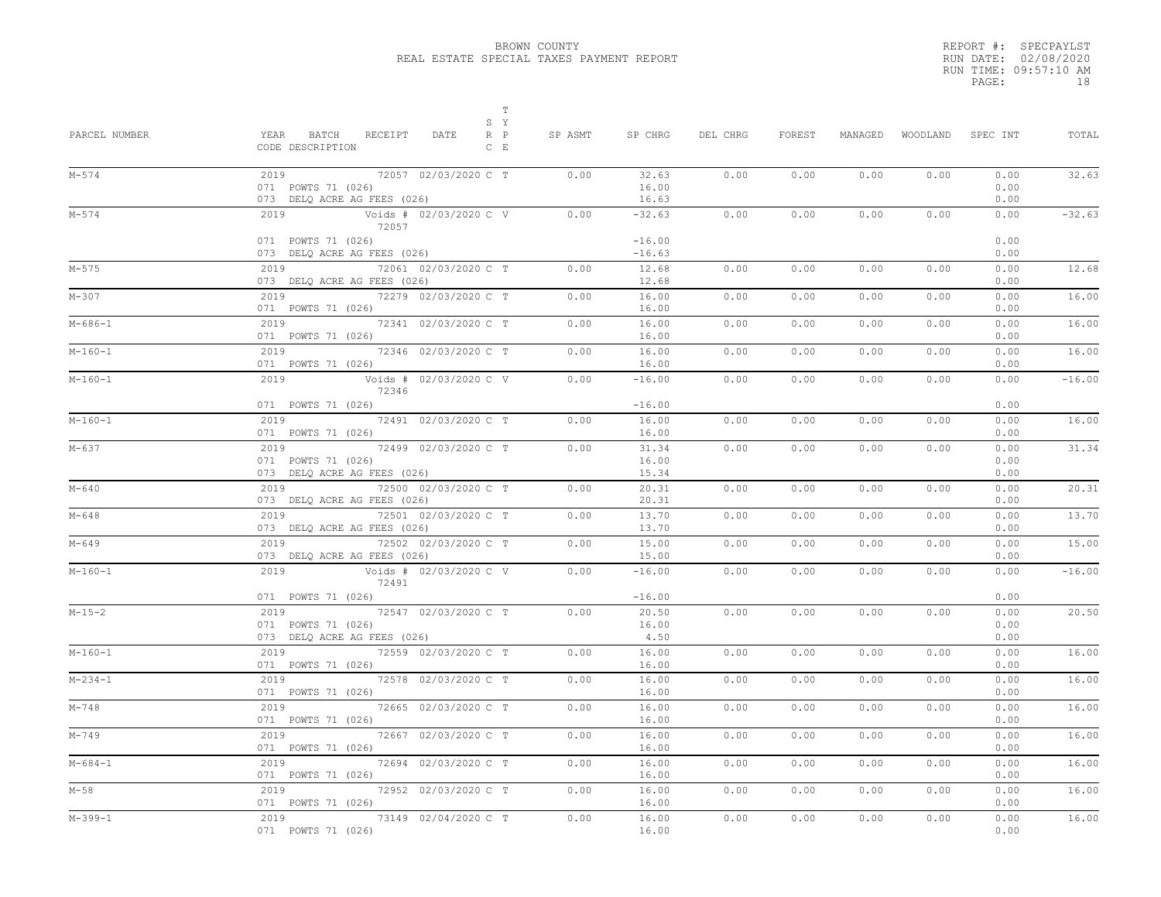|       | REPORT #: SPECPAYLST  |    |
|-------|-----------------------|----|
|       | RUN DATE: 02/08/2020  |    |
|       | RUN TIME: 09:57:10 AM |    |
| PAGE: |                       | 18 |

| PARCEL NUMBER | $\mathbb T$<br>S Y<br>YEAR<br>BATCH<br>RECEIPT<br>DATE<br>$R$ $P$<br>CODE DESCRIPTION<br>$C$ $E$        | SP ASMT | SP CHRG                            | DEL CHRG | FOREST | MANAGED | WOODLAND | SPEC INT                     | TOTAL    |
|---------------|---------------------------------------------------------------------------------------------------------|---------|------------------------------------|----------|--------|---------|----------|------------------------------|----------|
| $M - 574$     | 2019<br>72057 02/03/2020 C T<br>071 POWTS 71 (026)<br>073 DELQ ACRE AG FEES (026)                       | 0.00    | 32.63<br>16.00<br>16.63            | 0.00     | 0.00   | 0.00    | 0.00     | 0.00<br>0.00<br>0.00         | 32.63    |
| $M - 574$     | 2019<br>Voids # 02/03/2020 C V<br>72057<br>071 POWTS 71 (026)                                           | 0.00    | $-32.63$<br>$-16.00$               | 0.00     | 0.00   | 0.00    | 0.00     | 0.00<br>0.00                 | $-32.63$ |
|               | 073 DELQ ACRE AG FEES (026)                                                                             |         | $-16.63$                           |          |        |         |          | 0.00                         |          |
| $M - 575$     | 2019<br>72061 02/03/2020 C T<br>073 DELQ ACRE AG FEES (026)                                             | 0.00    | 12.68<br>12.68                     | 0.00     | 0.00   | 0.00    | 0.00     | 0.00<br>0.00                 | 12.68    |
| $M - 307$     | 2019<br>72279 02/03/2020 C T<br>071 POWTS 71 (026)                                                      | 0.00    | 16.00<br>16.00                     | 0.00     | 0.00   | 0.00    | 0.00     | 0.00<br>0.00                 | 16.00    |
| $M - 686 - 1$ | 2019<br>72341 02/03/2020 C T<br>071 POWTS 71 (026)                                                      | 0.00    | 16.00<br>16.00                     | 0.00     | 0.00   | 0.00    | 0.00     | 0.00<br>0.00                 | 16.00    |
| $M-160-1$     | 72346 02/03/2020 C T<br>2019<br>071 POWTS 71 (026)                                                      | 0.00    | 16.00<br>16.00                     | 0.00     | 0.00   | 0.00    | 0.00     | 0.00<br>0.00                 | 16.00    |
| $M-160-1$     | 2019<br>Voids # 02/03/2020 C V<br>72346                                                                 | 0.00    | $-16.00$                           | 0.00     | 0.00   | 0.00    | 0.00     | 0.00                         | $-16.00$ |
| $M-160-1$     | 071 POWTS 71 (026)<br>2019<br>72491 02/03/2020 C T<br>071 POWTS 71 (026)                                | 0.00    | $-16.00$<br>16.00<br>16.00         | 0.00     | 0.00   | 0.00    | 0.00     | 0.00<br>0.00<br>0.00         | 16.00    |
| M-637         | 2019<br>72499 02/03/2020 C T<br>071 POWTS 71 (026)<br>073 DELQ ACRE AG FEES (026)                       | 0.00    | 31.34<br>16.00<br>15.34            | 0.00     | 0.00   | 0.00    | 0.00     | 0.00<br>0.00<br>0.00         | 31.34    |
| $M - 640$     | 72500 02/03/2020 C T<br>2019<br>073 DELQ ACRE AG FEES (026)                                             | 0.00    | 20.31<br>20.31                     | 0.00     | 0.00   | 0.00    | 0.00     | 0.00<br>0.00                 | 20.31    |
| M-648         | 2019<br>72501 02/03/2020 C T<br>073 DELQ ACRE AG FEES (026)                                             | 0.00    | 13.70<br>13.70                     | 0.00     | 0.00   | 0.00    | 0.00     | 0.00<br>0.00                 | 13.70    |
| M-649         | 2019<br>72502 02/03/2020 C T<br>073 DELQ ACRE AG FEES (026)                                             | 0.00    | 15.00<br>15.00                     | 0.00     | 0.00   | 0.00    | 0.00     | 0.00<br>0.00                 | 15.00    |
| $M-160-1$     | 72491                                                                                                   | 0.00    | $-16.00$                           | 0.00     | 0.00   | 0.00    | 0.00     | 0.00                         | $-16.00$ |
| $M - 15 - 2$  | 071 POWTS 71 (026)<br>72547 02/03/2020 C T<br>2019<br>071 POWTS 71 (026)<br>073 DELQ ACRE AG FEES (026) | 0.00    | $-16.00$<br>20.50<br>16.00<br>4.50 | 0.00     | 0.00   | 0.00    | 0.00     | 0.00<br>0.00<br>0.00<br>0.00 | 20.50    |
| $M-160-1$     | 2019 72559 02/03/2020 C T<br>071 POWTS 71 (026)                                                         | 0.00    | 16.00<br>16.00                     | 0.00     | 0.00   | 0.00    | 0.00     | 0.00<br>0.00                 | 16.00    |
| $M-234-1$     | 72578 02/03/2020 C T<br>2019<br>071 POWTS 71 (026)                                                      | 0.00    | 16.00<br>16.00                     | 0.00     | 0.00   | 0.00    | 0.00     | 0.00<br>0.00                 | 16.00    |
| $M - 748$     | 2019<br>72665 02/03/2020 C T<br>071 POWTS 71 (026)                                                      | 0.00    | 16.00<br>16.00                     | 0.00     | 0.00   | 0.00    | 0.00     | 0.00<br>0.00                 | 16.00    |
| M-749         | 2019<br>72667 02/03/2020 C T<br>071 POWTS 71 (026)                                                      | 0.00    | 16.00<br>16.00                     | 0.00     | 0.00   | 0.00    | 0.00     | 0.00<br>0.00                 | 16.00    |
| $M - 684 - 1$ | 72694 02/03/2020 C T<br>2019<br>071 POWTS 71 (026)                                                      | 0.00    | 16.00<br>16.00                     | 0.00     | 0.00   | 0.00    | 0.00     | 0.00<br>0.00                 | 16.00    |
| $M-58$        | 72952 02/03/2020 C T<br>2019<br>071 POWTS 71 (026)                                                      | 0.00    | 16.00<br>16.00                     | 0.00     | 0.00   | 0.00    | 0.00     | 0.00<br>0.00                 | 16.00    |
| $M-399-1$     | 73149 02/04/2020 C T<br>2019<br>071 POWTS 71 (026)                                                      | 0.00    | 16.00<br>16.00                     | 0.00     | 0.00   | 0.00    | 0.00     | 0.00<br>0.00                 | 16.00    |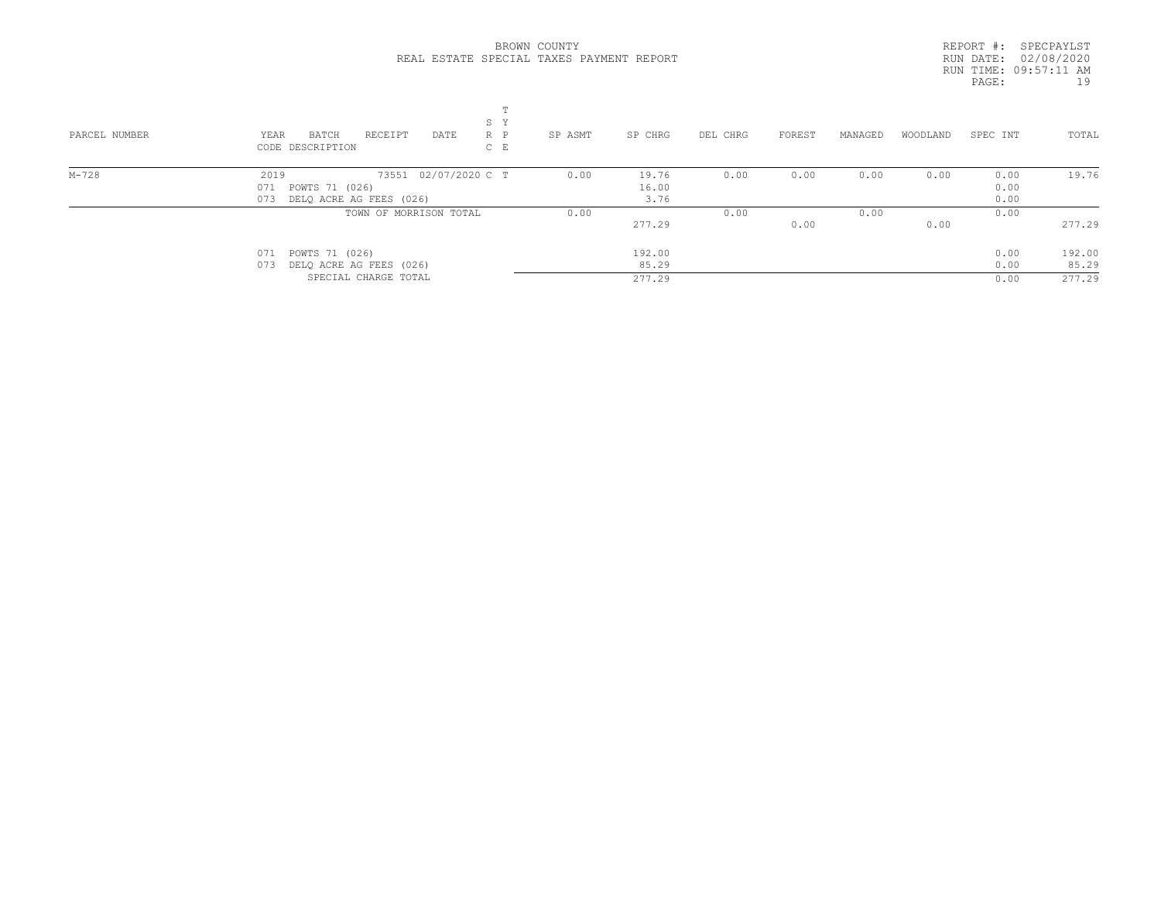|       | REPORT #: SPECPAYLST  |    |
|-------|-----------------------|----|
|       | RUN DATE: 02/08/2020  |    |
|       | RUN TIME: 09:57:11 AM |    |
| PAGE: |                       | 19 |
|       |                       |    |

| PARCEL NUMBER | S Y<br>RECEIPT<br>DATE<br>$R$ $P$<br>YEAR<br>BATCH<br>CODE DESCRIPTION<br>$C$ E | SP ASMT<br>SP CHRG | DEL CHRG | MANAGED<br>FOREST | WOODLAND | SPEC INT | TOTAL  |
|---------------|---------------------------------------------------------------------------------|--------------------|----------|-------------------|----------|----------|--------|
| M-728         | 73551 02/07/2020 C T<br>2019                                                    | 19.76<br>0.00      | 0.00     | 0.00<br>0.00      | 0.00     | 0.00     | 19.76  |
|               | 071 POWTS 71 (026)                                                              | 16.00              |          |                   |          | 0.00     |        |
|               | 073 DELQ ACRE AG FEES (026)                                                     | 3.76               |          |                   |          | 0.00     |        |
|               | TOWN OF MORRISON TOTAL                                                          | 0.00               | 0.00     | 0.00              |          | 0.00     |        |
|               |                                                                                 | 277.29             |          | 0.00              | 0.00     |          | 277.29 |
|               | 071 POWTS 71 (026)                                                              | 192.00             |          |                   |          | 0.00     | 192.00 |
|               | 073 DELO ACRE AG FEES (026)                                                     | 85.29              |          |                   |          | 0.00     | 85.29  |
|               | SPECIAL CHARGE TOTAL                                                            | 277.29             |          |                   |          | 0.00     | 277.29 |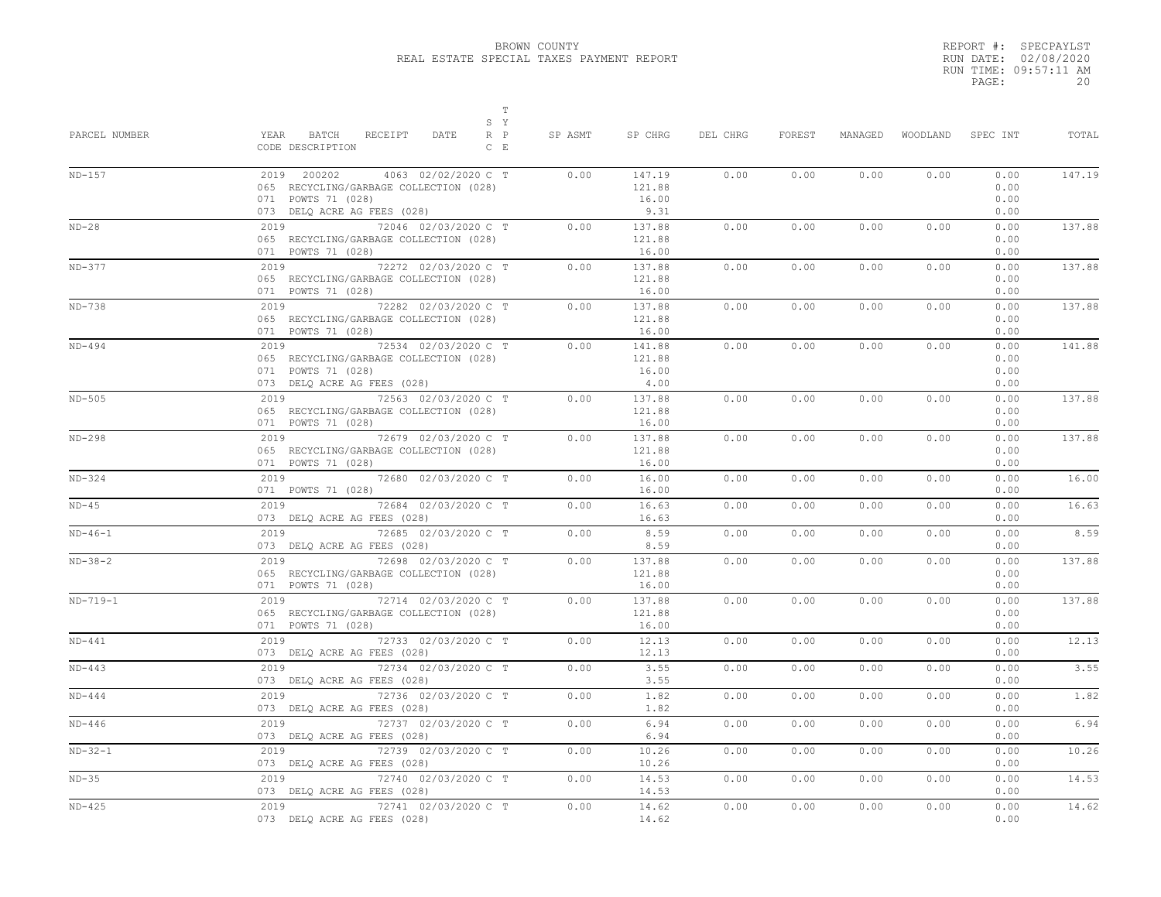|       | REPORT #: SPECPAYLST  |
|-------|-----------------------|
|       | RUN DATE: 02/08/2020  |
|       | RUN TIME: 09:57:11 AM |
| PAGE: | 20                    |

| PARCEL NUMBER | $\mathbb T$<br>S Y<br>YEAR<br>BATCH<br>RECEIPT<br>DATE<br>$R$ $P$<br>CODE DESCRIPTION<br>$C$ $E$                                  | SP ASMT | SP CHRG                           | DEL CHRG | FOREST | MANAGED | WOODLAND | SPEC INT                     | TOTAL  |
|---------------|-----------------------------------------------------------------------------------------------------------------------------------|---------|-----------------------------------|----------|--------|---------|----------|------------------------------|--------|
| $ND-157$      | 2019 200202<br>4063 02/02/2020 C T<br>065 RECYCLING/GARBAGE COLLECTION (028)<br>071 POWTS 71 (028)<br>073 DELQ ACRE AG FEES (028) | 0.00    | 147.19<br>121.88<br>16.00<br>9.31 | 0.00     | 0.00   | 0.00    | 0.00     | 0.00<br>0.00<br>0.00<br>0.00 | 147.19 |
| $ND-28$       | 2019<br>72046 02/03/2020 C T<br>065 RECYCLING/GARBAGE COLLECTION (028)<br>071 POWTS 71 (028)                                      | 0.00    | 137.88<br>121.88<br>16.00         | 0.00     | 0.00   | 0.00    | 0.00     | 0.00<br>0.00<br>0.00         | 137.88 |
| $ND-377$      | 72272 02/03/2020 C T<br>2019<br>065 RECYCLING/GARBAGE COLLECTION (028)<br>071 POWTS 71 (028)                                      | 0.00    | 137.88<br>121.88<br>16.00         | 0.00     | 0.00   | 0.00    | 0.00     | 0.00<br>0.00<br>0.00         | 137.88 |
| $ND-738$      | 72282 02/03/2020 C T<br>2019<br>065 RECYCLING/GARBAGE COLLECTION (028)<br>071 POWTS 71 (028)                                      | 0.00    | 137.88<br>121.88<br>16.00         | 0.00     | 0.00   | 0.00    | 0.00     | 0.00<br>0.00<br>0.00         | 137.88 |
| $ND-494$      | 72534 02/03/2020 C T<br>2019<br>065 RECYCLING/GARBAGE COLLECTION (028)<br>071 POWTS 71 (028)<br>073 DELQ ACRE AG FEES (028)       | 0.00    | 141.88<br>121.88<br>16.00<br>4.00 | 0.00     | 0.00   | 0.00    | 0.00     | 0.00<br>0.00<br>0.00<br>0.00 | 141.88 |
| $ND-505$      | 2019 72563 02/03/2020 C T<br>065 RECYCLING/GARBAGE COLLECTION (028)<br>071 POWTS 71 (028)                                         | 0.00    | 137.88<br>121.88<br>16.00         | 0.00     | 0.00   | 0.00    | 0.00     | 0.00<br>0.00<br>0.00         | 137.88 |
| $ND-298$      | 2019<br>72679 02/03/2020 C T<br>065 RECYCLING/GARBAGE COLLECTION (028)<br>071 POWTS 71 (028)                                      | 0.00    | 137.88<br>121.88<br>16.00         | 0.00     | 0.00   | 0.00    | 0.00     | 0.00<br>0.00<br>0.00         | 137.88 |
| $ND-324$      | 2019<br>72680 02/03/2020 C T<br>071 POWTS 71 (028)                                                                                | 0.00    | 16.00<br>16.00                    | 0.00     | 0.00   | 0.00    | 0.00     | 0.00<br>0.00                 | 16.00  |
| $ND-45$       | 72684 02/03/2020 C T<br>2019<br>073 DELQ ACRE AG FEES (028)                                                                       | 0.00    | 16.63<br>16.63                    | 0.00     | 0.00   | 0.00    | 0.00     | 0.00<br>0.00                 | 16.63  |
| $ND-46-1$     | 2019<br>72685 02/03/2020 C T<br>073 DELQ ACRE AG FEES (028)                                                                       | 0.00    | 8.59<br>8.59                      | 0.00     | 0.00   | 0.00    | 0.00     | 0.00<br>0.00                 | 8.59   |
| $ND-38-2$     | 72698 02/03/2020 C T<br>2019<br>065 RECYCLING/GARBAGE COLLECTION (028)<br>071 POWTS 71 (028)                                      | 0.00    | 137.88<br>121.88<br>16.00         | 0.00     | 0.00   | 0.00    | 0.00     | 0.00<br>0.00<br>0.00         | 137.88 |
| $ND-719-1$    | 2019<br>72714 02/03/2020 C T<br>065 RECYCLING/GARBAGE COLLECTION (028)<br>071 POWTS 71 (028)                                      | 0.00    | 137.88<br>121.88<br>16.00         | 0.00     | 0.00   | 0.00    | 0.00     | 0.00<br>0.00<br>0.00         | 137.88 |
| $ND-441$      | 2019<br>72733 02/03/2020 C T<br>073 DELQ ACRE AG FEES (028)                                                                       | 0.00    | 12.13<br>12.13                    | 0.00     | 0.00   | 0.00    | 0.00     | 0.00<br>0.00                 | 12.13  |
| $ND-443$      | 2019<br>72734 02/03/2020 C T<br>073 DELQ ACRE AG FEES (028)                                                                       | 0.00    | 3.55<br>3.55                      | 0.00     | 0.00   | 0.00    | 0.00     | 0.00<br>0.00                 | 3.55   |
| $ND-444$      | 2019<br>72736 02/03/2020 C T<br>073 DELQ ACRE AG FEES (028)                                                                       | 0.00    | 1.82<br>1.82                      | 0.00     | 0.00   | 0.00    | 0.00     | 0.00<br>0.00                 | 1.82   |
| $ND-446$      | 2019<br>72737 02/03/2020 C T<br>073 DELQ ACRE AG FEES (028)                                                                       | 0.00    | 6.94<br>6.94                      | 0.00     | 0.00   | 0.00    | 0.00     | 0.00<br>0.00                 | 6.94   |
| $ND-32-1$     | 72739 02/03/2020 C T<br>2019<br>073 DELQ ACRE AG FEES (028)                                                                       | 0.00    | 10.26<br>10.26                    | 0.00     | 0.00   | 0.00    | 0.00     | 0.00<br>0.00                 | 10.26  |
| $ND-35$       | 72740 02/03/2020 C T<br>2019<br>073 DELQ ACRE AG FEES (028)                                                                       | 0.00    | 14.53<br>14.53                    | 0.00     | 0.00   | 0.00    | 0.00     | 0.00<br>0.00                 | 14.53  |
| $ND-425$      | 2019<br>72741 02/03/2020 C T<br>073 DELQ ACRE AG FEES (028)                                                                       | 0.00    | 14.62<br>14.62                    | 0.00     | 0.00   | 0.00    | 0.00     | 0.00<br>0.00                 | 14.62  |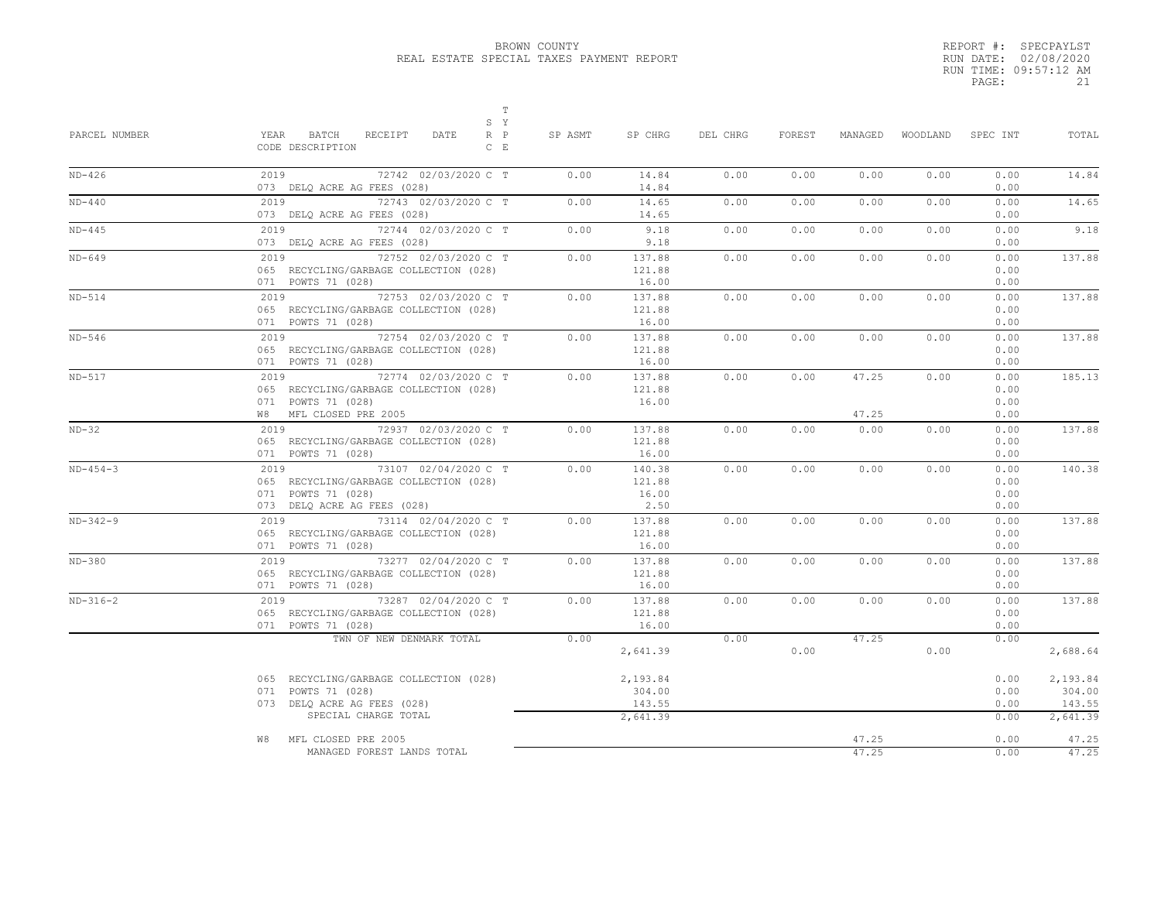|       | REPORT #: SPECPAYLST  |
|-------|-----------------------|
|       | RUN DATE: 02/08/2020  |
|       | RUN TIME: 09:57:12 AM |
| PAGE: | 21                    |

| PARCEL NUMBER | $\mathbb T$<br>S Y<br>$R$ $P$<br>YEAR BATCH<br>RECEIPT<br>DATE<br>CODE DESCRIPTION<br>$C$ $E$                            | SP ASMT | SP CHRG                           | DEL CHRG | FOREST | MANAGED        |      | WOODLAND SPEC INT            | TOTAL                        |
|---------------|--------------------------------------------------------------------------------------------------------------------------|---------|-----------------------------------|----------|--------|----------------|------|------------------------------|------------------------------|
| $ND-426$      | 2019<br>72742 02/03/2020 C T<br>073 DELQ ACRE AG FEES (028)                                                              | 0.00    | 14.84<br>14.84                    | 0.00     | 0.00   | 0.00           | 0.00 | 0.00<br>0.00                 | 14.84                        |
| $ND-440$      | $2019$<br>72743 02/03/2020 C T<br>073 DELQ ACRE AG FEES (028)                                                            | 0.00    | 14.65<br>14.65                    | 0.00     | 0.00   | 0.00           | 0.00 | 0.00<br>0.00                 | 14.65                        |
| $ND-445$      | 2019 72744 02/03/2020 C T<br>073 DELQ ACRE AG FEES (028)                                                                 | 0.00    | 9.18<br>9.18                      | 0.00     | 0.00   | 0.00           | 0.00 | 0.00<br>0.00                 | 9.18                         |
| $ND-649$      | 2019 72752 02/03/2020 C T<br>065 RECYCLING/GARBAGE COLLECTION (028)<br>071 POWTS 71 (028)                                | 0.00    | 137.88<br>121.88<br>16.00         | 0.00     | 0.00   | 0.00           | 0.00 | 0.00<br>0.00<br>0.00         | 137.88                       |
| $ND-514$      | 2019 72753 02/03/2020 C T<br>065 RECYCLING/GARBAGE COLLECTION (028)<br>071 POWTS 71 (028)                                | 0.00    | 137.88<br>121.88<br>16.00         | 0.00     | 0.00   | 0.00           | 0.00 | 0.00<br>0.00<br>0.00         | 137.88                       |
| $ND-546$      | 2019 72754 02/03/2020 C T<br>065 RECYCLING/GARBAGE COLLECTION (028)<br>071 POWTS 71 (028)                                | 0.00    | 137.88<br>121.88<br>16.00         | 0.00     | 0.00   | 0.00           | 0.00 | 0.00<br>0.00<br>0.00         | 137.88                       |
| $ND-517$      | 2019 72774 02/03/2020 C T<br>065 RECYCLING/GARBAGE COLLECTION (028)<br>071 POWTS 71 (028)<br>W8 MFL CLOSED PRE 2005      | 0.00    | 137.88<br>121.88<br>16.00         | 0.00     | 0.00   | 47.25<br>47.25 | 0.00 | 0.00<br>0.00<br>0.00<br>0.00 | 185.13                       |
| $ND-32$       | 2019 72937 02/03/2020 C T<br>065 RECYCLING/GARBAGE COLLECTION (028)<br>071 POWTS 71 (028)                                | 0.00    | 137.88<br>121.88<br>16.00         | 0.00     | 0.00   | 0.00           | 0.00 | 0.00<br>0.00<br>0.00         | 137.88                       |
| $ND-454-3$    | 2019 73107 02/04/2020 C T<br>065 RECYCLING/GARBAGE COLLECTION (028)<br>071 POWTS 71 (028)<br>073 DELQ ACRE AG FEES (028) | 0.00    | 140.38<br>121.88<br>16.00<br>2.50 | 0.00     | 0.00   | 0.00           | 0.00 | 0.00<br>0.00<br>0.00<br>0.00 | 140.38                       |
| $ND-342-9$    | 2019 73114 02/04/2020 C T<br>065 RECYCLING/GARBAGE COLLECTION (028)<br>071 POWTS 71 (028)                                | 0.00    | 137.88<br>121.88<br>16.00         | 0.00     | 0.00   | 0.00           | 0.00 | 0.00<br>0.00<br>0.00         | 137.88                       |
| $ND-380$      | 2019 73277 02/04/2020 C T<br>065 RECYCLING/GARBAGE COLLECTION (028)<br>071 POWTS 71 (028)                                | 0.00    | 137.88<br>121.88<br>16.00         | 0.00     | 0.00   | 0.00           | 0.00 | 0.00<br>0.00<br>0.00         | 137.88                       |
| $ND-316-2$    | 2019 73287 02/04/2020 C T<br>065 RECYCLING/GARBAGE COLLECTION (028)<br>071 POWTS 71 (028)                                | 0.00    | 137.88<br>121.88<br>16.00         | 0.00     | 0.00   | 0.00           | 0.00 | 0.00<br>0.00<br>0.00         | 137.88                       |
|               | TWN OF NEW DENMARK TOTAL                                                                                                 | 0.00    | 2,641.39                          | 0.00     | 0.00   | 47.25          | 0.00 | 0.00                         | 2,688.64                     |
|               | 065 RECYCLING/GARBAGE COLLECTION (028)<br>071 POWTS 71 (028)<br>073 DELQ ACRE AG FEES (028)                              |         | 2,193.84<br>304.00<br>143.55      |          |        |                |      | 0.00<br>0.00<br>0.00         | 2,193.84<br>304.00<br>143.55 |
|               | SPECIAL CHARGE TOTAL<br>MFL CLOSED PRE 2005<br>W8                                                                        |         | 2,641.39                          |          |        | 47.25          |      | 0.00<br>0.00                 | 2,641.39<br>47.25            |
|               | MANAGED FOREST LANDS TOTAL                                                                                               |         |                                   |          |        | 47.25          |      | 0.00                         | 47.25                        |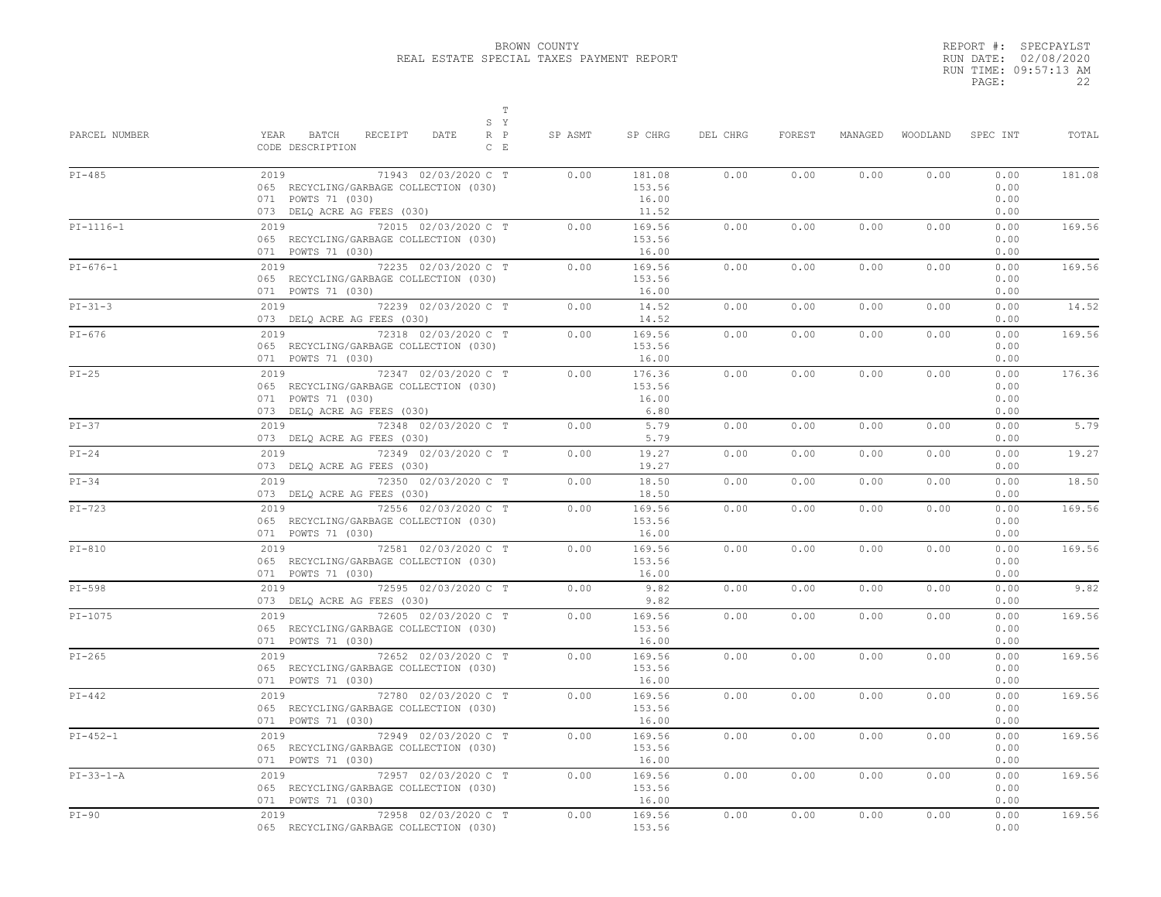|       | REPORT #: SPECPAYLST  |
|-------|-----------------------|
|       | RUN DATE: 02/08/2020  |
|       | RUN TIME: 09:57:13 AM |
| PAGE: | 22                    |

| PARCEL NUMBER | $\mathbb T$<br>S Y<br>BATCH<br>YEAR<br>RECEIPT<br>DATE<br>R P<br>CODE DESCRIPTION<br>$C$ $E$                                | SP ASMT | SP CHRG                            | DEL CHRG | FOREST | MANAGED | WOODLAND | SPEC INT                     | TOTAL  |
|---------------|-----------------------------------------------------------------------------------------------------------------------------|---------|------------------------------------|----------|--------|---------|----------|------------------------------|--------|
| $PI-485$      | 2019<br>71943 02/03/2020 C T<br>065 RECYCLING/GARBAGE COLLECTION (030)<br>071 POWTS 71 (030)<br>073 DELQ ACRE AG FEES (030) | 0.00    | 181.08<br>153.56<br>16.00<br>11.52 | 0.00     | 0.00   | 0.00    | 0.00     | 0.00<br>0.00<br>0.00<br>0.00 | 181.08 |
| $PI-1116-1$   | 2019 72015 02/03/2020 C T<br>065 RECYCLING/GARBAGE COLLECTION (030)<br>071 POWTS 71 (030)                                   | 0.00    | 169.56<br>153.56<br>16.00          | 0.00     | 0.00   | 0.00    | 0.00     | 0.00<br>0.00<br>0.00         | 169.56 |
| $PI-676-1$    | 72235 02/03/2020 C T<br>2019<br>065 RECYCLING/GARBAGE COLLECTION (030)<br>071 POWTS 71 (030)                                | 0.00    | 169.56<br>153.56<br>16.00          | 0.00     | 0.00   | 0.00    | 0.00     | 0.00<br>0.00<br>0.00         | 169.56 |
| $PI-31-3$     | 2019<br>72239 02/03/2020 C T<br>073 DELQ ACRE AG FEES (030)                                                                 | 0.00    | 14.52<br>14.52                     | 0.00     | 0.00   | 0.00    | 0.00     | 0.00<br>0.00                 | 14.52  |
| $PI-676$      | 72318 02/03/2020 C T<br>2019<br>065 RECYCLING/GARBAGE COLLECTION (030)<br>071 POWTS 71 (030)                                | 0.00    | 169.56<br>153.56<br>16.00          | 0.00     | 0.00   | 0.00    | 0.00     | 0.00<br>0.00<br>0.00         | 169.56 |
| $PI-25$       | 2019<br>72347 02/03/2020 C T<br>065 RECYCLING/GARBAGE COLLECTION (030)<br>071 POWTS 71 (030)<br>073 DELQ ACRE AG FEES (030) | 0.00    | 176.36<br>153.56<br>16.00<br>6.80  | 0.00     | 0.00   | 0.00    | 0.00     | 0.00<br>0.00<br>0.00<br>0.00 | 176.36 |
| $PI-37$       | 72348 02/03/2020 C T<br>2019<br>073 DELQ ACRE AG FEES (030)                                                                 | 0.00    | 5.79<br>5.79                       | 0.00     | 0.00   | 0.00    | 0.00     | 0.00<br>0.00                 | 5.79   |
| $PI-24$       | 72349 02/03/2020 C T<br>2019<br>073 DELQ ACRE AG FEES (030)                                                                 | 0.00    | 19.27<br>19.27                     | 0.00     | 0.00   | 0.00    | 0.00     | 0.00<br>0.00                 | 19.27  |
| $PI-34$       | 72350 02/03/2020 C T<br>2019<br>073 DELQ ACRE AG FEES (030)                                                                 | 0.00    | 18.50<br>18.50                     | 0.00     | 0.00   | 0.00    | 0.00     | 0.00<br>0.00                 | 18.50  |
| $PI-723$      | 2019<br>72556 02/03/2020 C T<br>065 RECYCLING/GARBAGE COLLECTION (030)<br>071 POWTS 71 (030)                                | 0.00    | 169.56<br>153.56<br>16.00          | 0.00     | 0.00   | 0.00    | 0.00     | 0.00<br>0.00<br>0.00         | 169.56 |
| $PI-810$      | 2019<br>72581 02/03/2020 C T<br>065 RECYCLING/GARBAGE COLLECTION (030)<br>071 POWTS 71 (030)                                | 0.00    | 169.56<br>153.56<br>16.00          | 0.00     | 0.00   | 0.00    | 0.00     | 0.00<br>0.00<br>0.00         | 169.56 |
| $PI-598$      | 72595 02/03/2020 C T<br>2019<br>073 DELQ ACRE AG FEES (030)                                                                 | 0.00    | 9.82<br>9.82                       | 0.00     | 0.00   | 0.00    | 0.00     | 0.00<br>0.00                 | 9.82   |
| $PI-1075$     | 2019<br>72605 02/03/2020 C T<br>065 RECYCLING/GARBAGE COLLECTION (030)<br>071 POWTS 71 (030)                                | 0.00    | 169.56<br>153.56<br>16.00          | 0.00     | 0.00   | 0.00    | 0.00     | 0.00<br>0.00<br>0.00         | 169.56 |
| $PI-265$      | 72652 02/03/2020 C T<br>2019<br>065 RECYCLING/GARBAGE COLLECTION (030)<br>071 POWTS 71 (030)                                | 0.00    | 169.56<br>153.56<br>16.00          | 0.00     | 0.00   | 0.00    | 0.00     | 0.00<br>0.00<br>0.00         | 169.56 |
| $PI-442$      | 2019<br>72780 02/03/2020 C T<br>065 RECYCLING/GARBAGE COLLECTION (030)<br>071 POWTS 71 (030)                                | 0.00    | 169.56<br>153.56<br>16.00          | 0.00     | 0.00   | 0.00    | 0.00     | 0.00<br>0.00<br>0.00         | 169.56 |
| $PI-452-1$    | 2019<br>72949 02/03/2020 C T<br>065 RECYCLING/GARBAGE COLLECTION (030)<br>071 POWTS 71 (030)                                | 0.00    | 169.56<br>153.56<br>16.00          | 0.00     | 0.00   | 0.00    | 0.00     | 0.00<br>0.00<br>0.00         | 169.56 |
| $PI-33-1-A$   | 2019<br>72957 02/03/2020 C T<br>065 RECYCLING/GARBAGE COLLECTION (030)<br>071 POWTS 71 (030)                                | 0.00    | 169.56<br>153.56<br>16.00          | 0.00     | 0.00   | 0.00    | 0.00     | 0.00<br>0.00<br>0.00         | 169.56 |
| $PI-90$       | 2019<br>72958 02/03/2020 C T<br>065 RECYCLING/GARBAGE COLLECTION (030)                                                      | 0.00    | 169.56<br>153.56                   | 0.00     | 0.00   | 0.00    | 0.00     | 0.00<br>0.00                 | 169.56 |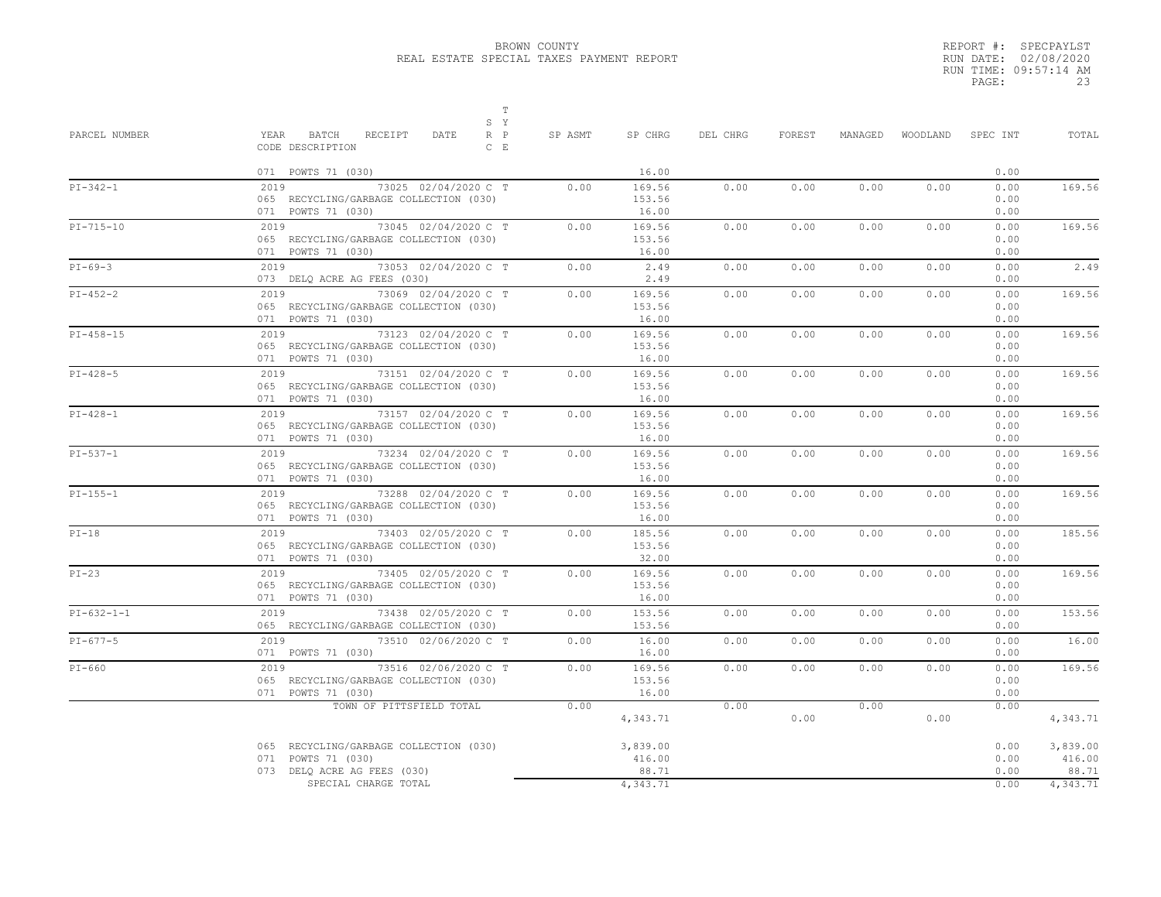|       | REPORT #: SPECPAYLST  |
|-------|-----------------------|
|       | RUN DATE: 02/08/2020  |
|       | RUN TIME: 09:57:14 AM |
| PAGE: | 23                    |

| PARCEL NUMBER | $\mathbb T$<br>S Y<br>YEAR BATCH<br>RECEIPT<br>$R$ $P$<br>DATE<br>CODE DESCRIPTION<br>$C$ $E$ | SP ASMT | SP CHRG                     | DEL CHRG | FOREST | MANAGED |      | WOODLAND SPEC INT    | TOTAL                       |
|---------------|-----------------------------------------------------------------------------------------------|---------|-----------------------------|----------|--------|---------|------|----------------------|-----------------------------|
|               | 071 POWTS 71 (030)                                                                            |         | 16.00                       |          |        |         |      | 0.00                 |                             |
| $PI-342-1$    | 2019 73025 02/04/2020 C T<br>065 RECYCLING/GARBAGE COLLECTION (030)<br>071 POWTS 71 (030)     | 0.00    | 169.56<br>153.56<br>16.00   | 0.00     | 0.00   | 0.00    | 0.00 | 0.00<br>0.00<br>0.00 | 169.56                      |
| $PI-715-10$   | 2019 73045 02/04/2020 C T<br>065 RECYCLING/GARBAGE COLLECTION (030)<br>071 POWTS 71 (030)     | 0.00    | 169.56<br>153.56<br>16.00   | 0.00     | 0.00   | 0.00    | 0.00 | 0.00<br>0.00<br>0.00 | 169.56                      |
| $PI-69-3$     | 2019 73053 02/04/2020 C T<br>073 DELQ ACRE AG FEES (030)                                      | 0.00    | 2.49<br>2.49                | 0.00     | 0.00   | 0.00    | 0.00 | 0.00<br>0.00         | 2.49                        |
| $PI-452-2$    | 2019 73069 02/04/2020 C T<br>065 RECYCLING/GARBAGE COLLECTION (030)<br>071 POWTS 71 (030)     | 0.00    | 169.56<br>153.56<br>16.00   | 0.00     | 0.00   | 0.00    | 0.00 | 0.00<br>0.00<br>0.00 | 169.56                      |
| $PI-458-15$   | 2019 73123 02/04/2020 C T<br>065 RECYCLING/GARBAGE COLLECTION (030)<br>071 POWTS 71 (030)     | 0.00    | 169.56<br>153.56<br>16.00   | 0.00     | 0.00   | 0.00    | 0.00 | 0.00<br>0.00<br>0.00 | 169.56                      |
| $PI-428-5$    | 2019 73151 02/04/2020 C T<br>065 RECYCLING/GARBAGE COLLECTION (030)<br>071 POWTS 71 (030)     | 0.00    | 169.56<br>153.56<br>16.00   | 0.00     | 0.00   | 0.00    | 0.00 | 0.00<br>0.00<br>0.00 | 169.56                      |
| $PI-428-1$    | 2019 73157 02/04/2020 C T<br>065 RECYCLING/GARBAGE COLLECTION (030)<br>071 POWTS 71 (030)     | 0.00    | 169.56<br>153.56<br>16.00   | 0.00     | 0.00   | 0.00    | 0.00 | 0.00<br>0.00<br>0.00 | 169.56                      |
| $PI-537-1$    | 2019 73234 02/04/2020 C T<br>065 RECYCLING/GARBAGE COLLECTION (030)<br>071 POWTS 71 (030)     | 0.00    | 169.56<br>153.56<br>16.00   | 0.00     | 0.00   | 0.00    | 0.00 | 0.00<br>0.00<br>0.00 | 169.56                      |
| $PI-155-1$    | 2019 73288 02/04/2020 C T<br>065 RECYCLING/GARBAGE COLLECTION (030)<br>071 POWTS 71 (030)     | 0.00    | 169.56<br>153.56<br>16.00   | 0.00     | 0.00   | 0.00    | 0.00 | 0.00<br>0.00<br>0.00 | 169.56                      |
| $PI-18$       | 2019 73403 02/05/2020 C T<br>065 RECYCLING/GARBAGE COLLECTION (030)<br>071 POWTS 71 (030)     | 0.00    | 185.56<br>153.56<br>32.00   | 0.00     | 0.00   | 0.00    | 0.00 | 0.00<br>0.00<br>0.00 | 185.56                      |
| $PI-23$       | 2019 73405 02/05/2020 C T<br>065 RECYCLING/GARBAGE COLLECTION (030)<br>071 POWTS 71 (030)     | 0.00    | 169.56<br>153.56<br>16.00   | 0.00     | 0.00   | 0.00    | 0.00 | 0.00<br>0.00<br>0.00 | 169.56                      |
| $PI-632-1-1$  | 2019 73438 02/05/2020 C T<br>065 RECYCLING/GARBAGE COLLECTION (030)                           | 0.00    | 153.56<br>153.56            | 0.00     | 0.00   | 0.00    | 0.00 | 0.00<br>0.00         | 153.56                      |
| $PI-677-5$    | 2019 73510 02/06/2020 C T<br>071 POWTS 71 (030)                                               | 0.00    | 16.00<br>16.00              | 0.00     | 0.00   | 0.00    | 0.00 | 0.00<br>0.00         | 16.00                       |
| $PI-660$      | 2019 73516 02/06/2020 C T<br>065 RECYCLING/GARBAGE COLLECTION (030)<br>071 POWTS 71 (030)     | 0.00    | 169.56<br>153.56<br>16.00   | 0.00     | 0.00   | 0.00    | 0.00 | 0.00<br>0.00<br>0.00 | 169.56                      |
|               | TOWN OF PITTSFIELD TOTAL                                                                      | 0.00    | 4,343.71                    | 0.00     | 0.00   | 0.00    | 0.00 | 0.00                 | 4,343.71                    |
|               | 065 RECYCLING/GARBAGE COLLECTION (030)<br>071 POWTS 71 (030)<br>073 DELQ ACRE AG FEES (030)   |         | 3,839.00<br>416.00<br>88.71 |          |        |         |      | 0.00<br>0.00<br>0.00 | 3,839.00<br>416.00<br>88.71 |
|               | SPECIAL CHARGE TOTAL                                                                          |         | 4,343.71                    |          |        |         |      | 0.00                 | 4,343.71                    |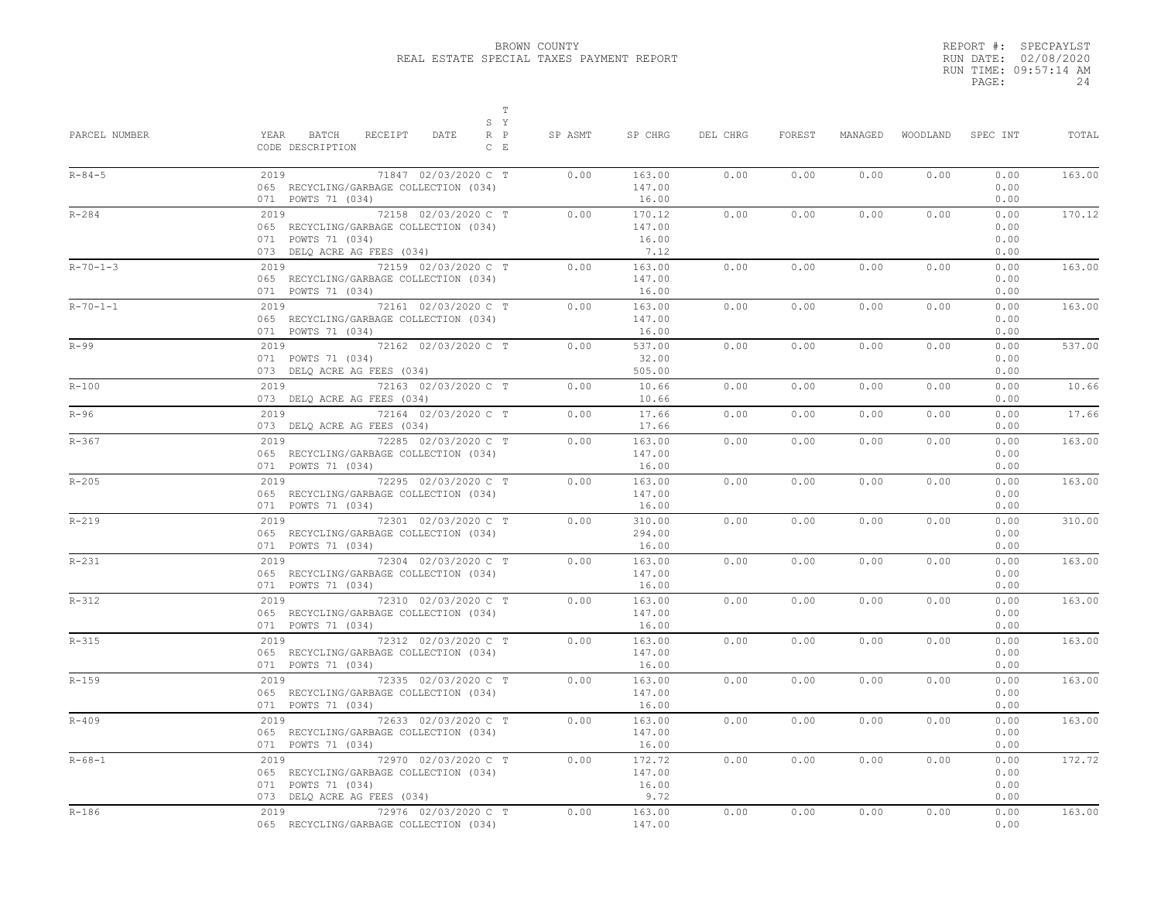|       | REPORT #: SPECPAYLST  |
|-------|-----------------------|
|       | RUN DATE: 02/08/2020  |
|       | RUN TIME: 09:57:14 AM |
| PAGE: | 24                    |

| PARCEL NUMBER    | $\mathbb T$<br>S Y<br>BATCH<br>$R$ $P$<br>YEAR<br>RECEIPT<br>DATE<br>CODE DESCRIPTION<br>$C$ E                              | SP ASMT | SP CHRG                           | DEL CHRG | FOREST | MANAGED | WOODLAND | SPEC INT                     | TOTAL  |
|------------------|-----------------------------------------------------------------------------------------------------------------------------|---------|-----------------------------------|----------|--------|---------|----------|------------------------------|--------|
| $R - 84 - 5$     | 2019<br>71847 02/03/2020 C T<br>065 RECYCLING/GARBAGE COLLECTION (034)<br>071 POWTS 71 (034)                                | 0.00    | 163.00<br>147.00<br>16.00         | 0.00     | 0.00   | 0.00    | 0.00     | 0.00<br>0.00<br>0.00         | 163.00 |
| $R - 284$        | 2019<br>72158 02/03/2020 C T<br>065 RECYCLING/GARBAGE COLLECTION (034)<br>071 POWTS 71 (034)<br>073 DELQ ACRE AG FEES (034) | 0.00    | 170.12<br>147.00<br>16.00<br>7.12 | 0.00     | 0.00   | 0.00    | 0.00     | 0.00<br>0.00<br>0.00<br>0.00 | 170.12 |
| $R - 70 - 1 - 3$ | 2019<br>72159 02/03/2020 C T<br>065 RECYCLING/GARBAGE COLLECTION (034)<br>071 POWTS 71 (034)                                | 0.00    | 163.00<br>147.00<br>16.00         | 0.00     | 0.00   | 0.00    | 0.00     | 0.00<br>0.00<br>0.00         | 163.00 |
| $R - 70 - 1 - 1$ | 2019<br>72161 02/03/2020 C T<br>065 RECYCLING/GARBAGE COLLECTION (034)<br>071 POWTS 71 (034)                                | 0.00    | 163.00<br>147.00<br>16.00         | 0.00     | 0.00   | 0.00    | 0.00     | 0.00<br>0.00<br>0.00         | 163.00 |
| $R-99$           | 2019<br>72162 02/03/2020 C T<br>071 POWTS 71 (034)<br>073 DELQ ACRE AG FEES (034)                                           | 0.00    | 537.00<br>32.00<br>505.00         | 0.00     | 0.00   | 0.00    | 0.00     | 0.00<br>0.00<br>0.00         | 537.00 |
| $R - 100$        | 72163 02/03/2020 C T<br>2019<br>073 DELQ ACRE AG FEES (034)                                                                 | 0.00    | 10.66<br>10.66                    | 0.00     | 0.00   | 0.00    | 0.00     | 0.00<br>0.00                 | 10.66  |
| $R-96$           | 2019<br>72164 02/03/2020 C T<br>073 DELQ ACRE AG FEES (034)                                                                 | 0.00    | 17.66<br>17.66                    | 0.00     | 0.00   | 0.00    | 0.00     | 0.00<br>0.00                 | 17.66  |
| $R - 367$        | 2019<br>72285 02/03/2020 C T<br>065 RECYCLING/GARBAGE COLLECTION (034)<br>071 POWTS 71 (034)                                | 0.00    | 163.00<br>147.00<br>16.00         | 0.00     | 0.00   | 0.00    | 0.00     | 0.00<br>0.00<br>0.00         | 163.00 |
| $R - 205$        | 72295 02/03/2020 C T<br>2019<br>065 RECYCLING/GARBAGE COLLECTION (034)<br>071 POWTS 71 (034)                                | 0.00    | 163.00<br>147.00<br>16.00         | 0.00     | 0.00   | 0.00    | 0.00     | 0.00<br>0.00<br>0.00         | 163.00 |
| $R - 219$        | 2019<br>72301 02/03/2020 C T<br>065 RECYCLING/GARBAGE COLLECTION (034)<br>071 POWTS 71 (034)                                | 0.00    | 310.00<br>294.00<br>16.00         | 0.00     | 0.00   | 0.00    | 0.00     | 0.00<br>0.00<br>0.00         | 310.00 |
| $R-231$          | 72304 02/03/2020 C T<br>2019<br>065 RECYCLING/GARBAGE COLLECTION (034)<br>071 POWTS 71 (034)                                | 0.00    | 163.00<br>147.00<br>16.00         | 0.00     | 0.00   | 0.00    | 0.00     | 0.00<br>0.00<br>0.00         | 163.00 |
| $R - 312$        | 2019<br>72310 02/03/2020 C T<br>065 RECYCLING/GARBAGE COLLECTION (034)<br>071 POWTS 71 (034)                                | 0.00    | 163.00<br>147.00<br>16.00         | 0.00     | 0.00   | 0.00    | 0.00     | 0.00<br>0.00<br>0.00         | 163.00 |
| $R - 315$        | 72312 02/03/2020 C T<br>2019<br>065 RECYCLING/GARBAGE COLLECTION (034)<br>071 POWTS 71 (034)                                | 0.00    | 163.00<br>147.00<br>16.00         | 0.00     | 0.00   | 0.00    | 0.00     | 0.00<br>0.00<br>0.00         | 163.00 |
| $R - 159$        | 72335 02/03/2020 C T<br>2019<br>065 RECYCLING/GARBAGE COLLECTION (034)<br>071 POWTS 71 (034)                                | 0.00    | 163.00<br>147.00<br>16.00         | 0.00     | 0.00   | 0.00    | 0.00     | 0.00<br>0.00<br>0.00         | 163.00 |
| $R - 409$        | 72633 02/03/2020 C T<br>2019<br>065 RECYCLING/GARBAGE COLLECTION (034)<br>071 POWTS 71 (034)                                | 0.00    | 163.00<br>147.00<br>16.00         | 0.00     | 0.00   | 0.00    | 0.00     | 0.00<br>0.00<br>0.00         | 163.00 |
| $R - 68 - 1$     | 2019<br>72970 02/03/2020 C T<br>065 RECYCLING/GARBAGE COLLECTION (034)<br>071 POWTS 71 (034)<br>073 DELQ ACRE AG FEES (034) | 0.00    | 172.72<br>147.00<br>16.00<br>9.72 | 0.00     | 0.00   | 0.00    | 0.00     | 0.00<br>0.00<br>0.00<br>0.00 | 172.72 |
| $R - 186$        | 72976 02/03/2020 C T<br>2019<br>065 RECYCLING/GARBAGE COLLECTION (034)                                                      | 0.00    | 163.00<br>147.00                  | 0.00     | 0.00   | 0.00    | 0.00     | 0.00<br>0.00                 | 163.00 |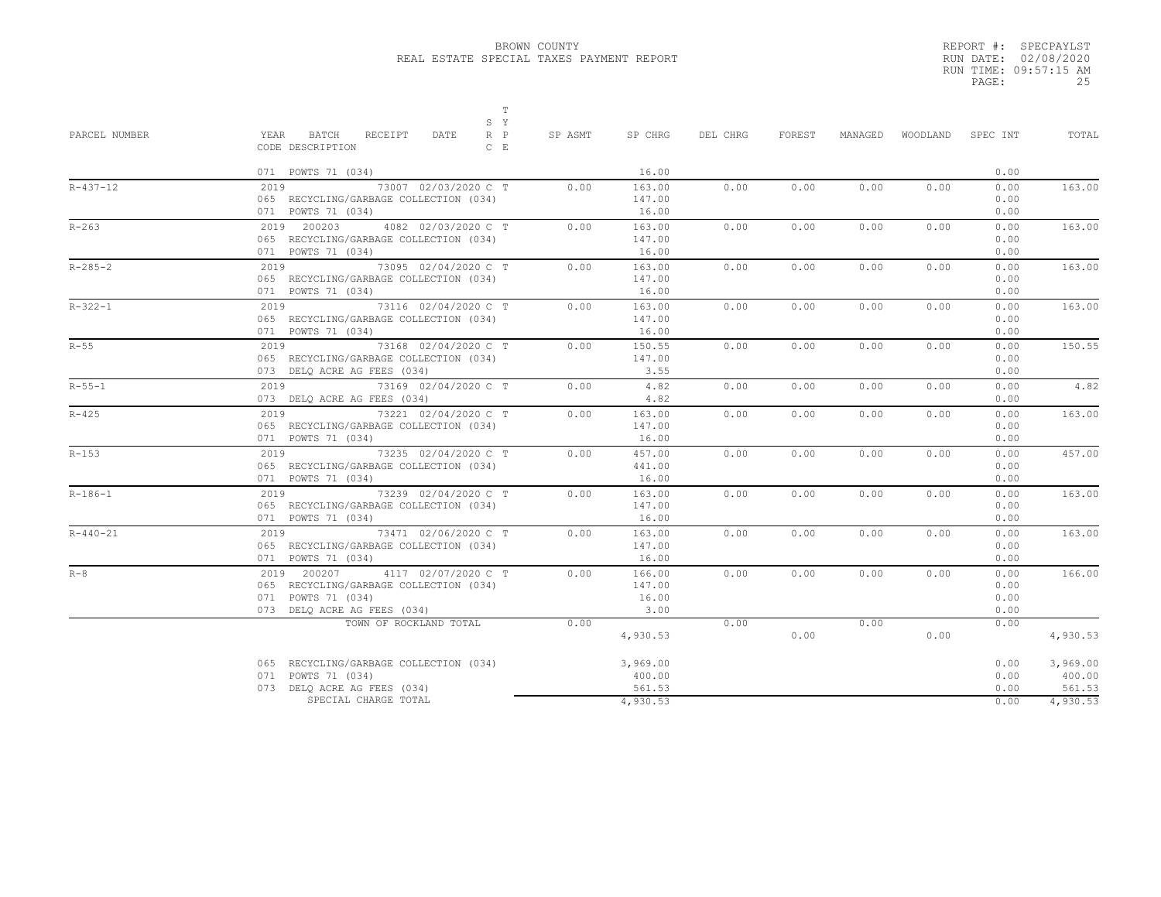|       | REPORT #: SPECPAYLST  |
|-------|-----------------------|
|       | RUN DATE: 02/08/2020  |
|       | RUN TIME: 09:57:15 AM |
| PAGE: | 25                    |

| 16.00<br>071 POWTS 71 (034)<br>2019<br>73007 02/03/2020 C T<br>163.00<br>0.00<br>0.00<br>0.00<br>0.00<br>065 RECYCLING/GARBAGE COLLECTION (034)<br>147.00<br>071 POWTS 71 (034)<br>16.00<br>2019 200203<br>4082 02/03/2020 C T<br>0.00<br>163.00<br>0.00<br>0.00<br>0.00<br>065 RECYCLING/GARBAGE COLLECTION (034)<br>147.00<br>071 POWTS 71 (034)<br>16.00<br>$73095$ 02/04/2020 C T<br>0.00<br>0.00<br>0.00<br>2019<br>0.00<br>163.00<br>147.00<br>065 RECYCLING/GARBAGE COLLECTION (034)<br>071 POWTS 71 (034)<br>16.00<br>2019<br>73116 02/04/2020 C T<br>163.00<br>0.00<br>0.00<br>0.00<br>0.00 |      | WOODLAND<br>SPEC INT         | TOTAL              |
|------------------------------------------------------------------------------------------------------------------------------------------------------------------------------------------------------------------------------------------------------------------------------------------------------------------------------------------------------------------------------------------------------------------------------------------------------------------------------------------------------------------------------------------------------------------------------------------------------|------|------------------------------|--------------------|
| $R - 437 - 12$<br>$R - 263$<br>$R - 285 - 2$<br>$R - 322 - 1$                                                                                                                                                                                                                                                                                                                                                                                                                                                                                                                                        |      | 0.00                         |                    |
|                                                                                                                                                                                                                                                                                                                                                                                                                                                                                                                                                                                                      | 0.00 | 0.00<br>0.00<br>0.00         | 163.00             |
|                                                                                                                                                                                                                                                                                                                                                                                                                                                                                                                                                                                                      | 0.00 | 0.00<br>0.00<br>0.00         | 163.00             |
|                                                                                                                                                                                                                                                                                                                                                                                                                                                                                                                                                                                                      | 0.00 | 0.00<br>0.00<br>0.00         | 163.00             |
| 065 RECYCLING/GARBAGE COLLECTION (034)<br>147.00<br>16.00<br>071 POWTS 71 (034)                                                                                                                                                                                                                                                                                                                                                                                                                                                                                                                      | 0.00 | 0.00<br>0.00<br>0.00         | 163.00             |
| $R-55$<br>73168 02/04/2020 C T<br>2019<br>0.00<br>150.55<br>0.00<br>0.00<br>0.00<br>065 RECYCLING/GARBAGE COLLECTION (034)<br>147.00<br>3.55<br>073 DELQ ACRE AG FEES (034)                                                                                                                                                                                                                                                                                                                                                                                                                          | 0.00 | 0.00<br>0.00<br>0.00         | 150.55             |
| $R - 55 - 1$<br>2019<br>73169 02/04/2020 C T<br>4.82<br>0.00<br>0.00<br>0.00<br>0.00<br>4.82<br>073 DELQ ACRE AG FEES (034)                                                                                                                                                                                                                                                                                                                                                                                                                                                                          | 0.00 | 0.00<br>0.00                 | 4.82               |
| 2019 73221 02/04/2020 C T<br>$R - 425$<br>0.00<br>0.00<br>0.00<br>163.00<br>0.00<br>065 RECYCLING/GARBAGE COLLECTION (034)<br>147.00<br>16.00<br>071 POWTS 71 (034)                                                                                                                                                                                                                                                                                                                                                                                                                                  | 0.00 | 0.00<br>0.00<br>0.00         | 163.00             |
| $R - 153$<br>73235 02/04/2020 C T<br>2019<br>0.00<br>457.00<br>0.00<br>0.00<br>0.00<br>441.00<br>065 RECYCLING/GARBAGE COLLECTION (034)<br>071 POWTS 71 (034)<br>16.00                                                                                                                                                                                                                                                                                                                                                                                                                               | 0.00 | 0.00<br>0.00<br>0.00         | 457.00             |
| $R - 186 - 1$<br>2019<br>73239 02/04/2020 C T<br>163.00<br>0.00<br>0.00<br>0.00<br>0.00<br>065 RECYCLING/GARBAGE COLLECTION (034)<br>147.00<br>071 POWTS 71 (034)<br>16.00                                                                                                                                                                                                                                                                                                                                                                                                                           | 0.00 | 0.00<br>0.00<br>0.00         | 163.00             |
| $R - 440 - 21$<br>2019<br>73471 02/06/2020 C T<br>163.00<br>0.00<br>0.00<br>0.00<br>0.00<br>147.00<br>065 RECYCLING/GARBAGE COLLECTION (034)<br>16.00<br>071 POWTS 71 (034)                                                                                                                                                                                                                                                                                                                                                                                                                          | 0.00 | 0.00<br>0.00<br>0.00         | 163.00             |
| $R-8$<br>2019 200207 4117 02/07/2020 C T<br>166.00<br>0.00<br>0.00<br>0.00<br>0.00<br>065 RECYCLING/GARBAGE COLLECTION (034)<br>147.00<br>071 POWTS 71 (034)<br>16.00<br>073 DELQ ACRE AG FEES (034)<br>3.00                                                                                                                                                                                                                                                                                                                                                                                         | 0.00 | 0.00<br>0.00<br>0.00<br>0.00 | 166.00             |
| TOWN OF ROCKLAND TOTAL<br>0.00<br>0.00<br>0.00<br>4,930.53<br>0.00                                                                                                                                                                                                                                                                                                                                                                                                                                                                                                                                   | 0.00 | 0.00                         | 4,930.53           |
| 065 RECYCLING/GARBAGE COLLECTION (034)<br>3,969.00<br>400.00<br>071 POWTS 71 (034)<br>073 DELQ ACRE AG FEES (034)<br>561.53<br>SPECIAL CHARGE TOTAL<br>4,930.53                                                                                                                                                                                                                                                                                                                                                                                                                                      |      | 0.00<br>0.00                 | 3,969.00<br>400.00 |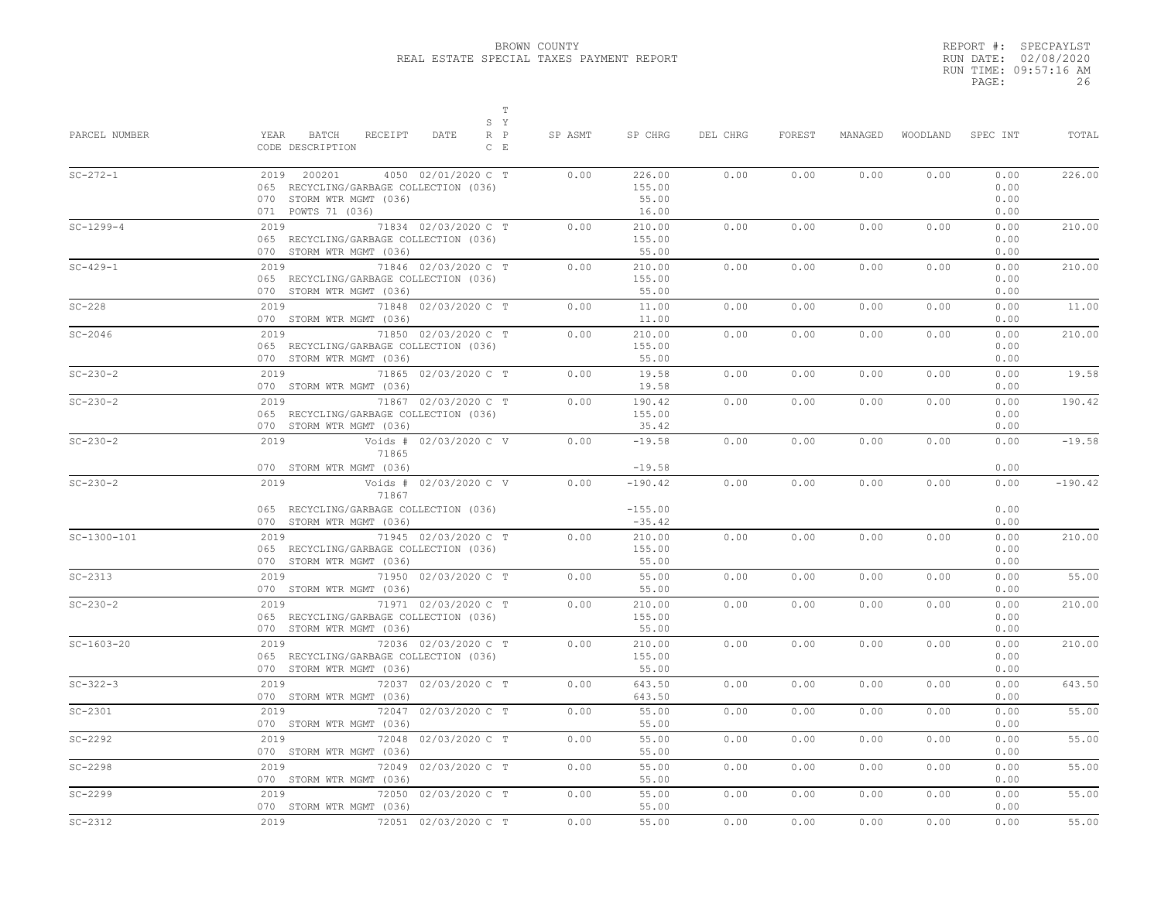|       | REPORT #: SPECPAYLST  |
|-------|-----------------------|
|       | RUN DATE: 02/08/2020  |
|       | RUN TIME: 09:57:16 AM |
| PAGE: | 26                    |

| PARCEL NUMBER  | $\mathbb T$<br>S Y<br>YEAR<br>BATCH<br>RECEIPT<br>DATE<br>$R$ $P$<br>CODE DESCRIPTION<br>$C$ $E$                               | SP ASMT | SP CHRG                            | DEL CHRG | FOREST | MANAGED | WOODLAND | SPEC INT                     | TOTAL     |
|----------------|--------------------------------------------------------------------------------------------------------------------------------|---------|------------------------------------|----------|--------|---------|----------|------------------------------|-----------|
| $SC - 272 - 1$ | 2019 200201<br>4050 02/01/2020 C T<br>065 RECYCLING/GARBAGE COLLECTION (036)<br>070 STORM WTR MGMT (036)<br>071 POWTS 71 (036) | 0.00    | 226.00<br>155.00<br>55.00<br>16.00 | 0.00     | 0.00   | 0.00    | 0.00     | 0.00<br>0.00<br>0.00<br>0.00 | 226.00    |
| $SC-1299-4$    | 71834 02/03/2020 C T<br>2019<br>065 RECYCLING/GARBAGE COLLECTION (036)<br>070 STORM WTR MGMT (036)                             | 0.00    | 210.00<br>155.00<br>55.00          | 0.00     | 0.00   | 0.00    | 0.00     | 0.00<br>0.00<br>0.00         | 210.00    |
| $SC-429-1$     | 71846 02/03/2020 C T<br>2019<br>065 RECYCLING/GARBAGE COLLECTION (036)<br>070 STORM WTR MGMT (036)                             | 0.00    | 210.00<br>155.00<br>55.00          | 0.00     | 0.00   | 0.00    | 0.00     | 0.00<br>0.00<br>0.00         | 210.00    |
| $SC-228$       | 71848 02/03/2020 C T<br>2019<br>070 STORM WTR MGMT (036)                                                                       | 0.00    | 11.00<br>11.00                     | 0.00     | 0.00   | 0.00    | 0.00     | 0.00<br>0.00                 | 11.00     |
| $SC-2046$      | 71850 02/03/2020 C T<br>2019<br>065 RECYCLING/GARBAGE COLLECTION (036)<br>070 STORM WTR MGMT (036)                             | 0.00    | 210.00<br>155.00<br>55.00          | 0.00     | 0.00   | 0.00    | 0.00     | 0.00<br>0.00<br>0.00         | 210.00    |
| $SC - 230 - 2$ | 71865 02/03/2020 C T<br>2019<br>070 STORM WTR MGMT (036)                                                                       | 0.00    | 19.58<br>19.58                     | 0.00     | 0.00   | 0.00    | 0.00     | 0.00<br>0.00                 | 19.58     |
| $SC - 230 - 2$ | 2019<br>71867 02/03/2020 C T<br>065 RECYCLING/GARBAGE COLLECTION (036)<br>070 STORM WTR MGMT (036)                             | 0.00    | 190.42<br>155.00<br>35.42          | 0.00     | 0.00   | 0.00    | 0.00     | 0.00<br>0.00<br>0.00         | 190.42    |
| $SC - 230 - 2$ | 2019<br>Voids # 02/03/2020 C V<br>71865<br>070 STORM WTR MGMT (036)                                                            | 0.00    | $-19.58$<br>$-19.58$               | 0.00     | 0.00   | 0.00    | 0.00     | 0.00<br>0.00                 | $-19.58$  |
| $SC - 230 - 2$ | 2019<br>Voids # 02/03/2020 C V<br>71867<br>065 RECYCLING/GARBAGE COLLECTION (036)<br>070 STORM WTR MGMT (036)                  | 0.00    | $-190.42$<br>$-155.00$<br>$-35.42$ | 0.00     | 0.00   | 0.00    | 0.00     | 0.00<br>0.00<br>0.00         | $-190.42$ |
| $SC-1300-101$  | 71945 02/03/2020 C T<br>2019<br>065 RECYCLING/GARBAGE COLLECTION (036)<br>070 STORM WTR MGMT (036)                             | 0.00    | 210.00<br>155.00<br>55.00          | 0.00     | 0.00   | 0.00    | 0.00     | 0.00<br>0.00<br>0.00         | 210.00    |
| $SC-2313$      | 2019<br>71950 02/03/2020 C T<br>070 STORM WTR MGMT (036)                                                                       | 0.00    | 55.00<br>55.00                     | 0.00     | 0.00   | 0.00    | 0.00     | 0.00<br>0.00                 | 55.00     |
| $SC - 230 - 2$ | 71971 02/03/2020 C T<br>2019<br>065 RECYCLING/GARBAGE COLLECTION (036)<br>070 STORM WTR MGMT (036)                             | 0.00    | 210.00<br>155.00<br>55.00          | 0.00     | 0.00   | 0.00    | 0.00     | 0.00<br>0.00<br>0.00         | 210.00    |
| $SC-1603-20$   | 72036 02/03/2020 C T<br>2019<br>065 RECYCLING/GARBAGE COLLECTION (036)<br>070 STORM WTR MGMT (036)                             | 0.00    | 210.00<br>155.00<br>55.00          | 0.00     | 0.00   | 0.00    | 0.00     | 0.00<br>0.00<br>0.00         | 210.00    |
| $SC - 322 - 3$ | 2019<br>72037 02/03/2020 C T<br>070 STORM WTR MGMT (036)                                                                       | 0.00    | 643.50<br>643.50                   | 0.00     | 0.00   | 0.00    | 0.00     | 0.00<br>0.00                 | 643.50    |
| $SC-2301$      | 2019<br>72047 02/03/2020 C T<br>070 STORM WTR MGMT (036)                                                                       | 0.00    | 55.00<br>55.00                     | 0.00     | 0.00   | 0.00    | 0.00     | 0.00<br>0.00                 | 55.00     |
| $SC-2292$      | 2019<br>72048 02/03/2020 C T<br>070 STORM WTR MGMT (036)                                                                       | 0.00    | 55.00<br>55.00                     | 0.00     | 0.00   | 0.00    | 0.00     | 0.00<br>0.00                 | 55.00     |
| $SC-2298$      | 72049 02/03/2020 C T<br>2019<br>070 STORM WTR MGMT (036)                                                                       | 0.00    | 55.00<br>55.00                     | 0.00     | 0.00   | 0.00    | 0.00     | 0.00<br>0.00                 | 55.00     |
| $SC-2299$      | 2019<br>72050 02/03/2020 C T<br>070 STORM WTR MGMT (036)                                                                       | 0.00    | 55.00<br>55.00                     | 0.00     | 0.00   | 0.00    | 0.00     | 0.00<br>0.00                 | 55.00     |
| $SC-2312$      | 2019<br>72051 02/03/2020 C T                                                                                                   | 0.00    | 55.00                              | 0.00     | 0.00   | 0.00    | 0.00     | 0.00                         | 55.00     |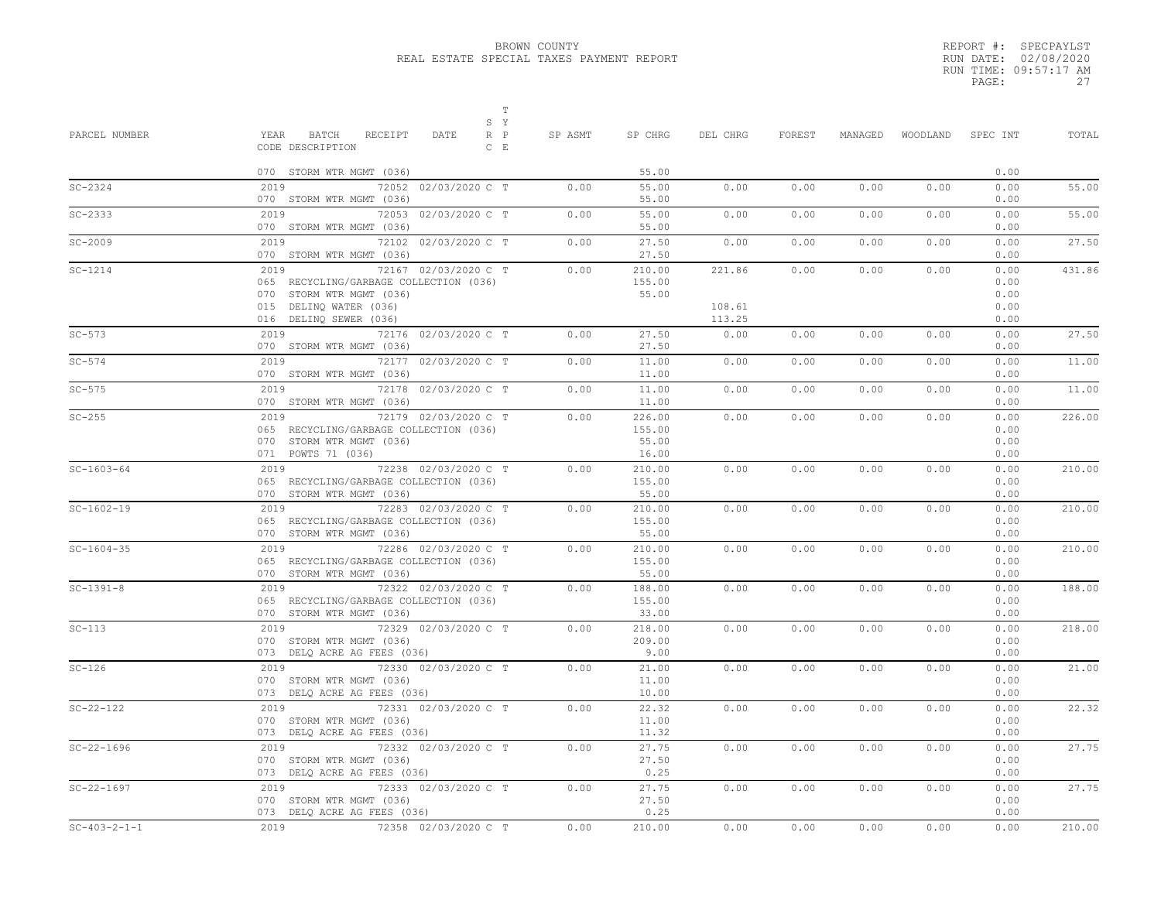|       | REPORT #: SPECPAYLST  |
|-------|-----------------------|
|       | RUN DATE: 02/08/2020  |
|       | RUN TIME: 09:57:17 AM |
| PAGE: | 27                    |

| PARCEL NUMBER    | Т<br>S Y<br>YEAR<br>BATCH<br>RECEIPT<br>DATE<br>$R$ $P$                                                                                                | SP ASMT | SP CHRG                            | DEL CHRG                   | FOREST | MANAGED | WOODLAND | SPEC INT                             | TOTAL  |
|------------------|--------------------------------------------------------------------------------------------------------------------------------------------------------|---------|------------------------------------|----------------------------|--------|---------|----------|--------------------------------------|--------|
|                  | CODE DESCRIPTION<br>$C$ $E$                                                                                                                            |         |                                    |                            |        |         |          |                                      |        |
|                  | 070 STORM WTR MGMT (036)                                                                                                                               |         | 55.00                              |                            |        |         |          | 0.00                                 |        |
| $SC - 2324$      | 2019<br>72052 02/03/2020 C T<br>070 STORM WTR MGMT (036)                                                                                               | 0.00    | 55.00<br>55.00                     | 0.00                       | 0.00   | 0.00    | 0.00     | 0.00<br>0.00                         | 55.00  |
| $SC-2333$        | 72053 02/03/2020 C T<br>2019<br>070 STORM WTR MGMT (036)                                                                                               | 0.00    | 55.00<br>55.00                     | 0.00                       | 0.00   | 0.00    | 0.00     | 0.00<br>0.00                         | 55.00  |
| $SC-2009$        | 2019<br>72102 02/03/2020 C T<br>070 STORM WTR MGMT (036)                                                                                               | 0.00    | 27.50<br>27.50                     | 0.00                       | 0.00   | 0.00    | 0.00     | 0.00<br>0.00                         | 27.50  |
| $SC-1214$        | 72167 02/03/2020 C T<br>2019<br>065 RECYCLING/GARBAGE COLLECTION (036)<br>070 STORM WTR MGMT (036)<br>015 DELINQ WATER (036)<br>016 DELINQ SEWER (036) | 0.00    | 210.00<br>155.00<br>55.00          | 221.86<br>108.61<br>113.25 | 0.00   | 0.00    | 0.00     | 0.00<br>0.00<br>0.00<br>0.00<br>0.00 | 431.86 |
| $SC-573$         | 72176 02/03/2020 C T<br>2019<br>070 STORM WTR MGMT (036)                                                                                               | 0.00    | 27.50<br>27.50                     | 0.00                       | 0.00   | 0.00    | 0.00     | 0.00<br>0.00                         | 27.50  |
| $SC-574$         | 72177 02/03/2020 C T<br>2019<br>070 STORM WTR MGMT (036)                                                                                               | 0.00    | 11.00<br>11.00                     | 0.00                       | 0.00   | 0.00    | 0.00     | 0.00<br>0.00                         | 11.00  |
| $SC-575$         | 2019<br>72178 02/03/2020 C T<br>070 STORM WTR MGMT (036)                                                                                               | 0.00    | 11.00<br>11.00                     | 0.00                       | 0.00   | 0.00    | 0.00     | 0.00<br>0.00                         | 11.00  |
| $SC-255$         | 72179 02/03/2020 C T<br>2019<br>065 RECYCLING/GARBAGE COLLECTION (036)<br>070 STORM WTR MGMT (036)<br>071 POWTS 71 (036)                               | 0.00    | 226.00<br>155.00<br>55.00<br>16.00 | 0.00                       | 0.00   | 0.00    | 0.00     | 0.00<br>0.00<br>0.00<br>0.00         | 226.00 |
| $SC-1603-64$     | 72238 02/03/2020 C T<br>2019<br>065 RECYCLING/GARBAGE COLLECTION (036)<br>070 STORM WTR MGMT (036)                                                     | 0.00    | 210.00<br>155.00<br>55.00          | 0.00                       | 0.00   | 0.00    | 0.00     | 0.00<br>0.00<br>0.00                 | 210.00 |
| $SC-1602-19$     | 2019<br>72283 02/03/2020 C T<br>065 RECYCLING/GARBAGE COLLECTION (036)<br>070 STORM WTR MGMT (036)                                                     | 0.00    | 210.00<br>155.00<br>55.00          | 0.00                       | 0.00   | 0.00    | 0.00     | 0.00<br>0.00<br>0.00                 | 210.00 |
| $SC-1604-35$     | 72286 02/03/2020 C T<br>2019<br>065 RECYCLING/GARBAGE COLLECTION (036)<br>070 STORM WTR MGMT (036)                                                     | 0.00    | 210.00<br>155.00<br>55.00          | 0.00                       | 0.00   | 0.00    | 0.00     | 0.00<br>0.00<br>0.00                 | 210.00 |
| $SC-1391-8$      | 72322 02/03/2020 C T<br>2019<br>065 RECYCLING/GARBAGE COLLECTION (036)<br>070 STORM WTR MGMT (036)                                                     | 0.00    | 188.00<br>155.00<br>33.00          | 0.00                       | 0.00   | 0.00    | 0.00     | 0.00<br>0.00<br>0.00                 | 188.00 |
| $SC-113$         | 2019<br>72329 02/03/2020 C T<br>070 STORM WTR MGMT (036)<br>073 DELQ ACRE AG FEES (036)                                                                | 0.00    | 218.00<br>209.00<br>9.00           | 0.00                       | 0.00   | 0.00    | 0.00     | 0.00<br>0.00<br>0.00                 | 218.00 |
| $SC-126$         | 2019<br>72330 02/03/2020 C T<br>070 STORM WTR MGMT (036)<br>073 DELQ ACRE AG FEES (036)                                                                | 0.00    | 21.00<br>11.00<br>10.00            | 0.00                       | 0.00   | 0.00    | 0.00     | 0.00<br>0.00<br>0.00                 | 21.00  |
| $SC - 22 - 122$  | 72331 02/03/2020 C T<br>2019<br>070 STORM WTR MGMT (036)<br>073 DELQ ACRE AG FEES (036)                                                                | 0.00    | 22.32<br>11.00<br>11.32            | 0.00                       | 0.00   | 0.00    | 0.00     | 0.00<br>0.00<br>0.00                 | 22.32  |
| $SC - 22 - 1696$ | 72332 02/03/2020 C T<br>2019<br>070 STORM WTR MGMT (036)<br>073 DELQ ACRE AG FEES (036)                                                                | 0.00    | 27.75<br>27.50<br>0.25             | 0.00                       | 0.00   | 0.00    | 0.00     | 0.00<br>0.00<br>0.00                 | 27.75  |
| $SC-22-1697$     | 72333 02/03/2020 C T<br>2019<br>070 STORM WTR MGMT (036)<br>073 DELQ ACRE AG FEES (036)                                                                | 0.00    | 27.75<br>27.50<br>0.25             | 0.00                       | 0.00   | 0.00    | 0.00     | 0.00<br>0.00<br>0.00                 | 27.75  |
| $SC-403-2-1-1$   | 72358 02/03/2020 C T<br>2019                                                                                                                           | 0.00    | 210.00                             | 0.00                       | 0.00   | 0.00    | 0.00     | 0.00                                 | 210.00 |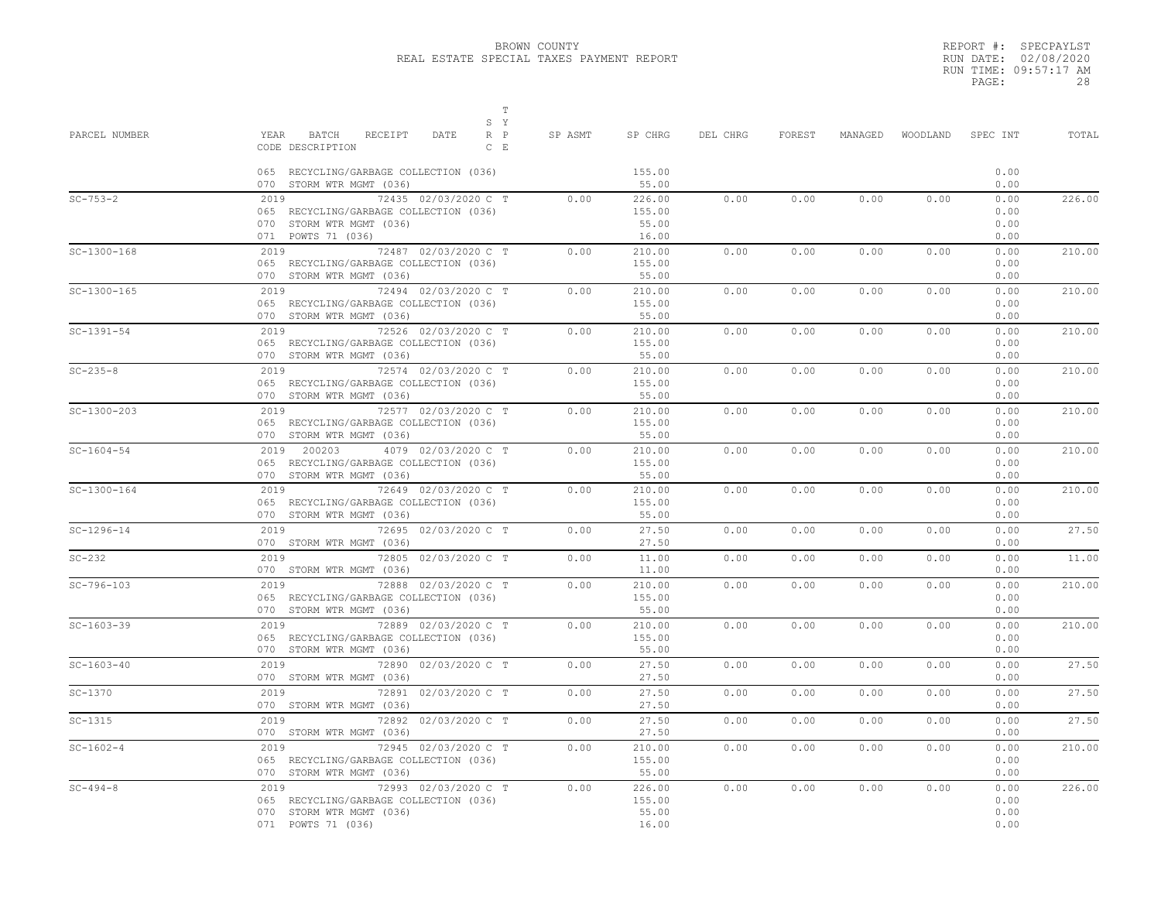|       | REPORT #: SPECPAYLST  |
|-------|-----------------------|
|       | RUN DATE: 02/08/2020  |
|       | RUN TIME: 09:57:17 AM |
| PAGE: | 28                    |

| PARCEL NUMBER    | $\mathbb T$<br>S Y<br>YEAR BATCH<br>RECEIPT<br>DATE<br>$R$ $P$<br>CODE DESCRIPTION<br>$C$ $E$<br>065 RECYCLING/GARBAGE COLLECTION (036)              | SP ASMT | SP CHRG<br>155.00<br>55.00         | DEL CHRG | FOREST | MANAGED |      | WOODLAND SPEC INT<br>0.00<br>0.00 | TOTAL  |
|------------------|------------------------------------------------------------------------------------------------------------------------------------------------------|---------|------------------------------------|----------|--------|---------|------|-----------------------------------|--------|
| $SC - 753 - 2$   | 070 STORM WTR MGMT (036)<br>72435 02/03/2020 C T<br>2019<br>065 RECYCLING/GARBAGE COLLECTION (036)<br>070 STORM WTR MGMT (036)<br>071 POWTS 71 (036) | 0.00    | 226.00<br>155.00<br>55.00<br>16.00 | 0.00     | 0.00   | 0.00    | 0.00 | 0.00<br>0.00<br>0.00<br>0.00      | 226.00 |
| $SC-1300-168$    | 2019 72487 02/03/2020 C T<br>065 RECYCLING/GARBAGE COLLECTION (036)<br>070 STORM WTR MGMT (036)                                                      | 0.00    | 210.00<br>155.00<br>55.00          | 0.00     | 0.00   | 0.00    | 0.00 | 0.00<br>0.00<br>0.00              | 210.00 |
| $SC-1300-165$    | 72494 02/03/2020 C T<br>2019<br>065 RECYCLING/GARBAGE COLLECTION (036)<br>070 STORM WTR MGMT (036)                                                   | 0.00    | 210.00<br>155.00<br>55.00          | 0.00     | 0.00   | 0.00    | 0.00 | 0.00<br>0.00<br>0.00              | 210.00 |
| $SC-1391-54$     | 2019<br>72526 02/03/2020 C T<br>065 RECYCLING/GARBAGE COLLECTION (036)<br>070 STORM WTR MGMT (036)                                                   | 0.00    | 210.00<br>155.00<br>55.00          | 0.00     | 0.00   | 0.00    | 0.00 | 0.00<br>0.00<br>0.00              | 210.00 |
| $SC - 235 - 8$   | 72574 02/03/2020 C T<br>2019<br>065 RECYCLING/GARBAGE COLLECTION (036)<br>070 STORM WTR MGMT (036)                                                   | 0.00    | 210.00<br>155.00<br>55.00          | 0.00     | 0.00   | 0.00    | 0.00 | 0.00<br>0.00<br>0.00              | 210.00 |
| $SC-1300-203$    | 72577 02/03/2020 C T<br>2019<br>065 RECYCLING/GARBAGE COLLECTION (036)<br>070 STORM WTR MGMT (036)                                                   | 0.00    | 210.00<br>155.00<br>55.00          | 0.00     | 0.00   | 0.00    | 0.00 | 0.00<br>0.00<br>0.00              | 210.00 |
| $SC - 1604 - 54$ | 2019 200203<br>4079 02/03/2020 C T<br>065 RECYCLING/GARBAGE COLLECTION (036)<br>070 STORM WTR MGMT (036)                                             | 0.00    | 210.00<br>155.00<br>55.00          | 0.00     | 0.00   | 0.00    | 0.00 | 0.00<br>0.00<br>0.00              | 210.00 |
| $SC-1300-164$    | 72649 02/03/2020 C T<br>2019<br>065 RECYCLING/GARBAGE COLLECTION (036)<br>070 STORM WTR MGMT (036)                                                   | 0.00    | 210.00<br>155.00<br>55.00          | 0.00     | 0.00   | 0.00    | 0.00 | 0.00<br>0.00<br>0.00              | 210.00 |
| $SC-1296-14$     | 2019 72695 02/03/2020 C T<br>070 STORM WTR MGMT (036)                                                                                                | 0.00    | 27.50<br>27.50                     | 0.00     | 0.00   | 0.00    | 0.00 | 0.00<br>0.00                      | 27.50  |
| $SC-232$         | 2019 72805 02/03/2020 C T<br>070 STORM WTR MGMT (036)                                                                                                | 0.00    | 11.00<br>11.00                     | 0.00     | 0.00   | 0.00    | 0.00 | 0.00<br>0.00                      | 11.00  |
| $SC-796-103$     | 72888 02/03/2020 C T<br>2019<br>065 RECYCLING/GARBAGE COLLECTION (036)<br>070 STORM WTR MGMT (036)                                                   | 0.00    | 210.00<br>155.00<br>55.00          | 0.00     | 0.00   | 0.00    | 0.00 | 0.00<br>0.00<br>0.00              | 210.00 |
| $SC-1603-39$     | 72889 02/03/2020 C T<br>2019<br>065 RECYCLING/GARBAGE COLLECTION (036)<br>070 STORM WTR MGMT (036)                                                   | 0.00    | 210.00<br>155.00<br>55.00          | 0.00     | 0.00   | 0.00    | 0.00 | 0.00<br>0.00<br>0.00              | 210.00 |
| $SC-1603-40$     | 2019 72<br>72890 02/03/2020 C T<br>070 STORM WTR MGMT (036)                                                                                          | 0.00    | 27.50<br>27.50                     | 0.00     | 0.00   | 0.00    | 0.00 | 0.00<br>0.00                      | 27.50  |
| $SC-1370$        | 2019 7<br>72891 02/03/2020 C T<br>070 STORM WTR MGMT (036)                                                                                           | 0.00    | 27.50<br>27.50                     | 0.00     | 0.00   | 0.00    | 0.00 | 0.00<br>0.00                      | 27.50  |
| $SC-1315$        | 72892 02/03/2020 C T<br>2019<br>070 STORM WTR MGMT (036)                                                                                             | 0.00    | 27.50<br>27.50                     | 0.00     | 0.00   | 0.00    | 0.00 | 0.00<br>0.00                      | 27.50  |
| $SC-1602-4$      | 2019 7<br>72945 02/03/2020 C T<br>065 RECYCLING/GARBAGE COLLECTION (036)<br>070 STORM WTR MGMT (036)                                                 | 0.00    | 210.00<br>155.00<br>55.00          | 0.00     | 0.00   | 0.00    | 0.00 | 0.00<br>0.00<br>0.00              | 210.00 |
| $SC - 494 - 8$   | 2019<br>72993 02/03/2020 C T<br>065 RECYCLING/GARBAGE COLLECTION (036)<br>070 STORM WTR MGMT (036)<br>071 POWTS 71 (036)                             | 0.00    | 226.00<br>155.00<br>55.00<br>16.00 | 0.00     | 0.00   | 0.00    | 0.00 | 0.00<br>0.00<br>0.00<br>0.00      | 226.00 |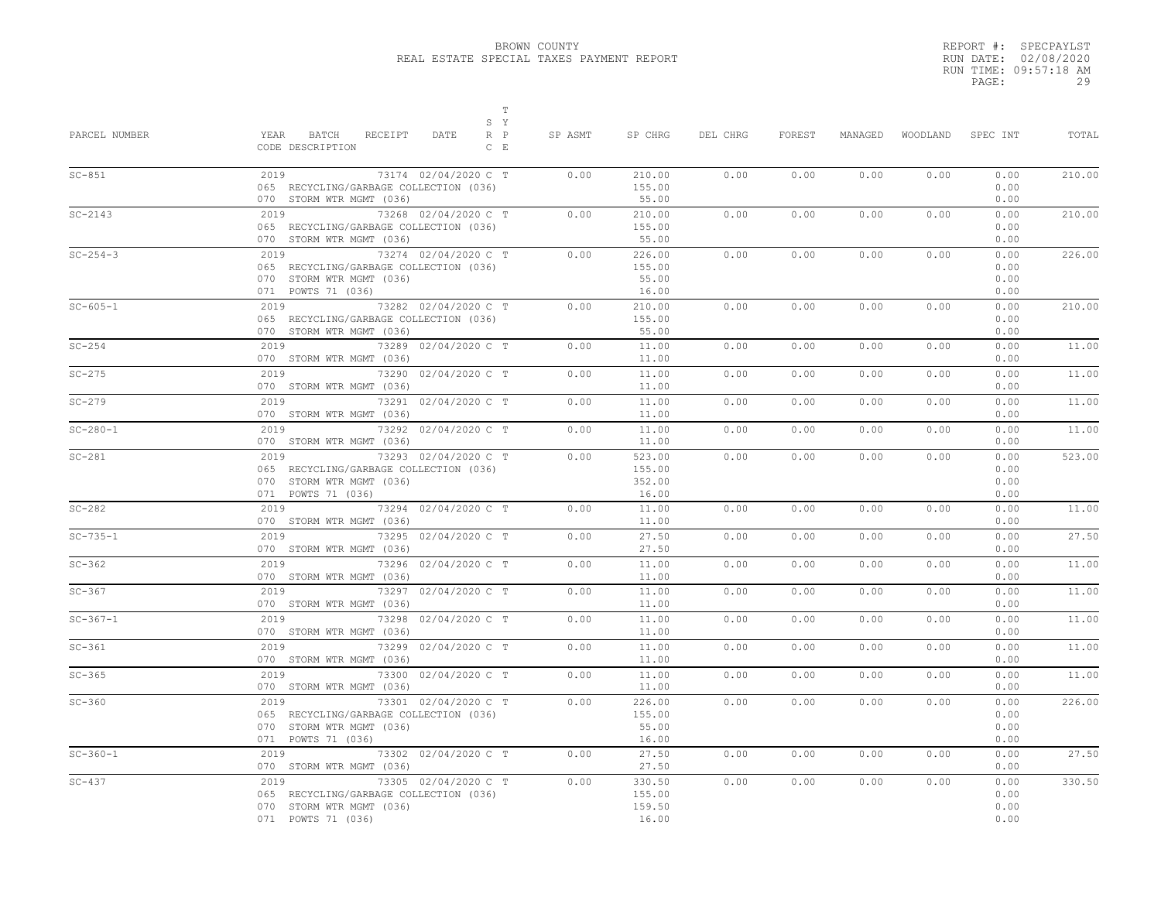T<sub>2</sub> T<sub>2</sub>

|       | REPORT #: SPECPAYLST  |
|-------|-----------------------|
|       | RUN DATE: 02/08/2020  |
|       | RUN TIME: 09:57:18 AM |
| PAGE: | 29                    |

| PARCEL NUMBER  | S Y<br>YEAR BATCH RECEIPT<br>DATE<br>$R$ $P$<br>CODE DESCRIPTION<br>$C$ E                                                | SP ASMT | SP CHRG                             | DEL CHRG | FOREST |      | MANAGED WOODLAND SPEC INT |                              | TOTAL  |
|----------------|--------------------------------------------------------------------------------------------------------------------------|---------|-------------------------------------|----------|--------|------|---------------------------|------------------------------|--------|
| $SC-851$       | 73174 02/04/2020 C T<br>2019<br>065 RECYCLING/GARBAGE COLLECTION (036)<br>070 STORM WTR MGMT (036)                       | 0.00    | 210.00<br>155.00<br>55.00           | 0.00     | 0.00   | 0.00 | 0.00                      | 0.00<br>0.00<br>0.00         | 210.00 |
| $SC-2143$      | 2019<br>73268 02/04/2020 C T<br>065 RECYCLING/GARBAGE COLLECTION (036)<br>070 STORM WTR MGMT (036)                       | 0.00    | 210.00<br>155.00<br>55.00           | 0.00     | 0.00   | 0.00 | 0.00                      | 0.00<br>0.00<br>0.00         | 210.00 |
| $SC - 254 - 3$ | 2019 73274 02/04/2020 C T<br>065 RECYCLING/GARBAGE COLLECTION (036)<br>070 STORM WTR MGMT (036)<br>071 POWTS 71 (036)    | 0.00    | 226.00<br>155.00<br>55.00<br>16.00  | 0.00     | 0.00   | 0.00 | 0.00                      | 0.00<br>0.00<br>0.00<br>0.00 | 226.00 |
| $SC - 605 - 1$ | 2019 73282 02/04/2020 C T<br>065 RECYCLING/GARBAGE COLLECTION (036)<br>070 STORM WTR MGMT (036)                          | 0.00    | 210.00<br>155.00<br>55.00           | 0.00     | 0.00   | 0.00 | 0.00                      | 0.00<br>0.00<br>0.00         | 210.00 |
| $SC-254$       | 2019<br>73289 02/04/2020 C T<br>070 STORM WTR MGMT (036)                                                                 | 0.00    | 11.00<br>11.00                      | 0.00     | 0.00   | 0.00 | 0.00                      | 0.00<br>0.00                 | 11.00  |
| $SC-275$       | 2019<br>73290 02/04/2020 C T<br>070 STORM WTR MGMT (036)                                                                 | 0.00    | 11.00<br>11.00                      | 0.00     | 0.00   | 0.00 | 0.00                      | 0.00<br>0.00                 | 11.00  |
| $SC-279$       | 2019<br>73291 02/04/2020 C T<br>070 STORM WTR MGMT (036)                                                                 | 0.00    | 11.00<br>11.00                      | 0.00     | 0.00   | 0.00 | 0.00                      | 0.00<br>0.00                 | 11.00  |
| $SC - 280 - 1$ | 2019<br>73292 02/04/2020 C T<br>070 STORM WTR MGMT (036)                                                                 | 0.00    | 11.00<br>11.00                      | 0.00     | 0.00   | 0.00 | 0.00                      | 0.00<br>0.00                 | 11.00  |
| $SC-281$       | 2019<br>73293 02/04/2020 C T<br>065 RECYCLING/GARBAGE COLLECTION (036)<br>070 STORM WTR MGMT (036)<br>071 POWTS 71 (036) | 0.00    | 523.00<br>155.00<br>352.00<br>16.00 | 0.00     | 0.00   | 0.00 | 0.00                      | 0.00<br>0.00<br>0.00<br>0.00 | 523.00 |
| $SC-282$       | 2019<br>73294 02/04/2020 C T<br>070 STORM WTR MGMT (036)                                                                 | 0.00    | 11.00<br>11.00                      | 0.00     | 0.00   | 0.00 | 0.00                      | 0.00<br>0.00                 | 11.00  |
| $SC - 735 - 1$ | 2019<br>73295 02/04/2020 C T<br>070 STORM WTR MGMT (036)                                                                 | 0.00    | 27.50<br>27.50                      | 0.00     | 0.00   | 0.00 | 0.00                      | 0.00<br>0.00                 | 27.50  |
| $SC-362$       | $\frac{1}{2019}$<br>73296 02/04/2020 C T<br>070 STORM WTR MGMT (036)                                                     | 0.00    | 11.00<br>11.00                      | 0.00     | 0.00   | 0.00 | 0.00                      | 0.00<br>0.00                 | 11.00  |
| $SC-367$       | 2019<br>73297 02/04/2020 C T<br>070 STORM WTR MGMT (036)                                                                 | 0.00    | 11.00<br>11.00                      | 0.00     | 0.00   | 0.00 | 0.00                      | 0.00<br>0.00                 | 11.00  |
| $SC - 367 - 1$ | 2019<br>73298 02/04/2020 C T<br>070 STORM WTR MGMT (036)                                                                 | 0.00    | 11.00<br>11.00                      | 0.00     | 0.00   | 0.00 | 0.00                      | 0.00<br>0.00                 | 11.00  |
| $SC-361$       | $2019$<br>73299 02/04/2020 C T<br>070 STORM WTR MGMT (036)                                                               | 0.00    | 11.00<br>11.00                      | 0.00     | 0.00   | 0.00 | 0.00                      | 0.00<br>0.00                 | 11.00  |
| $SC-365$       | 73300 02/04/2020 C T<br>2019<br>070 STORM WTR MGMT (036)                                                                 | 0.00    | 11.00<br>11.00                      | 0.00     | 0.00   | 0.00 | 0.00                      | 0.00<br>0.00                 | 11.00  |
| $SC-360$       | 2019<br>73301 02/04/2020 C T<br>065 RECYCLING/GARBAGE COLLECTION (036)<br>070 STORM WTR MGMT (036)<br>071 POWTS 71 (036) | 0.00    | 226.00<br>155.00<br>55.00<br>16.00  | 0.00     | 0.00   | 0.00 | 0.00                      | 0.00<br>0.00<br>0.00<br>0.00 | 226.00 |
| $SC - 360 - 1$ | $2019$<br>73302 02/04/2020 C T<br>070 STORM WTR MGMT (036)                                                               | 0.00    | 27.50<br>27.50                      | 0.00     | 0.00   | 0.00 | 0.00                      | 0.00<br>0.00                 | 27.50  |
| $SC-437$       | 2019 73305 02/04/2020 C T<br>065 RECYCLING/GARBAGE COLLECTION (036)<br>070 STORM WTR MGMT (036)<br>071 POWTS 71 (036)    | 0.00    | 330.50<br>155.00<br>159.50<br>16.00 | 0.00     | 0.00   | 0.00 | 0.00                      | 0.00<br>0.00<br>0.00<br>0.00 | 330.50 |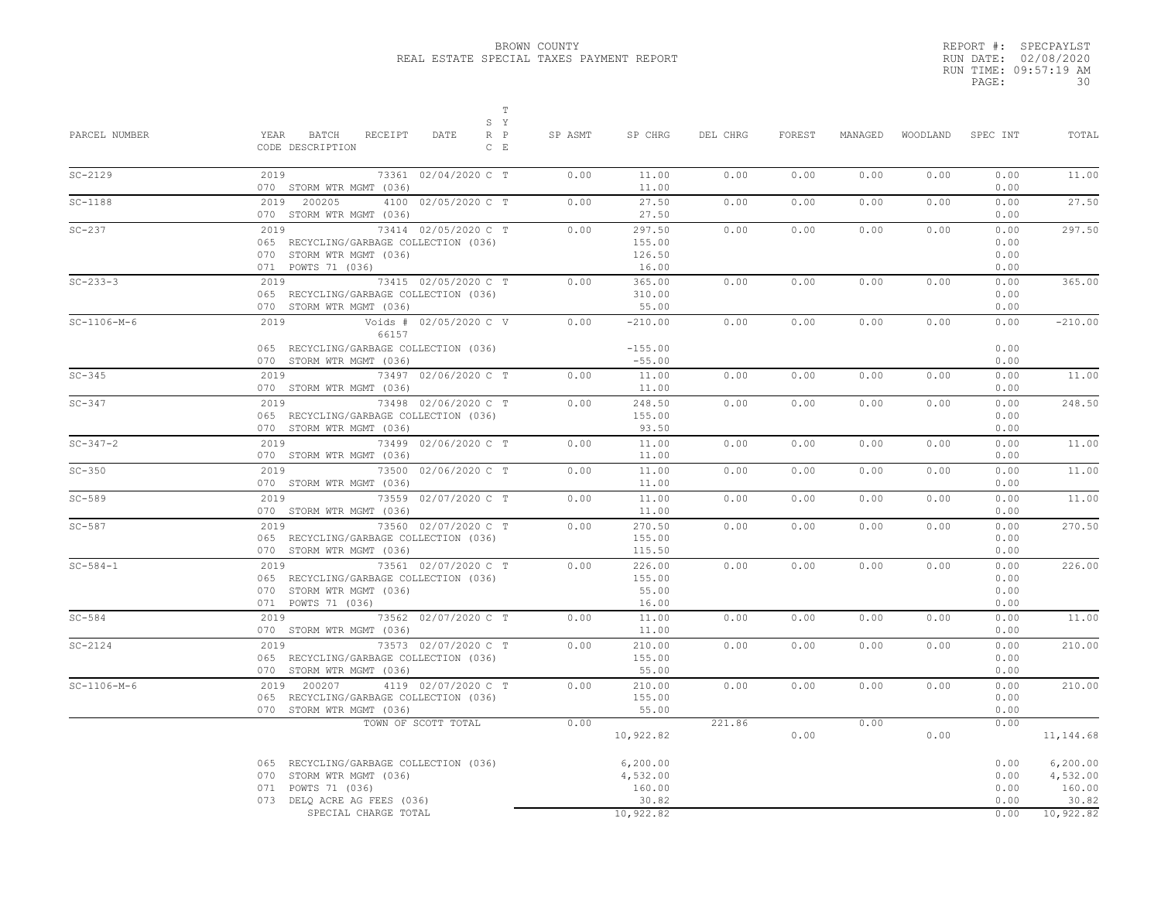|       | REPORT #: SPECPAYLST  |
|-------|-----------------------|
|       | RUN DATE: 02/08/2020  |
|       | RUN TIME: 09:57:19 AM |
| PAGE: | 30                    |

| PARCEL NUMBER  | $\mathbb T$<br>S Y<br>YEAR<br>BATCH<br>RECEIPT<br>$R$ $P$<br>DATE<br>CODE DESCRIPTION<br>$C$ $E$                         | SP ASMT | SP CHRG                                  | DEL CHRG | FOREST | MANAGED |      | WOODLAND SPEC INT            | TOTAL                                    |
|----------------|--------------------------------------------------------------------------------------------------------------------------|---------|------------------------------------------|----------|--------|---------|------|------------------------------|------------------------------------------|
| $SC-2129$      | 2019<br>73361 02/04/2020 C T<br>070 STORM WTR MGMT (036)                                                                 | 0.00    | 11.00<br>11.00                           | 0.00     | 0.00   | 0.00    | 0.00 | 0.00<br>0.00                 | 11.00                                    |
| $SC-1188$      | 2019 200205<br>4100 02/05/2020 C T<br>070 STORM WTR MGMT (036)                                                           | 0.00    | 27.50<br>27.50                           | 0.00     | 0.00   | 0.00    | 0.00 | 0.00<br>0.00                 | 27.50                                    |
| $SC-237$       | 73414 02/05/2020 C T<br>2019<br>065 RECYCLING/GARBAGE COLLECTION (036)<br>070 STORM WTR MGMT (036)<br>071 POWTS 71 (036) | 0.00    | 297.50<br>155.00<br>126.50<br>16.00      | 0.00     | 0.00   | 0.00    | 0.00 | 0.00<br>0.00<br>0.00<br>0.00 | 297.50                                   |
| $SC - 233 - 3$ | 2019<br>73415 02/05/2020 C T<br>065 RECYCLING/GARBAGE COLLECTION (036)<br>070 STORM WTR MGMT (036)                       | 0.00    | 365.00<br>310.00<br>55.00                | 0.00     | 0.00   | 0.00    | 0.00 | 0.00<br>0.00<br>0.00         | 365.00                                   |
| $SC-1106-M-6$  | Voids # 02/05/2020 C V<br>2019<br>66157<br>065 RECYCLING/GARBAGE COLLECTION (036)<br>070 STORM WTR MGMT (036)            | 0.00    | $-210.00$<br>$-155.00$<br>$-55.00$       | 0.00     | 0.00   | 0.00    | 0.00 | 0.00<br>0.00<br>0.00         | $-210.00$                                |
| $SC-345$       | 73497 02/06/2020 C T<br>2019 7<br>070 STORM WTR MGMT (036)                                                               | 0.00    | 11.00<br>11.00                           | 0.00     | 0.00   | 0.00    | 0.00 | 0.00<br>0.00                 | 11.00                                    |
| $SC-347$       | 73498 02/06/2020 C T<br>2019<br>065 RECYCLING/GARBAGE COLLECTION (036)<br>070 STORM WTR MGMT (036)                       | 0.00    | 248.50<br>155.00<br>93.50                | 0.00     | 0.00   | 0.00    | 0.00 | 0.00<br>0.00<br>0.00         | 248.50                                   |
| $SC - 347 - 2$ | 2019<br>73499 02/06/2020 C T<br>070 STORM WTR MGMT (036)                                                                 | 0.00    | 11.00<br>11.00                           | 0.00     | 0.00   | 0.00    | 0.00 | 0.00<br>0.00                 | 11.00                                    |
| $SC-350$       | 73500 02/06/2020 C T<br>2019<br>070 STORM WTR MGMT (036)                                                                 | 0.00    | 11.00<br>11.00                           | 0.00     | 0.00   | 0.00    | 0.00 | 0.00<br>0.00                 | 11.00                                    |
| $SC-589$       | 2019 2012<br>73559 02/07/2020 C T<br>070 STORM WTR MGMT (036)                                                            | 0.00    | 11.00<br>11.00                           | 0.00     | 0.00   | 0.00    | 0.00 | 0.00<br>0.00                 | 11.00                                    |
| $SC-587$       | 73560 02/07/2020 C T<br>2019<br>065 RECYCLING/GARBAGE COLLECTION (036)<br>070 STORM WTR MGMT (036)                       | 0.00    | 270.50<br>155.00<br>115.50               | 0.00     | 0.00   | 0.00    | 0.00 | 0.00<br>0.00<br>0.00         | 270.50                                   |
| $SC - 584 - 1$ | 73561 02/07/2020 C T<br>2019<br>065 RECYCLING/GARBAGE COLLECTION (036)<br>070 STORM WTR MGMT (036)<br>071 POWTS 71 (036) | 0.00    | 226.00<br>155.00<br>55.00<br>16.00       | 0.00     | 0.00   | 0.00    | 0.00 | 0.00<br>0.00<br>0.00<br>0.00 | 226.00                                   |
| $SC-584$       | 2019<br>73562 02/07/2020 C T<br>070 STORM WTR MGMT (036)                                                                 | 0.00    | 11.00<br>11.00                           | 0.00     | 0.00   | 0.00    | 0.00 | 0.00<br>0.00                 | 11.00                                    |
| $SC-2124$      | 2019<br>73573 02/07/2020 C T<br>065 RECYCLING/GARBAGE COLLECTION (036)<br>070 STORM WTR MGMT (036)                       | 0.00    | 210.00<br>155.00<br>55.00                | 0.00     | 0.00   | 0.00    | 0.00 | 0.00<br>0.00<br>0.00         | 210.00                                   |
| $SC-1106-M-6$  | 2019 200207<br>4119 02/07/2020 C T<br>065 RECYCLING/GARBAGE COLLECTION (036)<br>070 STORM WTR MGMT (036)                 | 0.00    | 210.00<br>155.00<br>55.00                | 0.00     | 0.00   | 0.00    | 0.00 | 0.00<br>0.00<br>0.00         | 210.00                                   |
|                | TOWN OF SCOTT TOTAL                                                                                                      | 0.00    | 10,922.82                                | 221.86   | 0.00   | 0.00    | 0.00 | 0.00                         | 11, 144.68                               |
|                | 065 RECYCLING/GARBAGE COLLECTION (036)<br>070 STORM WTR MGMT (036)<br>071 POWTS 71 (036)<br>073 DELQ ACRE AG FEES (036)  |         | 6, 200.00<br>4,532.00<br>160.00<br>30.82 |          |        |         |      | 0.00<br>0.00<br>0.00<br>0.00 | 6, 200.00<br>4,532.00<br>160.00<br>30.82 |
|                | SPECIAL CHARGE TOTAL                                                                                                     |         | 10,922.82                                |          |        |         |      | 0.00                         | 10,922.82                                |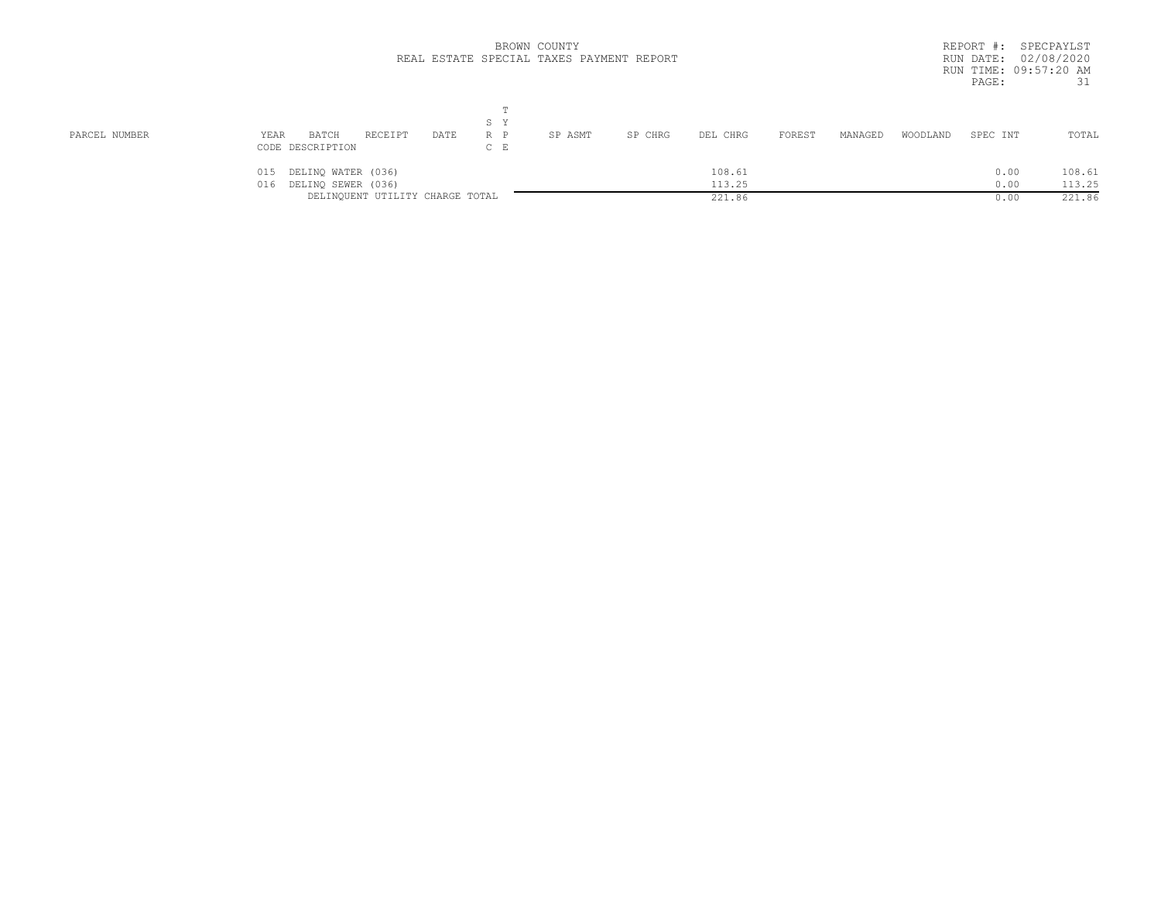|               |                                                                                           | BROWN COUNTY<br>REAL ESTATE SPECIAL TAXES PAYMENT REPORT | REPORT #: SPECPAYLST<br>RUN DATE: 02/08/2020<br>RUN TIME: 09:57:20 AM<br>31<br>PAGE: |
|---------------|-------------------------------------------------------------------------------------------|----------------------------------------------------------|--------------------------------------------------------------------------------------|
| PARCEL NUMBER | S Y<br>R P<br>YEAR<br>RECEIPT<br>BATCH<br>DATE<br>$C$ E<br>CODE DESCRIPTION               | FOREST<br>SP ASMT<br>SP CHRG<br>MANAGED<br>DEL CHRG      | TOTAL<br>WOODLAND<br>SPEC INT                                                        |
|               | DELINQ WATER (036)<br>015<br>DELINQ SEWER (036)<br>016<br>DELINQUENT UTILITY CHARGE TOTAL | 108.61<br>113.25<br>221.86                               | 108.61<br>0.00<br>113.25<br>0.00<br>221.86<br>0.00                                   |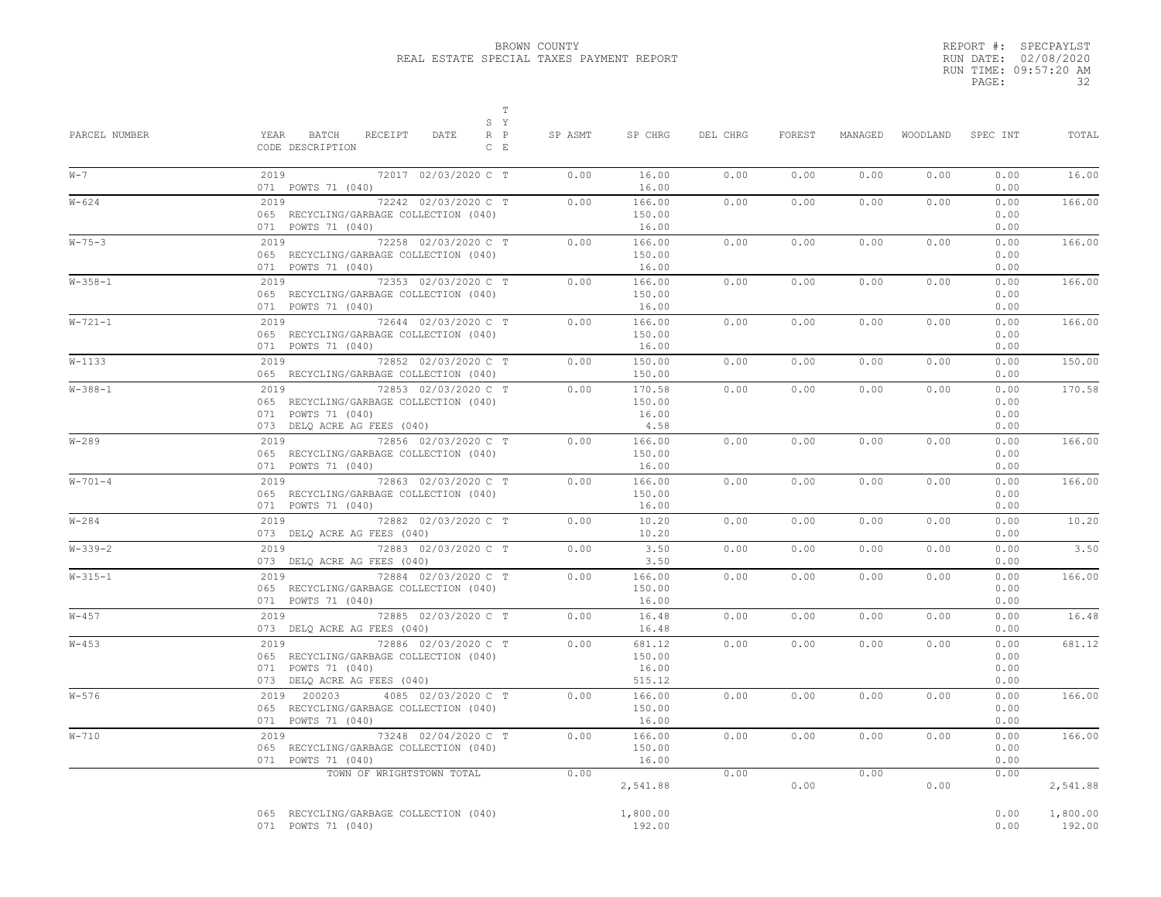|       | REPORT #: SPECPAYLST  |
|-------|-----------------------|
|       | RUN DATE: 02/08/2020  |
|       | RUN TIME: 09:57:20 AM |
| PAGE: | 32                    |

| PARCEL NUMBER | T<br>S Y<br>YEAR<br>BATCH<br>RECEIPT<br>DATE<br>$R$ $P$<br>CODE DESCRIPTION<br>$C$ $E$                                      | SP ASMT | SP CHRG                             | DEL CHRG | FOREST | MANAGED | WOODLAND SPEC INT |                              | TOTAL              |
|---------------|-----------------------------------------------------------------------------------------------------------------------------|---------|-------------------------------------|----------|--------|---------|-------------------|------------------------------|--------------------|
| $W - 7$       | 2019<br>72017 02/03/2020 C T<br>071 POWTS 71 (040)                                                                          | 0.00    | 16.00<br>16.00                      | 0.00     | 0.00   | 0.00    | 0.00              | 0.00<br>0.00                 | 16.00              |
| $W - 624$     | 2019 72<br>72242 02/03/2020 C T<br>065 RECYCLING/GARBAGE COLLECTION (040)<br>071 POWTS 71 (040)                             | 0.00    | 166.00<br>150.00<br>16.00           | 0.00     | 0.00   | 0.00    | 0.00              | 0.00<br>0.00<br>0.00         | 166.00             |
| $W - 75 - 3$  | 2019 7<br>72258 02/03/2020 C T<br>065 RECYCLING/GARBAGE COLLECTION (040)<br>071 POWTS 71 (040)                              | 0.00    | 166.00<br>150.00<br>16.00           | 0.00     | 0.00   | 0.00    | 0.00              | 0.00<br>0.00<br>0.00         | 166.00             |
| $W - 358 - 1$ | 2019 7<br>72353 02/03/2020 C T<br>065 RECYCLING/GARBAGE COLLECTION (040)<br>071 POWTS 71 (040)                              | 0.00    | 166.00<br>150.00<br>16.00           | 0.00     | 0.00   | 0.00    | 0.00              | 0.00<br>0.00<br>0.00         | 166.00             |
| $W - 721 - 1$ | $2019$<br>72644 02/03/2020 C T<br>065 RECYCLING/GARBAGE COLLECTION (040)<br>071 POWTS 71 (040)                              | 0.00    | 166.00<br>150.00<br>16.00           | 0.00     | 0.00   | 0.00    | 0.00              | 0.00<br>0.00<br>0.00         | 166.00             |
| $W - 1133$    | 2019<br>72852 02/03/2020 C T<br>065 RECYCLING/GARBAGE COLLECTION (040)                                                      | 0.00    | 150.00<br>150.00                    | 0.00     | 0.00   | 0.00    | 0.00              | 0.00<br>0.00                 | 150.00             |
| $W - 388 - 1$ | 2019<br>72853 02/03/2020 C T<br>065 RECYCLING/GARBAGE COLLECTION (040)<br>071 POWTS 71 (040)<br>073 DELQ ACRE AG FEES (040) | 0.00    | 170.58<br>150.00<br>16.00<br>4.58   | 0.00     | 0.00   | 0.00    | 0.00              | 0.00<br>0.00<br>0.00<br>0.00 | 170.58             |
| $W - 289$     | 2019 72856 02/03/2020 C T<br>065 RECYCLING/GARBAGE COLLECTION (040)<br>071 POWTS 71 (040)                                   | 0.00    | 166.00<br>150.00<br>16.00           | 0.00     | 0.00   | 0.00    | 0.00              | 0.00<br>0.00<br>0.00         | 166.00             |
| $W - 701 - 4$ | 2019 72863 02/03/2020 C T<br>065 RECYCLING/GARBAGE COLLECTION (040)<br>071 POWTS 71 (040)                                   | 0.00    | 166.00<br>150.00<br>16.00           | 0.00     | 0.00   | 0.00    | 0.00              | 0.00<br>0.00<br>0.00         | 166.00             |
| $W - 284$     | 2019<br>72882 02/03/2020 C T<br>073 DELQ ACRE AG FEES (040)                                                                 | 0.00    | 10.20<br>10.20                      | 0.00     | 0.00   | 0.00    | 0.00              | 0.00<br>0.00                 | 10.20              |
| $W - 339 - 2$ | 2019<br>72883 02/03/2020 C T<br>073 DELQ ACRE AG FEES (040)                                                                 | 0.00    | 3.50<br>3.50                        | 0.00     | 0.00   | 0.00    | 0.00              | 0.00<br>0.00                 | 3.50               |
| $W - 315 - 1$ | $2019$<br>72884 02/03/2020 C T<br>065 RECYCLING/GARBAGE COLLECTION (040)<br>071 POWTS 71 (040)                              | 0.00    | 166.00<br>150.00<br>16.00           | 0.00     | 0.00   | 0.00    | 0.00              | 0.00<br>0.00<br>0.00         | 166.00             |
| $W - 457$     | 2019<br>72885 02/03/2020 C T<br>073 DELQ ACRE AG FEES (040)                                                                 | 0.00    | 16.48<br>16.48                      | 0.00     | 0.00   | 0.00    | 0.00              | 0.00<br>0.00                 | 16.48              |
| $W - 453$     | 72886 02/03/2020 C T<br>2019<br>065 RECYCLING/GARBAGE COLLECTION (040)<br>071 POWTS 71 (040)<br>073 DELQ ACRE AG FEES (040) | 0.00    | 681.12<br>150.00<br>16.00<br>515.12 | 0.00     | 0.00   | 0.00    | 0.00              | 0.00<br>0.00<br>0.00<br>0.00 | 681.12             |
| $W - 576$     | 2019 200203<br>4085 02/03/2020 C T<br>065 RECYCLING/GARBAGE COLLECTION (040)<br>071 POWTS 71 (040)                          | 0.00    | 166.00<br>150.00<br>16.00           | 0.00     | 0.00   | 0.00    | 0.00              | 0.00<br>0.00<br>0.00         | 166.00             |
| $W - 710$     | 2019<br>73248 02/04/2020 C T<br>065 RECYCLING/GARBAGE COLLECTION (040)<br>071 POWTS 71 (040)                                | 0.00    | 166.00<br>150.00<br>16.00           | 0.00     | 0.00   | 0.00    | 0.00              | 0.00<br>0.00<br>0.00         | 166.00             |
|               | TOWN OF WRIGHTSTOWN TOTAL                                                                                                   | 0.00    | 2,541.88                            | 0.00     | 0.00   | 0.00    | 0.00              | 0.00                         | 2,541.88           |
|               | 065 RECYCLING/GARBAGE COLLECTION (040)<br>071 POWTS 71 (040)                                                                |         | 1,800.00<br>192.00                  |          |        |         |                   | 0.00<br>0.00                 | 1,800.00<br>192.00 |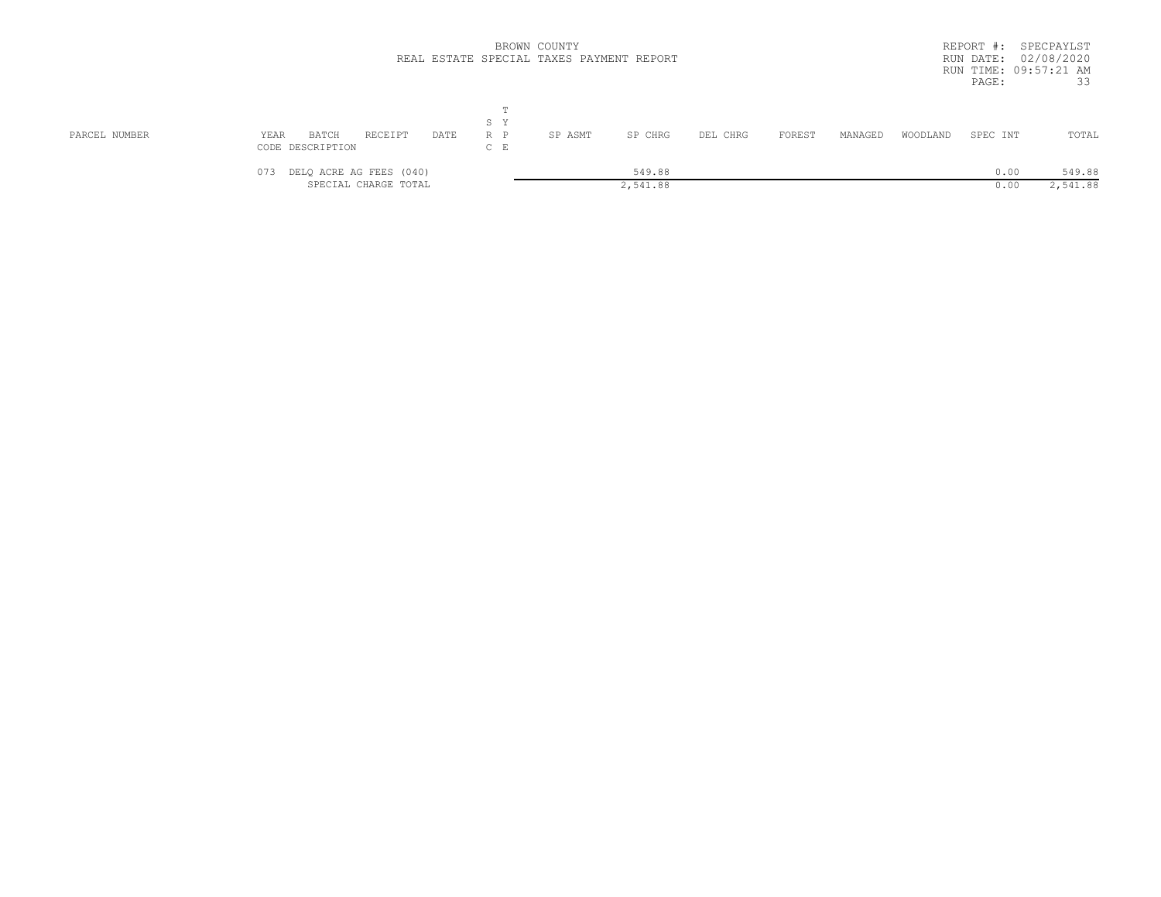|               |                                                        |                          | BROWN COUNTY<br>REAL ESTATE SPECIAL TAXES PAYMENT REPORT |          |        |         |          | REPORT #:<br>RUN DATE: 02/08/2020<br>RUN TIME: 09:57:21 AM<br>PAGE: | SPECPAYLST<br>33   |
|---------------|--------------------------------------------------------|--------------------------|----------------------------------------------------------|----------|--------|---------|----------|---------------------------------------------------------------------|--------------------|
| PARCEL NUMBER | YEAR<br>BATCH<br>RECEIPT<br>DATE<br>CODE DESCRIPTION   | m<br>S Y<br>R P<br>$C$ E | SP ASMT<br>SP CHRG                                       | DEL CHRG | FOREST | MANAGED | WOODLAND | SPEC INT                                                            | TOTAL              |
|               | DELQ ACRE AG FEES (040)<br>073<br>SPECIAL CHARGE TOTAL |                          | 549.88<br>2,541.88                                       |          |        |         |          | 0.00<br>0.00                                                        | 549.88<br>2,541.88 |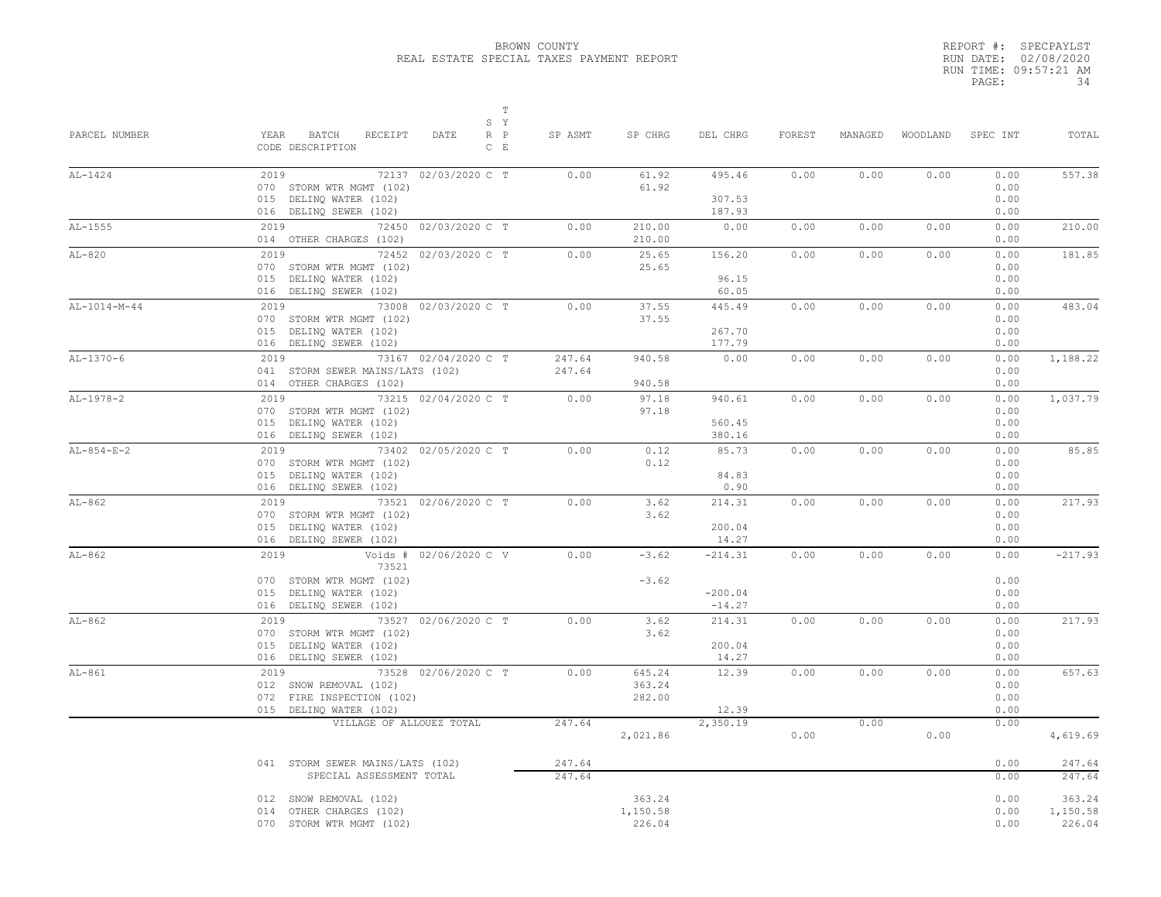|       | REPORT #: SPECPAYLST  |
|-------|-----------------------|
|       | RUN DATE: 02/08/2020  |
|       | RUN TIME: 09:57:21 AM |
| PAGE: | 34                    |

| PARCEL NUMBER  | $\mathbb T$<br>S Y<br>YEAR<br>BATCH<br>RECEIPT<br>$R$ $P$<br>DATE<br>CODE DESCRIPTION<br>$C$ $E$                        | SP ASMT          | SP CHRG                      | DEL CHRG                           | FOREST | MANAGED |      | WOODLAND SPEC INT            | TOTAL                        |
|----------------|-------------------------------------------------------------------------------------------------------------------------|------------------|------------------------------|------------------------------------|--------|---------|------|------------------------------|------------------------------|
| $AL-1424$      | 2019<br>72137 02/03/2020 C T<br>070 STORM WTR MGMT (102)<br>015 DELINQ WATER (102)<br>016 DELINQ SEWER (102)            | 0.00             | 61.92<br>61.92               | 495.46<br>307.53<br>187.93         | 0.00   | 0.00    | 0.00 | 0.00<br>0.00<br>0.00<br>0.00 | 557.38                       |
| $AL-1555$      | 2019 72<br>72450 02/03/2020 C T<br>014 OTHER CHARGES (102)                                                              | 0.00             | 210.00<br>210.00             | 0.00                               | 0.00   | 0.00    | 0.00 | 0.00<br>0.00                 | 210.00                       |
| $AL-820$       | 2019<br>72452 02/03/2020 C T<br>070 STORM WTR MGMT (102)<br>015 DELINQ WATER (102)<br>016 DELINQ SEWER (102)            | 0.00             | 25.65<br>25.65               | 156.20<br>96.15<br>60.05           | 0.00   | 0.00    | 0.00 | 0.00<br>0.00<br>0.00<br>0.00 | 181.85                       |
| $AL-1014-M-44$ | 2019<br>73008 02/03/2020 C T<br>070 STORM WTR MGMT (102)<br>015 DELINQ WATER (102)<br>016 DELINQ SEWER (102)            | 0.00             | 37.55<br>37.55               | 445.49<br>267.70<br>177.79         | 0.00   | 0.00    | 0.00 | 0.00<br>0.00<br>0.00<br>0.00 | 483.04                       |
| $AL-1370-6$    | 2019<br>73167 02/04/2020 C T<br>041 STORM SEWER MAINS/LATS (102)<br>014 OTHER CHARGES (102)                             | 247.64<br>247.64 | 940.58<br>940.58             | 0.00                               | 0.00   | 0.00    | 0.00 | 0.00<br>0.00<br>0.00         | 1,188.22                     |
| AL-1978-2      | 2019 7<br>73215 02/04/2020 C T<br>070 STORM WTR MGMT (102)<br>015 DELINQ WATER (102)<br>016 DELINQ SEWER (102)          | 0.00             | 97.18<br>97.18               | 940.61<br>560.45<br>380.16         | 0.00   | 0.00    | 0.00 | 0.00<br>0.00<br>0.00<br>0.00 | 1,037.79                     |
| $AL-854-E-2$   | 2019 7<br>73402 02/05/2020 C T<br>070 STORM WTR MGMT (102)<br>015 DELINO WATER (102)<br>016 DELINQ SEWER (102)          | 0.00             | 0.12<br>0.12                 | 85.73<br>84.83<br>0.90             | 0.00   | 0.00    | 0.00 | 0.00<br>0.00<br>0.00<br>0.00 | 85.85                        |
| $AL-862$       | 2019<br>73521 02/06/2020 C T<br>070 STORM WTR MGMT (102)<br>015 DELINQ WATER (102)<br>016 DELINQ SEWER (102)            | 0.00             | 3.62<br>3.62                 | 214.31<br>200.04<br>14.27          | 0.00   | 0.00    | 0.00 | 0.00<br>0.00<br>0.00<br>0.00 | 217.93                       |
| $AL-862$       | Voids # 02/06/2020 C V<br>2019<br>73521<br>070 STORM WTR MGMT (102)<br>015 DELINQ WATER (102)<br>016 DELINQ SEWER (102) | 0.00             | $-3.62$<br>$-3.62$           | $-214.31$<br>$-200.04$<br>$-14.27$ | 0.00   | 0.00    | 0.00 | 0.00<br>0.00<br>0.00<br>0.00 | $-217.93$                    |
| $AL-862$       | 2019<br>73527 02/06/2020 C T<br>070 STORM WTR MGMT (102)<br>015 DELINQ WATER (102)<br>016 DELINQ SEWER (102)            | 0.00             | 3.62<br>3.62                 | 214.31<br>200.04<br>14.27          | 0.00   | 0.00    | 0.00 | 0.00<br>0.00<br>0.00<br>0.00 | 217.93                       |
| $AL-861$       | 2019<br>73528 02/06/2020 C T<br>012 SNOW REMOVAL (102)<br>072 FIRE INSPECTION (102)<br>015 DELINQ WATER (102)           | 0.00             | 645.24<br>363.24<br>282.00   | 12.39<br>12.39                     | 0.00   | 0.00    | 0.00 | 0.00<br>0.00<br>0.00<br>0.00 | 657.63                       |
|                | VILLAGE OF ALLOUEZ TOTAL                                                                                                | 247.64           | 2,021.86                     | 2,350.19                           | 0.00   | 0.00    | 0.00 | 0.00                         | 4,619.69                     |
|                | 041 STORM SEWER MAINS/LATS (102)<br>SPECIAL ASSESSMENT TOTAL                                                            | 247.64<br>247.64 |                              |                                    |        |         |      | 0.00<br>0.00                 | 247.64<br>247.64             |
|                | 012 SNOW REMOVAL (102)<br>014 OTHER CHARGES (102)<br>070 STORM WTR MGMT (102)                                           |                  | 363.24<br>1,150.58<br>226.04 |                                    |        |         |      | 0.00<br>0.00<br>0.00         | 363.24<br>1,150.58<br>226.04 |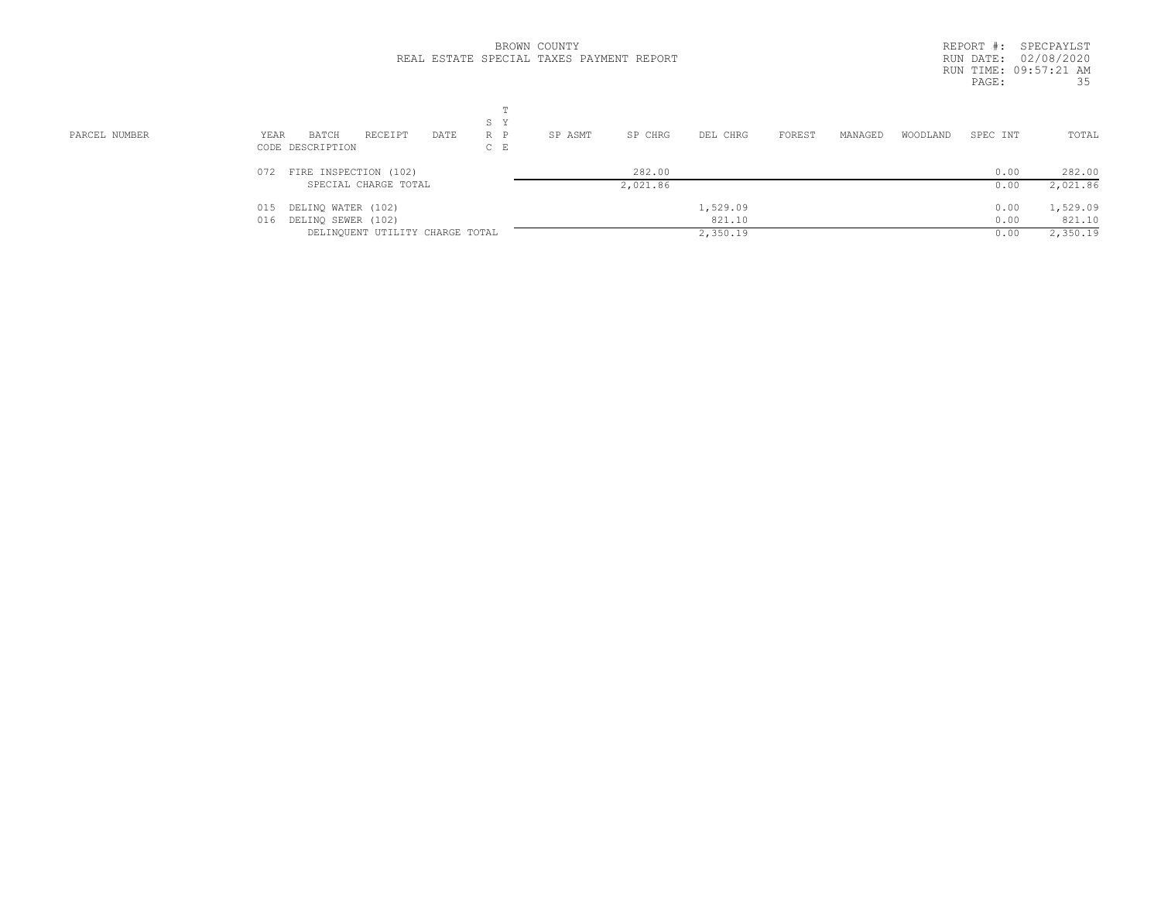|               |                                             | BROWN COUNTY                             | REPORT #:<br>SPECPAYLST                            |
|---------------|---------------------------------------------|------------------------------------------|----------------------------------------------------|
|               |                                             | REAL ESTATE SPECIAL TAXES PAYMENT REPORT | RUN DATE: 02/08/2020                               |
|               |                                             |                                          | RUN TIME: 09:57:21 AM                              |
|               |                                             |                                          | 35<br>PAGE:                                        |
|               |                                             |                                          |                                                    |
|               |                                             |                                          |                                                    |
|               | S Y                                         |                                          |                                                    |
| PARCEL NUMBER | YEAR<br>RECEIPT<br>DATE<br>$R$ $P$<br>BATCH | SP ASMT<br>SP CHRG<br>DEL CHRG           | TOTAL<br>FOREST<br>MANAGED<br>WOODLAND<br>SPEC INT |
|               | $C$ E<br>CODE DESCRIPTION                   |                                          |                                                    |
|               | FIRE INSPECTION (102)<br>072                | 282.00                                   | 282.00<br>0.00                                     |
|               | SPECIAL CHARGE TOTAL                        | 2,021.86                                 | 2,021.86<br>0.00                                   |
|               | DELINQ WATER (102)<br>015                   | 1,529.09                                 | 1,529.09<br>0.00                                   |
|               | DELINQ SEWER (102)<br>016                   | 821.10                                   | 821.10<br>0.00                                     |
|               | DELINQUENT UTILITY CHARGE TOTAL             | 2,350.19                                 | 2,350.19<br>0.00                                   |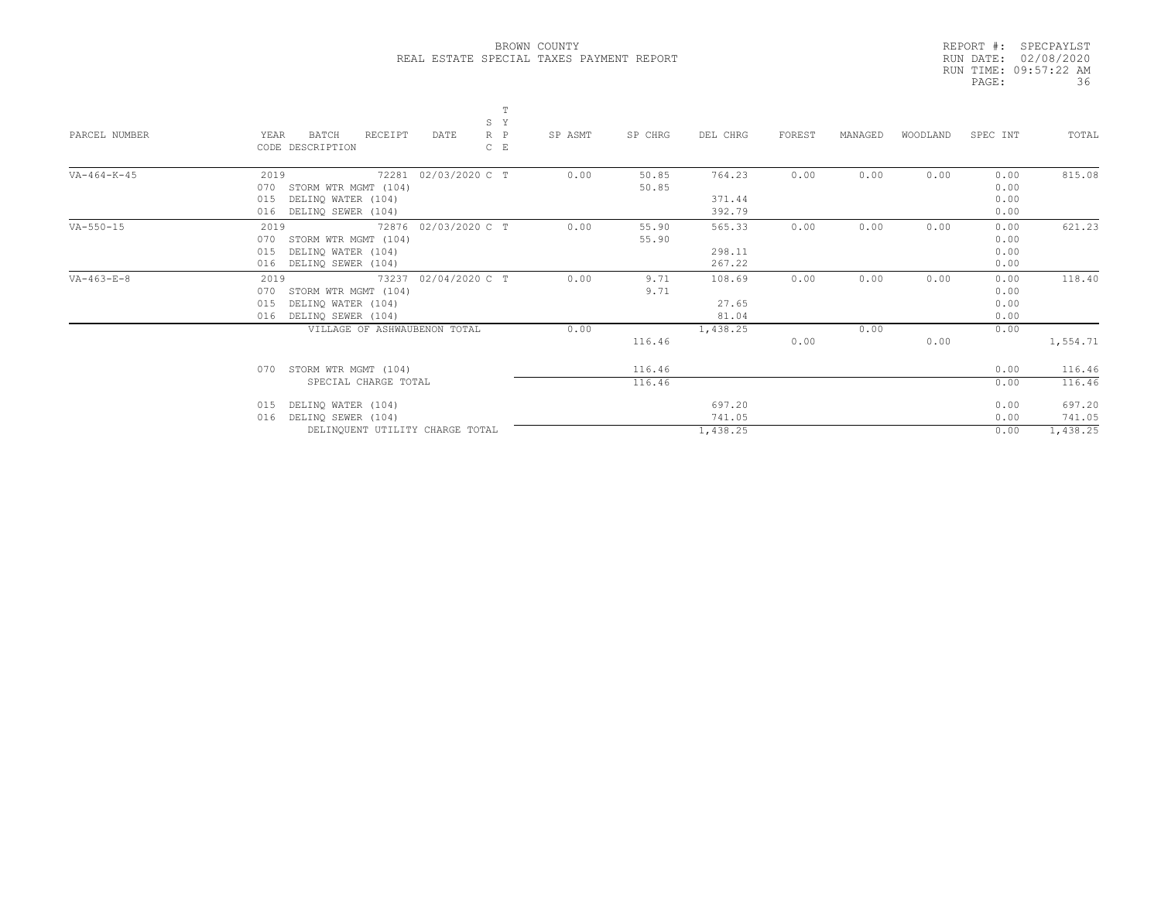|       | REPORT #: SPECPAYLST  |
|-------|-----------------------|
|       | RUN DATE: 02/08/2020  |
|       | RUN TIME: 09:57:22 AM |
| PAGE: | 36                    |

| PARCEL NUMBER      | T<br>S Y<br>$R$ $P$<br>YEAR<br>BATCH<br>RECEIPT<br>DATE<br>CODE DESCRIPTION<br>$C$ $E$ | SP ASMT<br>SP CHRG | DEL CHRG | FOREST | MANAGED | WOODLAND | SPEC INT | TOTAL    |
|--------------------|----------------------------------------------------------------------------------------|--------------------|----------|--------|---------|----------|----------|----------|
| $VA-464-K-45$      | 02/03/2020 C T<br>2019<br>72281                                                        | 0.00<br>50.85      | 764.23   | 0.00   | 0.00    | 0.00     | 0.00     | 815.08   |
|                    | 070<br>STORM WTR MGMT (104)                                                            | 50.85              |          |        |         |          | 0.00     |          |
|                    | DELINQ WATER (104)<br>015                                                              |                    | 371.44   |        |         |          | 0.00     |          |
|                    | 016<br>DELINQ SEWER (104)                                                              |                    | 392.79   |        |         |          | 0.00     |          |
| $VA - 550 - 15$    | 72876 02/03/2020 C T<br>2019                                                           | 0.00<br>55.90      | 565.33   | 0.00   | 0.00    | 0.00     | 0.00     | 621.23   |
|                    | 070<br>STORM WTR MGMT (104)                                                            | 55.90              |          |        |         |          | 0.00     |          |
|                    | DELINQ WATER (104)<br>015                                                              |                    | 298.11   |        |         |          | 0.00     |          |
|                    | 016<br>DELINO SEWER (104)                                                              |                    | 267.22   |        |         |          | 0.00     |          |
| $VA - 463 - E - 8$ | 02/04/2020 C T<br>2019<br>73237                                                        | 0.00<br>9.71       | 108.69   | 0.00   | 0.00    | 0.00     | 0.00     | 118.40   |
|                    | STORM WTR MGMT (104)<br>070                                                            | 9.71               |          |        |         |          | 0.00     |          |
|                    | DELINQ WATER (104)<br>015                                                              |                    | 27.65    |        |         |          | 0.00     |          |
|                    | DELINQ SEWER (104)<br>016                                                              |                    | 81.04    |        |         |          | 0.00     |          |
|                    | VILLAGE OF ASHWAUBENON TOTAL                                                           | 0.00               | 1,438.25 |        | 0.00    |          | 0.00     |          |
|                    |                                                                                        | 116.46             |          | 0.00   |         | 0.00     |          | 1,554.71 |
|                    | STORM WTR MGMT (104)<br>0.70                                                           | 116.46             |          |        |         |          | 0.00     | 116.46   |
|                    | SPECIAL CHARGE TOTAL                                                                   | 116.46             |          |        |         |          | 0.00     | 116.46   |
|                    | DELINQ WATER (104)<br>015                                                              |                    | 697.20   |        |         |          | 0.00     | 697.20   |
|                    | DELINQ SEWER (104)<br>016                                                              |                    | 741.05   |        |         |          | 0.00     | 741.05   |
|                    | DELINQUENT UTILITY CHARGE TOTAL                                                        |                    | 1,438.25 |        |         |          | 0.00     | 1,438.25 |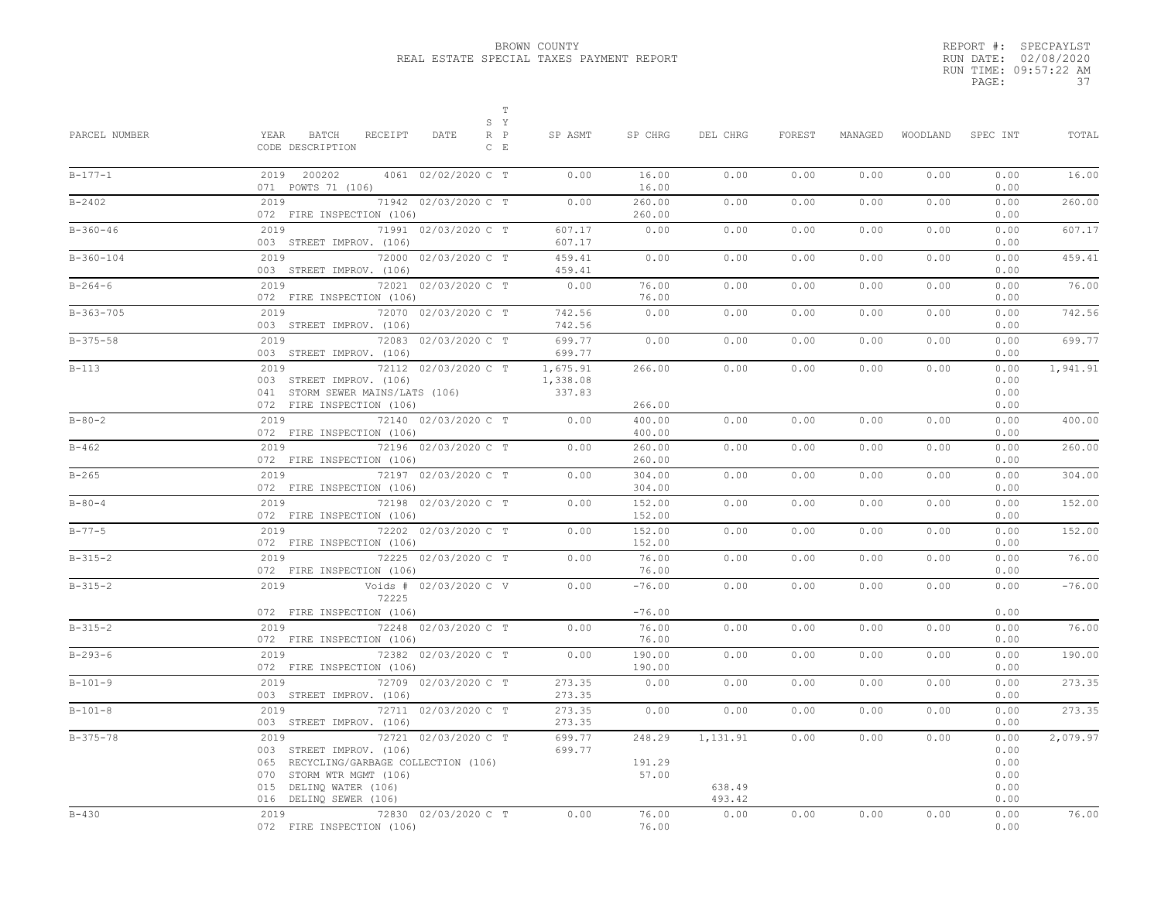|       | REPORT #: SPECPAYLST  |     |
|-------|-----------------------|-----|
|       | RUN DATE: 02/08/2020  |     |
|       | RUN TIME: 09:57:22 AM |     |
| PAGE: |                       | -37 |

| PARCEL NUMBER | $\mathbb T$<br>S Y<br>YEAR<br>BATCH<br>RECEIPT<br>$R$ $P$<br>DATE<br>CODE DESCRIPTION<br>$C$ $E$                                                                                      | SP ASMT                        | SP CHRG                    | DEL CHRG                     | FOREST | MANAGED | WOODLAND | SPEC INT                                     | TOTAL    |
|---------------|---------------------------------------------------------------------------------------------------------------------------------------------------------------------------------------|--------------------------------|----------------------------|------------------------------|--------|---------|----------|----------------------------------------------|----------|
| $B-177-1$     | 2019 200202<br>4061 02/02/2020 C T<br>071 POWTS 71 (106)                                                                                                                              | 0.00                           | 16.00<br>16.00             | 0.00                         | 0.00   | 0.00    | 0.00     | 0.00<br>0.00                                 | 16.00    |
| $B - 2402$    | 71942 02/03/2020 C T<br>2019<br>072 FIRE INSPECTION (106)                                                                                                                             | 0.00                           | 260.00<br>260.00           | 0.00                         | 0.00   | 0.00    | 0.00     | 0.00<br>0.00                                 | 260.00   |
| $B-360-46$    | 2019<br>71991 02/03/2020 C T<br>003 STREET IMPROV. (106)                                                                                                                              | 607.17<br>607.17               | 0.00                       | 0.00                         | 0.00   | 0.00    | 0.00     | 0.00<br>0.00                                 | 607.17   |
| $B-360-104$   | 2019<br>72000 02/03/2020 C T<br>003 STREET IMPROV. (106)                                                                                                                              | 459.41<br>459.41               | 0.00                       | 0.00                         | 0.00   | 0.00    | 0.00     | 0.00<br>0.00                                 | 459.41   |
| $B - 264 - 6$ | 2019<br>72021 02/03/2020 C T<br>072 FIRE INSPECTION (106)                                                                                                                             | 0.00                           | 76.00<br>76.00             | 0.00                         | 0.00   | 0.00    | 0.00     | 0.00<br>0.00                                 | 76.00    |
| $B-363-705$   | 72070 02/03/2020 C T<br>2019<br>003 STREET IMPROV. (106)                                                                                                                              | 742.56<br>742.56               | 0.00                       | 0.00                         | 0.00   | 0.00    | 0.00     | 0.00<br>0.00                                 | 742.56   |
| $B-375-58$    | 2019<br>72083 02/03/2020 C T<br>003 STREET IMPROV. (106)                                                                                                                              | 699.77<br>699.77               | 0.00                       | 0.00                         | 0.00   | 0.00    | 0.00     | 0.00<br>0.00                                 | 699.77   |
| $B-113$       | 2019<br>72112 02/03/2020 C T<br>003 STREET IMPROV. (106)<br>041 STORM SEWER MAINS/LATS (106)<br>072 FIRE INSPECTION (106)                                                             | 1,675.91<br>1,338.08<br>337.83 | 266.00<br>266.00           | 0.00                         | 0.00   | 0.00    | 0.00     | 0.00<br>0.00<br>0.00<br>0.00                 | 1,941.91 |
| $B - 80 - 2$  | 2019<br>72140 02/03/2020 C T<br>072 FIRE INSPECTION (106)                                                                                                                             | 0.00                           | 400.00<br>400.00           | 0.00                         | 0.00   | 0.00    | 0.00     | 0.00<br>0.00                                 | 400.00   |
| $B - 462$     | 2019<br>72196 02/03/2020 C T<br>072 FIRE INSPECTION (106)                                                                                                                             | 0.00                           | 260.00<br>260.00           | 0.00                         | 0.00   | 0.00    | 0.00     | 0.00<br>0.00                                 | 260.00   |
| $B - 265$     | 2019<br>72197 02/03/2020 C T<br>072 FIRE INSPECTION (106)                                                                                                                             | 0.00                           | 304.00<br>304.00           | 0.00                         | 0.00   | 0.00    | 0.00     | 0.00<br>0.00                                 | 304.00   |
| $B - 80 - 4$  | 2019<br>72198 02/03/2020 C T<br>072 FIRE INSPECTION (106)                                                                                                                             | 0.00                           | 152.00<br>152.00           | 0.00                         | 0.00   | 0.00    | 0.00     | 0.00<br>0.00                                 | 152.00   |
| $B - 77 - 5$  | 2019<br>72202 02/03/2020 C T<br>072 FIRE INSPECTION (106)                                                                                                                             | 0.00                           | 152.00<br>152.00           | 0.00                         | 0.00   | 0.00    | 0.00     | 0.00<br>0.00                                 | 152.00   |
| $B-315-2$     | 2019<br>72225 02/03/2020 C T<br>072 FIRE INSPECTION (106)                                                                                                                             | 0.00                           | 76.00<br>76.00             | 0.00                         | 0.00   | 0.00    | 0.00     | 0.00<br>0.00                                 | 76.00    |
| $B-315-2$     | Voids # 02/03/2020 C V<br>2019<br>72225                                                                                                                                               | 0.00                           | $-76.00$                   | 0.00                         | 0.00   | 0.00    | 0.00     | 0.00                                         | $-76.00$ |
| $B-315-2$     | 072 FIRE INSPECTION (106)<br>2019<br>72248 02/03/2020 C T<br>072 FIRE INSPECTION (106)                                                                                                | 0.00                           | $-76.00$<br>76.00<br>76.00 | 0.00                         | 0.00   | 0.00    | 0.00     | 0.00<br>0.00<br>0.00                         | 76.00    |
| $B - 293 - 6$ | 2019<br>72382 02/03/2020 C T<br>072 FIRE INSPECTION (106)                                                                                                                             | 0.00                           | 190.00<br>190.00           | 0.00                         | 0.00   | 0.00    | 0.00     | 0.00<br>0.00                                 | 190.00   |
| $B-101-9$     | 72709 02/03/2020 C T<br>2019<br>003 STREET IMPROV. (106)                                                                                                                              | 273.35<br>273.35               | 0.00                       | 0.00                         | 0.00   | 0.00    | 0.00     | 0.00<br>0.00                                 | 273.35   |
| $B-101-8$     | 2019<br>72711 02/03/2020 C T<br>003 STREET IMPROV. (106)                                                                                                                              | 273.35<br>273.35               | 0.00                       | 0.00                         | 0.00   | 0.00    | 0.00     | 0.00<br>0.00                                 | 273.35   |
| $B-375-78$    | 2019<br>72721 02/03/2020 C T<br>003 STREET IMPROV. (106)<br>065 RECYCLING/GARBAGE COLLECTION (106)<br>070<br>STORM WTR MGMT (106)<br>015 DELINQ WATER (106)<br>016 DELINQ SEWER (106) | 699.77<br>699.77               | 248.29<br>191.29<br>57.00  | 1,131.91<br>638.49<br>493.42 | 0.00   | 0.00    | 0.00     | 0.00<br>0.00<br>0.00<br>0.00<br>0.00<br>0.00 | 2,079.97 |
| $B - 430$     | 2019<br>72830 02/03/2020 C T<br>072 FIRE INSPECTION (106)                                                                                                                             | 0.00                           | 76.00<br>76.00             | 0.00                         | 0.00   | 0.00    | 0.00     | 0.00<br>0.00                                 | 76.00    |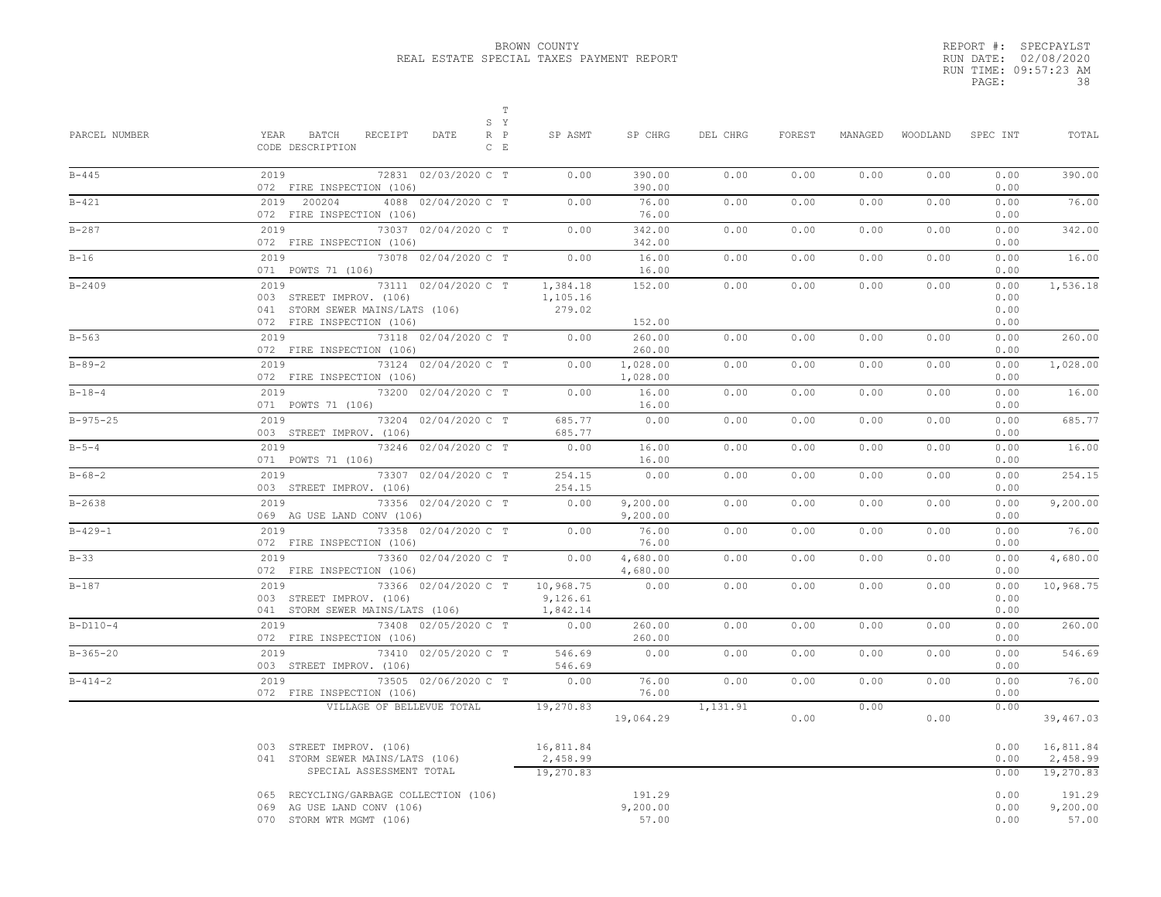| REPORT #: SPECPAYLST  |
|-----------------------|
| RUN DATE: 02/08/2020  |
| RUN TIME: 09:57:23 AM |
| 38                    |
|                       |

| PARCEL NUMBER  | $\mathbb T$<br>S Y<br>YEAR BATCH<br>RECEIPT<br>$R$ $P$<br>DATE<br>CODE DESCRIPTION<br>$C$ $E$                             | SP ASMT                            | SP CHRG                     | DEL CHRG | FOREST | MANAGED | WOODLAND | SPEC INT                     | TOTAL                              |
|----------------|---------------------------------------------------------------------------------------------------------------------------|------------------------------------|-----------------------------|----------|--------|---------|----------|------------------------------|------------------------------------|
| $B - 445$      | 2019<br>72831 02/03/2020 C T<br>072 FIRE INSPECTION (106)                                                                 | 0.00                               | 390.00<br>390.00            | 0.00     | 0.00   | 0.00    | 0.00     | 0.00<br>0.00                 | 390.00                             |
| $B - 421$      | 2019 200204<br>4088 02/04/2020 C T<br>072 FIRE INSPECTION (106)                                                           | 0.00                               | 76.00<br>76.00              | 0.00     | 0.00   | 0.00    | 0.00     | 0.00<br>0.00                 | 76.00                              |
| $B - 287$      | 2019<br>73037 02/04/2020 C T<br>072 FIRE INSPECTION (106)                                                                 | 0.00                               | 342.00<br>342.00            | 0.00     | 0.00   | 0.00    | 0.00     | 0.00<br>0.00                 | 342.00                             |
| $B-16$         | 2019<br>73078 02/04/2020 C T<br>071 POWTS 71 (106)                                                                        | 0.00                               | 16.00<br>16.00              | 0.00     | 0.00   | 0.00    | 0.00     | 0.00<br>0.00                 | 16.00                              |
| $B - 2409$     | 2019<br>73111 02/04/2020 C T<br>003 STREET IMPROV. (106)<br>041 STORM SEWER MAINS/LATS (106)<br>072 FIRE INSPECTION (106) | 1,384.18<br>1,105.16<br>279.02     | 152.00<br>152.00            | 0.00     | 0.00   | 0.00    | 0.00     | 0.00<br>0.00<br>0.00<br>0.00 | 1,536.18                           |
| $B - 563$      | 2019<br>73118 02/04/2020 C T<br>072 FIRE INSPECTION (106)                                                                 | 0.00                               | 260.00<br>260.00            | 0.00     | 0.00   | 0.00    | 0.00     | 0.00<br>0.00                 | 260.00                             |
| $B - 89 - 2$   | 2019<br>73124 02/04/2020 C T<br>072 FIRE INSPECTION (106)                                                                 | 0.00                               | 1,028.00<br>1,028.00        | 0.00     | 0.00   | 0.00    | 0.00     | 0.00<br>0.00                 | 1,028.00                           |
| $B - 18 - 4$   | 2019<br>73200 02/04/2020 C T<br>071 POWTS 71 (106)                                                                        | 0.00                               | 16.00<br>16.00              | 0.00     | 0.00   | 0.00    | 0.00     | 0.00<br>0.00                 | 16.00                              |
| $B - 975 - 25$ | 2019<br>73204 02/04/2020 C T<br>003 STREET IMPROV. (106)                                                                  | 685.77<br>685.77                   | 0.00                        | 0.00     | 0.00   | 0.00    | 0.00     | 0.00<br>0.00                 | 685.77                             |
| $B - 5 - 4$    | 2019<br>73246 02/04/2020 C T<br>071 POWTS 71 (106)                                                                        | 0.00                               | 16.00<br>16.00              | 0.00     | 0.00   | 0.00    | 0.00     | 0.00<br>0.00                 | 16.00                              |
| $B - 68 - 2$   | 2019<br>73307 02/04/2020 C T<br>003 STREET IMPROV. (106)                                                                  | 254.15<br>254.15                   | 0.00                        | 0.00     | 0.00   | 0.00    | 0.00     | 0.00<br>0.00                 | 254.15                             |
| $B - 2638$     | 2019<br>73356 02/04/2020 C T<br>069 AG USE LAND CONV (106)                                                                | 0.00                               | 9,200.00<br>9,200.00        | 0.00     | 0.00   | 0.00    | 0.00     | 0.00<br>0.00                 | 9,200.00                           |
| $B - 429 - 1$  | 2019<br>73358 02/04/2020 C T<br>072 FIRE INSPECTION (106)                                                                 | 0.00                               | 76.00<br>76.00              | 0.00     | 0.00   | 0.00    | 0.00     | 0.00<br>0.00                 | 76.00                              |
| $B-33$         | 2019<br>73360 02/04/2020 C T<br>072 FIRE INSPECTION (106)                                                                 | 0.00                               | 4,680.00<br>4,680.00        | 0.00     | 0.00   | 0.00    | 0.00     | 0.00<br>0.00                 | 4,680.00                           |
| $B-187$        | 2019<br>73366 02/04/2020 C T<br>003 STREET IMPROV, (106)<br>041 STORM SEWER MAINS/LATS (106)                              | 10,968.75<br>9,126.61<br>1,842.14  | 0.00                        | 0.00     | 0.00   | 0.00    | 0.00     | 0.00<br>0.00<br>0.00         | 10,968.75                          |
| $B-D110-4$     | 2019<br>73408 02/05/2020 C T<br>072 FIRE INSPECTION (106)                                                                 | 0.00                               | 260.00<br>260.00            | 0.00     | 0.00   | 0.00    | 0.00     | 0.00<br>0.00                 | 260.00                             |
| $B - 365 - 20$ | 73410 02/05/2020 C T<br>2019<br>003 STREET IMPROV. (106)                                                                  | 546.69<br>546.69                   | 0.00                        | 0.00     | 0.00   | 0.00    | 0.00     | 0.00<br>0.00                 | 546.69                             |
| $B - 414 - 2$  | 73505 02/06/2020 C T<br>2019<br>072 FIRE INSPECTION (106)                                                                 | 0.00                               | 76.00<br>76.00              | 0.00     | 0.00   | 0.00    | 0.00     | 0.00<br>0.00                 | 76.00                              |
|                | VILLAGE OF BELLEVUE TOTAL                                                                                                 | 19,270.83                          | 19,064.29                   | 1,131.91 | 0.00   | 0.00    | 0.00     | 0.00                         | 39,467.03                          |
|                | 003 STREET IMPROV. (106)<br>041 STORM SEWER MAINS/LATS (106)<br>SPECIAL ASSESSMENT TOTAL                                  | 16,811.84<br>2,458.99<br>19,270.83 |                             |          |        |         |          | 0.00<br>0.00<br>0.00         | 16,811.84<br>2,458.99<br>19,270.83 |
|                | 065 RECYCLING/GARBAGE COLLECTION (106)<br>069 AG USE LAND CONV (106)<br>070 STORM WTR MGMT (106)                          |                                    | 191.29<br>9,200.00<br>57.00 |          |        |         |          | 0.00<br>0.00<br>0.00         | 191.29<br>9,200.00<br>57.00        |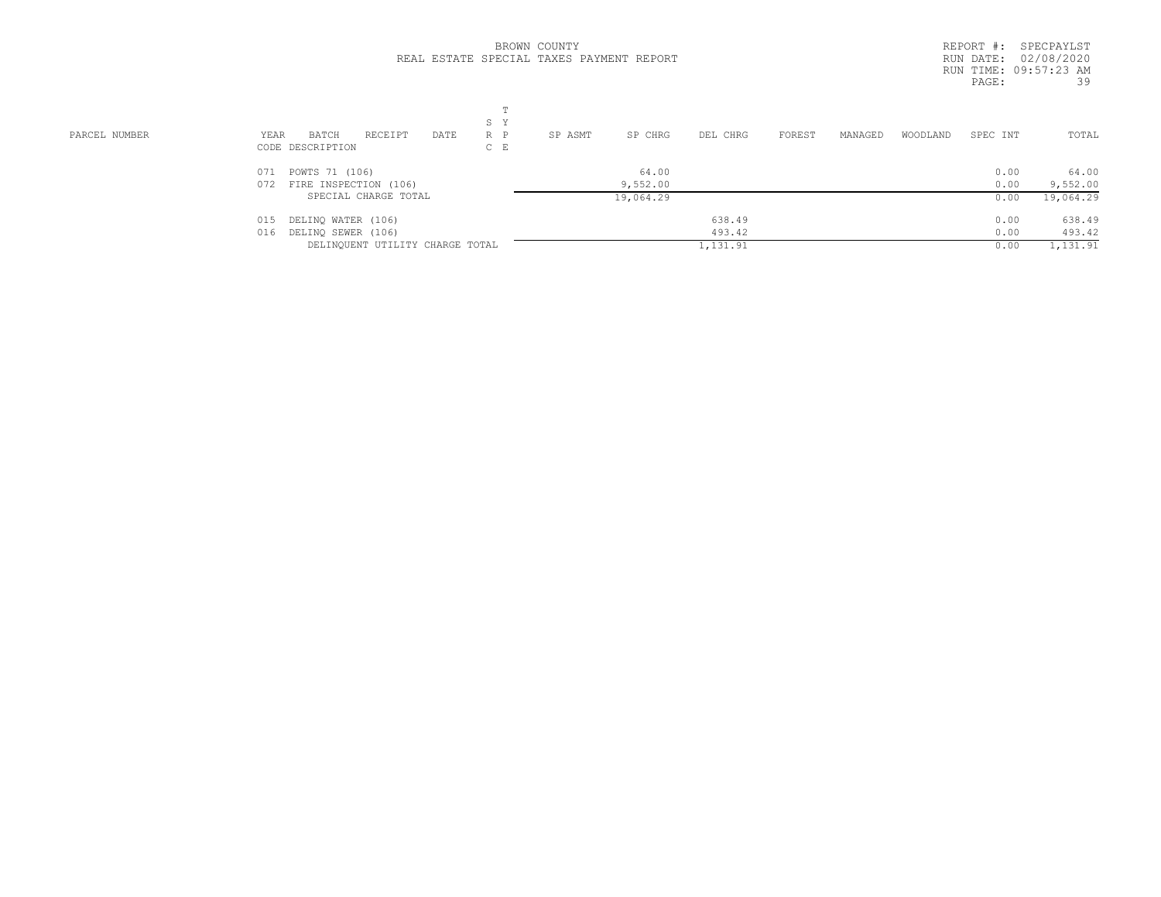|  |                                          | BROWN COUNTY |  |
|--|------------------------------------------|--------------|--|
|  | REAL ESTATE SPECIAL TAXES PAYMENT REPORT |              |  |

| PARCEL NUMBER<br>YEAR | S Y<br>RECEIPT<br>BATCH<br>$R$ $P$<br>DATE<br>CODE DESCRIPTION<br>$C$ E | SP CHRG<br>SP ASMT | DEL CHRG | FOREST<br>MANAGED | WOODLAND<br>SPEC INT | TOTAL             |
|-----------------------|-------------------------------------------------------------------------|--------------------|----------|-------------------|----------------------|-------------------|
|                       | 071 POWTS 71 (106)<br>072 FIRE INSPECTION (106)                         | 64.00<br>9,552.00  |          |                   | 0.00<br>0.00         | 64.00<br>9,552.00 |
|                       | SPECIAL CHARGE TOTAL                                                    | 19,064.29          |          |                   | 0.00                 | 19,064.29         |
| 015                   | DELINQ WATER (106)                                                      |                    | 638.49   |                   | 0.00                 | 638.49            |
| 016                   | DELINQ SEWER (106)                                                      |                    | 493.42   |                   | 0.00                 | 493.42            |
|                       | DELINQUENT UTILITY CHARGE TOTAL                                         |                    | 1,131.91 |                   | 0.00                 | 1,131.91          |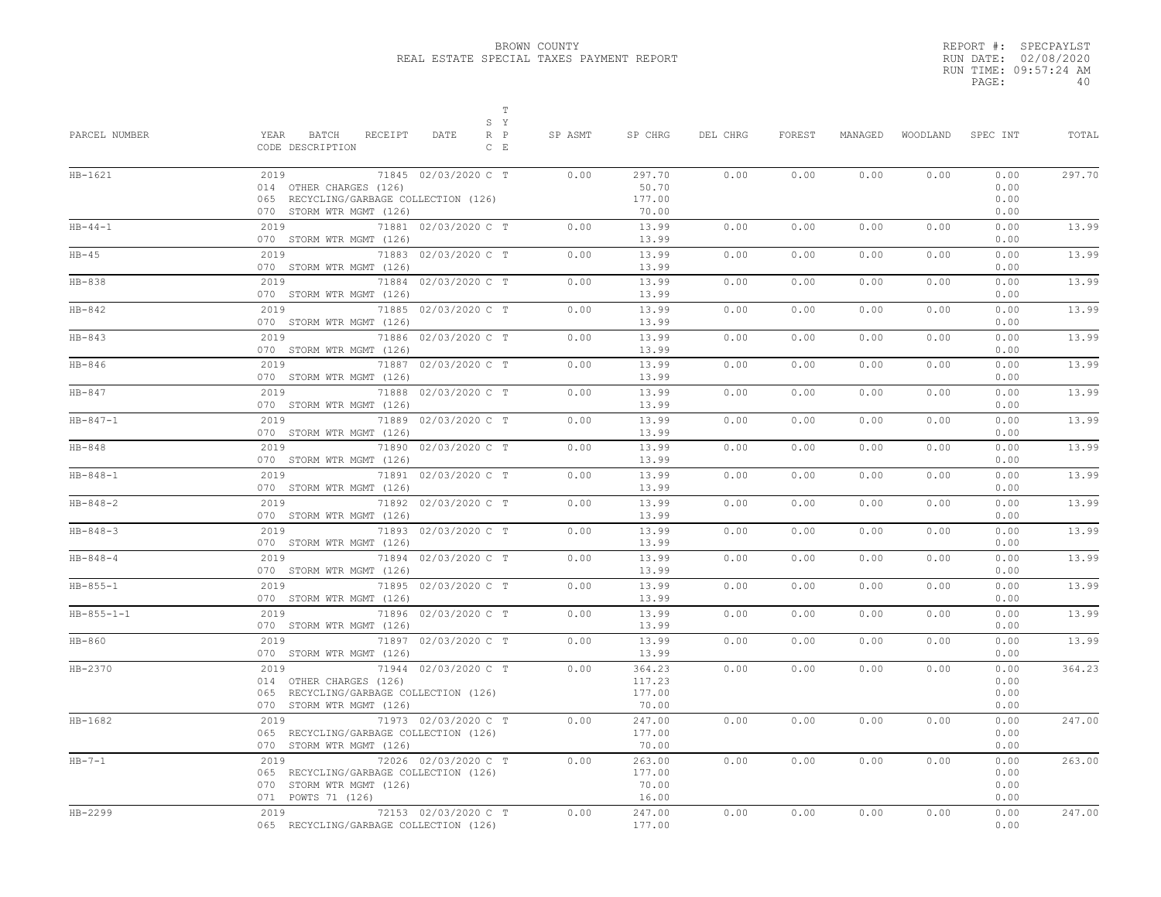|       | REPORT #: SPECPAYLST  |
|-------|-----------------------|
|       | RUN DATE: 02/08/2020  |
|       | RUN TIME: 09:57:24 AM |
| PAGE: | 4 N                   |

| PARCEL NUMBER  | $\mathbb T$<br>S Y<br>YEAR<br>BATCH<br>RECEIPT<br>DATE<br>$R$ $P$<br>CODE DESCRIPTION<br>$C$ E                                | SP ASMT | SP CHRG                             | DEL CHRG | FOREST | MANAGED | WOODLAND | SPEC INT                     | TOTAL  |
|----------------|-------------------------------------------------------------------------------------------------------------------------------|---------|-------------------------------------|----------|--------|---------|----------|------------------------------|--------|
| $HB-1621$      | 2019<br>71845 02/03/2020 C T<br>014 OTHER CHARGES (126)<br>065 RECYCLING/GARBAGE COLLECTION (126)<br>070 STORM WTR MGMT (126) | 0.00    | 297.70<br>50.70<br>177.00<br>70.00  | 0.00     | 0.00   | 0.00    | 0.00     | 0.00<br>0.00<br>0.00<br>0.00 | 297.70 |
| $HB - 44 - 1$  | 71881 02/03/2020 C T<br>2019<br>070 STORM WTR MGMT (126)                                                                      | 0.00    | 13.99<br>13.99                      | 0.00     | 0.00   | 0.00    | 0.00     | 0.00<br>0.00                 | 13.99  |
| $HB-45$        | 2019<br>71883 02/03/2020 C T<br>070 STORM WTR MGMT (126)                                                                      | 0.00    | 13.99<br>13.99                      | 0.00     | 0.00   | 0.00    | 0.00     | 0.00<br>0.00                 | 13.99  |
| $HB-838$       | 2019<br>71884 02/03/2020 C T<br>070 STORM WTR MGMT (126)                                                                      | 0.00    | 13.99<br>13.99                      | 0.00     | 0.00   | 0.00    | 0.00     | 0.00<br>0.00                 | 13.99  |
| $HB-842$       | 71885 02/03/2020 C T<br>2019<br>070 STORM WTR MGMT (126)                                                                      | 0.00    | 13.99<br>13.99                      | 0.00     | 0.00   | 0.00    | 0.00     | 0.00<br>0.00                 | 13.99  |
| $HB-843$       | 2019<br>71886 02/03/2020 C T<br>070 STORM WTR MGMT (126)                                                                      | 0.00    | 13.99<br>13.99                      | 0.00     | 0.00   | 0.00    | 0.00     | 0.00<br>0.00                 | 13.99  |
| $HB-846$       | 2019<br>71887 02/03/2020 C T<br>070 STORM WTR MGMT (126)                                                                      | 0.00    | 13.99<br>13.99                      | 0.00     | 0.00   | 0.00    | 0.00     | 0.00<br>0.00                 | 13.99  |
| $HB-847$       | 2019<br>71888 02/03/2020 C T<br>070 STORM WTR MGMT (126)                                                                      | 0.00    | 13.99<br>13.99                      | 0.00     | 0.00   | 0.00    | 0.00     | 0.00<br>0.00                 | 13.99  |
| $HB - 847 - 1$ | 2019<br>71889 02/03/2020 C T<br>070 STORM WTR MGMT (126)                                                                      | 0.00    | 13.99<br>13.99                      | 0.00     | 0.00   | 0.00    | 0.00     | 0.00<br>0.00                 | 13.99  |
| $HB-848$       | 2019<br>71890 02/03/2020 C T<br>070 STORM WTR MGMT (126)                                                                      | 0.00    | 13.99<br>13.99                      | 0.00     | 0.00   | 0.00    | 0.00     | 0.00<br>0.00                 | 13.99  |
| $HB - 848 - 1$ | 2019<br>71891 02/03/2020 C T<br>070 STORM WTR MGMT (126)                                                                      | 0.00    | 13.99<br>13.99                      | 0.00     | 0.00   | 0.00    | 0.00     | 0.00<br>0.00                 | 13.99  |
| $HB - 848 - 2$ | 71892 02/03/2020 C T<br>2019<br>070 STORM WTR MGMT (126)                                                                      | 0.00    | 13.99<br>13.99                      | 0.00     | 0.00   | 0.00    | 0.00     | 0.00<br>0.00                 | 13.99  |
| $HB - 848 - 3$ | 2019<br>71893 02/03/2020 C T<br>070 STORM WTR MGMT (126)                                                                      | 0.00    | 13.99<br>13.99                      | 0.00     | 0.00   | 0.00    | 0.00     | 0.00<br>0.00                 | 13.99  |
| $HB - 848 - 4$ | 2019<br>71894 02/03/2020 C T<br>070 STORM WTR MGMT (126)                                                                      | 0.00    | 13.99<br>13.99                      | 0.00     | 0.00   | 0.00    | 0.00     | 0.00<br>0.00                 | 13.99  |
| $HB - 855 - 1$ | 2019<br>71895 02/03/2020 C T<br>070 STORM WTR MGMT (126)                                                                      | 0.00    | 13.99<br>13.99                      | 0.00     | 0.00   | 0.00    | 0.00     | 0.00<br>0.00                 | 13.99  |
| $HB-855-1-1$   | 2019<br>71896 02/03/2020 C T<br>070 STORM WTR MGMT (126)                                                                      | 0.00    | 13.99<br>13.99                      | 0.00     | 0.00   | 0.00    | 0.00     | 0.00<br>0.00                 | 13.99  |
| $HB-860$       | 71897 02/03/2020 C T<br>2019<br>070 STORM WTR MGMT (126)                                                                      | 0.00    | 13.99<br>13.99                      | 0.00     | 0.00   | 0.00    | 0.00     | 0.00<br>0.00                 | 13.99  |
| $HB-2370$      | 71944 02/03/2020 C T<br>2019<br>014 OTHER CHARGES (126)<br>065 RECYCLING/GARBAGE COLLECTION (126)<br>070 STORM WTR MGMT (126) | 0.00    | 364.23<br>117.23<br>177.00<br>70.00 | 0.00     | 0.00   | 0.00    | 0.00     | 0.00<br>0.00<br>0.00<br>0.00 | 364.23 |
| $HB-1682$      | 71973 02/03/2020 C T<br>2019<br>065 RECYCLING/GARBAGE COLLECTION (126)<br>070 STORM WTR MGMT (126)                            | 0.00    | 247.00<br>177.00<br>70.00           | 0.00     | 0.00   | 0.00    | 0.00     | 0.00<br>0.00<br>0.00         | 247.00 |
| $HB-7-1$       | 2019<br>72026 02/03/2020 C T<br>065 RECYCLING/GARBAGE COLLECTION (126)<br>070 STORM WTR MGMT (126)<br>071 POWTS 71 (126)      | 0.00    | 263.00<br>177.00<br>70.00<br>16.00  | 0.00     | 0.00   | 0.00    | 0.00     | 0.00<br>0.00<br>0.00<br>0.00 | 263.00 |
| HB-2299        | 72153 02/03/2020 C T<br>2019<br>065 RECYCLING/GARBAGE COLLECTION (126)                                                        | 0.00    | 247.00<br>177.00                    | 0.00     | 0.00   | 0.00    | 0.00     | 0.00<br>0.00                 | 247.00 |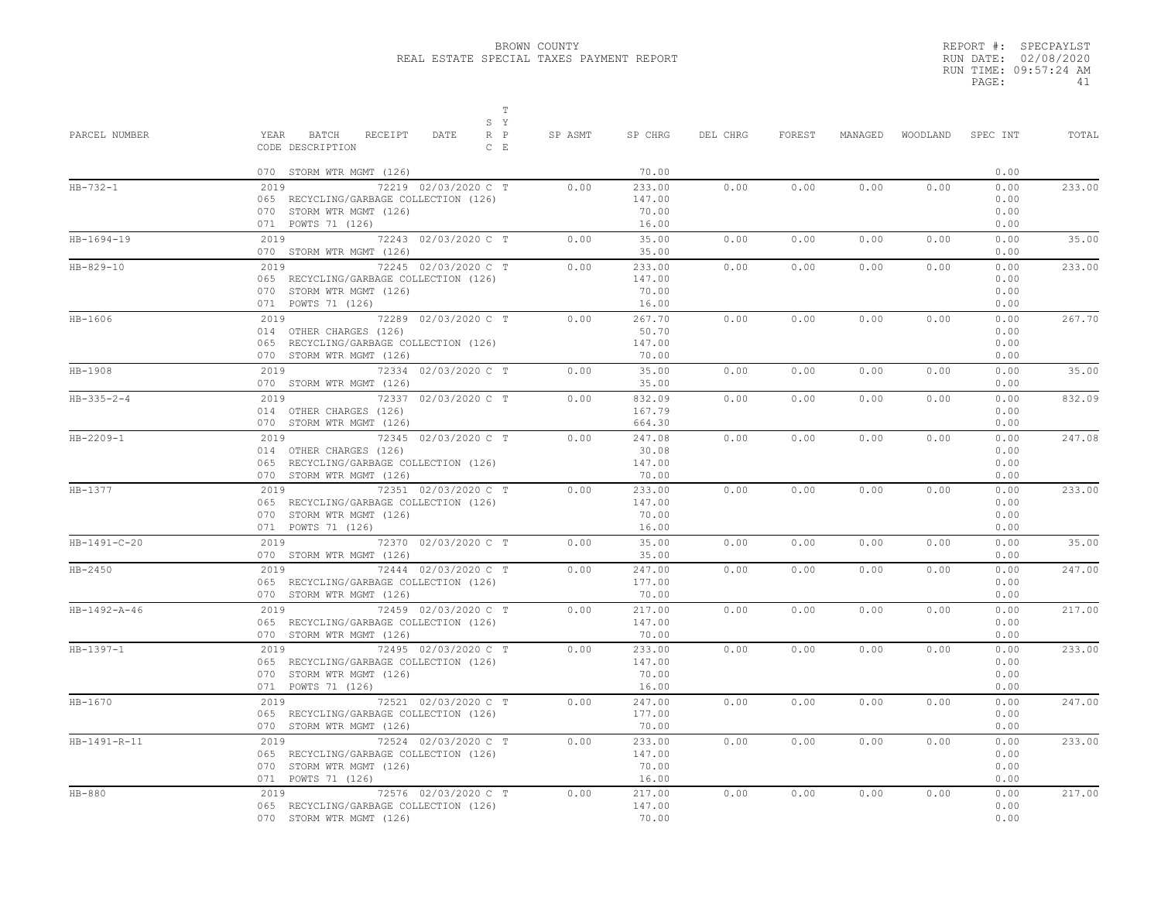|       | REPORT #: SPECPAYLST  |
|-------|-----------------------|
|       | RUN DATE: 02/08/2020  |
|       | RUN TIME: 09:57:24 AM |
| PAGE: | 41                    |

| PARCEL NUMBER      | $\mathbb T$<br>S Y<br>YEAR<br>BATCH<br>RECEIPT<br>DATE<br>$R$ $P$<br>CODE DESCRIPTION<br>$C$ E                                | SP ASMT | SP CHRG                            | DEL CHRG | FOREST | MANAGED |      | WOODLAND SPEC INT            | TOTAL  |
|--------------------|-------------------------------------------------------------------------------------------------------------------------------|---------|------------------------------------|----------|--------|---------|------|------------------------------|--------|
|                    | 070 STORM WTR MGMT (126)                                                                                                      |         | 70.00                              |          |        |         |      | 0.00                         |        |
| $HB - 732 - 1$     | 72219 02/03/2020 C T<br>2019<br>065 RECYCLING/GARBAGE COLLECTION (126)<br>070 STORM WTR MGMT (126)<br>071 POWTS 71 (126)      | 0.00    | 233.00<br>147.00<br>70.00<br>16.00 | 0.00     | 0.00   | 0.00    | 0.00 | 0.00<br>0.00<br>0.00<br>0.00 | 233.00 |
| $HB-1694-19$       | 72243 02/03/2020 C T<br>2019<br>070 STORM WTR MGMT (126)                                                                      | 0.00    | 35.00<br>35.00                     | 0.00     | 0.00   | 0.00    | 0.00 | 0.00<br>0.00                 | 35.00  |
| $HB-829-10$        | 72245 02/03/2020 C T<br>2019<br>065 RECYCLING/GARBAGE COLLECTION (126)<br>070 STORM WTR MGMT (126)<br>071 POWTS 71 (126)      | 0.00    | 233.00<br>147.00<br>70.00<br>16.00 | 0.00     | 0.00   | 0.00    | 0.00 | 0.00<br>0.00<br>0.00<br>0.00 | 233.00 |
| $HB-1606$          | 2019<br>72289 02/03/2020 C T<br>014 OTHER CHARGES (126)<br>065 RECYCLING/GARBAGE COLLECTION (126)<br>070 STORM WTR MGMT (126) | 0.00    | 267.70<br>50.70<br>147.00<br>70.00 | 0.00     | 0.00   | 0.00    | 0.00 | 0.00<br>0.00<br>0.00<br>0.00 | 267.70 |
| HB-1908            | 72334 02/03/2020 C T<br>2019<br>070 STORM WTR MGMT (126)                                                                      | 0.00    | 35.00<br>35.00                     | 0.00     | 0.00   | 0.00    | 0.00 | 0.00<br>0.00                 | 35.00  |
| $HB - 335 - 2 - 4$ | 2019<br>72337 02/03/2020 C T<br>014 OTHER CHARGES (126)<br>070 STORM WTR MGMT (126)                                           | 0.00    | 832.09<br>167.79<br>664.30         | 0.00     | 0.00   | 0.00    | 0.00 | 0.00<br>0.00<br>0.00         | 832.09 |
| HB-2209-1          | 72345 02/03/2020 C T<br>2019<br>014 OTHER CHARGES (126)<br>065 RECYCLING/GARBAGE COLLECTION (126)<br>070 STORM WTR MGMT (126) | 0.00    | 247.08<br>30.08<br>147.00<br>70.00 | 0.00     | 0.00   | 0.00    | 0.00 | 0.00<br>0.00<br>0.00<br>0.00 | 247.08 |
| $HB-1377$          | 2019<br>72351 02/03/2020 C T<br>065 RECYCLING/GARBAGE COLLECTION (126)<br>070 STORM WTR MGMT (126)<br>071 POWTS 71 (126)      | 0.00    | 233.00<br>147.00<br>70.00<br>16.00 | 0.00     | 0.00   | 0.00    | 0.00 | 0.00<br>0.00<br>0.00<br>0.00 | 233.00 |
| HB-1491-C-20       | 2019 72370 02/03/2020 C T<br>070 STORM WTR MGMT (126)                                                                         | 0.00    | 35.00<br>35.00                     | 0.00     | 0.00   | 0.00    | 0.00 | 0.00<br>0.00                 | 35.00  |
| $HB-2450$          | 2019 72444 02/03/2020 C T<br>065 RECYCLING/GARBAGE COLLECTION (126)<br>070 STORM WTR MGMT (126)                               | 0.00    | 247.00<br>177.00<br>70.00          | 0.00     | 0.00   | 0.00    | 0.00 | 0.00<br>0.00<br>0.00         | 247.00 |
| HB-1492-A-46       | 72459 02/03/2020 C T<br>065 RECYCLING/GARBAGE COLLECTION (126)<br>070 STORM WTR MGMT (126)                                    | 0.00    | 217.00<br>147.00<br>70.00          | 0.00     | 0.00   | 0.00    | 0.00 | 0.00<br>0.00<br>0.00         | 217.00 |
| $HB-1397-1$        | 2019<br>72495 02/03/2020 C T<br>065 RECYCLING/GARBAGE COLLECTION (126)<br>070 STORM WTR MGMT (126)<br>071 POWTS 71 (126)      | 0.00    | 233.00<br>147.00<br>70.00<br>16.00 | 0.00     | 0.00   | 0.00    | 0.00 | 0.00<br>0.00<br>0.00<br>0.00 | 233.00 |
| $HB-1670$          | 2019 72521 02/03/2020 C T<br>065 RECYCLING/GARBAGE COLLECTION (126)<br>070 STORM WTR MGMT (126)                               | 0.00    | 247.00<br>177.00<br>70.00          | 0.00     | 0.00   | 0.00    | 0.00 | 0.00<br>0.00<br>0.00         | 247.00 |
| HB-1491-R-11       | 72524 02/03/2020 C T<br>2019<br>065 RECYCLING/GARBAGE COLLECTION (126)<br>070 STORM WTR MGMT (126)<br>071 POWTS 71 (126)      | 0.00    | 233.00<br>147.00<br>70.00<br>16.00 | 0.00     | 0.00   | 0.00    | 0.00 | 0.00<br>0.00<br>0.00<br>0.00 | 233.00 |
| $HB-880$           | 72576 02/03/2020 C T<br>2019<br>065 RECYCLING/GARBAGE COLLECTION (126)<br>070 STORM WTR MGMT (126)                            | 0.00    | 217.00<br>147.00<br>70.00          | 0.00     | 0.00   | 0.00    | 0.00 | 0.00<br>0.00<br>0.00         | 217.00 |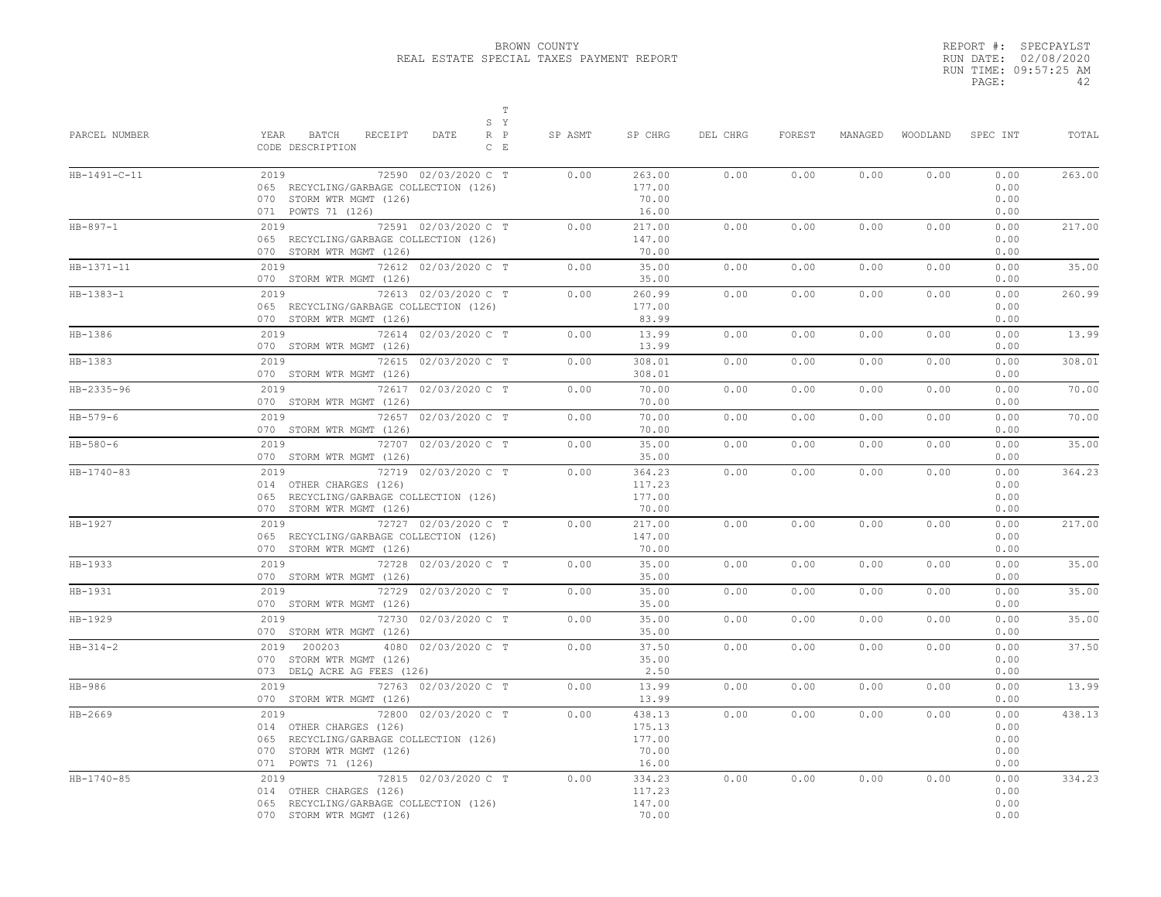|       | REPORT #: SPECPAYLST  |    |
|-------|-----------------------|----|
|       | RUN DATE: 02/08/2020  |    |
|       | RUN TIME: 09:57:25 AM |    |
| PAGE: |                       | 42 |

| PARCEL NUMBER    | $\mathbb T$<br>S Y<br>YEAR<br>BATCH<br>RECEIPT<br>$R$ $P$<br>DATE<br>CODE DESCRIPTION<br>$C$ $E$                                                    | SP ASMT | SP CHRG                                      | DEL CHRG | FOREST | MANAGED |      | WOODLAND SPEC INT                    | TOTAL  |
|------------------|-----------------------------------------------------------------------------------------------------------------------------------------------------|---------|----------------------------------------------|----------|--------|---------|------|--------------------------------------|--------|
| HB-1491-C-11     | 2019<br>72590 02/03/2020 C T<br>065 RECYCLING/GARBAGE COLLECTION (126)<br>070 STORM WTR MGMT (126)<br>071 POWTS 71 (126)                            | 0.00    | 263.00<br>177.00<br>70.00<br>16.00           | 0.00     | 0.00   | 0.00    | 0.00 | 0.00<br>0.00<br>0.00<br>0.00         | 263.00 |
| $HB-897-1$       | 2019<br>72591 02/03/2020 C T<br>065 RECYCLING/GARBAGE COLLECTION (126)<br>070 STORM WTR MGMT (126)                                                  | 0.00    | 217.00<br>147.00<br>70.00                    | 0.00     | 0.00   | 0.00    | 0.00 | 0.00<br>0.00<br>0.00                 | 217.00 |
| HB-1371-11       | 72612 02/03/2020 C T<br>2019<br>070 STORM WTR MGMT (126)                                                                                            | 0.00    | 35.00<br>35.00                               | 0.00     | 0.00   | 0.00    | 0.00 | 0.00<br>0.00                         | 35.00  |
| HB-1383-1        | 2019<br>72613 02/03/2020 C T<br>065 RECYCLING/GARBAGE COLLECTION (126)<br>070 STORM WTR MGMT (126)                                                  | 0.00    | 260.99<br>177.00<br>83.99                    | 0.00     | 0.00   | 0.00    | 0.00 | 0.00<br>0.00<br>0.00                 | 260.99 |
| HB-1386          | 2019 72<br>72614 02/03/2020 C T<br>070 STORM WTR MGMT (126)                                                                                         | 0.00    | 13.99<br>13.99                               | 0.00     | 0.00   | 0.00    | 0.00 | 0.00<br>0.00                         | 13.99  |
| HB-1383          | 2019<br>72615 02/03/2020 C T<br>070 STORM WTR MGMT (126)                                                                                            | 0.00    | 308.01<br>308.01                             | 0.00     | 0.00   | 0.00    | 0.00 | 0.00<br>0.00                         | 308.01 |
| HB-2335-96       | 72617 02/03/2020 C T<br>2019<br>070 STORM WTR MGMT (126)                                                                                            | 0.00    | 70.00<br>70.00                               | 0.00     | 0.00   | 0.00    | 0.00 | 0.00<br>0.00                         | 70.00  |
| $HB - 579 - 6$   | 2019<br>72657 02/03/2020 C T<br>070 STORM WTR MGMT (126)                                                                                            | 0.00    | 70.00<br>70.00                               | 0.00     | 0.00   | 0.00    | 0.00 | 0.00<br>0.00                         | 70.00  |
| $HB - 580 - 6$   | 2019<br>72707 02/03/2020 C T<br>070 STORM WTR MGMT (126)                                                                                            | 0.00    | 35.00<br>35.00                               | 0.00     | 0.00   | 0.00    | 0.00 | 0.00<br>0.00                         | 35.00  |
| $HB - 1740 - 83$ | 72719 02/03/2020 C T<br>014 OTHER CHARGES (126)<br>065 RECYCLING/GARBAGE COLLECTION (126)<br>070 STORM WTR MGMT (126)                               | 0.00    | 364.23<br>117.23<br>177.00<br>70.00          | 0.00     | 0.00   | 0.00    | 0.00 | 0.00<br>0.00<br>0.00<br>0.00         | 364.23 |
| HB-1927          | 2019 72727 02/03/2020 C T<br>065 RECYCLING/GARBAGE COLLECTION (126)<br>070 STORM WTR MGMT (126)                                                     | 0.00    | 217.00<br>147.00<br>70.00                    | 0.00     | 0.00   | 0.00    | 0.00 | 0.00<br>0.00<br>0.00                 | 217.00 |
| HB-1933          | 2019 7<br>72728 02/03/2020 C T<br>070 STORM WTR MGMT (126)                                                                                          | 0.00    | 35.00<br>35.00                               | 0.00     | 0.00   | 0.00    | 0.00 | 0.00<br>0.00                         | 35.00  |
| $HB-1931$        | 2019<br>72729 02/03/2020 C T<br>070 STORM WTR MGMT (126)                                                                                            | 0.00    | 35.00<br>35.00                               | 0.00     | 0.00   | 0.00    | 0.00 | 0.00<br>0.00                         | 35.00  |
| HB-1929          | 72730 02/03/2020 C T<br>2019<br>070 STORM WTR MGMT (126)                                                                                            | 0.00    | 35.00<br>35.00                               | 0.00     | 0.00   | 0.00    | 0.00 | 0.00<br>0.00                         | 35.00  |
| $HB - 314 - 2$   | 4080 02/03/2020 C T<br>2019 200203<br>070 STORM WTR MGMT (126)<br>073 DELQ ACRE AG FEES (126)                                                       | 0.00    | 37.50<br>35.00<br>2.50                       | 0.00     | 0.00   | 0.00    | 0.00 | 0.00<br>0.00<br>0.00                 | 37.50  |
| HB-986           | 2019<br>72763 02/03/2020 C T<br>070 STORM WTR MGMT (126)                                                                                            | 0.00    | 13.99<br>13.99                               | 0.00     | 0.00   | 0.00    | 0.00 | 0.00<br>0.00                         | 13.99  |
| HB-2669          | 2019<br>72800 02/03/2020 C T<br>014 OTHER CHARGES (126)<br>065 RECYCLING/GARBAGE COLLECTION (126)<br>070 STORM WTR MGMT (126)<br>071 POWTS 71 (126) | 0.00    | 438.13<br>175.13<br>177.00<br>70.00<br>16.00 | 0.00     | 0.00   | 0.00    | 0.00 | 0.00<br>0.00<br>0.00<br>0.00<br>0.00 | 438.13 |
| HB-1740-85       | 2019<br>72815 02/03/2020 C T<br>014 OTHER CHARGES (126)<br>065 RECYCLING/GARBAGE COLLECTION (126)<br>070 STORM WTR MGMT (126)                       | 0.00    | 334.23<br>117.23<br>147.00<br>70.00          | 0.00     | 0.00   | 0.00    | 0.00 | 0.00<br>0.00<br>0.00<br>0.00         | 334.23 |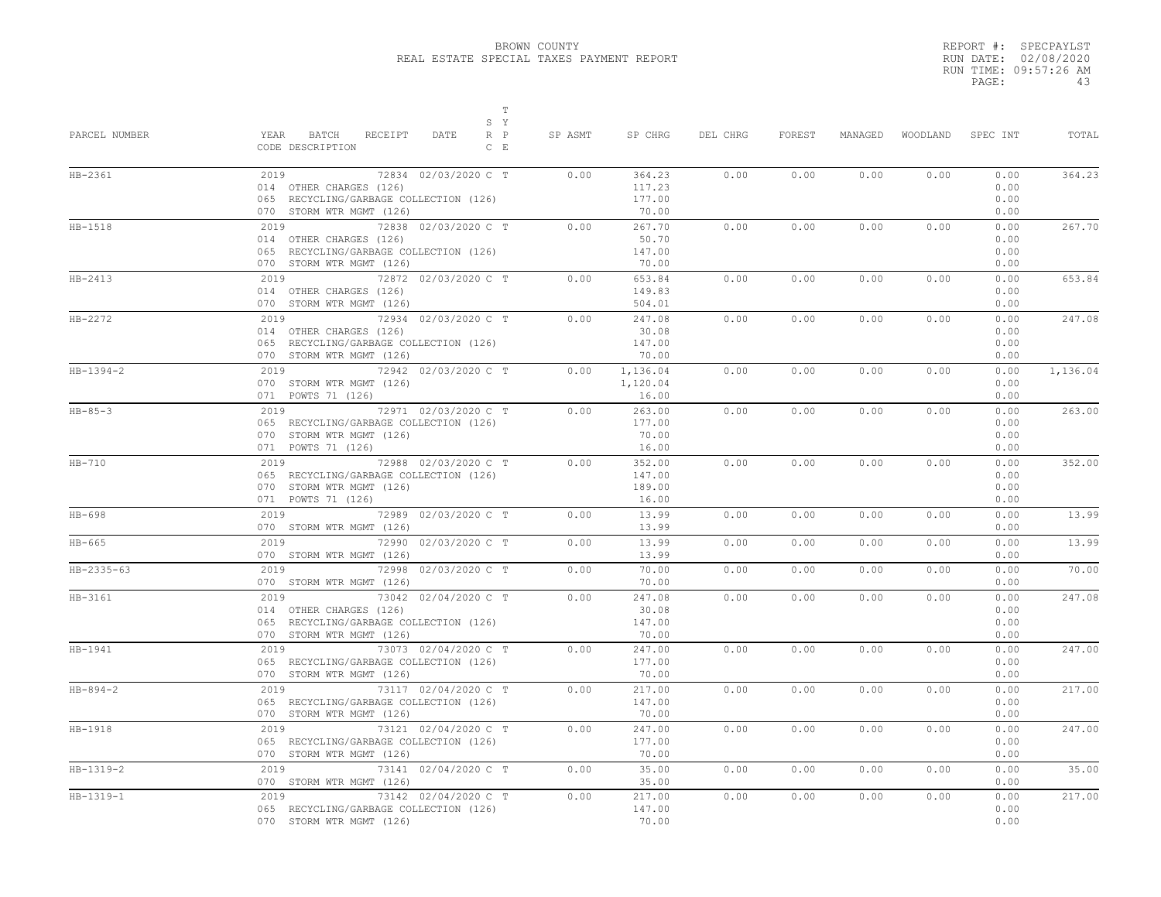|       | REPORT #: SPECPAYLST  |
|-------|-----------------------|
|       | RUN DATE: 02/08/2020  |
|       | RUN TIME: 09:57:26 AM |
| PAGE: | 43                    |

| PARCEL NUMBER  | $\mathbb T$<br>S Y<br>YEAR<br>BATCH<br>RECEIPT<br>DATE<br>$R$ $P$<br>CODE DESCRIPTION<br>$C$ E                                | SP ASMT | SP CHRG                             | DEL CHRG | FOREST | MANAGED | WOODLAND | SPEC INT                     | TOTAL    |
|----------------|-------------------------------------------------------------------------------------------------------------------------------|---------|-------------------------------------|----------|--------|---------|----------|------------------------------|----------|
| HB-2361        | 2019<br>72834 02/03/2020 C T<br>014 OTHER CHARGES (126)<br>065 RECYCLING/GARBAGE COLLECTION (126)<br>070 STORM WTR MGMT (126) | 0.00    | 364.23<br>117.23<br>177.00<br>70.00 | 0.00     | 0.00   | 0.00    | 0.00     | 0.00<br>0.00<br>0.00<br>0.00 | 364.23   |
| $HB-1518$      | 2019 72838 02/03/2020 C T<br>014 OTHER CHARGES (126)<br>065 RECYCLING/GARBAGE COLLECTION (126)<br>070 STORM WTR MGMT (126)    | 0.00    | 267.70<br>50.70<br>147.00<br>70.00  | 0.00     | 0.00   | 0.00    | 0.00     | 0.00<br>0.00<br>0.00<br>0.00 | 267.70   |
| $HB-2413$      | 72872 02/03/2020 C T<br>2019<br>014 OTHER CHARGES (126)<br>070 STORM WTR MGMT (126)                                           | 0.00    | 653.84<br>149.83<br>504.01          | 0.00     | 0.00   | 0.00    | 0.00     | 0.00<br>0.00<br>0.00         | 653.84   |
| $HB-2272$      | 72934 02/03/2020 C T<br>2019<br>014 OTHER CHARGES (126)<br>065 RECYCLING/GARBAGE COLLECTION (126)<br>070 STORM WTR MGMT (126) | 0.00    | 247.08<br>30.08<br>147.00<br>70.00  | 0.00     | 0.00   | 0.00    | 0.00     | 0.00<br>0.00<br>0.00<br>0.00 | 247.08   |
| $HB-1394-2$    | 2019<br>72942 02/03/2020 C T<br>070 STORM WTR MGMT (126)<br>071 POWTS 71 (126)                                                | 0.00    | 1,136.04<br>1,120.04<br>16.00       | 0.00     | 0.00   | 0.00    | 0.00     | 0.00<br>0.00<br>0.00         | 1,136.04 |
| $HB - 85 - 3$  | 72971 02/03/2020 C T<br>2019<br>065 RECYCLING/GARBAGE COLLECTION (126)<br>070 STORM WTR MGMT (126)<br>071 POWTS 71 (126)      | 0.00    | 263.00<br>177.00<br>70.00<br>16.00  | 0.00     | 0.00   | 0.00    | 0.00     | 0.00<br>0.00<br>0.00<br>0.00 | 263.00   |
| $HB-710$       | 72988 02/03/2020 C T<br>2019<br>065 RECYCLING/GARBAGE COLLECTION (126)<br>070 STORM WTR MGMT (126)<br>071 POWTS 71 (126)      | 0.00    | 352.00<br>147.00<br>189.00<br>16.00 | 0.00     | 0.00   | 0.00    | 0.00     | 0.00<br>0.00<br>0.00<br>0.00 | 352.00   |
| HB-698         | 2019 72989 02/03/2020 C T<br>070 STORM WTR MGMT (126)                                                                         | 0.00    | 13.99<br>13.99                      | 0.00     | 0.00   | 0.00    | 0.00     | 0.00<br>0.00                 | 13.99    |
| $HB-665$       | 72990 02/03/2020 C T<br>2019<br>070 STORM WTR MGMT (126)                                                                      | 0.00    | 13.99<br>13.99                      | 0.00     | 0.00   | 0.00    | 0.00     | 0.00<br>0.00                 | 13.99    |
| HB-2335-63     | 72998 02/03/2020 C T<br>2019<br>070 STORM WTR MGMT (126)                                                                      | 0.00    | 70.00<br>70.00                      | 0.00     | 0.00   | 0.00    | 0.00     | 0.00<br>0.00                 | 70.00    |
| HB-3161        | 73042 02/04/2020 C T<br>2019<br>014 OTHER CHARGES (126)<br>065 RECYCLING/GARBAGE COLLECTION (126)<br>070 STORM WTR MGMT (126) | 0.00    | 247.08<br>30.08<br>147.00<br>70.00  | 0.00     | 0.00   | 0.00    | 0.00     | 0.00<br>0.00<br>0.00<br>0.00 | 247.08   |
| HB-1941        | 2019<br>73073 02/04/2020 C T<br>065 RECYCLING/GARBAGE COLLECTION (126)<br>070 STORM WTR MGMT (126)                            | 0.00    | 247.00<br>177.00<br>70.00           | 0.00     | 0.00   | 0.00    | 0.00     | 0.00<br>0.00<br>0.00         | 247.00   |
| $HB - 894 - 2$ | $\frac{1}{2019}$<br>73117 02/04/2020 C T<br>065 RECYCLING/GARBAGE COLLECTION (126)<br>070 STORM WTR MGMT (126)                | 0.00    | 217.00<br>147.00<br>70.00           | 0.00     | 0.00   | 0.00    | 0.00     | 0.00<br>0.00<br>0.00         | 217.00   |
| HB-1918        | 2019<br>73121 02/04/2020 C T<br>065 RECYCLING/GARBAGE COLLECTION (126)<br>070 STORM WTR MGMT (126)                            | 0.00    | 247.00<br>177.00<br>70.00           | 0.00     | 0.00   | 0.00    | 0.00     | 0.00<br>0.00<br>0.00         | 247.00   |
| $HB-1319-2$    | 73141 02/04/2020 C T<br>2019<br>070 STORM WTR MGMT (126)                                                                      | 0.00    | 35.00<br>35.00                      | 0.00     | 0.00   | 0.00    | 0.00     | 0.00<br>0.00                 | 35.00    |
| HB-1319-1      | 73142 02/04/2020 C T<br>2019<br>065 RECYCLING/GARBAGE COLLECTION (126)<br>070 STORM WTR MGMT (126)                            | 0.00    | 217.00<br>147.00<br>70.00           | 0.00     | 0.00   | 0.00    | 0.00     | 0.00<br>0.00<br>0.00         | 217.00   |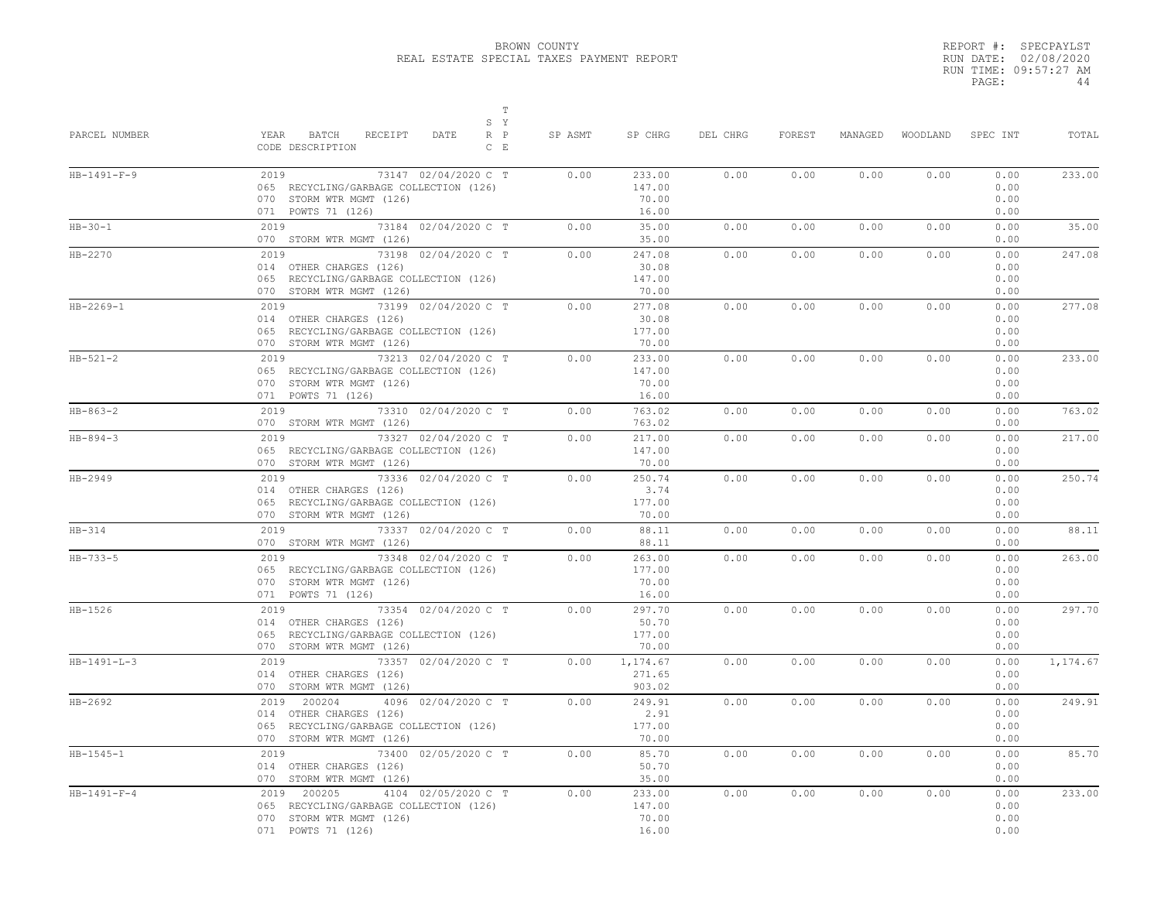REPORT #: SPECPAYLST RUN DATE: 02/08/2020 RUN TIME: 09:57:27 AM PAGE: 44

| PARCEL NUMBER  | $\mathbb T$<br>S Y<br>YEAR BATCH<br>RECEIPT<br>DATE<br>$R$ $P$<br>CODE DESCRIPTION<br>$C$ $E$                                       | SP ASMT | SP CHRG                            | DEL CHRG | FOREST | MANAGED |      | WOODLAND SPEC INT            | TOTAL    |
|----------------|-------------------------------------------------------------------------------------------------------------------------------------|---------|------------------------------------|----------|--------|---------|------|------------------------------|----------|
| $HB-1491-F-9$  | 2019<br>73147 02/04/2020 C T<br>065 RECYCLING/GARBAGE COLLECTION (126)<br>070 STORM WTR MGMT (126)<br>071 POWTS 71 (126)            | 0.00    | 233.00<br>147.00<br>70.00<br>16.00 | 0.00     | 0.00   | 0.00    | 0.00 | 0.00<br>0.00<br>0.00<br>0.00 | 233.00   |
| $HB-30-1$      | 2019 73184 02/04/2020 C T<br>070 STORM WTR MGMT (126)                                                                               | 0.00    | 35.00<br>35.00                     | 0.00     | 0.00   | 0.00    | 0.00 | 0.00<br>0.00                 | 35.00    |
| HB-2270        | 2019 73198 02/04/2020 C T<br>014 OTHER CHARGES (126)<br>065 RECYCLING/GARBAGE COLLECTION (126)<br>070 STORM WTR MGMT (126)          | 0.00    | 247.08<br>30.08<br>147.00<br>70.00 | 0.00     | 0.00   | 0.00    | 0.00 | 0.00<br>0.00<br>0.00<br>0.00 | 247.08   |
| HB-2269-1      | 2019 73199 02/04/2020 C T<br>014 OTHER CHARGES (126)<br>065 RECYCLING/GARBAGE COLLECTION (126)<br>070 STORM WTR MGMT (126)          | 0.00    | 277.08<br>30.08<br>177.00<br>70.00 | 0.00     | 0.00   | 0.00    | 0.00 | 0.00<br>0.00<br>0.00<br>0.00 | 277.08   |
| $HB-521-2$     | 2019<br>73213 02/04/2020 C T<br>065 RECYCLING/GARBAGE COLLECTION (126)<br>070 STORM WTR MGMT (126)<br>071 POWTS 71 (126)            | 0.00    | 233.00<br>147.00<br>70.00<br>16.00 | 0.00     | 0.00   | 0.00    | 0.00 | 0.00<br>0.00<br>0.00<br>0.00 | 233.00   |
| $HB-863-2$     | 2019 73310 02/04/2020 C T<br>070 STORM WTR MGMT (126)                                                                               | 0.00    | 763.02<br>763.02                   | 0.00     | 0.00   | 0.00    | 0.00 | 0.00<br>0.00                 | 763.02   |
| $HB - 894 - 3$ | 2019 73327 02/04/2020 C T<br>065 RECYCLING/GARBAGE COLLECTION (126)<br>070 STORM WTR MGMT (126)                                     | 0.00    | 217.00<br>147.00<br>70.00          | 0.00     | 0.00   | 0.00    | 0.00 | 0.00<br>0.00<br>0.00         | 217.00   |
| HB-2949        | 2019 73336 02/04/2020 C T<br>014 OTHER CHARGES (126)<br>065 RECYCLING/GARBAGE COLLECTION (126)<br>070 STORM WTR MGMT (126)          | 0.00    | 250.74<br>3.74<br>177.00<br>70.00  | 0.00     | 0.00   | 0.00    | 0.00 | 0.00<br>0.00<br>0.00<br>0.00 | 250.74   |
| $HB-314$       | 2019 73337 02/04/2020 C T<br>070 STORM WTR MGMT (126)                                                                               | 0.00    | 88.11<br>88.11                     | 0.00     | 0.00   | 0.00    | 0.00 | 0.00<br>0.00                 | 88.11    |
| $HB - 733 - 5$ | 2019 73348 02/04/2020 C T<br>065 RECYCLING/GARBAGE COLLECTION (126)<br>070 STORM WTR MGMT (126)<br>071 POWTS 71 (126)               | 0.00    | 263.00<br>177.00<br>70.00<br>16.00 | 0.00     | 0.00   | 0.00    | 0.00 | 0.00<br>0.00<br>0.00<br>0.00 | 263.00   |
| HB-1526        | 2019 73354 02/04/2020 C T<br>014 OTHER CHARGES (126)<br>065 RECYCLING/GARBAGE COLLECTION (126)<br>070 STORM WTR MGMT (126)          | 0.00    | 297.70<br>50.70<br>177.00<br>70.00 | 0.00     | 0.00   | 0.00    | 0.00 | 0.00<br>0.00<br>0.00<br>0.00 | 297.70   |
| $HB-1491-L-3$  | $2019$<br>73357 02/04/2020 C T<br>014 OTHER CHARGES (126)<br>070 STORM WTR MGMT (126)                                               | 0.00    | 1,174.67<br>271.65<br>903.02       | 0.00     | 0.00   | 0.00    | 0.00 | 0.00<br>0.00<br>0.00         | 1,174.67 |
| $HB - 2692$    | 2019 200204<br>4096 02/04/2020 C T<br>014 OTHER CHARGES (126)<br>065 RECYCLING/GARBAGE COLLECTION (126)<br>070 STORM WTR MGMT (126) | 0.00    | 249.91<br>2.91<br>177.00<br>70.00  | 0.00     | 0.00   | 0.00    | 0.00 | 0.00<br>0.00<br>0.00<br>0.00 | 249.91   |
| $HB-1545-1$    | 73400 02/05/2020 C T<br>2019<br>014 OTHER CHARGES (126)<br>070 STORM WTR MGMT (126)                                                 | 0.00    | 85.70<br>50.70<br>35.00            | 0.00     | 0.00   | 0.00    | 0.00 | 0.00<br>0.00<br>0.00         | 85.70    |
| $HB-1491-F-4$  | 2019 200205<br>4104 02/05/2020 C T<br>065 RECYCLING/GARBAGE COLLECTION (126)<br>070 STORM WTR MGMT (126)<br>071 POWTS 71 (126)      | 0.00    | 233.00<br>147.00<br>70.00<br>16.00 | 0.00     | 0.00   | 0.00    | 0.00 | 0.00<br>0.00<br>0.00<br>0.00 | 233.00   |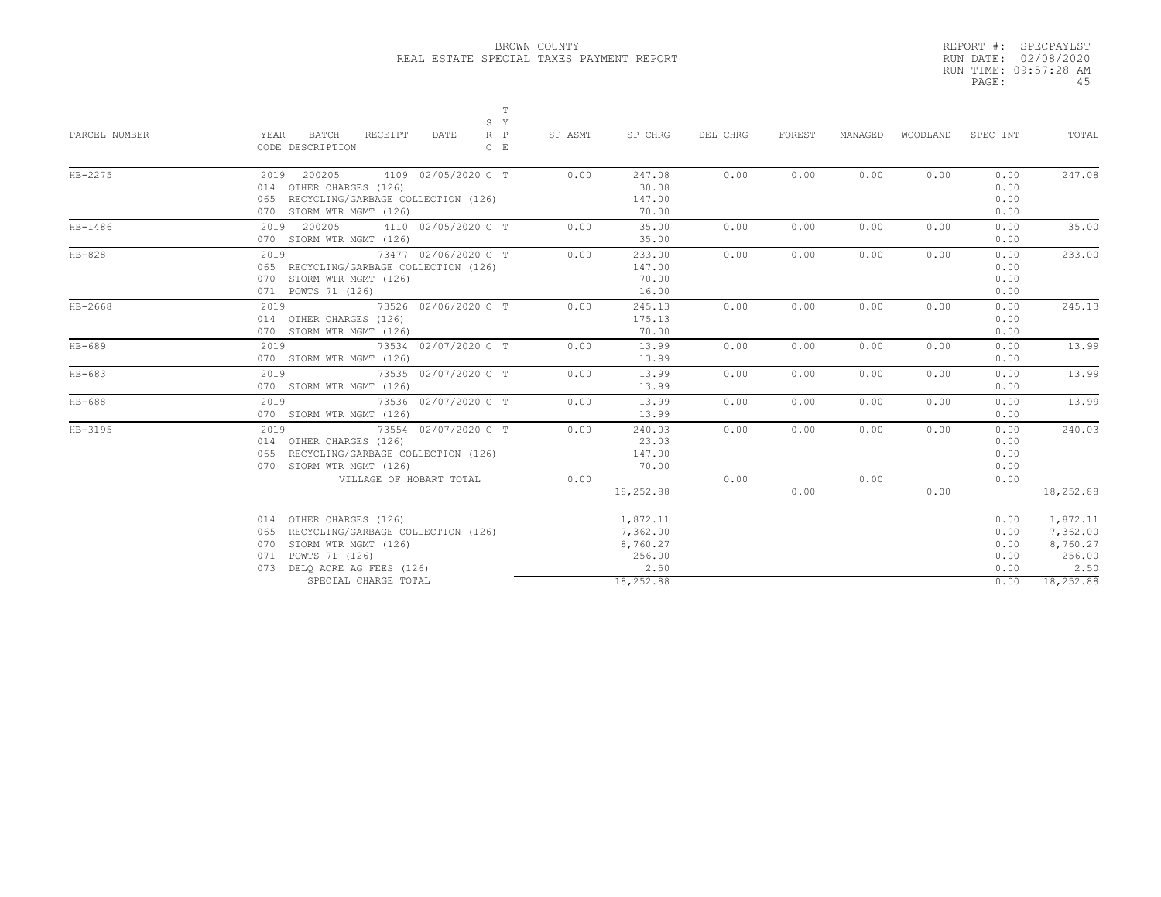|       | REPORT #: SPECPAYLST  |
|-------|-----------------------|
|       | RUN DATE: 02/08/2020  |
|       | RUN TIME: 09:57:28 AM |
| PAGE: | 45                    |

|               | $\mathbb T$<br>S Y                                                         |         |           |          |        |         |          |          |           |
|---------------|----------------------------------------------------------------------------|---------|-----------|----------|--------|---------|----------|----------|-----------|
| PARCEL NUMBER | YEAR<br>BATCH<br>RECEIPT<br>DATE<br>$R$ $P$<br>CODE DESCRIPTION<br>$C$ $E$ | SP ASMT | SP CHRG   | DEL CHRG | FOREST | MANAGED | WOODLAND | SPEC INT | TOTAL     |
| $HB-2275$     | 2019 200205<br>4109 02/05/2020 C T                                         | 0.00    | 247.08    | 0.00     | 0.00   | 0.00    | 0.00     | 0.00     | 247.08    |
|               | 014 OTHER CHARGES (126)                                                    |         | 30.08     |          |        |         |          | 0.00     |           |
|               | 065 RECYCLING/GARBAGE COLLECTION (126)                                     |         | 147.00    |          |        |         |          | 0.00     |           |
|               | 070 STORM WTR MGMT (126)                                                   |         | 70.00     |          |        |         |          | 0.00     |           |
| HB-1486       | 2019 200205<br>4110 02/05/2020 C T                                         | 0.00    | 35.00     | 0.00     | 0.00   | 0.00    | 0.00     | 0.00     | 35.00     |
|               | 070 STORM WTR MGMT (126)                                                   |         | 35.00     |          |        |         |          | 0.00     |           |
| $HB-828$      | 2019<br>73477 02/06/2020 C T                                               | 0.00    | 233.00    | 0.00     | 0.00   | 0.00    | 0.00     | 0.00     | 233.00    |
|               | 065 RECYCLING/GARBAGE COLLECTION (126)                                     |         | 147.00    |          |        |         |          | 0.00     |           |
|               | 070 STORM WTR MGMT (126)                                                   |         | 70.00     |          |        |         |          | 0.00     |           |
|               | 071 POWTS 71 (126)                                                         |         | 16.00     |          |        |         |          | 0.00     |           |
| $HB-2668$     | 2019<br>73526 02/06/2020 C T                                               | 0.00    | 245.13    | 0.00     | 0.00   | 0.00    | 0.00     | 0.00     | 245.13    |
|               | 014 OTHER CHARGES (126)                                                    |         | 175.13    |          |        |         |          | 0.00     |           |
|               | 070 STORM WTR MGMT (126)                                                   |         | 70.00     |          |        |         |          | 0.00     |           |
| $HB-689$      | 73534 02/07/2020 C T<br>2019                                               | 0.00    | 13.99     | 0.00     | 0.00   | 0.00    | 0.00     | 0.00     | 13.99     |
|               | 070 STORM WTR MGMT (126)                                                   |         | 13.99     |          |        |         |          | 0.00     |           |
| $HB-683$      | 73535 02/07/2020 C T<br>2019                                               | 0.00    | 13.99     | 0.00     | 0.00   | 0.00    | 0.00     | 0.00     | 13.99     |
|               | 070 STORM WTR MGMT (126)                                                   |         | 13.99     |          |        |         |          | 0.00     |           |
| $HB-688$      | 2019 73536 02/07/2020 C T                                                  | 0.00    | 13.99     | 0.00     | 0.00   | 0.00    | 0.00     | 0.00     | 13.99     |
|               | 070 STORM WTR MGMT (126)                                                   |         | 13.99     |          |        |         |          | 0.00     |           |
| HB-3195       | 73554 02/07/2020 C T<br>2019                                               | 0.00    | 240.03    | 0.00     | 0.00   | 0.00    | 0.00     | 0.00     | 240.03    |
|               | 014 OTHER CHARGES (126)                                                    |         | 23.03     |          |        |         |          | 0.00     |           |
|               | 065 RECYCLING/GARBAGE COLLECTION (126)                                     |         | 147.00    |          |        |         |          | 0.00     |           |
|               | 070 STORM WTR MGMT (126)                                                   |         | 70.00     |          |        |         |          | 0.00     |           |
|               | VILLAGE OF HOBART TOTAL                                                    | 0.00    |           | 0.00     |        | 0.00    |          | 0.00     |           |
|               |                                                                            |         | 18,252.88 |          | 0.00   |         | 0.00     |          | 18,252.88 |
|               | 014 OTHER CHARGES (126)                                                    |         | 1,872.11  |          |        |         |          | 0.00     | 1,872.11  |
|               | RECYCLING/GARBAGE COLLECTION (126)<br>065                                  |         | 7,362.00  |          |        |         |          | 0.00     | 7,362.00  |
|               | STORM WTR MGMT (126)<br>070                                                |         | 8,760.27  |          |        |         |          | 0.00     | 8,760.27  |
|               | POWTS 71 (126)<br>071                                                      |         | 256.00    |          |        |         |          | 0.00     | 256.00    |
|               | DELO ACRE AG FEES (126)<br>073                                             |         | 2.50      |          |        |         |          | 0.00     | 2.50      |
|               | SPECIAL CHARGE TOTAL                                                       |         | 18,252.88 |          |        |         |          | 0.00     | 18,252.88 |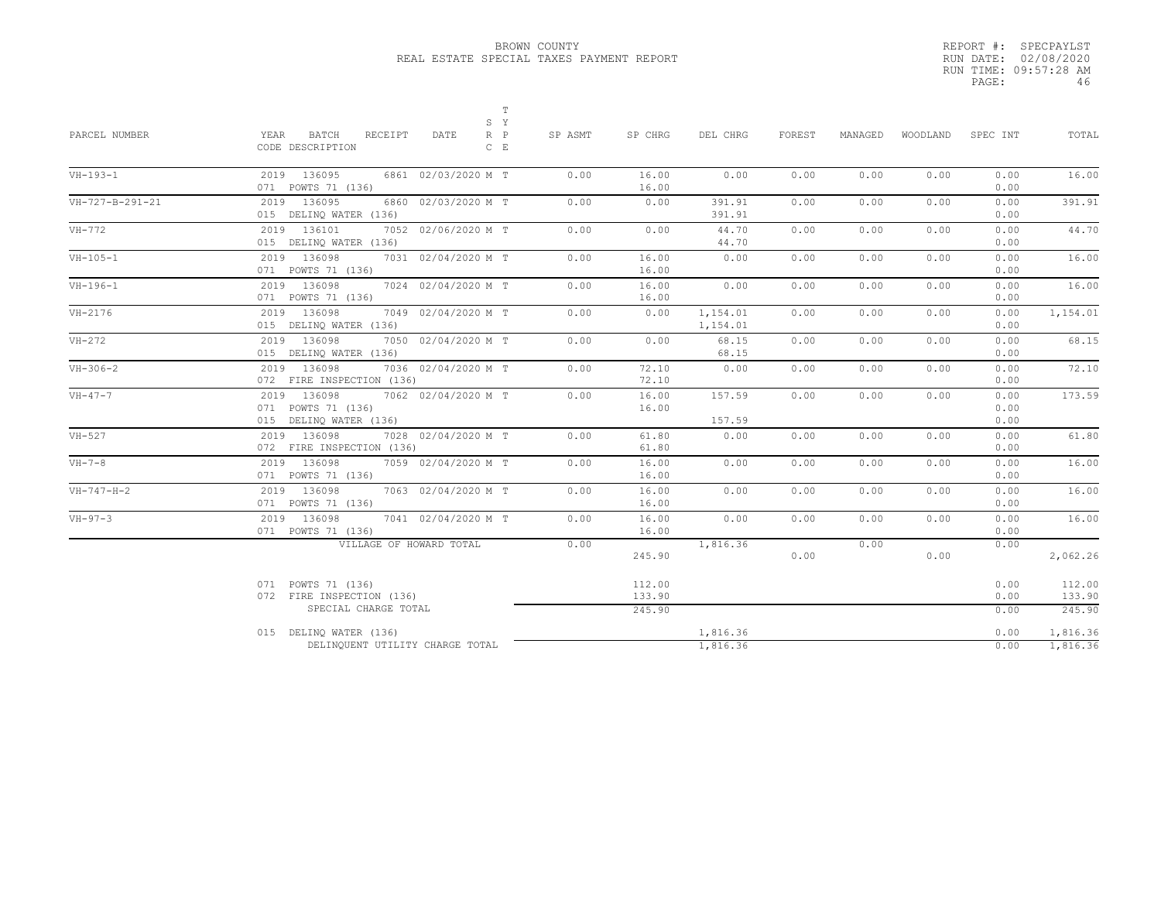|       | REPORT #: SPECPAYLST  |
|-------|-----------------------|
|       | RUN DATE: 02/08/2020  |
|       | RUN TIME: 09:57:28 AM |
| PAGE: | 46                    |

| PARCEL NUMBER      | $\mathbb T$<br>S Y<br><b>BATCH</b><br>$R$ $P$<br>YEAR<br>RECEIPT<br>DATE<br>CODE DESCRIPTION<br>$C$ $E$ | SP ASMT | SP CHRG                    | DEL CHRG             | FOREST | MANAGED | WOODLAND | SPEC INT             | TOTAL                      |
|--------------------|---------------------------------------------------------------------------------------------------------|---------|----------------------------|----------------------|--------|---------|----------|----------------------|----------------------------|
| $VH-193-1$         | 2019 136095<br>6861 02/03/2020 M T<br>071 POWTS 71 (136)                                                | 0.00    | 16.00<br>16.00             | 0.00                 | 0.00   | 0.00    | 0.00     | 0.00<br>0.00         | 16.00                      |
| VH-727-B-291-21    | 2019 136095<br>6860 02/03/2020 M T<br>015 DELINQ WATER (136)                                            | 0.00    | 0.00                       | 391.91<br>391.91     | 0.00   | 0.00    | 0.00     | 0.00<br>0.00         | 391.91                     |
| VH-772             | 2019 136101<br>7052 02/06/2020 M T<br>015 DELINQ WATER (136)                                            | 0.00    | 0.00                       | 44.70<br>44.70       | 0.00   | 0.00    | 0.00     | 0.00<br>0.00         | 44.70                      |
| $VH-105-1$         | 2019 136098<br>7031 02/04/2020 M T<br>071 POWTS 71 (136)                                                | 0.00    | 16.00<br>16.00             | 0.00                 | 0.00   | 0.00    | 0.00     | 0.00<br>0.00         | 16.00                      |
| $VH-196-1$         | 2019 136098<br>7024 02/04/2020 M T<br>071 POWTS 71 (136)                                                | 0.00    | 16.00<br>16.00             | 0.00                 | 0.00   | 0.00    | 0.00     | 0.00<br>0.00         | 16.00                      |
| $VH-2176$          | 2019 136098<br>7049 02/04/2020 M T<br>015 DELINQ WATER (136)                                            | 0.00    | 0.00                       | 1,154.01<br>1,154.01 | 0.00   | 0.00    | 0.00     | 0.00<br>0.00         | 1,154.01                   |
| $VH-272$           | 2019 136098<br>7050 02/04/2020 M T<br>015 DELINQ WATER (136)                                            | 0.00    | 0.00                       | 68.15<br>68.15       | 0.00   | 0.00    | 0.00     | 0.00<br>0.00         | 68.15                      |
| $VH-306-2$         | 2019 136098<br>7036 02/04/2020 M T<br>072 FIRE INSPECTION (136)                                         | 0.00    | 72.10<br>72.10             | 0.00                 | 0.00   | 0.00    | 0.00     | 0.00<br>0.00         | 72.10                      |
| $VH-47-7$          | 136098<br>2019<br>7062 02/04/2020 M T<br>071 POWTS 71 (136)<br>015 DELINQ WATER (136)                   | 0.00    | 16.00<br>16.00             | 157.59<br>157.59     | 0.00   | 0.00    | 0.00     | 0.00<br>0.00<br>0.00 | 173.59                     |
| $VH-527$           | 2019 136098<br>7028 02/04/2020 M T<br>072 FIRE INSPECTION (136)                                         | 0.00    | 61.80<br>61.80             | 0.00                 | 0.00   | 0.00    | 0.00     | 0.00<br>0.00         | 61.80                      |
| $VH-7-8$           | 2019 136098<br>7059 02/04/2020 M T<br>071 POWTS 71 (136)                                                | 0.00    | 16.00<br>16.00             | 0.00                 | 0.00   | 0.00    | 0.00     | 0.00<br>0.00         | 16.00                      |
| $VH - 747 - H - 2$ | 2019 136098<br>7063 02/04/2020 M T<br>071 POWTS 71 (136)                                                | 0.00    | 16.00<br>16.00             | 0.00                 | 0.00   | 0.00    | 0.00     | 0.00<br>0.00         | 16.00                      |
| $VH-97-3$          | 2019 136098<br>7041 02/04/2020 M T<br>071 POWTS 71 (136)                                                | 0.00    | 16.00<br>16.00             | 0.00                 | 0.00   | 0.00    | 0.00     | 0.00<br>0.00         | 16.00                      |
|                    | VILLAGE OF HOWARD TOTAL                                                                                 | 0.00    | 245.90                     | 1,816.36             | 0.00   | 0.00    | 0.00     | 0.00                 | 2,062.26                   |
|                    | 071 POWTS 71 (136)<br>072 FIRE INSPECTION (136)<br>SPECIAL CHARGE TOTAL                                 |         | 112.00<br>133.90<br>245.90 |                      |        |         |          | 0.00<br>0.00<br>0.00 | 112.00<br>133.90<br>245.90 |
|                    | 015 DELINQ WATER (136)<br>DELINQUENT UTILITY CHARGE TOTAL                                               |         |                            | 1,816.36<br>1,816.36 |        |         |          | 0.00<br>0.00         | 1,816.36<br>1,816.36       |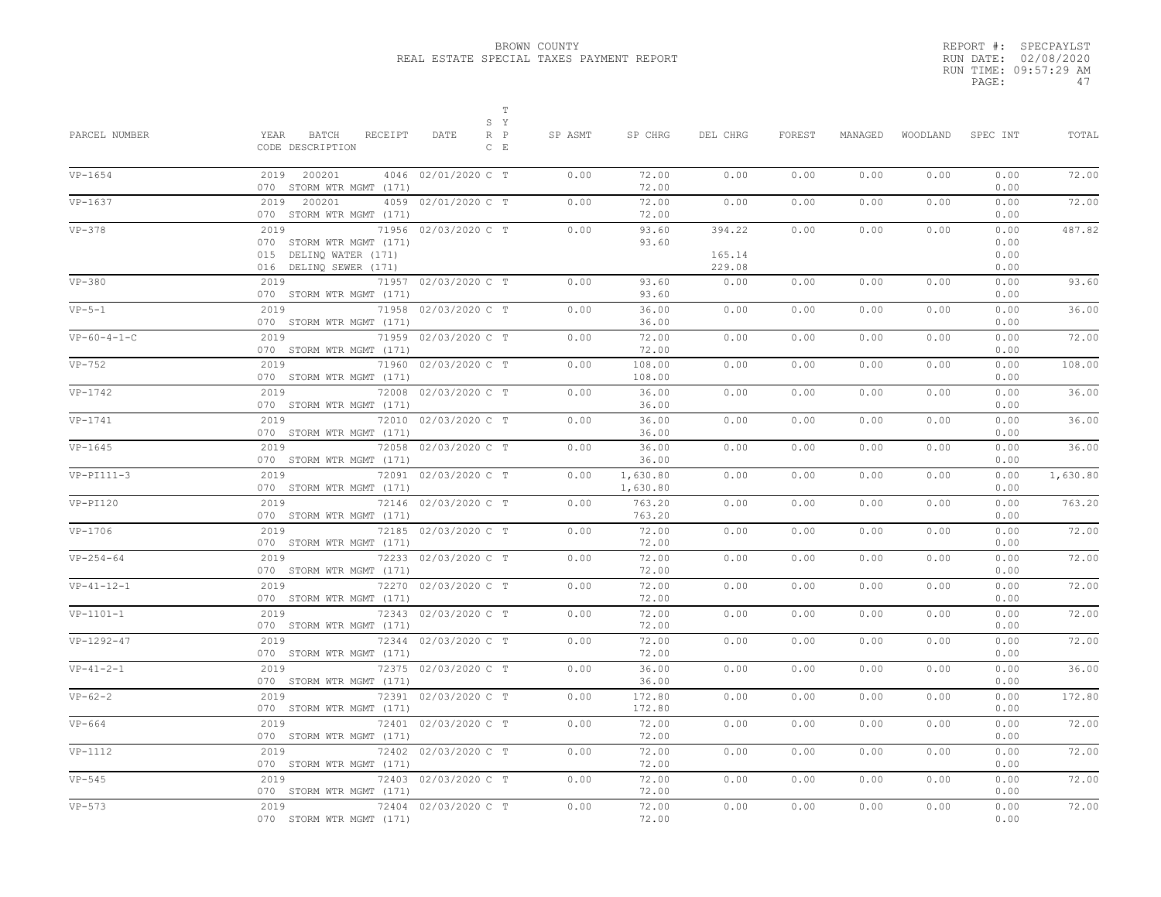|       | REPORT #: SPECPAYLST  |
|-------|-----------------------|
|       | RUN DATE: 02/08/2020  |
|       | RUN TIME: 09:57:29 AM |
| PAGE: | 47                    |
|       |                       |

| PARCEL NUMBER | Т<br>S Y<br>YEAR<br>BATCH<br>RECEIPT<br>DATE<br>$R$ $P$<br>CODE DESCRIPTION<br>$C$ $E$                       | SP ASMT | SP CHRG              | DEL CHRG                   | FOREST | MANAGED | WOODLAND | SPEC INT                     | TOTAL    |
|---------------|--------------------------------------------------------------------------------------------------------------|---------|----------------------|----------------------------|--------|---------|----------|------------------------------|----------|
| $VP-1654$     | 2019 200201<br>4046 02/01/2020 C T<br>070 STORM WTR MGMT (171)                                               | 0.00    | 72.00<br>72.00       | 0.00                       | 0.00   | 0.00    | 0.00     | 0.00<br>0.00                 | 72.00    |
| $VP-1637$     | 4059 02/01/2020 C T<br>2019<br>200201<br>070 STORM WTR MGMT (171)                                            | 0.00    | 72.00<br>72.00       | 0.00                       | 0.00   | 0.00    | 0.00     | 0.00<br>0.00                 | 72.00    |
| $VP-378$      | 2019<br>71956 02/03/2020 C T<br>070 STORM WTR MGMT (171)<br>015 DELINQ WATER (171)<br>016 DELINQ SEWER (171) | 0.00    | 93.60<br>93.60       | 394.22<br>165.14<br>229.08 | 0.00   | 0.00    | 0.00     | 0.00<br>0.00<br>0.00<br>0.00 | 487.82   |
| $VP-380$      | 2019<br>71957 02/03/2020 C T<br>070 STORM WTR MGMT (171)                                                     | 0.00    | 93.60<br>93.60       | 0.00                       | 0.00   | 0.00    | 0.00     | 0.00<br>0.00                 | 93.60    |
| $VP-5-1$      | 2019<br>71958<br>02/03/2020 C T<br>070 STORM WTR MGMT (171)                                                  | 0.00    | 36.00<br>36.00       | 0.00                       | 0.00   | 0.00    | 0.00     | 0.00<br>0.00                 | 36.00    |
| $VP-60-4-1-C$ | 71959 02/03/2020 C T<br>2019<br>070 STORM WTR MGMT (171)                                                     | 0.00    | 72.00<br>72.00       | 0.00                       | 0.00   | 0.00    | 0.00     | 0.00<br>0.00                 | 72.00    |
| $VP-752$      | 2019<br>71960 02/03/2020 C T<br>070 STORM WTR MGMT (171)                                                     | 0.00    | 108.00<br>108.00     | 0.00                       | 0.00   | 0.00    | 0.00     | 0.00<br>0.00                 | 108.00   |
| $VP-1742$     | 2019<br>72008 02/03/2020 C T<br>070 STORM WTR MGMT (171)                                                     | 0.00    | 36.00<br>36.00       | 0.00                       | 0.00   | 0.00    | 0.00     | 0.00<br>0.00                 | 36.00    |
| VP-1741       | 2019<br>72010 02/03/2020 C T<br>070 STORM WTR MGMT (171)                                                     | 0.00    | 36.00<br>36.00       | 0.00                       | 0.00   | 0.00    | 0.00     | 0.00<br>0.00                 | 36.00    |
| $VP-1645$     | 2019<br>72058 02/03/2020 C T<br>070 STORM WTR MGMT (171)                                                     | 0.00    | 36.00<br>36.00       | 0.00                       | 0.00   | 0.00    | 0.00     | 0.00<br>0.00                 | 36.00    |
| $VP-PI111-3$  | 2019<br>72091 02/03/2020 C T<br>070 STORM WTR MGMT (171)                                                     | 0.00    | 1,630.80<br>1,630.80 | 0.00                       | 0.00   | 0.00    | 0.00     | 0.00<br>0.00                 | 1,630.80 |
| $VP-PI120$    | 2019<br>72146 02/03/2020 C T<br>070 STORM WTR MGMT (171)                                                     | 0.00    | 763.20<br>763.20     | 0.00                       | 0.00   | 0.00    | 0.00     | 0.00<br>0.00                 | 763.20   |
| $VP-1706$     | 2019<br>72185 02/03/2020 C T<br>070 STORM WTR MGMT (171)                                                     | 0.00    | 72.00<br>72.00       | 0.00                       | 0.00   | 0.00    | 0.00     | 0.00<br>0.00                 | 72.00    |
| $VP-254-64$   | 2019<br>72233 02/03/2020 C T<br>070 STORM WTR MGMT (171)                                                     | 0.00    | 72.00<br>72.00       | 0.00                       | 0.00   | 0.00    | 0.00     | 0.00<br>0.00                 | 72.00    |
| $VP-41-12-1$  | 2019<br>72270 02/03/2020 C T<br>070 STORM WTR MGMT (171)                                                     | 0.00    | 72.00<br>72.00       | 0.00                       | 0.00   | 0.00    | 0.00     | 0.00<br>0.00                 | 72.00    |
| $VP-1101-1$   | 2019<br>72343 02/03/2020 C T<br>070 STORM WTR MGMT (171)                                                     | 0.00    | 72.00<br>72.00       | 0.00                       | 0.00   | 0.00    | 0.00     | 0.00<br>0.00                 | 72.00    |
| $VP-1292-47$  | 2019<br>72344 02/03/2020 C T<br>070 STORM WTR MGMT (171)                                                     | 0.00    | 72.00<br>72.00       | 0.00                       | 0.00   | 0.00    | 0.00     | 0.00<br>0.00                 | 72.00    |
| $VP-41-2-1$   | 2019<br>72375 02/03/2020 C T<br>070 STORM WTR MGMT (171)                                                     | 0.00    | 36.00<br>36.00       | 0.00                       | 0.00   | 0.00    | 0.00     | 0.00<br>0.00                 | 36.00    |
| $VP-62-2$     | 2019<br>72391 02/03/2020 C T<br>070 STORM WTR MGMT (171)                                                     | 0.00    | 172.80<br>172.80     | 0.00                       | 0.00   | 0.00    | 0.00     | 0.00<br>0.00                 | 172.80   |
| $VP-664$      | 2019<br>72401 02/03/2020 C T<br>070 STORM WTR MGMT (171)                                                     | 0.00    | 72.00<br>72.00       | 0.00                       | 0.00   | 0.00    | 0.00     | 0.00<br>0.00                 | 72.00    |
| $VP-1112$     | 2019<br>72402 02/03/2020 C T<br>070 STORM WTR MGMT (171)                                                     | 0.00    | 72.00<br>72.00       | 0.00                       | 0.00   | 0.00    | 0.00     | 0.00<br>0.00                 | 72.00    |
| $VP-545$      | 2019<br>72403 02/03/2020 C T<br>070 STORM WTR MGMT (171)                                                     | 0.00    | 72.00<br>72.00       | 0.00                       | 0.00   | 0.00    | 0.00     | 0.00<br>0.00                 | 72.00    |
| $VP-573$      | 2019<br>72404 02/03/2020 C T<br>070 STORM WTR MGMT (171)                                                     | 0.00    | 72.00<br>72.00       | 0.00                       | 0.00   | 0.00    | 0.00     | 0.00<br>0.00                 | 72.00    |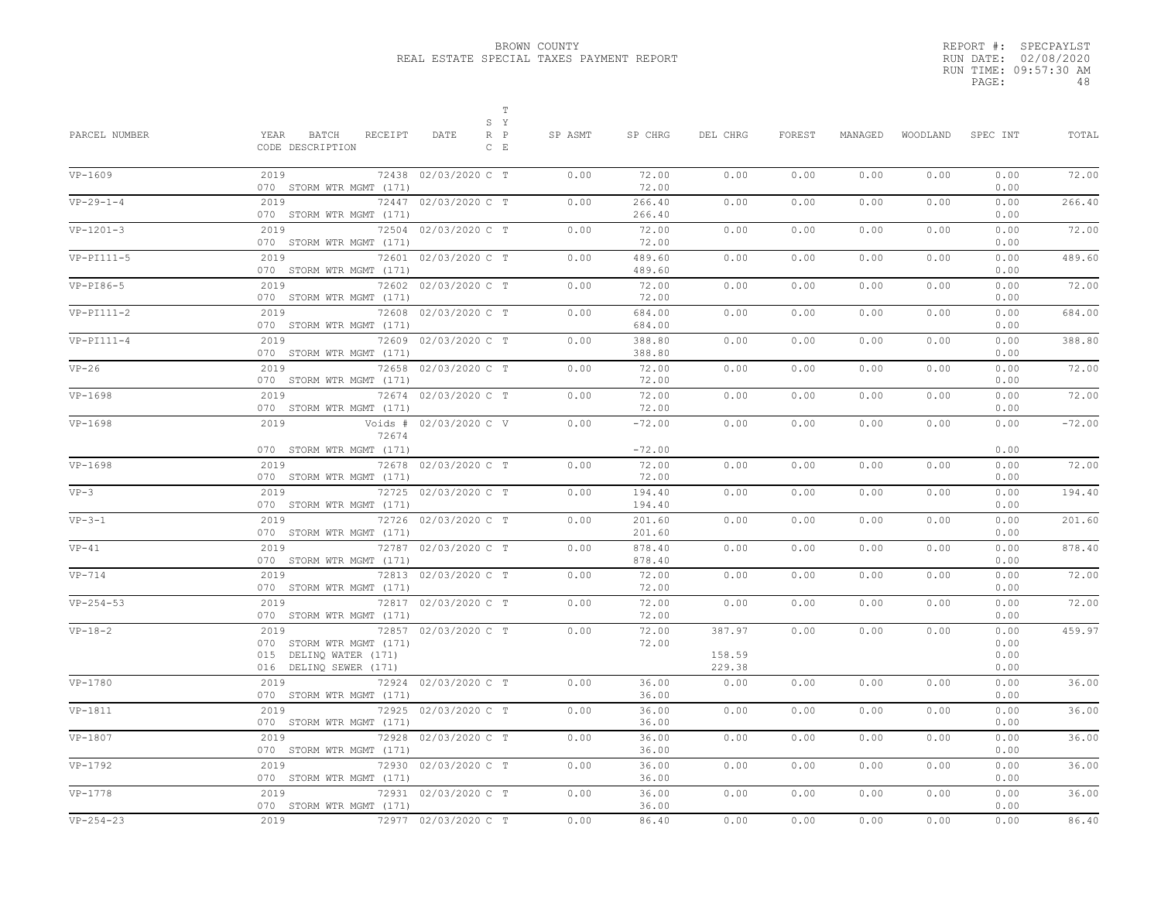|       | REPORT #: SPECPAYLST  |
|-------|-----------------------|
|       | RUN DATE: 02/08/2020  |
|       | RUN TIME: 09:57:30 AM |
| PAGE: | 48                    |

| PARCEL NUMBER | YEAR<br>BATCH<br>RECEIPT<br>CODE DESCRIPTION                                         | $\mathbb T$<br>S Y<br>DATE<br>$R$ $P$<br>$C$ $E$ | SP ASMT | SP CHRG                    | DEL CHRG                   | FOREST | MANAGED | WOODLAND | SPEC INT                     | TOTAL    |
|---------------|--------------------------------------------------------------------------------------|--------------------------------------------------|---------|----------------------------|----------------------------|--------|---------|----------|------------------------------|----------|
| VP-1609       | 2019<br>070 STORM WTR MGMT (171)                                                     | 72438 02/03/2020 C T                             | 0.00    | 72.00<br>72.00             | 0.00                       | 0.00   | 0.00    | 0.00     | 0.00<br>0.00                 | 72.00    |
| $VP-29-1-4$   | 2019<br>070 STORM WTR MGMT (171)                                                     | 72447 02/03/2020 C T                             | 0.00    | 266.40<br>266.40           | 0.00                       | 0.00   | 0.00    | 0.00     | 0.00<br>0.00                 | 266.40   |
| $VP-1201-3$   | 2019<br>070 STORM WTR MGMT (171)                                                     | 72504 02/03/2020 C T                             | 0.00    | 72.00<br>72.00             | 0.00                       | 0.00   | 0.00    | 0.00     | 0.00<br>0.00                 | 72.00    |
| $VP-PI111-5$  | 2019<br>72601<br>070 STORM WTR MGMT (171)                                            | 02/03/2020 C T                                   | 0.00    | 489.60<br>489.60           | 0.00                       | 0.00   | 0.00    | 0.00     | 0.00<br>0.00                 | 489.60   |
| $VP-PI86-5$   | 2019<br>070 STORM WTR MGMT (171)                                                     | 72602 02/03/2020 C T                             | 0.00    | 72.00<br>72.00             | 0.00                       | 0.00   | 0.00    | 0.00     | 0.00<br>0.00                 | 72.00    |
| $VP-PI111-2$  | 2019<br>070 STORM WTR MGMT (171)                                                     | 72608 02/03/2020 C T                             | 0.00    | 684.00<br>684.00           | 0.00                       | 0.00   | 0.00    | 0.00     | 0.00<br>0.00                 | 684.00   |
| $VP-PI111-4$  | 2019<br>070 STORM WTR MGMT (171)                                                     | 72609 02/03/2020 C T                             | 0.00    | 388.80<br>388.80           | 0.00                       | 0.00   | 0.00    | 0.00     | 0.00<br>0.00                 | 388.80   |
| $VP-26$       | 2019<br>070 STORM WTR MGMT (171)                                                     | 72658 02/03/2020 C T                             | 0.00    | 72.00<br>72.00             | 0.00                       | 0.00   | 0.00    | 0.00     | 0.00<br>0.00                 | 72.00    |
| VP-1698       | 2019<br>070 STORM WTR MGMT (171)                                                     | 72674 02/03/2020 C T                             | 0.00    | 72.00<br>72.00             | 0.00                       | 0.00   | 0.00    | 0.00     | 0.00<br>0.00                 | 72.00    |
| VP-1698       | 2019<br>72674                                                                        | Voids # 02/03/2020 C V                           | 0.00    | $-72.00$                   | 0.00                       | 0.00   | 0.00    | 0.00     | 0.00                         | $-72.00$ |
| $VP-1698$     | 070 STORM WTR MGMT (171)<br>2019                                                     | 72678 02/03/2020 C T                             | 0.00    | $-72.00$<br>72.00          | 0.00                       | 0.00   | 0.00    | 0.00     | 0.00<br>0.00                 | 72.00    |
| $VP-3$        | 070 STORM WTR MGMT (171)<br>2019                                                     | 72725 02/03/2020 C T                             | 0.00    | 72.00<br>194.40            | 0.00                       | 0.00   | 0.00    | 0.00     | 0.00<br>0.00                 | 194.40   |
| $VP-3-1$      | 070 STORM WTR MGMT (171)<br>2019<br>070 STORM WTR MGMT (171)                         | 72726 02/03/2020 C T                             | 0.00    | 194.40<br>201.60<br>201.60 | 0.00                       | 0.00   | 0.00    | 0.00     | 0.00<br>0.00<br>0.00         | 201.60   |
| $VP-41$       | 2019<br>070 STORM WTR MGMT (171)                                                     | 72787 02/03/2020 C T                             | 0.00    | 878.40<br>878.40           | 0.00                       | 0.00   | 0.00    | 0.00     | 0.00<br>0.00                 | 878.40   |
| $VP-714$      | 2019<br>070 STORM WTR MGMT (171)                                                     | 72813 02/03/2020 C T                             | 0.00    | 72.00<br>72.00             | 0.00                       | 0.00   | 0.00    | 0.00     | 0.00<br>0.00                 | 72.00    |
| $VP-254-53$   | 2019<br>070 STORM WTR MGMT (171)                                                     | 72817 02/03/2020 C T                             | 0.00    | 72.00<br>72.00             | 0.00                       | 0.00   | 0.00    | 0.00     | 0.00<br>0.00                 | 72.00    |
| $VP-18-2$     | 2019<br>070 STORM WTR MGMT (171)<br>015 DELINQ WATER (171)<br>016 DELINQ SEWER (171) | 72857 02/03/2020 C T                             | 0.00    | 72.00<br>72.00             | 387.97<br>158.59<br>229.38 | 0.00   | 0.00    | 0.00     | 0.00<br>0.00<br>0.00<br>0.00 | 459.97   |
| VP-1780       | 2019<br>070 STORM WTR MGMT (171)                                                     | 72924 02/03/2020 C T                             | 0.00    | 36.00<br>36.00             | 0.00                       | 0.00   | 0.00    | 0.00     | 0.00<br>0.00                 | 36.00    |
| VP-1811       | 2019<br>070 STORM WTR MGMT (171)                                                     | 72925 02/03/2020 C T                             | 0.00    | 36.00<br>36.00             | 0.00                       | 0.00   | 0.00    | 0.00     | 0.00<br>0.00                 | 36.00    |
| VP-1807       | 2019<br>070 STORM WTR MGMT (171)                                                     | 72928 02/03/2020 C T                             | 0.00    | 36.00<br>36.00             | 0.00                       | 0.00   | 0.00    | 0.00     | 0.00<br>0.00                 | 36.00    |
| VP-1792       | 2019<br>070 STORM WTR MGMT (171)                                                     | 72930 02/03/2020 C T                             | 0.00    | 36.00<br>36.00             | 0.00                       | 0.00   | 0.00    | 0.00     | 0.00<br>0.00                 | 36.00    |
| $VP-1778$     | 2019<br>72931<br>070 STORM WTR MGMT (171)                                            | 02/03/2020 C T                                   | 0.00    | 36.00<br>36.00             | 0.00                       | 0.00   | 0.00    | 0.00     | 0.00<br>0.00                 | 36.00    |
| $VP-254-23$   | 2019                                                                                 | 72977 02/03/2020 C T                             | 0.00    | 86.40                      | 0.00                       | 0.00   | 0.00    | 0.00     | 0.00                         | 86.40    |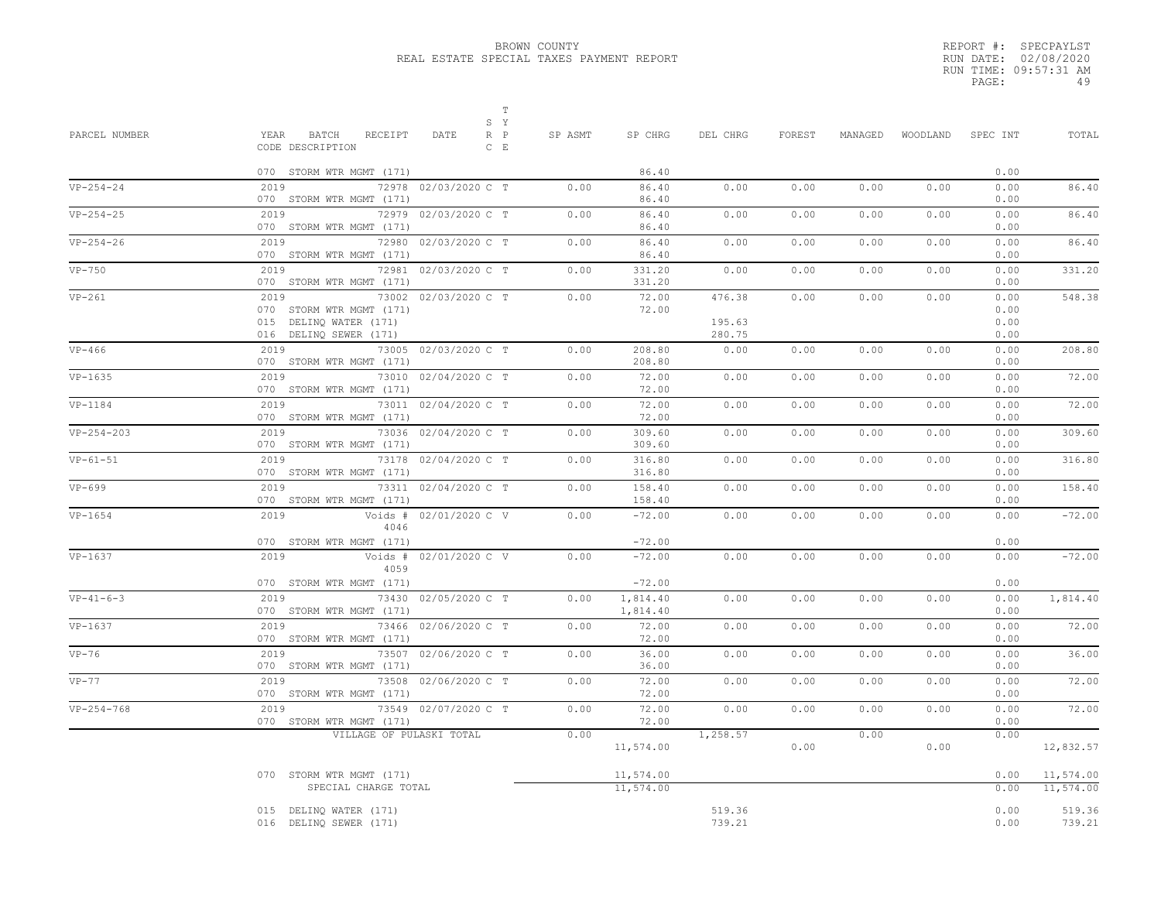|       | REPORT #: SPECPAYLST  |
|-------|-----------------------|
|       | RUN DATE: 02/08/2020  |
|       | RUN TIME: 09:57:31 AM |
| PAGE: | 49                    |

| PARCEL NUMBER    | $\mathbb T$<br>S Y<br>BATCH<br>RECEIPT<br>$\mathbb{R}-\mathbb{P}$<br>YEAR<br>DATE<br>CODE DESCRIPTION<br>$C$ $E$ | SP ASMT | SP CHRG                | DEL CHRG                   | FOREST | MANAGED | WOODLAND | SPEC INT                     | TOTAL                  |
|------------------|------------------------------------------------------------------------------------------------------------------|---------|------------------------|----------------------------|--------|---------|----------|------------------------------|------------------------|
|                  | 070 STORM WTR MGMT (171)                                                                                         |         | 86.40                  |                            |        |         |          | 0.00                         |                        |
| $VP-254-24$      | 2019<br>72978 02/03/2020 C T<br>070 STORM WTR MGMT (171)                                                         | 0.00    | 86.40<br>86.40         | 0.00                       | 0.00   | 0.00    | 0.00     | 0.00<br>0.00                 | 86.40                  |
| $VP-254-25$      | 2019<br>72979 02/03/2020 C T<br>070 STORM WTR MGMT (171)                                                         | 0.00    | 86.40<br>86.40         | 0.00                       | 0.00   | 0.00    | 0.00     | 0.00<br>0.00                 | 86.40                  |
| $VP - 254 - 26$  | 2019<br>72980 02/03/2020 C T<br>070 STORM WTR MGMT (171)                                                         | 0.00    | 86.40<br>86.40         | 0.00                       | 0.00   | 0.00    | 0.00     | 0.00<br>0.00                 | 86.40                  |
| $VP-750$         | 2019<br>72981 02/03/2020 C T<br>070 STORM WTR MGMT (171)                                                         | 0.00    | 331.20<br>331.20       | 0.00                       | 0.00   | 0.00    | 0.00     | 0.00<br>0.00                 | 331.20                 |
| $VP-261$         | 2019<br>73002 02/03/2020 C T<br>070 STORM WTR MGMT (171)<br>015 DELINQ WATER (171)<br>016 DELINQ SEWER (171)     | 0.00    | 72.00<br>72.00         | 476.38<br>195.63<br>280.75 | 0.00   | 0.00    | 0.00     | 0.00<br>0.00<br>0.00<br>0.00 | 548.38                 |
| $VP-466$         | 2019<br>73005 02/03/2020 C T<br>070 STORM WTR MGMT (171)                                                         | 0.00    | 208.80<br>208.80       | 0.00                       | 0.00   | 0.00    | 0.00     | 0.00<br>0.00                 | 208.80                 |
| $VP-1635$        | 2019<br>73010 02/04/2020 C T<br>070 STORM WTR MGMT (171)                                                         | 0.00    | 72.00<br>72.00         | 0.00                       | 0.00   | 0.00    | 0.00     | 0.00<br>0.00                 | 72.00                  |
| $VP-1184$        | 2019<br>73011 02/04/2020 C T<br>070 STORM WTR MGMT (171)                                                         | 0.00    | 72.00<br>72.00         | 0.00                       | 0.00   | 0.00    | 0.00     | 0.00<br>0.00                 | 72.00                  |
| $VP - 254 - 203$ | 2019<br>73036 02/04/2020 C T<br>070 STORM WTR MGMT (171)                                                         | 0.00    | 309.60<br>309.60       | 0.00                       | 0.00   | 0.00    | 0.00     | 0.00<br>0.00                 | 309.60                 |
| $VP-61-51$       | 2019<br>73178 02/04/2020 C T<br>070 STORM WTR MGMT (171)                                                         | 0.00    | 316.80<br>316.80       | 0.00                       | 0.00   | 0.00    | 0.00     | 0.00<br>0.00                 | 316.80                 |
| $VP-699$         | 2019<br>73311 02/04/2020 C T<br>070 STORM WTR MGMT (171)                                                         | 0.00    | 158.40<br>158.40       | 0.00                       | 0.00   | 0.00    | 0.00     | 0.00<br>0.00                 | 158.40                 |
| $VP-1654$        | 2019<br>Voids # 02/01/2020 C V<br>4046                                                                           | 0.00    | $-72.00$               | 0.00                       | 0.00   | 0.00    | 0.00     | 0.00                         | $-72.00$               |
| VP-1637          | 070 STORM WTR MGMT (171)<br>2019<br>Voids # 02/01/2020 C V                                                       | 0.00    | $-72.00$<br>$-72.00$   | 0.00                       | 0.00   | 0.00    | 0.00     | 0.00<br>0.00                 | $-72.00$               |
|                  | 4059<br>070 STORM WTR MGMT (171)                                                                                 |         | $-72.00$               |                            |        |         |          | 0.00                         |                        |
| $VP-41-6-3$      | 2019<br>73430 02/05/2020 C T<br>070 STORM WTR MGMT (171)                                                         | 0.00    | 1,814.40<br>1,814.40   | 0.00                       | 0.00   | 0.00    | 0.00     | 0.00<br>0.00                 | 1,814.40               |
| $VP-1637$        | 2019<br>73466 02/06/2020 C T<br>070 STORM WTR MGMT (171)                                                         | 0.00    | 72.00<br>72.00         | 0.00                       | 0.00   | 0.00    | 0.00     | 0.00<br>0.00                 | 72.00                  |
| $VP-76$          | 2019<br>73507 02/06/2020 C T<br>070 STORM WTR MGMT (171)                                                         | 0.00    | 36.00<br>36.00         | 0.00                       | 0.00   | 0.00    | 0.00     | 0.00<br>0.00                 | 36.00                  |
| $VP-77$          | 2019<br>73508 02/06/2020 C T<br>070 STORM WTR MGMT (171)                                                         | 0.00    | 72.00<br>72.00         | 0.00                       | 0.00   | 0.00    | 0.00     | 0.00<br>0.00                 | 72.00                  |
| $VP-254-768$     | 2019<br>73549 02/07/2020 C T<br>070 STORM WTR MGMT (171)                                                         | 0.00    | 72.00<br>72.00         | 0.00                       | 0.00   | 0.00    | 0.00     | 0.00<br>0.00                 | 72.00                  |
|                  | VILLAGE OF PULASKI TOTAL                                                                                         | 0.00    | 11,574.00              | 1,258.57                   | 0.00   | 0.00    | 0.00     | 0.00                         | 12,832.57              |
|                  | 070 STORM WTR MGMT (171)<br>SPECIAL CHARGE TOTAL                                                                 |         | 11,574.00<br>11,574.00 |                            |        |         |          | 0.00<br>0.00                 | 11,574.00<br>11,574.00 |
|                  | 015 DELINQ WATER (171)<br>016 DELINQ SEWER (171)                                                                 |         |                        | 519.36<br>739.21           |        |         |          | 0.00<br>0.00                 | 519.36<br>739.21       |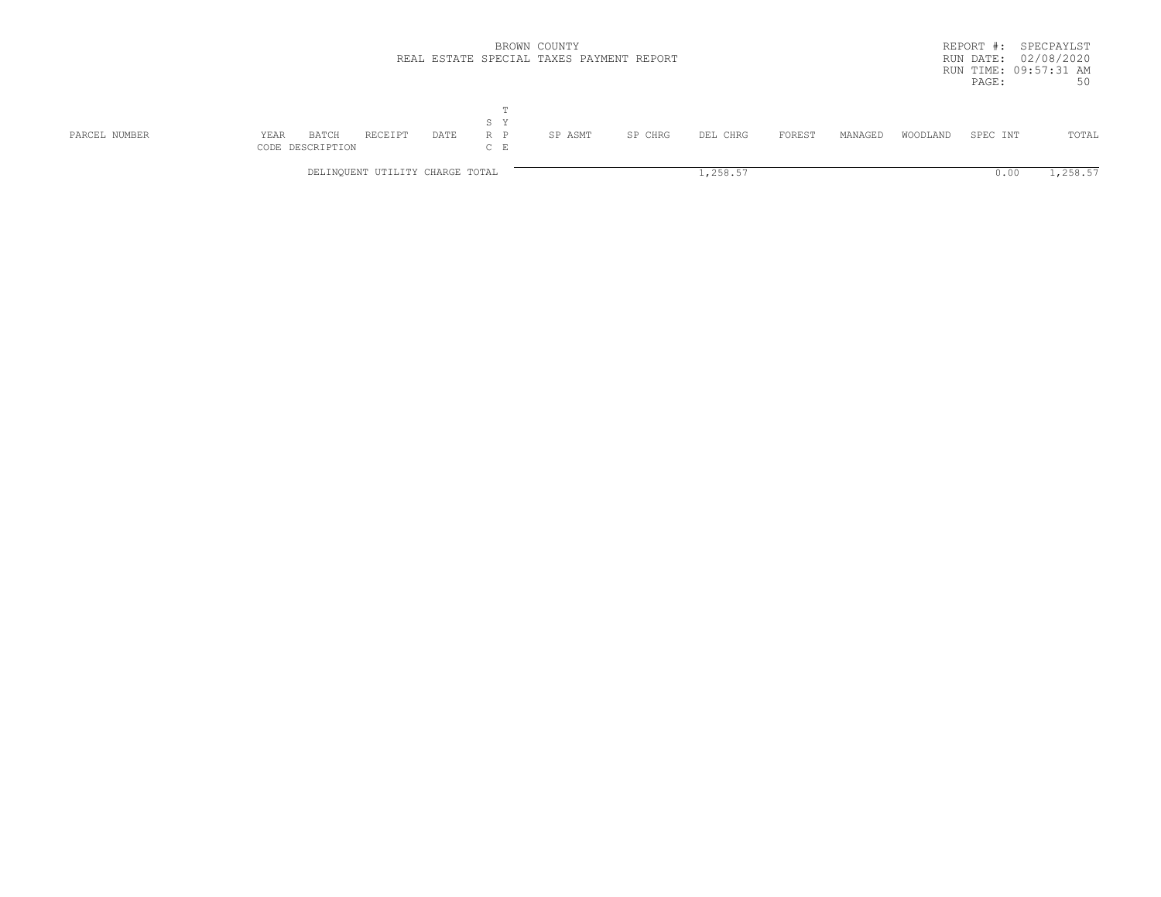|               |                                   | BROWN COUNTY<br>REAL ESTATE SPECIAL TAXES PAYMENT REPORT |      |                  |         |         |          |        |         | SPECPAYLST<br>REPORT #:<br>02/08/2020<br>RUN DATE:<br>RUN TIME: 09:57:31 AM |          |          |  |  |
|---------------|-----------------------------------|----------------------------------------------------------|------|------------------|---------|---------|----------|--------|---------|-----------------------------------------------------------------------------|----------|----------|--|--|
|               |                                   |                                                          |      | m                |         |         |          |        |         |                                                                             | PAGE:    | 50       |  |  |
|               |                                   |                                                          |      | S Y              |         |         |          |        |         |                                                                             |          |          |  |  |
| PARCEL NUMBER | BATCH<br>YEAR<br>CODE DESCRIPTION | RECEIPT                                                  | DATE | $R$ $P$<br>$C$ E | SP ASMT | SP CHRG | DEL CHRG | FOREST | MANAGED | WOODLAND                                                                    | SPEC INT | TOTAL    |  |  |
|               |                                   | DELINQUENT UTILITY CHARGE TOTAL                          |      |                  |         |         | 1,258.57 |        |         |                                                                             | U.UU     | 1,258.57 |  |  |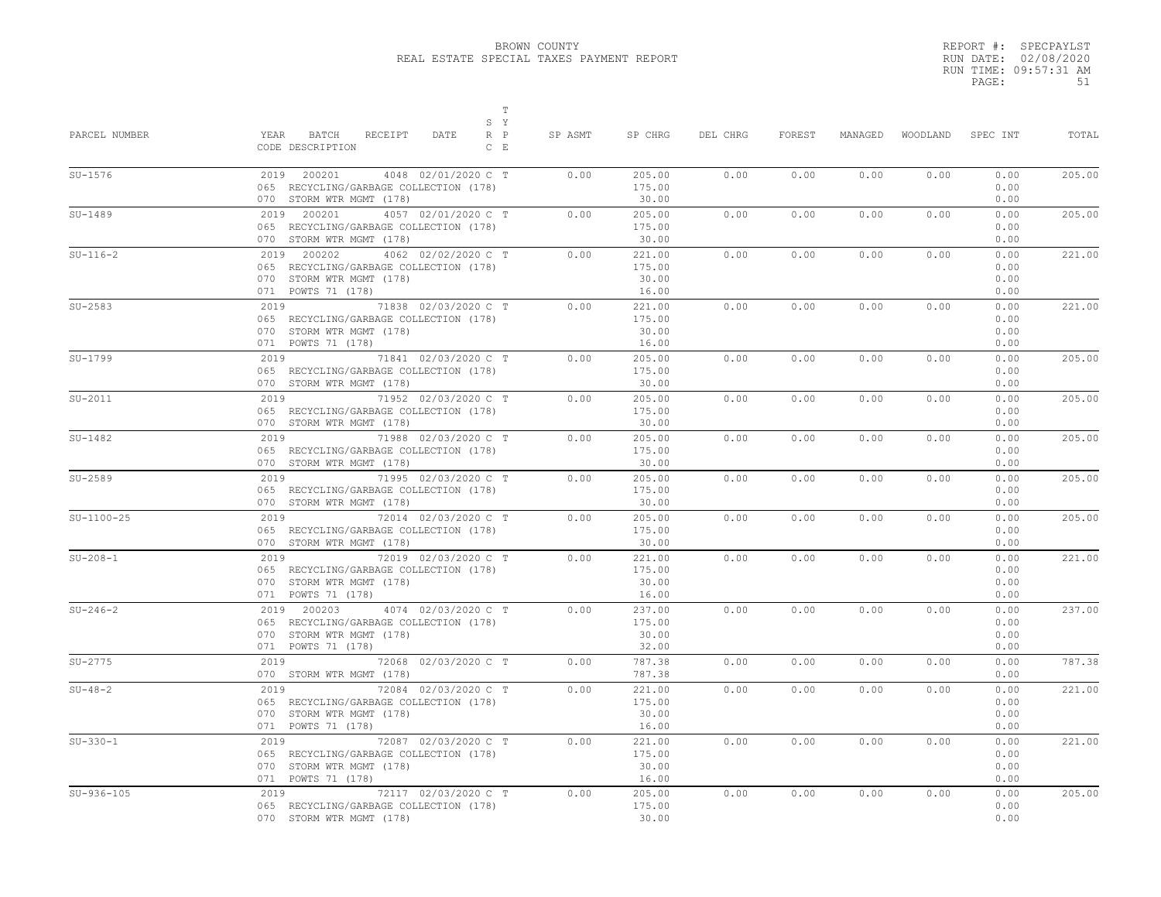|       | REPORT #: SPECPAYLST  |
|-------|-----------------------|
|       | RUN DATE: 02/08/2020  |
|       | RUN TIME: 09:57:31 AM |
| PAGE: | 51                    |

| PARCEL NUMBER | $\mathbb T$<br>S Y<br>YEAR<br>BATCH<br>RECEIPT<br>$R$ $P$<br>DATE<br>CODE DESCRIPTION<br>$C$ $E$                                  | SP ASMT | SP CHRG                            | DEL CHRG | FOREST | MANAGED | WOODLAND | SPEC INT                     | TOTAL  |
|---------------|-----------------------------------------------------------------------------------------------------------------------------------|---------|------------------------------------|----------|--------|---------|----------|------------------------------|--------|
| $SU-1576$     | 2019 200201<br>4048 02/01/2020 C T<br>065 RECYCLING/GARBAGE COLLECTION (178)<br>070 STORM WTR MGMT (178)                          | 0.00    | 205.00<br>175.00<br>30.00          | 0.00     | 0.00   | 0.00    | 0.00     | 0.00<br>0.00<br>0.00         | 205.00 |
| $SU-1489$     | 2019<br>200201<br>4057 02/01/2020 C T<br>065 RECYCLING/GARBAGE COLLECTION (178)<br>070 STORM WTR MGMT (178)                       | 0.00    | 205.00<br>175.00<br>30.00          | 0.00     | 0.00   | 0.00    | 0.00     | 0.00<br>0.00<br>0.00         | 205.00 |
| $SU-116-2$    | 200202<br>4062 02/02/2020 C T<br>2019<br>065 RECYCLING/GARBAGE COLLECTION (178)<br>070 STORM WTR MGMT (178)<br>071 POWTS 71 (178) | 0.00    | 221.00<br>175.00<br>30.00<br>16.00 | 0.00     | 0.00   | 0.00    | 0.00     | 0.00<br>0.00<br>0.00<br>0.00 | 221.00 |
| $SU-2583$     | 2019<br>71838 02/03/2020 C T<br>065 RECYCLING/GARBAGE COLLECTION (178)<br>070 STORM WTR MGMT (178)<br>071 POWTS 71 (178)          | 0.00    | 221.00<br>175.00<br>30.00<br>16.00 | 0.00     | 0.00   | 0.00    | 0.00     | 0.00<br>0.00<br>0.00<br>0.00 | 221.00 |
| $SU-1799$     | 71841 02/03/2020 C T<br>2019<br>065 RECYCLING/GARBAGE COLLECTION (178)<br>070 STORM WTR MGMT (178)                                | 0.00    | 205.00<br>175.00<br>30.00          | 0.00     | 0.00   | 0.00    | 0.00     | 0.00<br>0.00<br>0.00         | 205.00 |
| $SU-2011$     | 2019<br>71952 02/03/2020 C T<br>065 RECYCLING/GARBAGE COLLECTION (178)<br>070 STORM WTR MGMT (178)                                | 0.00    | 205.00<br>175.00<br>30.00          | 0.00     | 0.00   | 0.00    | 0.00     | 0.00<br>0.00<br>0.00         | 205.00 |
| $SU-1482$     | 2019<br>71988 02/03/2020 C T<br>065 RECYCLING/GARBAGE COLLECTION (178)<br>070 STORM WTR MGMT (178)                                | 0.00    | 205.00<br>175.00<br>30.00          | 0.00     | 0.00   | 0.00    | 0.00     | 0.00<br>0.00<br>0.00         | 205.00 |
| $SU-2589$     | 2019<br>71995 02/03/2020 C T<br>065 RECYCLING/GARBAGE COLLECTION (178)<br>070 STORM WTR MGMT (178)                                | 0.00    | 205.00<br>175.00<br>30.00          | 0.00     | 0.00   | 0.00    | 0.00     | 0.00<br>0.00<br>0.00         | 205.00 |
| $SU-1100-25$  | 72014 02/03/2020 C T<br>2019<br>065 RECYCLING/GARBAGE COLLECTION (178)<br>070 STORM WTR MGMT (178)                                | 0.00    | 205.00<br>175.00<br>30.00          | 0.00     | 0.00   | 0.00    | 0.00     | 0.00<br>0.00<br>0.00         | 205.00 |
| $SU-208-1$    | 2019<br>72019 02/03/2020 C T<br>065 RECYCLING/GARBAGE COLLECTION (178)<br>070 STORM WTR MGMT (178)<br>071 POWTS 71 (178)          | 0.00    | 221.00<br>175.00<br>30.00<br>16.00 | 0.00     | 0.00   | 0.00    | 0.00     | 0.00<br>0.00<br>0.00<br>0.00 | 221.00 |
| $SU-246-2$    | 2019 200203<br>4074 02/03/2020 C T<br>065 RECYCLING/GARBAGE COLLECTION (178)<br>070 STORM WTR MGMT (178)<br>071 POWTS 71 (178)    | 0.00    | 237.00<br>175.00<br>30.00<br>32.00 | 0.00     | 0.00   | 0.00    | 0.00     | 0.00<br>0.00<br>0.00<br>0.00 | 237.00 |
| $SU-2775$     | 72068 02/03/2020 C T<br>2019 720<br>070 STORM WTR MGMT (178)                                                                      | 0.00    | 787.38<br>787.38                   | 0.00     | 0.00   | 0.00    | 0.00     | 0.00<br>0.00                 | 787.38 |
| $SU-48-2$     | 2019<br>72084 02/03/2020 C T<br>065 RECYCLING/GARBAGE COLLECTION (178)<br>070 STORM WTR MGMT (178)<br>071 POWTS 71 (178)          | 0.00    | 221.00<br>175.00<br>30.00<br>16.00 | 0.00     | 0.00   | 0.00    | 0.00     | 0.00<br>0.00<br>0.00<br>0.00 | 221.00 |
| $SU-330-1$    | 72087 02/03/2020 C T<br>2019<br>065 RECYCLING/GARBAGE COLLECTION (178)<br>070 STORM WTR MGMT (178)<br>071 POWTS 71 (178)          | 0.00    | 221.00<br>175.00<br>30.00<br>16.00 | 0.00     | 0.00   | 0.00    | 0.00     | 0.00<br>0.00<br>0.00<br>0.00 | 221.00 |
| $SU-936-105$  | 72117 02/03/2020 C T<br>2019<br>065 RECYCLING/GARBAGE COLLECTION (178)<br>070 STORM WTR MGMT (178)                                | 0.00    | 205.00<br>175.00<br>30.00          | 0.00     | 0.00   | 0.00    | 0.00     | 0.00<br>0.00<br>0.00         | 205.00 |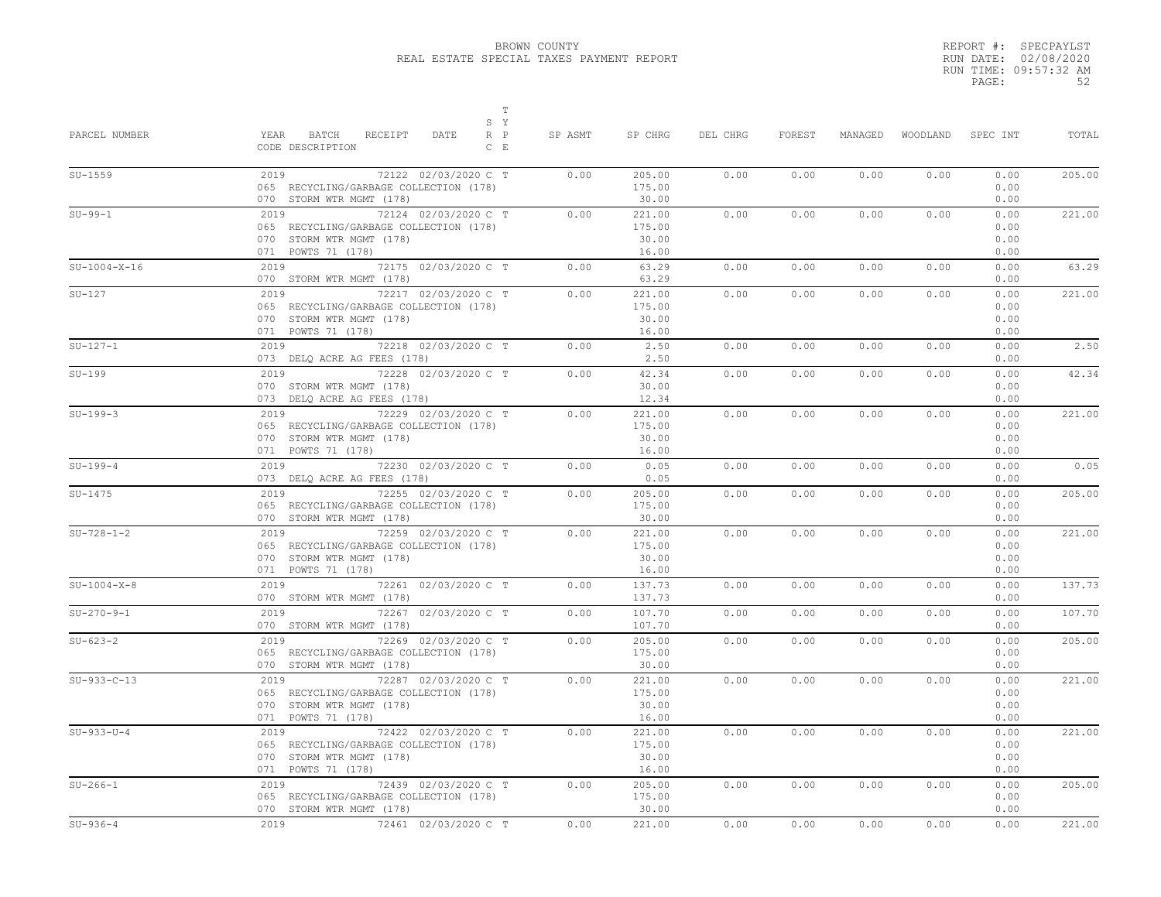|       | REPORT #: SPECPAYLST  |
|-------|-----------------------|
|       | RUN DATE: 02/08/2020  |
|       | RUN TIME: 09:57:32 AM |
| PAGE: | 52                    |

| PARCEL NUMBER  | T<br>S Y<br>YEAR<br>BATCH<br>RECEIPT<br>DATE<br>$R$ $P$<br>CODE DESCRIPTION<br>$C$ $E$                                   | SP ASMT | SP CHRG                            | DEL CHRG | FOREST | MANAGED | WOODLAND | SPEC INT                     | TOTAL  |
|----------------|--------------------------------------------------------------------------------------------------------------------------|---------|------------------------------------|----------|--------|---------|----------|------------------------------|--------|
| $SU-1559$      | 72122 02/03/2020 C T<br>2019<br>065 RECYCLING/GARBAGE COLLECTION (178)<br>070 STORM WTR MGMT (178)                       | 0.00    | 205.00<br>175.00<br>30.00          | 0.00     | 0.00   | 0.00    | 0.00     | 0.00<br>0.00<br>0.00         | 205.00 |
| $SU-99-1$      | 2019 72124 02/03/2020 C T<br>065 RECYCLING/GARBAGE COLLECTION (178)<br>070 STORM WTR MGMT (178)<br>071 POWTS 71 (178)    | 0.00    | 221.00<br>175.00<br>30.00<br>16.00 | 0.00     | 0.00   | 0.00    | 0.00     | 0.00<br>0.00<br>0.00<br>0.00 | 221.00 |
| $SU-1004-X-16$ | 2019 72175 02/03/2020 C T<br>070 STORM WTR MGMT (178)                                                                    | 0.00    | 63.29<br>63.29                     | 0.00     | 0.00   | 0.00    | 0.00     | 0.00<br>0.00                 | 63.29  |
| $SU-127$       | 2019<br>72217 02/03/2020 C T<br>065 RECYCLING/GARBAGE COLLECTION (178)<br>070 STORM WTR MGMT (178)<br>071 POWTS 71 (178) | 0.00    | 221.00<br>175.00<br>30.00<br>16.00 | 0.00     | 0.00   | 0.00    | 0.00     | 0.00<br>0.00<br>0.00<br>0.00 | 221.00 |
| $SU-127-1$     | 72218 02/03/2020 C T<br>2019<br>073 DELQ ACRE AG FEES (178)                                                              | 0.00    | 2.50<br>2.50                       | 0.00     | 0.00   | 0.00    | 0.00     | 0.00<br>0.00                 | 2.50   |
| $SU-199$       | 72228 02/03/2020 C T<br>2019<br>070 STORM WTR MGMT (178)<br>073 DELO ACRE AG FEES (178)                                  | 0.00    | 42.34<br>30.00<br>12.34            | 0.00     | 0.00   | 0.00    | 0.00     | 0.00<br>0.00<br>0.00         | 42.34  |
| $SU-199-3$     | 72229 02/03/2020 C T<br>2019<br>065 RECYCLING/GARBAGE COLLECTION (178)<br>070 STORM WTR MGMT (178)<br>071 POWTS 71 (178) | 0.00    | 221.00<br>175.00<br>30.00<br>16.00 | 0.00     | 0.00   | 0.00    | 0.00     | 0.00<br>0.00<br>0.00<br>0.00 | 221.00 |
| $SU-199-4$     | 2019<br>72230 02/03/2020 C T<br>073 DELQ ACRE AG FEES (178)                                                              | 0.00    | 0.05<br>0.05                       | 0.00     | 0.00   | 0.00    | 0.00     | 0.00<br>0.00                 | 0.05   |
| $SU-1475$      | 2019 7<br>72255 02/03/2020 C T<br>065 RECYCLING/GARBAGE COLLECTION (178)<br>070 STORM WTR MGMT (178)                     | 0.00    | 205.00<br>175.00<br>30.00          | 0.00     | 0.00   | 0.00    | 0.00     | 0.00<br>0.00<br>0.00         | 205.00 |
| $SU-728-1-2$   | 2019<br>72259 02/03/2020 C T<br>065 RECYCLING/GARBAGE COLLECTION (178)<br>070 STORM WTR MGMT (178)<br>071 POWTS 71 (178) | 0.00    | 221.00<br>175.00<br>30.00<br>16.00 | 0.00     | 0.00   | 0.00    | 0.00     | 0.00<br>0.00<br>0.00<br>0.00 | 221.00 |
| $SU-1004-X-8$  | 2019 72261 02/03/2020 C T<br>070 STORM WTR MGMT (178)                                                                    | 0.00    | 137.73<br>137.73                   | 0.00     | 0.00   | 0.00    | 0.00     | 0.00<br>0.00                 | 137.73 |
| $SU-270-9-1$   | 2019 72267 02/03/2020 C T<br>070 STORM WTR MGMT (178)                                                                    | 0.00    | 107.70<br>107.70                   | 0.00     | 0.00   | 0.00    | 0.00     | 0.00<br>0.00                 | 107.70 |
| $SU - 623 - 2$ | 2019<br>72269 02/03/2020 C T<br>065 RECYCLING/GARBAGE COLLECTION (178)<br>070 STORM WTR MGMT (178)                       | 0.00    | 205.00<br>175.00<br>30.00          | 0.00     | 0.00   | 0.00    | 0.00     | 0.00<br>0.00<br>0.00         | 205.00 |
| $SU-933-C-13$  | 72287 02/03/2020 C T<br>2019<br>065 RECYCLING/GARBAGE COLLECTION (178)<br>070 STORM WTR MGMT (178)<br>071 POWTS 71 (178) | 0.00    | 221.00<br>175.00<br>30.00<br>16.00 | 0.00     | 0.00   | 0.00    | 0.00     | 0.00<br>0.00<br>0.00<br>0.00 | 221.00 |
| $SU-933-U-4$   | 72422 02/03/2020 C T<br>2019<br>065 RECYCLING/GARBAGE COLLECTION (178)<br>070 STORM WTR MGMT (178)<br>071 POWTS 71 (178) | 0.00    | 221.00<br>175.00<br>30.00<br>16.00 | 0.00     | 0.00   | 0.00    | 0.00     | 0.00<br>0.00<br>0.00<br>0.00 | 221.00 |
| $SU-266-1$     | 72439 02/03/2020 C T<br>2019<br>065 RECYCLING/GARBAGE COLLECTION (178)<br>070 STORM WTR MGMT (178)                       | 0.00    | 205.00<br>175.00<br>30.00          | 0.00     | 0.00   | 0.00    | 0.00     | 0.00<br>0.00<br>0.00         | 205.00 |
| $SU-936-4$     | 72461 02/03/2020 C T<br>2019                                                                                             | 0.00    | 221.00                             | 0.00     | 0.00   | 0.00    | 0.00     | 0.00                         | 221.00 |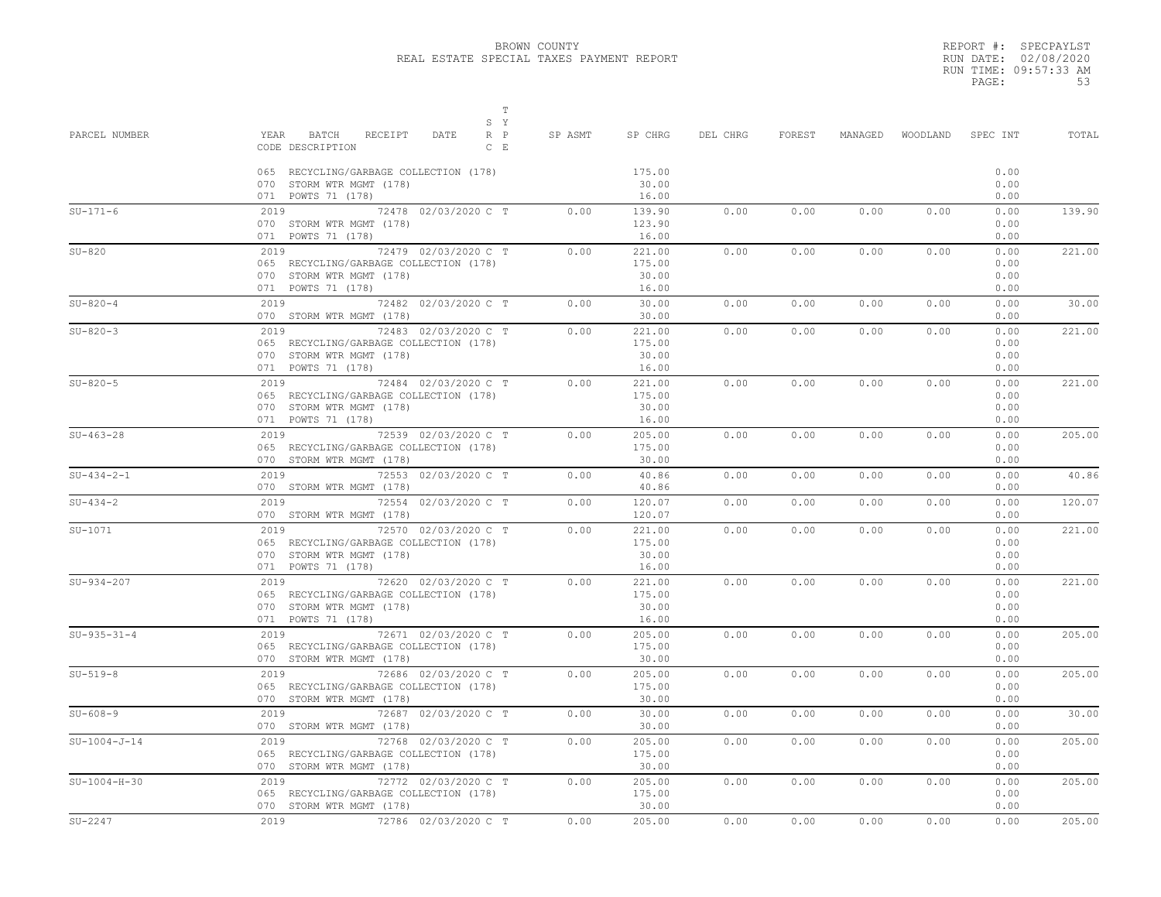$T$ 

REPORT #: SPECPAYLST RUN DATE: 02/08/2020 RUN TIME: 09:57:33 AM PAGE: 53

| PARCEL NUMBER  | S Y<br>$R$ $P$<br>YEAR<br>BATCH<br>RECEIPT<br>DATE<br>CODE DESCRIPTION<br>$C - E$                                                             | SP ASMT | SP CHRG                            | DEL CHRG | FOREST | MANAGED | WOODLAND | SPEC INT                     | TOTAL  |
|----------------|-----------------------------------------------------------------------------------------------------------------------------------------------|---------|------------------------------------|----------|--------|---------|----------|------------------------------|--------|
|                | 065 RECYCLING/GARBAGE COLLECTION (178)<br>070 STORM WTR MGMT (178)<br>071 POWTS 71 (178)                                                      |         | 175.00<br>30.00<br>16.00           |          |        |         |          | 0.00<br>0.00<br>0.00         |        |
| $SU-171-6$     | 72478 02/03/2020 C T<br>2019<br>070 STORM WTR MGMT (178)<br>071 POWTS 71 (178)                                                                | 0.00    | 139.90<br>123.90<br>16.00          | 0.00     | 0.00   | 0.00    | 0.00     | 0.00<br>0.00<br>0.00         | 139.90 |
| $SU-820$       | 2019<br>72479 02/03/2020 C T<br>065 RECYCLING/GARBAGE COLLECTION (178)<br>070 STORM WTR MGMT (178)<br>071 POWTS 71 (178)                      | 0.00    | 221.00<br>175.00<br>30.00<br>16.00 | 0.00     | 0.00   | 0.00    | 0.00     | 0.00<br>0.00<br>0.00<br>0.00 | 221.00 |
| $SU-820-4$     | 2019<br>72482 02/03/2020 C T<br>070 STORM WTR MGMT (178)                                                                                      | 0.00    | 30.00<br>30.00                     | 0.00     | 0.00   | 0.00    | 0.00     | 0.00<br>0.00                 | 30.00  |
| $SU-820-3$     | 2019 72483 02/03/2020 C T<br>065 RECYCLING/GARBAGE COLLECTION (178)<br>070 STORM WTR MGMT (178)<br>071 POWTS 71 (178)                         | 0.00    | 221.00<br>175.00<br>30.00<br>16.00 | 0.00     | 0.00   | 0.00    | 0.00     | 0.00<br>0.00<br>0.00<br>0.00 | 221.00 |
| $SU-820-5$     | 2019<br>72484 02/03/2020 C T<br>065 RECYCLING/GARBAGE COLLECTION (178)<br>070 STORM WTR MGMT (178)<br>071 POWTS 71 (178)                      | 0.00    | 221.00<br>175.00<br>30.00<br>16.00 | 0.00     | 0.00   | 0.00    | 0.00     | 0.00<br>0.00<br>0.00<br>0.00 | 221.00 |
| $SU-463-28$    | 72539 02/03/2020 C T<br>2019<br>065 RECYCLING/GARBAGE COLLECTION (178)<br>070 STORM WTR MGMT (178)                                            | 0.00    | 205.00<br>175.00<br>30.00          | 0.00     | 0.00   | 0.00    | 0.00     | 0.00<br>0.00<br>0.00         | 205.00 |
| $SU-434-2-1$   | 72553 02/03/2020 C T<br>2019<br>070 STORM WTR MGMT (178)                                                                                      | 0.00    | 40.86<br>40.86                     | 0.00     | 0.00   | 0.00    | 0.00     | 0.00<br>0.00                 | 40.86  |
| $SU-434-2$     | 2019 72554 02/03/2020 C T<br>070 STORM WTR MGMT (178)                                                                                         | 0.00    | 120.07<br>120.07                   | 0.00     | 0.00   | 0.00    | 0.00     | 0.00<br>0.00                 | 120.07 |
| $SU-1071$      | 72570 02/03/2020 C T<br>2019<br>065 RECYCLING/GARBAGE COLLECTION (178)<br>070 STORM WTR MGMT (178)<br>071 POWTS 71 (178)                      | 0.00    | 221.00<br>175.00<br>30.00<br>16.00 | 0.00     | 0.00   | 0.00    | 0.00     | 0.00<br>0.00<br>0.00<br>0.00 | 221.00 |
| $SU-934-207$   | 2019<br>72620 02/03/2020 C T<br>065 RECYCLING/GARBAGE COLLECTION (178)<br>070 STORM WTR MGMT (178)<br>071 POWTS 71 (178)                      | 0.00    | 221.00<br>175.00<br>30.00<br>16.00 | 0.00     | 0.00   | 0.00    | 0.00     | 0.00<br>0.00<br>0.00<br>0.00 | 221.00 |
| $SU-935-31-4$  | 2019 72671 02/03/2020 C T<br>065 RECYCLING/GARBAGE COLLECTION (178)<br>070 STORM WTR MGMT (178)                                               | 0.00    | 205.00<br>175.00<br>30.00          | 0.00     | 0.00   | 0.00    | 0.00     | 0.00<br>0.00<br>0.00         | 205.00 |
| $SU-519-8$     | $\begin{array}{c}\n2019 \\ \hline\n\end{array}$<br>72686 02/03/2020 C T<br>065 RECYCLING/GARBAGE COLLECTION (178)<br>070 STORM WTR MGMT (178) | 0.00    | 205.00<br>175.00<br>30.00          | 0.00     | 0.00   | 0.00    | 0.00     | 0.00<br>0.00<br>0.00         | 205.00 |
| $SU-608-9$     | 72687 02/03/2020 C T<br>2019<br>070 STORM WTR MGMT (178)                                                                                      | 0.00    | 30.00<br>30.00                     | 0.00     | 0.00   | 0.00    | 0.00     | 0.00<br>0.00                 | 30.00  |
| $SU-1004-J-14$ | 2019<br>72768 02/03/2020 C T<br>065 RECYCLING/GARBAGE COLLECTION (178)<br>070 STORM WTR MGMT (178)                                            | 0.00    | 205.00<br>175.00<br>30.00          | 0.00     | 0.00   | 0.00    | 0.00     | 0.00<br>0.00<br>0.00         | 205.00 |
| $SU-1004-H-30$ | 72772 02/03/2020 C T<br>2019<br>065 RECYCLING/GARBAGE COLLECTION (178)<br>070 STORM WTR MGMT (178)                                            | 0.00    | 205.00<br>175.00<br>30.00          | 0.00     | 0.00   | 0.00    | 0.00     | 0.00<br>0.00<br>0.00         | 205.00 |
| $SU-2247$      | 72786 02/03/2020 C T<br>2019                                                                                                                  | 0.00    | 205.00                             | 0.00     | 0.00   | 0.00    | 0.00     | 0.00                         | 205.00 |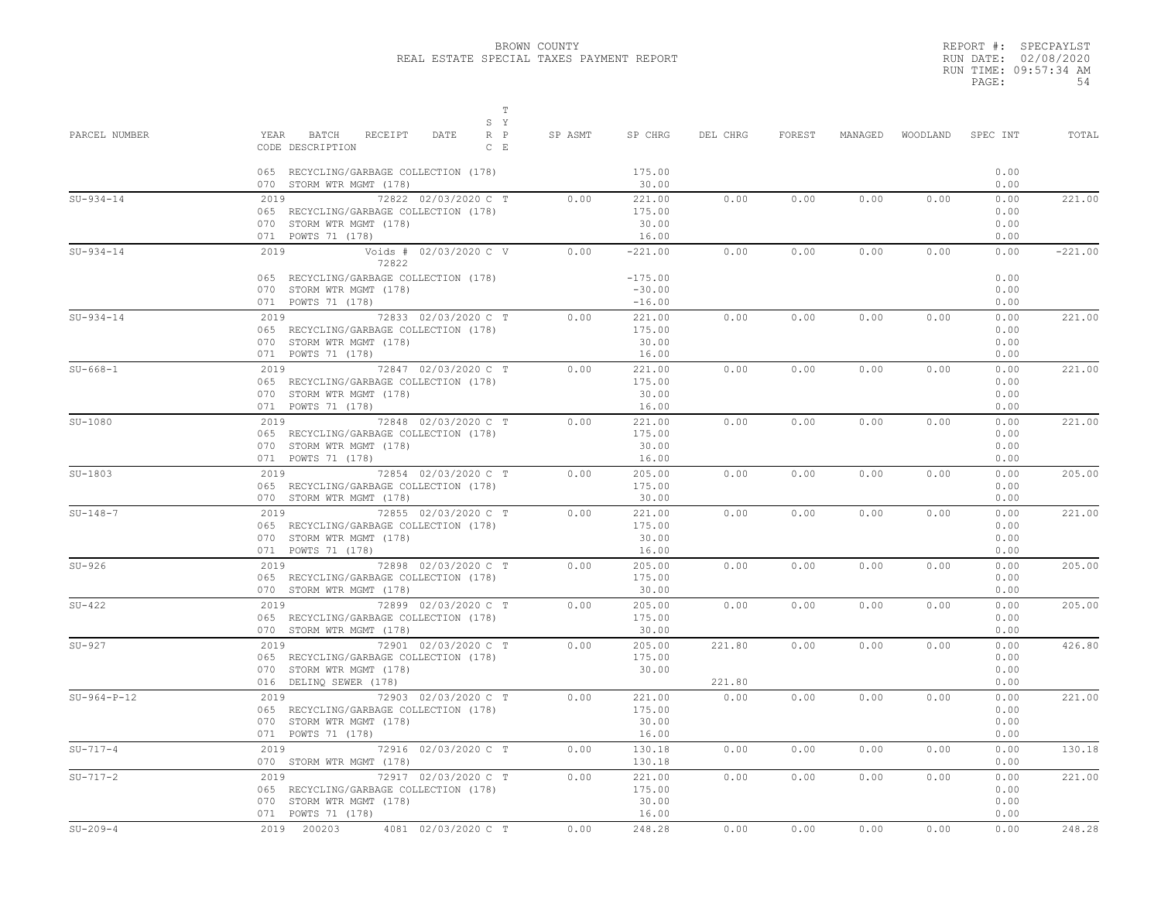REPORT #: SPECPAYLST RUN DATE: 02/08/2020 RUN TIME: 09:57:34 AM PAGE: 54

| PARCEL NUMBER | $\mathbb T$<br>S Y<br>YEAR<br>RECEIPT<br>BATCH<br>DATE<br>$R$ $P$<br>CODE DESCRIPTION<br>$C$ E                                      | SP ASMT | SP CHRG                                        | DEL CHRG         | FOREST | MANAGED | WOODLAND | SPEC INT                     | TOTAL     |
|---------------|-------------------------------------------------------------------------------------------------------------------------------------|---------|------------------------------------------------|------------------|--------|---------|----------|------------------------------|-----------|
|               | 065 RECYCLING/GARBAGE COLLECTION (178)<br>070 STORM WTR MGMT (178)                                                                  |         | 175.00<br>30.00                                |                  |        |         |          | 0.00<br>0.00                 |           |
| $SU-934-14$   | 2019<br>72822 02/03/2020 C T<br>065 RECYCLING/GARBAGE COLLECTION (178)<br>070 STORM WTR MGMT (178)<br>071 POWTS 71 (178)            | 0.00    | 221.00<br>175.00<br>30.00<br>16.00             | 0.00             | 0.00   | 0.00    | 0.00     | 0.00<br>0.00<br>0.00<br>0.00 | 221.00    |
| $SU-934-14$   | Voids # 02/03/2020 C V<br>2019<br>72822<br>065 RECYCLING/GARBAGE COLLECTION (178)<br>070 STORM WTR MGMT (178)<br>071 POWTS 71 (178) | 0.00    | $-221.00$<br>$-175.00$<br>$-30.00$<br>$-16.00$ | 0.00             | 0.00   | 0.00    | 0.00     | 0.00<br>0.00<br>0.00<br>0.00 | $-221.00$ |
| $SU-934-14$   | 72833 02/03/2020 C T<br>2019<br>065 RECYCLING/GARBAGE COLLECTION (178)<br>070 STORM WTR MGMT (178)<br>071 POWTS 71 (178)            | 0.00    | 221.00<br>175.00<br>30.00<br>16.00             | 0.00             | 0.00   | 0.00    | 0.00     | 0.00<br>0.00<br>0.00<br>0.00 | 221.00    |
| $SU-668-1$    | 2019 72847 02/03/2020 C T<br>065 RECYCLING/GARBAGE COLLECTION (178)<br>070 STORM WTR MGMT (178)<br>071 POWTS 71 (178)               | 0.00    | 221.00<br>175.00<br>30.00<br>16.00             | 0.00             | 0.00   | 0.00    | 0.00     | 0.00<br>0.00<br>0.00<br>0.00 | 221.00    |
| $SU-1080$     | $72848$ 02/03/2020 C T<br>2019<br>065 RECYCLING/GARBAGE COLLECTION (178)<br>070 STORM WTR MGMT (178)<br>071 POWTS 71 (178)          | 0.00    | 221.00<br>175.00<br>30.00<br>16.00             | 0.00             | 0.00   | 0.00    | 0.00     | 0.00<br>0.00<br>0.00<br>0.00 | 221.00    |
| $SU-1803$     | 2019 72854 02/03/2020 C T<br>065 RECYCLING/GARBAGE COLLECTION (178)<br>070 STORM WTR MGMT (178)                                     | 0.00    | 205.00<br>175.00<br>30.00                      | 0.00             | 0.00   | 0.00    | 0.00     | 0.00<br>0.00<br>0.00         | 205.00    |
| $SU-148-7$    | 2019<br>72855 02/03/2020 C T<br>065 RECYCLING/GARBAGE COLLECTION (178)<br>070 STORM WTR MGMT (178)<br>071 POWTS 71 (178)            | 0.00    | 221.00<br>175.00<br>30.00<br>16.00             | 0.00             | 0.00   | 0.00    | 0.00     | 0.00<br>0.00<br>0.00<br>0.00 | 221.00    |
| $SU-926$      | 72898 02/03/2020 C T<br>2019<br>065 RECYCLING/GARBAGE COLLECTION (178)<br>070 STORM WTR MGMT (178)                                  | 0.00    | 205.00<br>175.00<br>30.00                      | 0.00             | 0.00   | 0.00    | 0.00     | 0.00<br>0.00<br>0.00         | 205.00    |
| $SU-422$      | 72899 02/03/2020 C T<br>2019<br>065 RECYCLING/GARBAGE COLLECTION (178)<br>070 STORM WTR MGMT (178)                                  | 0.00    | 205.00<br>175.00<br>30.00                      | 0.00             | 0.00   | 0.00    | 0.00     | 0.00<br>0.00<br>0.00         | 205.00    |
| $SU-927$      | 72901 02/03/2020 C T<br>2019<br>065 RECYCLING/GARBAGE COLLECTION (178)<br>070 STORM WTR MGMT (178)<br>016 DELINQ SEWER (178)        | 0.00    | 205.00<br>175.00<br>30.00                      | 221.80<br>221.80 | 0.00   | 0.00    | 0.00     | 0.00<br>0.00<br>0.00<br>0.00 | 426.80    |
| $SU-964-P-12$ | 2019<br>72903 02/03/2020 C T<br>065 RECYCLING/GARBAGE COLLECTION (178)<br>070 STORM WTR MGMT (178)<br>071 POWTS 71 (178)            | 0.00    | 221.00<br>175.00<br>30.00<br>16.00             | 0.00             | 0.00   | 0.00    | 0.00     | 0.00<br>0.00<br>0.00<br>0.00 | 221.00    |
| $SU-717-4$    | 2019 72916 02/03/2020 C T<br>070 STORM WTR MGMT (178)                                                                               | 0.00    | 130.18<br>130.18                               | 0.00             | 0.00   | 0.00    | 0.00     | 0.00<br>0.00                 | 130.18    |
| $SU-717-2$    | 72917 02/03/2020 C T<br>2019<br>065 RECYCLING/GARBAGE COLLECTION (178)<br>070 STORM WTR MGMT (178)<br>071 POWTS 71 (178)            | 0.00    | 221.00<br>175.00<br>30.00<br>16.00             | 0.00             | 0.00   | 0.00    | 0.00     | 0.00<br>0.00<br>0.00<br>0.00 | 221.00    |
| $SU-209-4$    | 2019 200203<br>4081 02/03/2020 C T                                                                                                  | 0.00    | 248.28                                         | 0.00             | 0.00   | 0.00    | 0.00     | 0.00                         | 248.28    |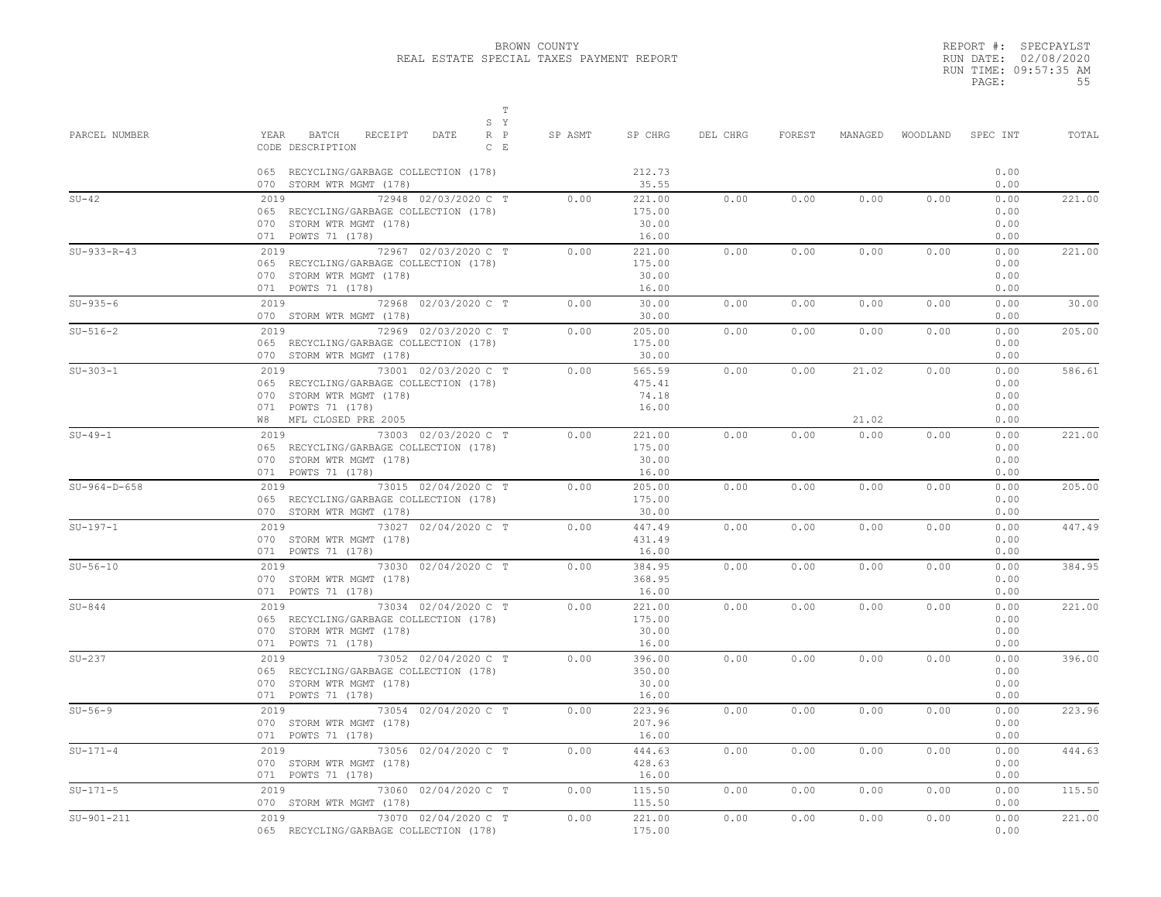|       | REPORT #: SPECPAYLST  |
|-------|-----------------------|
|       | RUN DATE: 02/08/2020  |
|       | RUN TIME: 09:57:35 AM |
| PAGE: | 55                    |

| PARCEL NUMBER  | T<br>S Y<br>RECEIPT<br>YEAR BATCH<br>DATE<br>$R$ $P$<br>CODE DESCRIPTION<br>$C$ $E$<br>065 RECYCLING/GARBAGE COLLECTION (178)                        | SP ASMT | SP CHRG<br>212.73                           | DEL CHRG | FOREST |                | MANAGED WOODLAND SPECINT | 0.00                                 | TOTAL  |
|----------------|------------------------------------------------------------------------------------------------------------------------------------------------------|---------|---------------------------------------------|----------|--------|----------------|--------------------------|--------------------------------------|--------|
| $SU-42$        | 070 STORM WTR MGMT (178)<br>72948 02/03/2020 C T<br>2019<br>065 RECYCLING/GARBAGE COLLECTION (178)<br>070 STORM WTR MGMT (178)<br>071 POWTS 71 (178) | 0.00    | 35.55<br>221.00<br>175.00<br>30.00<br>16.00 | 0.00     | 0.00   | 0.00           | 0.00                     | 0.00<br>0.00<br>0.00<br>0.00<br>0.00 | 221.00 |
| $SU-933-R-43$  | 2019 72967 02/03/2020 C T<br>065 RECYCLING/GARBAGE COLLECTION (178)<br>070 STORM WTR MGMT (178)<br>071 POWTS 71 (178)                                | 0.00    | 221.00<br>175.00<br>30.00<br>16.00          | 0.00     | 0.00   | 0.00           | 0.00                     | 0.00<br>0.00<br>0.00<br>0.00         | 221.00 |
| $SU-935-6$     | 2019 72968 02/03/2020 C T<br>070 STORM WTR MGMT (178)                                                                                                | 0.00    | 30.00<br>30.00                              | 0.00     | 0.00   | 0.00           | 0.00                     | 0.00<br>0.00                         | 30.00  |
| $SU-516-2$     | 2019 72969 02/03/2020 C T<br>065 RECYCLING/GARBAGE COLLECTION (178)<br>070 STORM WTR MGMT (178)                                                      | 0.00    | 205.00<br>175.00<br>30.00                   | 0.00     | 0.00   | 0.00           | 0.00                     | 0.00<br>0.00<br>0.00                 | 205.00 |
| $SU-303-1$     | 2019 73001 02/03/2020 C T<br>065 RECYCLING/GARBAGE COLLECTION (178)<br>070 STORM WTR MGMT (178)<br>071 POWTS 71 (178)<br>W8 MFL CLOSED PRE 2005      | 0.00    | 565.59<br>475.41<br>74.18<br>16.00          | 0.00     | 0.00   | 21.02<br>21.02 | 0.00                     | 0.00<br>0.00<br>0.00<br>0.00<br>0.00 | 586.61 |
| $SU-49-1$      | 2019 73003 02/03/2020 C T<br>065 RECYCLING/GARBAGE COLLECTION (178)<br>070 STORM WTR MGMT (178)<br>071 POWTS 71 (178)                                | 0.00    | 221.00<br>175.00<br>30.00<br>16.00          | 0.00     | 0.00   | 0.00           | 0.00                     | 0.00<br>0.00<br>0.00<br>0.00         | 221.00 |
| $SU-964-D-658$ | 2019 73015 02/04/2020 C T<br>065 RECYCLING/GARBAGE COLLECTION (178)<br>070 STORM WTR MGMT (178)                                                      | 0.00    | 205.00<br>175.00<br>30.00                   | 0.00     | 0.00   | 0.00           | 0.00                     | 0.00<br>0.00<br>0.00                 | 205.00 |
| $SU-197-1$     | 2019 73027 02/04/2020 C T<br>070 STORM WTR MGMT (178)<br>071 POWTS 71 (178)                                                                          | 0.00    | 447.49<br>431.49<br>16.00                   | 0.00     | 0.00   | 0.00           | 0.00                     | 0.00<br>0.00<br>0.00                 | 447.49 |
| $SU-56-10$     | 2019 73030 02/04/2020 C T<br>070 STORM WTR MGMT (178)<br>071 POWTS 71 (178)                                                                          | 0.00    | 384.95<br>368.95<br>16.00                   | 0.00     | 0.00   | 0.00           | 0.00                     | 0.00<br>0.00<br>0.00                 | 384.95 |
| $SU-844$       | 2019 73034 02/04/2020 C T<br>065 RECYCLING/GARBAGE COLLECTION (178)<br>070 STORM WTR MGMT (178)<br>071 POWTS 71 (178)                                | 0.00    | 221.00<br>175.00<br>30.00<br>16.00          | 0.00     | 0.00   | 0.00           | 0.00                     | 0.00<br>0.00<br>0.00<br>0.00         | 221.00 |
| $SU-237$       | 2019 73052 02/04/2020 C T<br>065 RECYCLING/GARBAGE COLLECTION (178)<br>070 STORM WTR MGMT (178)<br>071 POWTS 71 (178)                                | 0.00    | 396.00<br>350.00<br>30.00<br>16.00          | 0.00     | 0.00   | 0.00           | 0.00                     | 0.00<br>0.00<br>0.00<br>0.00         | 396.00 |
| $SU-56-9$      | 2019 73054 02/04/2020 C T<br>070 STORM WTR MGMT (178)<br>071 POWTS 71 (178)                                                                          | 0.00    | 223.96<br>207.96<br>16.00                   | 0.00     | 0.00   | 0.00           | 0.00                     | 0.00<br>0.00<br>0.00                 | 223.96 |
| $SU-171-4$     | 2019 73056 02/04/2020 C T<br>070 STORM WTR MGMT (178)<br>071 POWTS 71 (178)                                                                          | 0.00    | 444.63<br>428.63<br>16.00                   | 0.00     | 0.00   | 0.00           | 0.00                     | 0.00<br>0.00<br>0.00                 | 444.63 |
| $SU-171-5$     | 2019 73060 02/04/2020 C T<br>070 STORM WTR MGMT (178)                                                                                                | 0.00    | 115.50<br>115.50                            | 0.00     | 0.00   | 0.00           | 0.00                     | 0.00<br>0.00                         | 115.50 |
| $SU-901-211$   | 2019<br>73070 02/04/2020 C T<br>065 RECYCLING/GARBAGE COLLECTION (178)                                                                               | 0.00    | 221.00<br>175.00                            | 0.00     | 0.00   | 0.00           | 0.00                     | 0.00<br>0.00                         | 221.00 |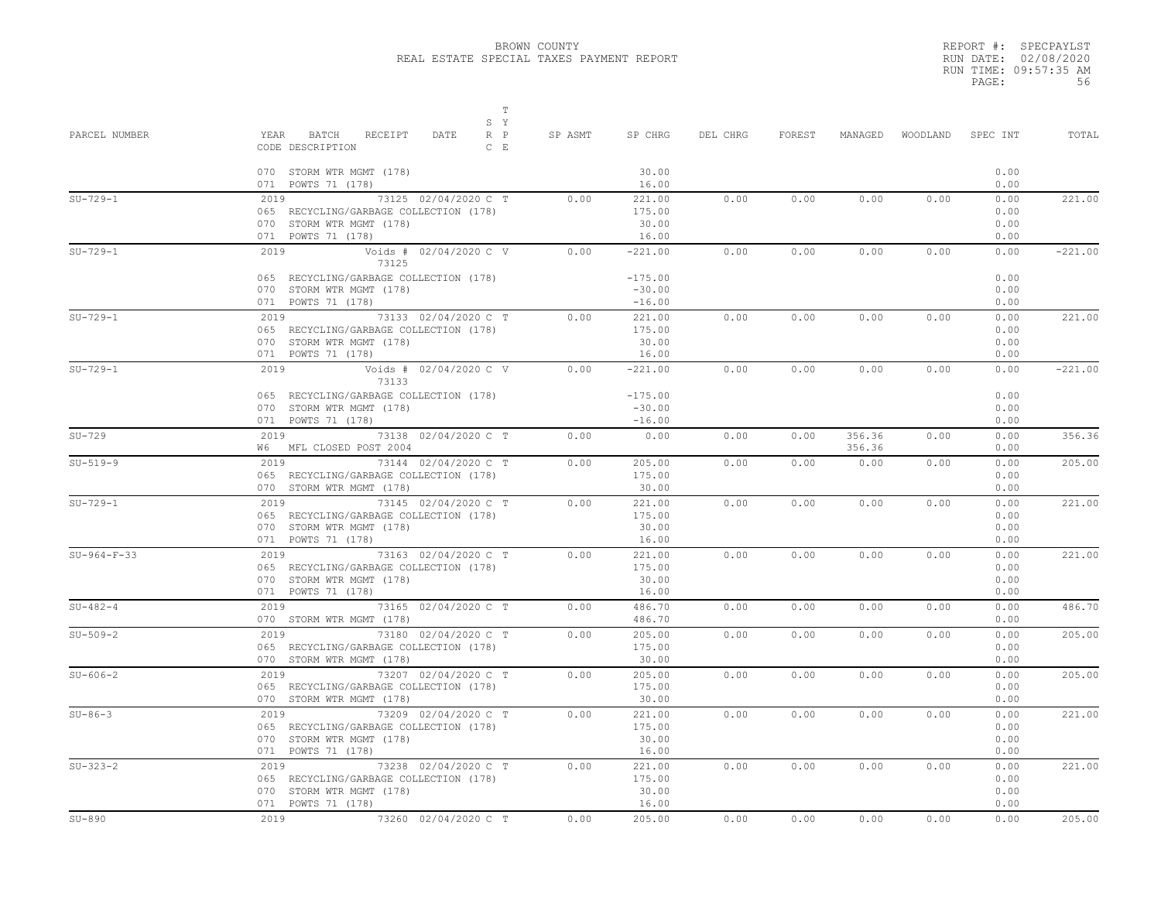REPORT #: SPECPAYLST RUN DATE: 02/08/2020 RUN TIME: 09:57:35 AM PAGE: 56

| PARCEL NUMBER  | $\mathbb T$<br>S Y<br>YEAR<br>BATCH<br>RECEIPT<br>$R$ $P$<br>DATE<br>CODE DESCRIPTION<br>$C$ $E$                         | SP ASMT | SP CHRG                            | DEL CHRG | FOREST | MANAGED          |      | WOODLAND SPEC INT            | TOTAL     |
|----------------|--------------------------------------------------------------------------------------------------------------------------|---------|------------------------------------|----------|--------|------------------|------|------------------------------|-----------|
|                | 070 STORM WTR MGMT (178)<br>071 POWTS 71 (178)                                                                           |         | 30.00<br>16.00                     |          |        |                  |      | 0.00<br>0.00                 |           |
| $SU-729-1$     | 73125 02/04/2020 C T<br>2019<br>065 RECYCLING/GARBAGE COLLECTION (178)<br>070 STORM WTR MGMT (178)<br>071 POWTS 71 (178) | 0.00    | 221.00<br>175.00<br>30.00<br>16.00 | 0.00     | 0.00   | 0.00             | 0.00 | 0.00<br>0.00<br>0.00<br>0.00 | 221.00    |
| $SU-729-1$     | 2019<br>Voids # 02/04/2020 C V<br>73125<br>065 RECYCLING/GARBAGE COLLECTION (178)                                        | 0.00    | $-221.00$<br>$-175.00$             | 0.00     | 0.00   | 0.00             | 0.00 | 0.00<br>0.00                 | $-221.00$ |
|                | 070 STORM WTR MGMT (178)<br>071 POWTS 71 (178)                                                                           |         | $-30.00$<br>$-16.00$               |          |        |                  |      | 0.00<br>0.00                 |           |
| $SU-729-1$     | 73133 02/04/2020 C T<br>2019<br>065 RECYCLING/GARBAGE COLLECTION (178)<br>070 STORM WTR MGMT (178)<br>071 POWTS 71 (178) | 0.00    | 221.00<br>175.00<br>30.00<br>16.00 | 0.00     | 0.00   | 0.00             | 0.00 | 0.00<br>0.00<br>0.00<br>0.00 | 221.00    |
| $SU-729-1$     | 2019<br>Voids # 02/04/2020 C V<br>73133<br>065 RECYCLING/GARBAGE COLLECTION (178)                                        | 0.00    | $-221.00$<br>$-175.00$             | 0.00     | 0.00   | 0.00             | 0.00 | 0.00<br>0.00                 | $-221.00$ |
|                | 070 STORM WTR MGMT (178)<br>071 POWTS 71 (178)                                                                           |         | $-30.00$<br>$-16.00$               |          |        |                  |      | 0.00<br>0.00                 |           |
| $SU-729$       | 2019 73138 02/04/2020 C T<br>W6 MFL CLOSED POST 2004                                                                     | 0.00    | 0.00                               | 0.00     | 0.00   | 356.36<br>356.36 | 0.00 | 0.00<br>0.00                 | 356.36    |
| $SU-519-9$     | 73144 02/04/2020 C T<br>2019<br>065 RECYCLING/GARBAGE COLLECTION (178)<br>070 STORM WTR MGMT (178)                       | 0.00    | 205.00<br>175.00<br>30.00          | 0.00     | 0.00   | 0.00             | 0.00 | 0.00<br>0.00<br>0.00         | 205.00    |
| $SU-729-1$     | 73145 02/04/2020 C T<br>2019<br>065 RECYCLING/GARBAGE COLLECTION (178)<br>070 STORM WTR MGMT (178)<br>071 POWTS 71 (178) | 0.00    | 221.00<br>175.00<br>30.00<br>16.00 | 0.00     | 0.00   | 0.00             | 0.00 | 0.00<br>0.00<br>0.00<br>0.00 | 221.00    |
| $SU-964-F-33$  | 2019<br>73163 02/04/2020 C T<br>065 RECYCLING/GARBAGE COLLECTION (178)<br>070 STORM WTR MGMT (178)<br>071 POWTS 71 (178) | 0.00    | 221.00<br>175.00<br>30.00<br>16.00 | 0.00     | 0.00   | 0.00             | 0.00 | 0.00<br>0.00<br>0.00<br>0.00 | 221.00    |
| $SU-482-4$     | 73165 02/04/2020 C T<br>2019 7<br>070 STORM WTR MGMT (178)                                                               | 0.00    | 486.70<br>486.70                   | 0.00     | 0.00   | 0.00             | 0.00 | 0.00<br>0.00                 | 486.70    |
| $SU-509-2$     | 2019<br>73180 02/04/2020 C T<br>065 RECYCLING/GARBAGE COLLECTION (178)<br>070 STORM WTR MGMT (178)                       | 0.00    | 205.00<br>175.00<br>30.00          | 0.00     | 0.00   | 0.00             | 0.00 | 0.00<br>0.00<br>0.00         | 205.00    |
| $SU - 606 - 2$ | 73207 02/04/2020 C T<br>2019<br>065 RECYCLING/GARBAGE COLLECTION (178)<br>070 STORM WTR MGMT (178)                       | 0.00    | 205.00<br>175.00<br>30.00          | 0.00     | 0.00   | 0.00             | 0.00 | 0.00<br>0.00<br>0.00         | 205.00    |
| $SU-86-3$      | 2019<br>73209 02/04/2020 C T<br>065 RECYCLING/GARBAGE COLLECTION (178)<br>070 STORM WTR MGMT (178)<br>071 POWTS 71 (178) | 0.00    | 221.00<br>175.00<br>30.00<br>16.00 | 0.00     | 0.00   | 0.00             | 0.00 | 0.00<br>0.00<br>0.00<br>0.00 | 221.00    |
| $SU-323-2$     | 2019<br>73238 02/04/2020 C T<br>065 RECYCLING/GARBAGE COLLECTION (178)<br>070 STORM WTR MGMT (178)<br>071 POWTS 71 (178) | 0.00    | 221.00<br>175.00<br>30.00<br>16.00 | 0.00     | 0.00   | 0.00             | 0.00 | 0.00<br>0.00<br>0.00<br>0.00 | 221.00    |
| $SU-890$       | 2019<br>73260 02/04/2020 C T                                                                                             | 0.00    | 205.00                             | 0.00     | 0.00   | 0.00             | 0.00 | 0.00                         | 205.00    |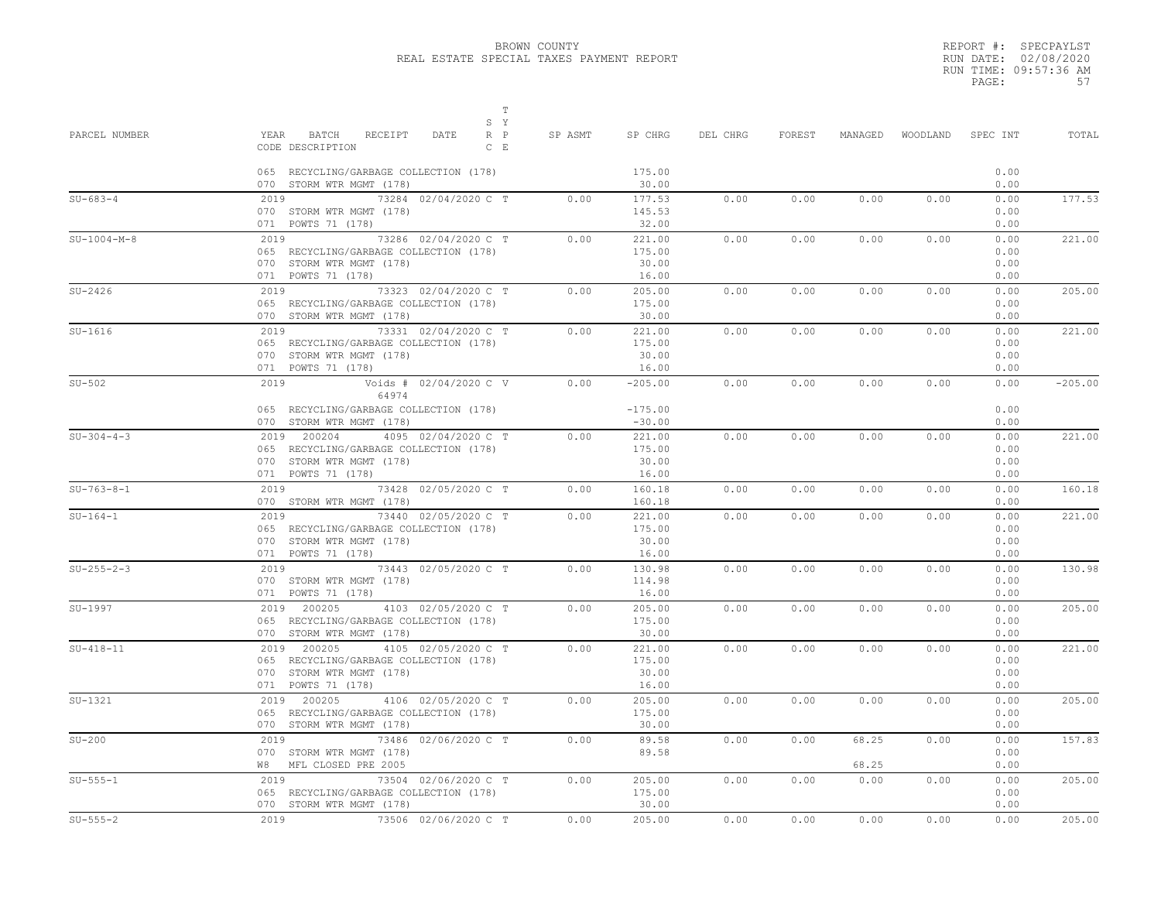|       | REPORT #: SPECPAYLST  |
|-------|-----------------------|
|       | RUN DATE: 02/08/2020  |
|       | RUN TIME: 09:57:36 AM |
| PAGE: | 57                    |

| PARCEL NUMBER | $\mathbb T$<br>S Y<br>YEAR<br>BATCH<br>RECEIPT<br>DATE<br>$R$ $P$<br>CODE DESCRIPTION<br>$C$ E<br>065 RECYCLING/GARBAGE COLLECTION (178) | SP ASMT | SP CHRG<br>175.00                  | DEL CHRG | FOREST | MANAGED        | WOODLAND | SPEC INT<br>0.00             | TOTAL     |
|---------------|------------------------------------------------------------------------------------------------------------------------------------------|---------|------------------------------------|----------|--------|----------------|----------|------------------------------|-----------|
| $SU-683-4$    | 070 STORM WTR MGMT (178)<br>73284 02/04/2020 C T<br>2019                                                                                 | 0.00    | 30.00<br>177.53                    | 0.00     | 0.00   | 0.00           | 0.00     | 0.00<br>0.00                 | 177.53    |
|               | 070 STORM WTR MGMT (178)<br>071 POWTS 71 (178)                                                                                           |         | 145.53<br>32.00                    |          |        |                |          | 0.00<br>0.00                 |           |
| $SU-1004-M-8$ | 2019<br>73286 02/04/2020 C T<br>065 RECYCLING/GARBAGE COLLECTION (178)<br>070 STORM WTR MGMT (178)<br>071 POWTS 71 (178)                 | 0.00    | 221.00<br>175.00<br>30.00<br>16.00 | 0.00     | 0.00   | 0.00           | 0.00     | 0.00<br>0.00<br>0.00<br>0.00 | 221.00    |
| $SU-2426$     | 73323 02/04/2020 C T<br>2019<br>065 RECYCLING/GARBAGE COLLECTION (178)<br>070 STORM WTR MGMT (178)                                       | 0.00    | 205.00<br>175.00<br>30.00          | 0.00     | 0.00   | 0.00           | 0.00     | 0.00<br>0.00<br>0.00         | 205.00    |
| $SU-1616$     | 2019<br>73331 02/04/2020 C T<br>065 RECYCLING/GARBAGE COLLECTION (178)<br>070 STORM WTR MGMT (178)<br>071 POWTS 71 (178)                 | 0.00    | 221.00<br>175.00<br>30.00<br>16.00 | 0.00     | 0.00   | 0.00           | 0.00     | 0.00<br>0.00<br>0.00<br>0.00 | 221.00    |
| $SU-502$      | 2019<br>Voids # 02/04/2020 C V<br>64974<br>065 RECYCLING/GARBAGE COLLECTION (178)<br>070 STORM WTR MGMT (178)                            | 0.00    | $-205.00$<br>$-175.00$<br>$-30.00$ | 0.00     | 0.00   | 0.00           | 0.00     | 0.00<br>0.00<br>0.00         | $-205.00$ |
| $SU-304-4-3$  | 2019 200204<br>4095 02/04/2020 C T<br>065 RECYCLING/GARBAGE COLLECTION (178)<br>070 STORM WTR MGMT (178)<br>071 POWTS 71 (178)           | 0.00    | 221.00<br>175.00<br>30.00<br>16.00 | 0.00     | 0.00   | 0.00           | 0.00     | 0.00<br>0.00<br>0.00<br>0.00 | 221.00    |
| $SU-763-8-1$  | 2019 73428 02/05/2020 C T<br>070 STORM WTR MGMT (178)                                                                                    | 0.00    | 160.18<br>160.18                   | 0.00     | 0.00   | 0.00           | 0.00     | 0.00<br>0.00                 | 160.18    |
| $SU-164-1$    | 2019<br>73440 02/05/2020 C T<br>065 RECYCLING/GARBAGE COLLECTION (178)<br>070 STORM WTR MGMT (178)<br>071 POWTS 71 (178)                 | 0.00    | 221.00<br>175.00<br>30.00<br>16.00 | 0.00     | 0.00   | 0.00           | 0.00     | 0.00<br>0.00<br>0.00<br>0.00 | 221.00    |
| $SU-255-2-3$  | 2019 73443 02/05/2020 C T<br>070 STORM WTR MGMT (178)<br>071 POWTS 71 (178)                                                              | 0.00    | 130.98<br>114.98<br>16.00          | 0.00     | 0.00   | 0.00           | 0.00     | 0.00<br>0.00<br>0.00         | 130.98    |
| SU-1997       | 2019 200205<br>4103 02/05/2020 C T<br>065 RECYCLING/GARBAGE COLLECTION (178)<br>070 STORM WTR MGMT (178)                                 | 0.00    | 205.00<br>175.00<br>30.00          | 0.00     | 0.00   | 0.00           | 0.00     | 0.00<br>0.00<br>0.00         | 205.00    |
| $SU-418-11$   | 2019 200205<br>4105 02/05/2020 C T<br>065 RECYCLING/GARBAGE COLLECTION (178)<br>070 STORM WTR MGMT (178)<br>071 POWTS 71 (178)           | 0.00    | 221.00<br>175.00<br>30.00<br>16.00 | 0.00     | 0.00   | 0.00           | 0.00     | 0.00<br>0.00<br>0.00<br>0.00 | 221.00    |
| $SU-1321$     | 2019 200205<br>4106 02/05/2020 C T<br>065 RECYCLING/GARBAGE COLLECTION (178)<br>070 STORM WTR MGMT (178)                                 | 0.00    | 205.00<br>175.00<br>30.00          | 0.00     | 0.00   | 0.00           | 0.00     | 0.00<br>0.00<br>0.00         | 205.00    |
| $SU-200$      | 73486 02/06/2020 C T<br>2019<br>070 STORM WTR MGMT (178)<br>W8 MFL CLOSED PRE 2005                                                       | 0.00    | 89.58<br>89.58                     | 0.00     | 0.00   | 68.25<br>68.25 | 0.00     | 0.00<br>0.00<br>0.00         | 157.83    |
| $SU-555-1$    | 2019<br>73504 02/06/2020 C T<br>065 RECYCLING/GARBAGE COLLECTION (178)<br>070 STORM WTR MGMT (178)                                       | 0.00    | 205.00<br>175.00<br>30.00          | 0.00     | 0.00   | 0.00           | 0.00     | 0.00<br>0.00<br>0.00         | 205.00    |
| $SU-555-2$    | 73506 02/06/2020 C T<br>2019                                                                                                             | 0.00    | 205.00                             | 0.00     | 0.00   | 0.00           | 0.00     | 0.00                         | 205.00    |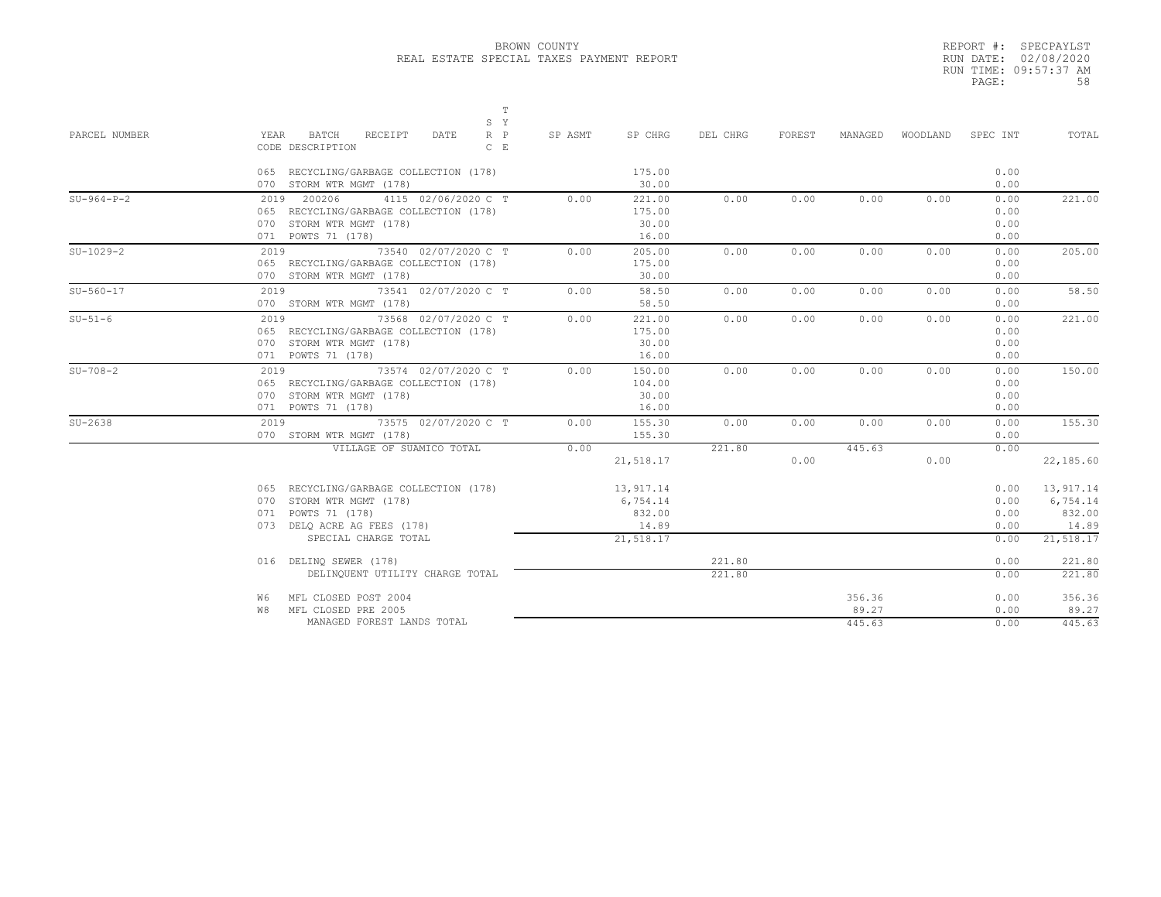|       | REPORT #: SPECPAYLST  |
|-------|-----------------------|
|       | RUN DATE: 02/08/2020  |
|       | RUN TIME: 09:57:37 AM |
| PAGE: | 58                    |

|               |                                                                                  |                                                                | T<br>S Y           |         |                                                       |                  |        |                           |          |                                      |                                                       |
|---------------|----------------------------------------------------------------------------------|----------------------------------------------------------------|--------------------|---------|-------------------------------------------------------|------------------|--------|---------------------------|----------|--------------------------------------|-------------------------------------------------------|
| PARCEL NUMBER | YEAR<br>BATCH<br>CODE DESCRIPTION                                                | RECEIPT<br>DATE                                                | $R$ $P$<br>$C$ $E$ | SP ASMT | SP CHRG                                               | DEL CHRG         | FOREST | MANAGED                   | WOODLAND | SPEC INT                             | TOTAL                                                 |
|               | 070 STORM WTR MGMT (178)                                                         | 065 RECYCLING/GARBAGE COLLECTION (178)                         |                    |         | 175.00<br>30.00                                       |                  |        |                           |          | 0.00<br>0.00                         |                                                       |
| $SU-964-P-2$  | 2019 200206<br>070 STORM WTR MGMT (178)<br>071 POWTS 71 (178)                    | 4115 02/06/2020 C T<br>065 RECYCLING/GARBAGE COLLECTION (178)  |                    | 0.00    | 221.00<br>175.00<br>30.00<br>16.00                    | 0.00             | 0.00   | 0.00                      | 0.00     | 0.00<br>0.00<br>0.00<br>0.00         | 221.00                                                |
| $SU-1029-2$   | 2019<br>070 STORM WTR MGMT (178)                                                 | 73540 02/07/2020 C T<br>065 RECYCLING/GARBAGE COLLECTION (178) |                    | 0.00    | 205.00<br>175.00<br>30.00                             | 0.00             | 0.00   | 0.00                      | 0.00     | 0.00<br>0.00<br>0.00                 | 205.00                                                |
| $SU-560-17$   | 2019<br>070 STORM WTR MGMT (178)                                                 | 73541 02/07/2020 C T                                           |                    | 0.00    | 58.50<br>58.50                                        | 0.00             | 0.00   | 0.00                      | 0.00     | 0.00<br>0.00                         | 58.50                                                 |
| $SU-51-6$     | 2019<br>070 STORM WTR MGMT (178)<br>071 POWTS 71 (178)                           | 73568 02/07/2020 C T<br>065 RECYCLING/GARBAGE COLLECTION (178) |                    | 0.00    | 221.00<br>175.00<br>30.00<br>16.00                    | 0.00             | 0.00   | 0.00                      | 0.00     | 0.00<br>0.00<br>0.00<br>0.00         | 221.00                                                |
| $SU-708-2$    | 2019<br>070 STORM WTR MGMT (178)<br>071 POWTS 71 (178)                           | 73574 02/07/2020 C T<br>065 RECYCLING/GARBAGE COLLECTION (178) |                    | 0.00    | 150.00<br>104.00<br>30.00<br>16.00                    | 0.00             | 0.00   | 0.00                      | 0.00     | 0.00<br>0.00<br>0.00<br>0.00         | 150.00                                                |
| $SU-2638$     | 2019<br>070 STORM WTR MGMT (178)                                                 | 73575 02/07/2020 C T                                           |                    | 0.00    | 155.30<br>155.30                                      | 0.00             | 0.00   | 0.00                      | 0.00     | 0.00<br>0.00                         | 155.30                                                |
|               |                                                                                  | VILLAGE OF SUAMICO TOTAL                                       |                    | 0.00    | 21,518.17                                             | 221.80           | 0.00   | 445.63                    | 0.00     | 0.00                                 | 22,185.60                                             |
|               | STORM WTR MGMT (178)<br>070<br>071 POWTS 71 (178)<br>073 DELQ ACRE AG FEES (178) | 065 RECYCLING/GARBAGE COLLECTION (178)<br>SPECIAL CHARGE TOTAL |                    |         | 13,917.14<br>6,754.14<br>832.00<br>14.89<br>21,518.17 |                  |        |                           |          | 0.00<br>0.00<br>0.00<br>0.00<br>0.00 | 13,917.14<br>6,754.14<br>832.00<br>14.89<br>21,518.17 |
|               | 016 DELINO SEWER (178)                                                           | DELINQUENT UTILITY CHARGE TOTAL                                |                    |         |                                                       | 221.80<br>221.80 |        |                           |          | 0.00<br>0.00                         | 221.80<br>221.80                                      |
|               | W6.<br>MFL CLOSED PRE 2005<br>W8                                                 | MFL CLOSED POST 2004<br>MANAGED FOREST LANDS TOTAL             |                    |         |                                                       |                  |        | 356.36<br>89.27<br>445.63 |          | 0.00<br>0.00<br>0.00                 | 356.36<br>89.27<br>445.63                             |
|               |                                                                                  |                                                                |                    |         |                                                       |                  |        |                           |          |                                      |                                                       |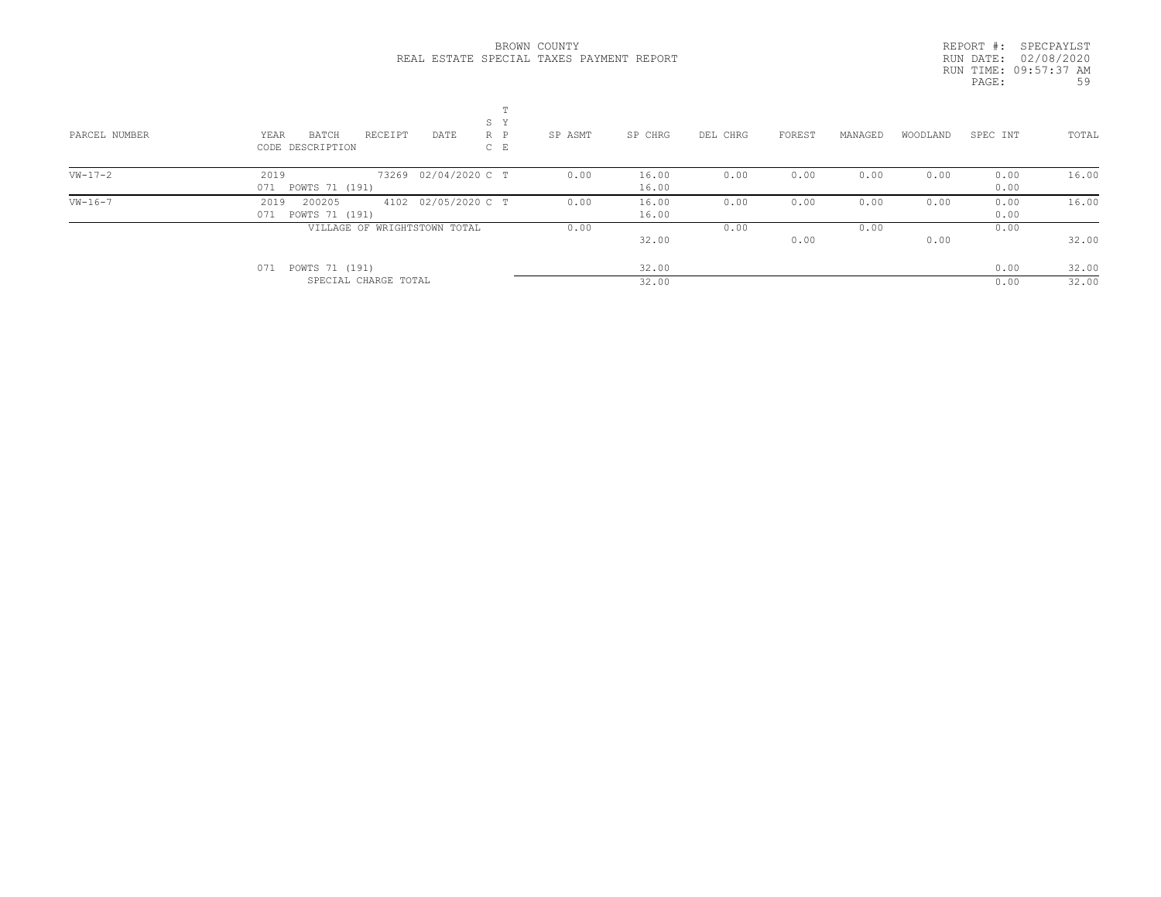|       | REPORT #: SPECPAYLST  |
|-------|-----------------------|
|       | RUN DATE: 02/08/2020  |
|       | RUN TIME: 09:57:37 AM |
| PAGE: | .59                   |
|       |                       |

| PARCEL NUMBER | m<br>S Y<br>RECEIPT<br>YEAR<br>BATCH<br>DATE<br>$R$ $P$<br>$C$ $E$<br>CODE DESCRIPTION | SP ASMT | SP CHRG        | DEL CHRG | FOREST | MANAGED | WOODLAND | SPEC INT     | TOTAL |
|---------------|----------------------------------------------------------------------------------------|---------|----------------|----------|--------|---------|----------|--------------|-------|
| $VW-17-2$     | 73269 02/04/2020 C T<br>2019<br>071 POWTS 71 (191)                                     | 0.00    | 16.00<br>16.00 | 0.00     | 0.00   | 0.00    | 0.00     | 0.00<br>0.00 | 16.00 |
|               |                                                                                        |         |                |          |        |         |          |              |       |
| $VW - 16 - 7$ | 4102 02/05/2020 C T<br>200205<br>2019<br>071 POWTS 71 (191)                            | 0.00    | 16.00<br>16.00 | 0.00     | 0.00   | 0.00    | 0.00     | 0.00<br>0.00 | 16.00 |
|               | VILLAGE OF WRIGHTSTOWN TOTAL                                                           | 0.00    |                | 0.00     |        | 0.00    |          | 0.00         |       |
|               |                                                                                        |         | 32.00          |          | 0.00   |         | 0.00     |              | 32.00 |
|               | POWTS 71 (191)<br>071                                                                  |         | 32.00          |          |        |         |          | 0.00         | 32.00 |
|               | SPECIAL CHARGE TOTAL                                                                   |         | 32.00          |          |        |         |          | 0.00         | 32.00 |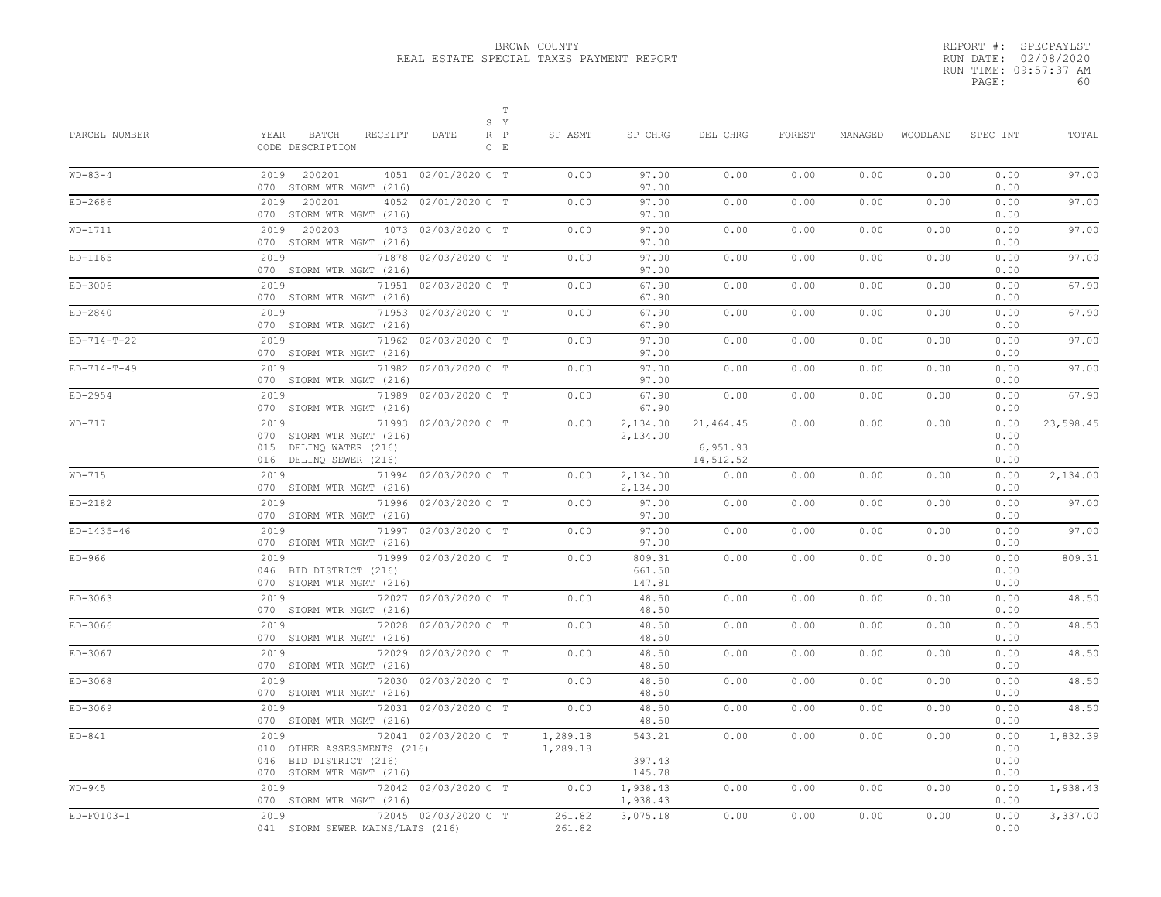|       | REPORT #: SPECPAYLST  |
|-------|-----------------------|
|       | RUN DATE: 02/08/2020  |
|       | RUN TIME: 09:57:37 AM |
| PAGE: | 60                    |
|       |                       |

| PARCEL NUMBER              | $\mathbb T$<br>S Y<br>YEAR<br>BATCH<br>RECEIPT<br>$R$ $P$<br>DATE<br>$C$ E<br>CODE DESCRIPTION                    | SP ASMT              | SP CHRG                    | DEL CHRG              | FOREST       | MANAGED      | WOODLAND     | SPEC INT                     | TOTAL          |
|----------------------------|-------------------------------------------------------------------------------------------------------------------|----------------------|----------------------------|-----------------------|--------------|--------------|--------------|------------------------------|----------------|
| $WD-83-4$                  | 2019 200201<br>4051 02/01/2020 C T<br>070 STORM WTR MGMT (216)                                                    | 0.00                 | 97.00<br>97.00             | 0.00                  | 0.00         | 0.00         | 0.00         | 0.00<br>0.00                 | 97.00          |
| $ED-2686$                  | 2019<br>200201<br>4052<br>02/01/2020 C T<br>070 STORM WTR MGMT (216)                                              | 0.00                 | 97.00<br>97.00             | 0.00                  | 0.00         | 0.00         | 0.00         | 0.00<br>0.00                 | 97.00          |
| WD-1711                    | 4073 02/03/2020 C T<br>2019 200203<br>070 STORM WTR MGMT (216)                                                    | 0.00                 | 97.00<br>97.00             | 0.00                  | 0.00         | 0.00         | 0.00         | 0.00<br>0.00                 | 97.00          |
| $ED-1165$                  | 2019<br>71878 02/03/2020 C T<br>070 STORM WTR MGMT (216)                                                          | 0.00                 | 97.00<br>97.00             | 0.00                  | 0.00         | 0.00         | 0.00         | 0.00<br>0.00                 | 97.00          |
| ED-3006                    | 2019<br>71951 02/03/2020 C T<br>070 STORM WTR MGMT (216)                                                          | 0.00                 | 67.90<br>67.90             | 0.00                  | 0.00         | 0.00         | 0.00         | 0.00<br>0.00                 | 67.90          |
| $ED-2840$                  | 2019<br>71953 02/03/2020 C T<br>070 STORM WTR MGMT (216)                                                          | 0.00                 | 67.90<br>67.90             | 0.00                  | 0.00         | 0.00         | 0.00         | 0.00<br>0.00                 | 67.90          |
| $ED-714-T-22$              | 2019<br>71962 02/03/2020 C T<br>070 STORM WTR MGMT (216)                                                          | 0.00                 | 97.00<br>97.00             | 0.00                  | 0.00         | 0.00         | 0.00         | 0.00<br>0.00                 | 97.00          |
| $ED-714-T-49$<br>$ED-2954$ | 71982 02/03/2020 C T<br>2019<br>070 STORM WTR MGMT (216)<br>2019<br>71989<br>02/03/2020 C T                       | 0.00<br>0.00         | 97.00<br>97.00<br>67.90    | 0.00<br>0.00          | 0.00<br>0.00 | 0.00<br>0.00 | 0.00<br>0.00 | 0.00<br>0.00<br>0.00         | 97.00<br>67.90 |
| $WD-717$                   | 070 STORM WTR MGMT (216)<br>2019<br>71993 02/03/2020 C T                                                          | 0.00                 | 67.90<br>2,134.00          | 21, 464.45            | 0.00         | 0.00         | 0.00         | 0.00<br>0.00                 | 23,598.45      |
|                            | 070 STORM WTR MGMT (216)<br>015 DELINQ WATER (216)<br>016 DELINQ SEWER (216)                                      |                      | 2,134.00                   | 6,951.93<br>14,512.52 |              |              |              | 0.00<br>0.00<br>0.00         |                |
| $WD-715$                   | 71994 02/03/2020 C T<br>2019<br>070 STORM WTR MGMT (216)                                                          | 0.00                 | 2,134.00<br>2,134.00       | 0.00                  | 0.00         | 0.00         | 0.00         | 0.00<br>0.00                 | 2,134.00       |
| $ED-2182$                  | 2019<br>71996 02/03/2020 C T<br>070 STORM WTR MGMT (216)                                                          | 0.00                 | 97.00<br>97.00             | 0.00                  | 0.00         | 0.00         | 0.00         | 0.00<br>0.00                 | 97.00          |
| $ED-1435-46$               | 2019<br>71997 02/03/2020 C T<br>070 STORM WTR MGMT (216)                                                          | 0.00                 | 97.00<br>97.00             | 0.00                  | 0.00         | 0.00         | 0.00         | 0.00<br>0.00                 | 97.00          |
| $ED-966$                   | 2019<br>71999 02/03/2020 C T<br>046 BID DISTRICT (216)<br>070 STORM WTR MGMT (216)                                | 0.00                 | 809.31<br>661.50<br>147.81 | 0.00                  | 0.00         | 0.00         | 0.00         | 0.00<br>0.00<br>0.00         | 809.31         |
| ED-3063                    | 2019<br>72027 02/03/2020 C T<br>070 STORM WTR MGMT (216)                                                          | 0.00                 | 48.50<br>48.50             | 0.00                  | 0.00         | 0.00         | 0.00         | 0.00<br>0.00                 | 48.50          |
| ED-3066                    | 2019<br>02/03/2020 C T<br>72028<br>070 STORM WTR MGMT (216)                                                       | 0.00                 | 48.50<br>48.50             | 0.00                  | 0.00         | 0.00         | 0.00         | 0.00<br>0.00                 | 48.50          |
| ED-3067                    | 2019<br>72029 02/03/2020 C T<br>070 STORM WTR MGMT (216)                                                          | 0.00                 | 48.50<br>48.50             | 0.00                  | 0.00         | 0.00         | 0.00         | 0.00<br>0.00                 | 48.50          |
| ED-3068                    | 2019<br>72030 02/03/2020 C T<br>070 STORM WTR MGMT (216)                                                          | 0.00                 | 48.50<br>48.50             | 0.00                  | 0.00         | 0.00         | 0.00         | 0.00<br>0.00                 | 48.50          |
| ED-3069                    | 2019<br>72031 02/03/2020 C T<br>070 STORM WTR MGMT (216)                                                          | 0.00                 | 48.50<br>48.50             | 0.00                  | 0.00         | 0.00         | 0.00         | 0.00<br>0.00                 | 48.50          |
| $ED-841$                   | 2019<br>72041 02/03/2020 C T<br>010 OTHER ASSESSMENTS (216)<br>046 BID DISTRICT (216)<br>070 STORM WTR MGMT (216) | 1,289.18<br>1,289.18 | 543.21<br>397.43<br>145.78 | 0.00                  | 0.00         | 0.00         | 0.00         | 0.00<br>0.00<br>0.00<br>0.00 | 1,832.39       |
| $WD-945$                   | 2019<br>72042 02/03/2020 C T<br>070 STORM WTR MGMT (216)                                                          | 0.00                 | 1,938.43<br>1,938.43       | 0.00                  | 0.00         | 0.00         | 0.00         | 0.00<br>0.00                 | 1,938.43       |
| ED-F0103-1                 | 2019<br>72045 02/03/2020 C T<br>041 STORM SEWER MAINS/LATS (216)                                                  | 261.82<br>261.82     | 3,075.18                   | 0.00                  | 0.00         | 0.00         | 0.00         | 0.00<br>0.00                 | 3,337.00       |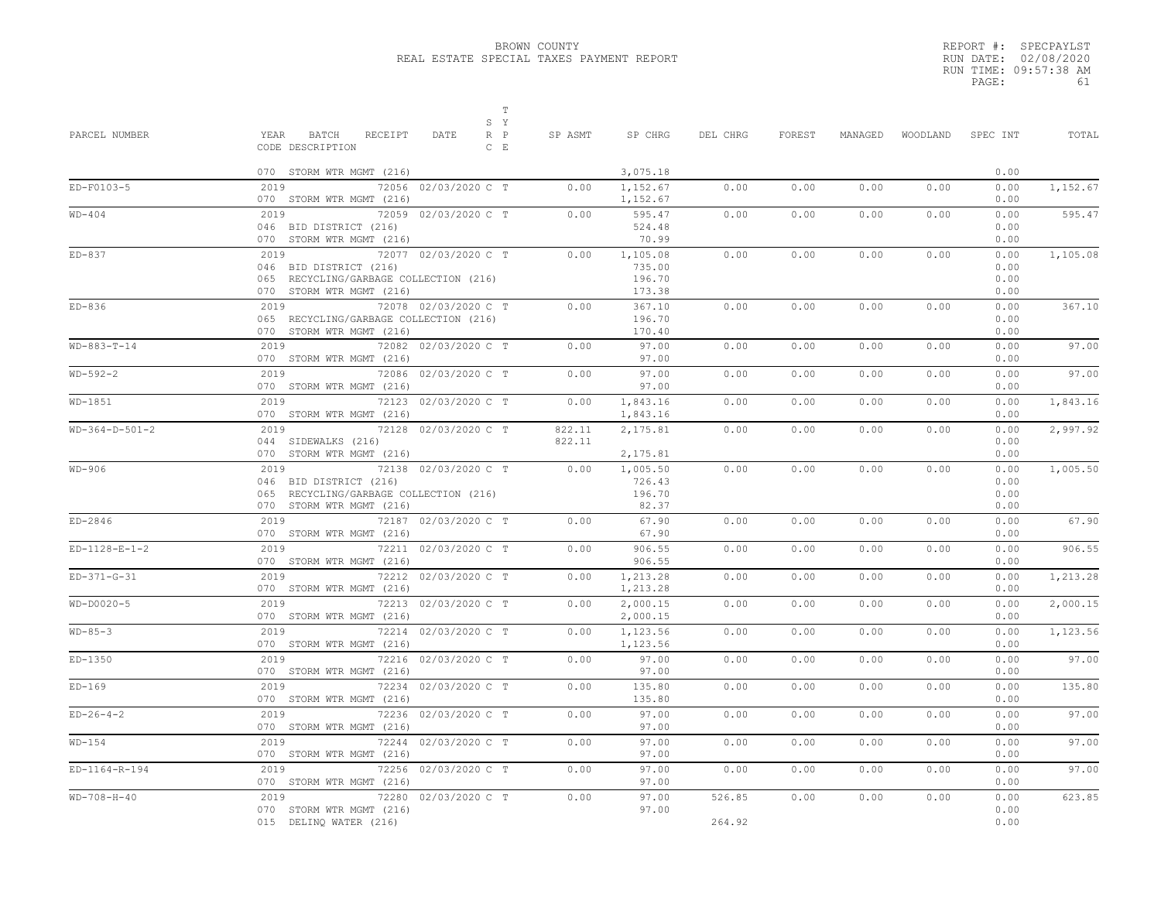|       | REPORT #: SPECPAYLST  |    |
|-------|-----------------------|----|
|       | RUN DATE: 02/08/2020  |    |
|       | RUN TIME: 09:57:38 AM |    |
| PAGE: |                       | 61 |

| PARCEL NUMBER    | $\mathbb T$<br>S Y<br>YEAR<br>BATCH<br>RECEIPT<br>DATE<br>$R$ $P$<br>CODE DESCRIPTION<br>$C$ $E$                             | SP ASMT          | SP CHRG                                | DEL CHRG         | FOREST | MANAGED |      | WOODLAND SPEC INT            | TOTAL    |
|------------------|------------------------------------------------------------------------------------------------------------------------------|------------------|----------------------------------------|------------------|--------|---------|------|------------------------------|----------|
|                  | 070 STORM WTR MGMT (216)                                                                                                     |                  | 3,075.18                               |                  |        |         |      | 0.00                         |          |
| ED-F0103-5       | 2019<br>72056 02/03/2020 C T<br>070 STORM WTR MGMT (216)                                                                     | 0.00             | 1,152.67<br>1,152.67                   | 0.00             | 0.00   | 0.00    | 0.00 | 0.00<br>0.00                 | 1,152.67 |
| $WD-404$         | 2019<br>72059 02/03/2020 C T<br>046 BID DISTRICT (216)<br>070 STORM WTR MGMT (216)                                           | 0.00             | 595.47<br>524.48<br>70.99              | 0.00             | 0.00   | 0.00    | 0.00 | 0.00<br>0.00<br>0.00         | 595.47   |
| $ED-837$         | 72077 02/03/2020 C T<br>2019<br>046 BID DISTRICT (216)<br>065 RECYCLING/GARBAGE COLLECTION (216)<br>070 STORM WTR MGMT (216) | 0.00             | 1,105.08<br>735.00<br>196.70<br>173.38 | 0.00             | 0.00   | 0.00    | 0.00 | 0.00<br>0.00<br>0.00<br>0.00 | 1,105.08 |
| $ED-836$         | 72078 02/03/2020 C T<br>2019<br>065 RECYCLING/GARBAGE COLLECTION (216)<br>070 STORM WTR MGMT (216)                           | 0.00             | 367.10<br>196.70<br>170.40             | 0.00             | 0.00   | 0.00    | 0.00 | 0.00<br>0.00<br>0.00         | 367.10   |
| $WD-883-T-14$    | 72082 02/03/2020 C T<br>2019<br>070 STORM WTR MGMT (216)                                                                     | 0.00             | 97.00<br>97.00                         | 0.00             | 0.00   | 0.00    | 0.00 | 0.00<br>0.00                 | 97.00    |
| $WD-592-2$       | 2019<br>72086 02/03/2020 C T<br>070 STORM WTR MGMT (216)                                                                     | 0.00             | 97.00<br>97.00                         | 0.00             | 0.00   | 0.00    | 0.00 | 0.00<br>0.00                 | 97.00    |
| $WD-1851$        | 2019<br>72123 02/03/2020 C T<br>070 STORM WTR MGMT (216)                                                                     | 0.00             | 1,843.16<br>1,843.16                   | 0.00             | 0.00   | 0.00    | 0.00 | 0.00<br>0.00                 | 1,843.16 |
| $WD-364-D-501-2$ | 2019<br>72128 02/03/2020 C T<br>044 SIDEWALKS (216)<br>070 STORM WTR MGMT (216)                                              | 822.11<br>822.11 | 2,175.81<br>2,175.81                   | 0.00             | 0.00   | 0.00    | 0.00 | 0.00<br>0.00<br>0.00         | 2,997.92 |
| WD-906           | 2019<br>72138 02/03/2020 C T<br>046 BID DISTRICT (216)<br>065 RECYCLING/GARBAGE COLLECTION (216)<br>070 STORM WTR MGMT (216) | 0.00             | 1,005.50<br>726.43<br>196.70<br>82.37  | 0.00             | 0.00   | 0.00    | 0.00 | 0.00<br>0.00<br>0.00<br>0.00 | 1,005.50 |
| ED-2846          | 72187 02/03/2020 C T<br>2019<br>070 STORM WTR MGMT (216)                                                                     | 0.00             | 67.90<br>67.90                         | 0.00             | 0.00   | 0.00    | 0.00 | 0.00<br>0.00                 | 67.90    |
| $ED-1128-E-1-2$  | 2019<br>72211 02/03/2020 C T<br>070 STORM WTR MGMT (216)                                                                     | 0.00             | 906.55<br>906.55                       | 0.00             | 0.00   | 0.00    | 0.00 | 0.00<br>0.00                 | 906.55   |
| $ED-371-G-31$    | 2019<br>72212 02/03/2020 C T<br>070 STORM WTR MGMT (216)                                                                     | 0.00             | 1,213.28<br>1,213.28                   | 0.00             | 0.00   | 0.00    | 0.00 | 0.00<br>0.00                 | 1,213.28 |
| $WD-DOO2O-5$     | 2019<br>72213 02/03/2020 C T<br>070 STORM WTR MGMT (216)                                                                     | 0.00             | 2,000.15<br>2,000.15                   | 0.00             | 0.00   | 0.00    | 0.00 | 0.00<br>0.00                 | 2,000.15 |
| $WD-85-3$        | 2019<br>72214 02/03/2020 C T<br>070 STORM WTR MGMT (216)                                                                     | 0.00             | 1,123.56<br>1,123.56                   | 0.00             | 0.00   | 0.00    | 0.00 | 0.00<br>0.00                 | 1,123.56 |
| $ED-1350$        | 2019<br>72216 02/03/2020 C T<br>070 STORM WTR MGMT (216)                                                                     | 0.00             | 97.00<br>97.00                         | 0.00             | 0.00   | 0.00    | 0.00 | 0.00<br>0.00                 | 97.00    |
| $ED-169$         | 2019<br>72234 02/03/2020 C T<br>070 STORM WTR MGMT (216)                                                                     | 0.00             | 135.80<br>135.80                       | 0.00             | 0.00   | 0.00    | 0.00 | 0.00<br>0.00                 | 135.80   |
| $ED-26-4-2$      | 2019<br>72236 02/03/2020 C T<br>070 STORM WTR MGMT (216)                                                                     | 0.00             | 97.00<br>97.00                         | 0.00             | 0.00   | 0.00    | 0.00 | 0.00<br>0.00                 | 97.00    |
| $WD-154$         | 2019<br>72244 02/03/2020 C T<br>070 STORM WTR MGMT (216)                                                                     | 0.00             | 97.00<br>97.00                         | 0.00             | 0.00   | 0.00    | 0.00 | 0.00<br>0.00                 | 97.00    |
| ED-1164-R-194    | 2019<br>72256 02/03/2020 C T<br>070 STORM WTR MGMT (216)                                                                     | 0.00             | 97.00<br>97.00                         | 0.00             | 0.00   | 0.00    | 0.00 | 0.00<br>0.00                 | 97.00    |
| $WD-708-H-40$    | 2019<br>72280 02/03/2020 C T<br>070 STORM WTR MGMT (216)<br>015 DELINQ WATER (216)                                           | 0.00             | 97.00<br>97.00                         | 526.85<br>264.92 | 0.00   | 0.00    | 0.00 | 0.00<br>0.00<br>0.00         | 623.85   |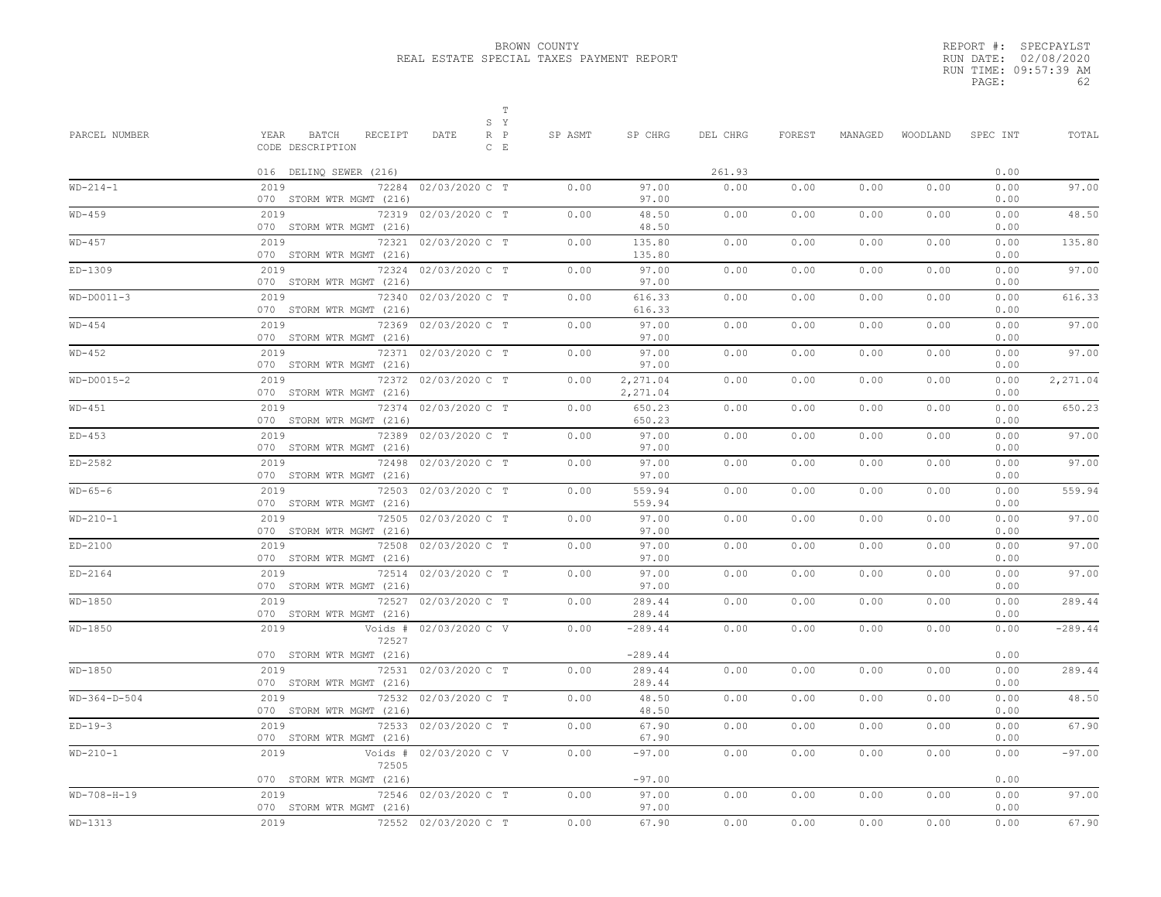|       | REPORT #: SPECPAYLST  |
|-------|-----------------------|
|       | RUN DATE: 02/08/2020  |
|       | RUN TIME: 09:57:39 AM |
| PAGE: | 62                    |

| PARCEL NUMBER  | Т<br>S Y<br>YEAR<br>BATCH<br>RECEIPT<br>$R$ $P$<br>DATE    | SP ASMT | SP CHRG              | DEL CHRG | FOREST | MANAGED | WOODLAND | SPEC INT     | TOTAL     |
|----------------|------------------------------------------------------------|---------|----------------------|----------|--------|---------|----------|--------------|-----------|
|                | CODE DESCRIPTION<br>$C$ $E$                                |         |                      |          |        |         |          |              |           |
|                | 016 DELINQ SEWER (216)                                     |         |                      | 261.93   |        |         |          | 0.00         |           |
| $WD-214-1$     | 72284 02/03/2020 C T<br>2019<br>070 STORM WTR MGMT (216)   | 0.00    | 97.00<br>97.00       | 0.00     | 0.00   | 0.00    | 0.00     | 0.00<br>0.00 | 97.00     |
| $WD-459$       | 72319 02/03/2020 C T<br>2019<br>070 STORM WTR MGMT (216)   | 0.00    | 48.50<br>48.50       | 0.00     | 0.00   | 0.00    | 0.00     | 0.00<br>0.00 | 48.50     |
| $WD-457$       | 72321 02/03/2020 C T<br>2019<br>070 STORM WTR MGMT (216)   | 0.00    | 135.80<br>135.80     | 0.00     | 0.00   | 0.00    | 0.00     | 0.00<br>0.00 | 135.80    |
| ED-1309        | 2019<br>72324 02/03/2020 C T<br>070 STORM WTR MGMT (216)   | 0.00    | 97.00<br>97.00       | 0.00     | 0.00   | 0.00    | 0.00     | 0.00<br>0.00 | 97.00     |
| $WD-DOO11-3$   | 2019<br>72340 02/03/2020 C T<br>070 STORM WTR MGMT (216)   | 0.00    | 616.33<br>616.33     | 0.00     | 0.00   | 0.00    | 0.00     | 0.00<br>0.00 | 616.33    |
| $WD-454$       | 2019<br>72369 02/03/2020 C T<br>070 STORM WTR MGMT (216)   | 0.00    | 97.00<br>97.00       | 0.00     | 0.00   | 0.00    | 0.00     | 0.00<br>0.00 | 97.00     |
| $WD-452$       | 72371 02/03/2020 C T<br>2019<br>070 STORM WTR MGMT (216)   | 0.00    | 97.00<br>97.00       | 0.00     | 0.00   | 0.00    | 0.00     | 0.00<br>0.00 | 97.00     |
| $WD-DOO15-2$   | 72372 02/03/2020 C T<br>2019<br>070 STORM WTR MGMT (216)   | 0.00    | 2,271.04<br>2,271.04 | 0.00     | 0.00   | 0.00    | 0.00     | 0.00<br>0.00 | 2,271.04  |
| $WD-451$       | 72374 02/03/2020 C T<br>2019<br>070 STORM WTR MGMT (216)   | 0.00    | 650.23<br>650.23     | 0.00     | 0.00   | 0.00    | 0.00     | 0.00<br>0.00 | 650.23    |
| $ED-453$       | 72389 02/03/2020 C T<br>2019<br>070 STORM WTR MGMT (216)   | 0.00    | 97.00<br>97.00       | 0.00     | 0.00   | 0.00    | 0.00     | 0.00<br>0.00 | 97.00     |
| $ED-2582$      | 2019<br>72498 02/03/2020 C T<br>070 STORM WTR MGMT (216)   | 0.00    | 97.00<br>97.00       | 0.00     | 0.00   | 0.00    | 0.00     | 0.00<br>0.00 | 97.00     |
| $WD-65-6$      | 2019<br>72503 02/03/2020 C T<br>070 STORM WTR MGMT (216)   | 0.00    | 559.94<br>559.94     | 0.00     | 0.00   | 0.00    | 0.00     | 0.00<br>0.00 | 559.94    |
| $WD-210-1$     | 2019<br>72505 02/03/2020 C T<br>070 STORM WTR MGMT (216)   | 0.00    | 97.00<br>97.00       | 0.00     | 0.00   | 0.00    | 0.00     | 0.00<br>0.00 | 97.00     |
| $ED-2100$      | 72508 02/03/2020 C T<br>2019<br>070 STORM WTR MGMT (216)   | 0.00    | 97.00<br>97.00       | 0.00     | 0.00   | 0.00    | 0.00     | 0.00<br>0.00 | 97.00     |
| $ED-2164$      | 2019<br>72514 02/03/2020 C T<br>070 STORM WTR MGMT (216)   | 0.00    | 97.00<br>97.00       | 0.00     | 0.00   | 0.00    | 0.00     | 0.00<br>0.00 | 97.00     |
| WD-1850        | 2019<br>72527 02/03/2020 C T<br>070 STORM WTR MGMT (216)   | 0.00    | 289.44<br>289.44     | 0.00     | 0.00   | 0.00    | 0.00     | 0.00<br>0.00 | 289.44    |
| WD-1850        | Voids # 02/03/2020 C V<br>2019<br>72527                    | 0.00    | $-289.44$            | 0.00     | 0.00   | 0.00    | 0.00     | 0.00         | $-289.44$ |
| WD-1850        | 070 STORM WTR MGMT (216)<br>72531 02/03/2020 C T<br>2019   | 0.00    | $-289.44$<br>289.44  | 0.00     | 0.00   | 0.00    | 0.00     | 0.00<br>0.00 | 289.44    |
| $WD-364-D-504$ | 070 STORM WTR MGMT (216)<br>72532 02/03/2020 C T<br>2019   | 0.00    | 289.44<br>48.50      | 0.00     | 0.00   | 0.00    | 0.00     | 0.00<br>0.00 | 48.50     |
| $ED-19-3$      | 070 STORM WTR MGMT (216)<br>72533 02/03/2020 C T<br>2019   | 0.00    | 48.50<br>67.90       | 0.00     | 0.00   | 0.00    | 0.00     | 0.00<br>0.00 | 67.90     |
| $WD-210-1$     | 070 STORM WTR MGMT (216)<br>Voids # 02/03/2020 C V<br>2019 | 0.00    | 67.90<br>$-97.00$    | 0.00     | 0.00   | 0.00    | 0.00     | 0.00<br>0.00 | $-97.00$  |
|                | 72505<br>070 STORM WTR MGMT (216)                          |         | $-97.00$             |          |        |         |          | 0.00         |           |
| $WD-708-H-19$  | 2019<br>72546 02/03/2020 C T<br>070 STORM WTR MGMT (216)   | 0.00    | 97.00<br>97.00       | 0.00     | 0.00   | 0.00    | 0.00     | 0.00<br>0.00 | 97.00     |
| WD-1313        | 2019<br>72552 02/03/2020 C T                               | 0.00    | 67.90                | 0.00     | 0.00   | 0.00    | 0.00     | 0.00         | 67.90     |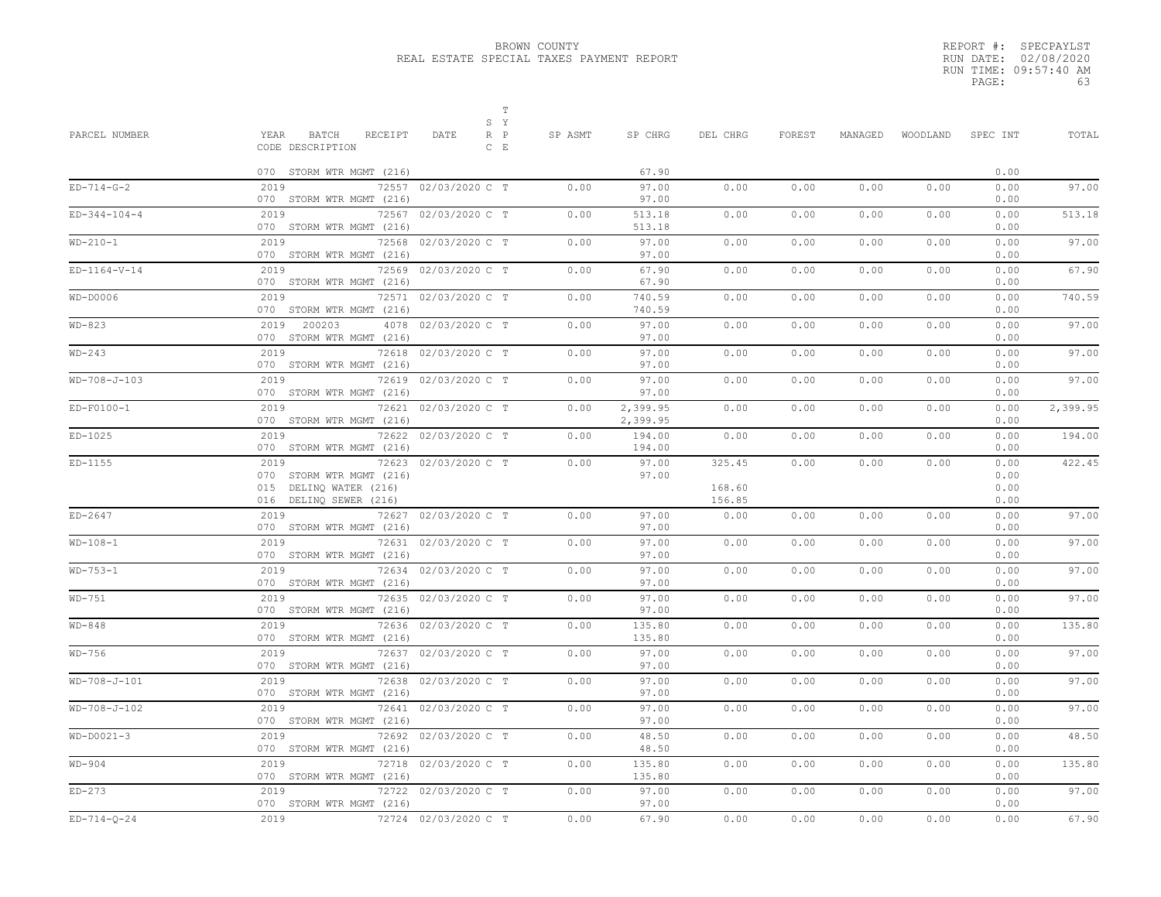|       | REPORT #: SPECPAYLST  |
|-------|-----------------------|
|       | RUN DATE: 02/08/2020  |
|       | RUN TIME: 09:57:40 AM |
| PAGE: | 63                    |

| PARCEL NUMBER  | $\mathbb T$<br>S Y<br>YEAR<br>BATCH<br>RECEIPT<br>DATE<br>R P<br>$C$ $E$<br>CODE DESCRIPTION                 | SP ASMT | SP CHRG              | DEL CHRG                   | FOREST | MANAGED | WOODLAND | SPEC INT                     | TOTAL    |
|----------------|--------------------------------------------------------------------------------------------------------------|---------|----------------------|----------------------------|--------|---------|----------|------------------------------|----------|
|                | 070 STORM WTR MGMT (216)                                                                                     |         | 67.90                |                            |        |         |          | 0.00                         |          |
| $ED-714-G-2$   | 2019<br>72557 02/03/2020 C T<br>070 STORM WTR MGMT (216)                                                     | 0.00    | 97.00<br>97.00       | 0.00                       | 0.00   | 0.00    | 0.00     | 0.00<br>0.00                 | 97.00    |
| $ED-344-104-4$ | 2019<br>72567 02/03/2020 C T<br>070 STORM WTR MGMT (216)                                                     | 0.00    | 513.18<br>513.18     | 0.00                       | 0.00   | 0.00    | 0.00     | 0.00<br>0.00                 | 513.18   |
| $WD-210-1$     | 72568 02/03/2020 C T<br>2019<br>070 STORM WTR MGMT (216)                                                     | 0.00    | 97.00<br>97.00       | 0.00                       | 0.00   | 0.00    | 0.00     | 0.00<br>0.00                 | 97.00    |
| $ED-1164-V-14$ | 72569 02/03/2020 C T<br>2019<br>070 STORM WTR MGMT (216)                                                     | 0.00    | 67.90<br>67.90       | 0.00                       | 0.00   | 0.00    | 0.00     | 0.00<br>0.00                 | 67.90    |
| $WD-DOOO6$     | 72571 02/03/2020 C T<br>2019<br>070 STORM WTR MGMT (216)                                                     | 0.00    | 740.59<br>740.59     | 0.00                       | 0.00   | 0.00    | 0.00     | 0.00<br>0.00                 | 740.59   |
| $WD-823$       | 4078 02/03/2020 C T<br>2019 200203<br>070 STORM WTR MGMT (216)                                               | 0.00    | 97.00<br>97.00       | 0.00                       | 0.00   | 0.00    | 0.00     | 0.00<br>0.00                 | 97.00    |
| $WD-243$       | 2019<br>72618 02/03/2020 C T<br>070 STORM WTR MGMT (216)                                                     | 0.00    | 97.00<br>97.00       | 0.00                       | 0.00   | 0.00    | 0.00     | 0.00<br>0.00                 | 97.00    |
| $WD-708-J-103$ | 2019<br>72619 02/03/2020 C T<br>070 STORM WTR MGMT (216)                                                     | 0.00    | 97.00<br>97.00       | 0.00                       | 0.00   | 0.00    | 0.00     | 0.00<br>0.00                 | 97.00    |
| $ED-F0100-1$   | 2019<br>72621 02/03/2020 C T<br>070 STORM WTR MGMT (216)                                                     | 0.00    | 2,399.95<br>2,399.95 | 0.00                       | 0.00   | 0.00    | 0.00     | 0.00<br>0.00                 | 2,399.95 |
| $ED-1025$      | 2019<br>72622 02/03/2020 C T<br>070 STORM WTR MGMT (216)                                                     | 0.00    | 194.00<br>194.00     | 0.00                       | 0.00   | 0.00    | 0.00     | 0.00<br>0.00                 | 194.00   |
| $ED-1155$      | 72623 02/03/2020 C T<br>2019<br>070 STORM WTR MGMT (216)<br>015 DELINQ WATER (216)<br>016 DELINQ SEWER (216) | 0.00    | 97.00<br>97.00       | 325.45<br>168.60<br>156.85 | 0.00   | 0.00    | 0.00     | 0.00<br>0.00<br>0.00<br>0.00 | 422.45   |
| $ED-2647$      | 2019<br>72627 02/03/2020 C T<br>070 STORM WTR MGMT (216)                                                     | 0.00    | 97.00<br>97.00       | 0.00                       | 0.00   | 0.00    | 0.00     | 0.00<br>0.00                 | 97.00    |
| $WD-108-1$     | 2019<br>72631 02/03/2020 C T<br>070 STORM WTR MGMT (216)                                                     | 0.00    | 97.00<br>97.00       | 0.00                       | 0.00   | 0.00    | 0.00     | 0.00<br>0.00                 | 97.00    |
| $WD-753-1$     | 2019<br>72634 02/03/2020 C T<br>070 STORM WTR MGMT (216)                                                     | 0.00    | 97.00<br>97.00       | 0.00                       | 0.00   | 0.00    | 0.00     | 0.00<br>0.00                 | 97.00    |
| WD-751         | 2019<br>72635 02/03/2020 C T<br>070 STORM WTR MGMT (216)                                                     | 0.00    | 97.00<br>97.00       | 0.00                       | 0.00   | 0.00    | 0.00     | 0.00<br>0.00                 | 97.00    |
| $WD-848$       | 72636 02/03/2020 C T<br>2019<br>070 STORM WTR MGMT (216)                                                     | 0.00    | 135.80<br>135.80     | 0.00                       | 0.00   | 0.00    | 0.00     | 0.00<br>0.00                 | 135.80   |
| WD-756         | 2019<br>72637 02/03/2020 C T<br>070 STORM WTR MGMT (216)                                                     | 0.00    | 97.00<br>97.00       | 0.00                       | 0.00   | 0.00    | 0.00     | 0.00<br>0.00                 | 97.00    |
| WD-708-J-101   | 2019<br>72638 02/03/2020 C T<br>070 STORM WTR MGMT (216)                                                     | 0.00    | 97.00<br>97.00       | 0.00                       | 0.00   | 0.00    | 0.00     | 0.00<br>0.00                 | 97.00    |
| WD-708-J-102   | 2019<br>72641 02/03/2020 C T<br>070 STORM WTR MGMT (216)                                                     | 0.00    | 97.00<br>97.00       | 0.00                       | 0.00   | 0.00    | 0.00     | 0.00<br>0.00                 | 97.00    |
| $WD-DOO21-3$   | 2019<br>72692 02/03/2020 C T<br>070 STORM WTR MGMT (216)                                                     | 0.00    | 48.50<br>48.50       | 0.00                       | 0.00   | 0.00    | 0.00     | 0.00<br>0.00                 | 48.50    |
| $WD-904$       | 72718 02/03/2020 C T<br>2019<br>070 STORM WTR MGMT (216)                                                     | 0.00    | 135.80<br>135.80     | 0.00                       | 0.00   | 0.00    | 0.00     | 0.00<br>0.00                 | 135.80   |
| $ED-273$       | 72722 02/03/2020 C T<br>2019<br>070 STORM WTR MGMT (216)                                                     | 0.00    | 97.00<br>97.00       | 0.00                       | 0.00   | 0.00    | 0.00     | 0.00<br>0.00                 | 97.00    |
| $ED-714-Q-24$  | 2019<br>72724 02/03/2020 C T                                                                                 | 0.00    | 67.90                | 0.00                       | 0.00   | 0.00    | 0.00     | 0.00                         | 67.90    |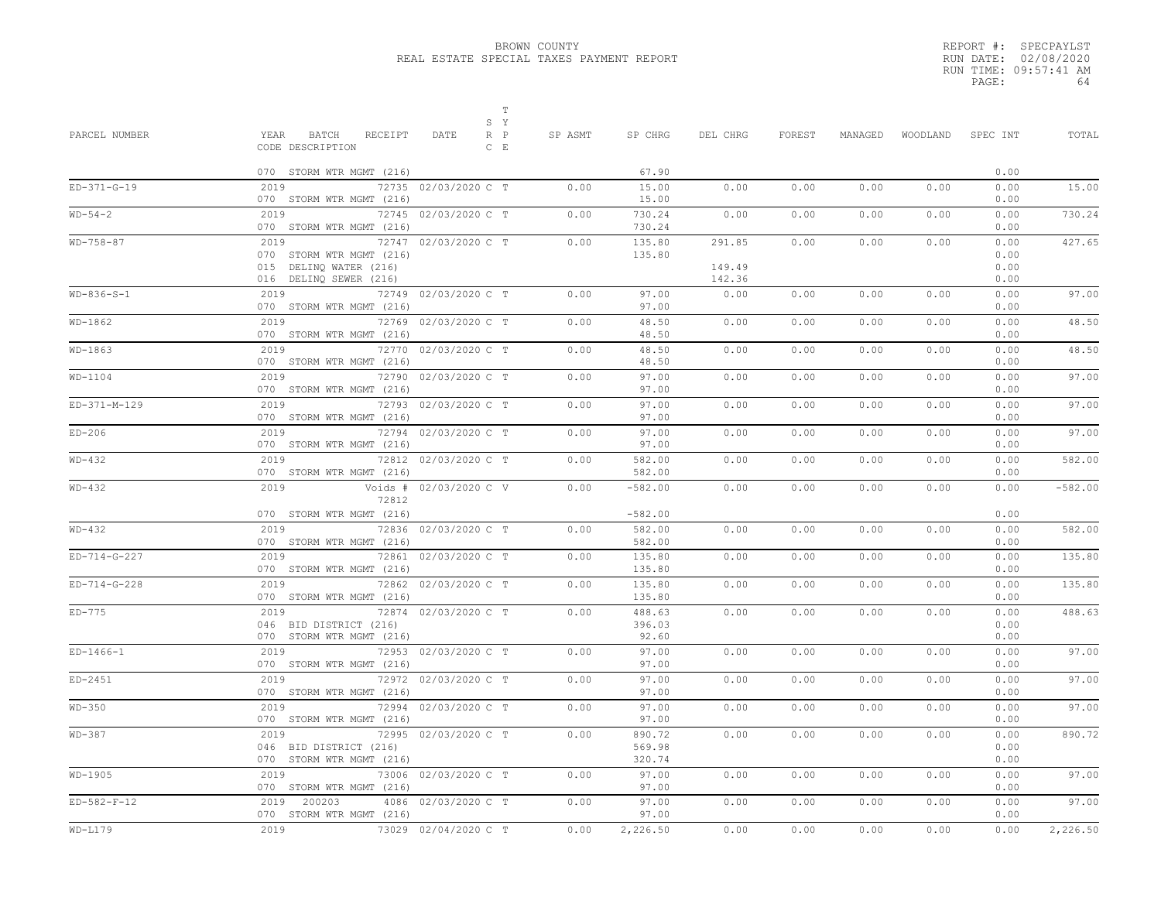|       | REPORT #: SPECPAYLST  |
|-------|-----------------------|
|       | RUN DATE: 02/08/2020  |
|       | RUN TIME: 09:57:41 AM |
| PAGE: | 64                    |

| PARCEL NUMBER | BATCH<br>RECEIPT<br>YEAR<br>CODE DESCRIPTION                                         | $\mathbb T$<br>S Y<br>$R$ $P$<br>DATE<br>$C$ $E$ | SP ASMT | SP CHRG                       | DEL CHRG                   | FOREST | MANAGED |      | WOODLAND SPEC INT            | TOTAL     |
|---------------|--------------------------------------------------------------------------------------|--------------------------------------------------|---------|-------------------------------|----------------------------|--------|---------|------|------------------------------|-----------|
|               | 070 STORM WTR MGMT (216)                                                             |                                                  |         | 67.90                         |                            |        |         |      | 0.00                         |           |
| $ED-371-G-19$ | 2019<br>070 STORM WTR MGMT (216)                                                     | 72735 02/03/2020 C T                             | 0.00    | 15.00<br>15.00                | 0.00                       | 0.00   | 0.00    | 0.00 | 0.00<br>0.00                 | 15.00     |
| $WD-54-2$     | 2019<br>070 STORM WTR MGMT (216)                                                     | 72745 02/03/2020 C T                             | 0.00    | 730.24<br>730.24              | 0.00                       | 0.00   | 0.00    | 0.00 | 0.00<br>0.00                 | 730.24    |
| $WD-758-87$   | 2019<br>070 STORM WTR MGMT (216)<br>015 DELINQ WATER (216)<br>016 DELINQ SEWER (216) | 72747 02/03/2020 C T                             | 0.00    | 135.80<br>135.80              | 291.85<br>149.49<br>142.36 | 0.00   | 0.00    | 0.00 | 0.00<br>0.00<br>0.00<br>0.00 | 427.65    |
| $WD-836-S-1$  | 2019<br>070 STORM WTR MGMT (216)                                                     | 72749 02/03/2020 C T                             | 0.00    | 97.00<br>97.00                | 0.00                       | 0.00   | 0.00    | 0.00 | 0.00<br>0.00                 | 97.00     |
| $WD-1862$     | 2019<br>070 STORM WTR MGMT (216)                                                     | 72769 02/03/2020 C T                             | 0.00    | 48.50<br>48.50                | 0.00                       | 0.00   | 0.00    | 0.00 | 0.00<br>0.00                 | 48.50     |
| WD-1863       | 2019<br>070 STORM WTR MGMT (216)                                                     | 72770 02/03/2020 C T                             | 0.00    | 48.50<br>48.50                | 0.00                       | 0.00   | 0.00    | 0.00 | 0.00<br>0.00                 | 48.50     |
| $WD-1104$     | 2019<br>070 STORM WTR MGMT (216)                                                     | 72790 02/03/2020 C T                             | 0.00    | 97.00<br>97.00                | 0.00                       | 0.00   | 0.00    | 0.00 | 0.00<br>0.00                 | 97.00     |
| ED-371-M-129  | 2019<br>070 STORM WTR MGMT (216)                                                     | 72793 02/03/2020 C T                             | 0.00    | 97.00<br>97.00                | 0.00                       | 0.00   | 0.00    | 0.00 | 0.00<br>0.00                 | 97.00     |
| $ED-206$      | 2019<br>070 STORM WTR MGMT (216)                                                     | 72794 02/03/2020 C T                             | 0.00    | 97.00<br>97.00                | 0.00                       | 0.00   | 0.00    | 0.00 | 0.00<br>0.00                 | 97.00     |
| $WD-432$      | 2019<br>070 STORM WTR MGMT (216)                                                     | 72812 02/03/2020 C T                             | 0.00    | 582.00<br>582.00              | 0.00                       | 0.00   | 0.00    | 0.00 | 0.00<br>0.00                 | 582.00    |
| $WD-432$      | 2019<br>72812                                                                        | Voids # 02/03/2020 C V                           | 0.00    | $-582.00$                     | 0.00                       | 0.00   | 0.00    | 0.00 | 0.00                         | $-582.00$ |
| $WD-432$      | 070 STORM WTR MGMT (216)<br>2019<br>070 STORM WTR MGMT (216)                         | 72836 02/03/2020 C T                             | 0.00    | $-582.00$<br>582.00<br>582.00 | 0.00                       | 0.00   | 0.00    | 0.00 | 0.00<br>0.00<br>0.00         | 582.00    |
| ED-714-G-227  | 2019<br>070 STORM WTR MGMT (216)                                                     | 72861 02/03/2020 C T                             | 0.00    | 135.80<br>135.80              | 0.00                       | 0.00   | 0.00    | 0.00 | 0.00<br>0.00                 | 135.80    |
| ED-714-G-228  | 2019<br>070 STORM WTR MGMT (216)                                                     | 72862 02/03/2020 C T                             | 0.00    | 135.80<br>135.80              | 0.00                       | 0.00   | 0.00    | 0.00 | 0.00<br>0.00                 | 135.80    |
| $ED-775$      | 2019<br>046 BID DISTRICT (216)<br>070 STORM WTR MGMT (216)                           | 72874 02/03/2020 C T                             | 0.00    | 488.63<br>396.03<br>92.60     | 0.00                       | 0.00   | 0.00    | 0.00 | 0.00<br>0.00<br>0.00         | 488.63    |
| $ED-1466-1$   | 2019<br>070 STORM WTR MGMT (216)                                                     | 72953 02/03/2020 C T                             | 0.00    | 97.00<br>97.00                | 0.00                       | 0.00   | 0.00    | 0.00 | 0.00<br>0.00                 | 97.00     |
| $ED-2451$     | 2019<br>070 STORM WTR MGMT (216)                                                     | 72972 02/03/2020 C T                             | 0.00    | 97.00<br>97.00                | 0.00                       | 0.00   | 0.00    | 0.00 | 0.00<br>0.00                 | 97.00     |
| $WD-350$      | 2019<br>070 STORM WTR MGMT (216)                                                     | 72994 02/03/2020 C T                             | 0.00    | 97.00<br>97.00                | 0.00                       | 0.00   | 0.00    | 0.00 | 0.00<br>0.00                 | 97.00     |
| $WD-387$      | 2019<br>046 BID DISTRICT (216)<br>070 STORM WTR MGMT (216)                           | 72995 02/03/2020 C T                             | 0.00    | 890.72<br>569.98<br>320.74    | 0.00                       | 0.00   | 0.00    | 0.00 | 0.00<br>0.00<br>0.00         | 890.72    |
| WD-1905       | 2019<br>070 STORM WTR MGMT (216)                                                     | 73006 02/03/2020 C T                             | 0.00    | 97.00<br>97.00                | 0.00                       | 0.00   | 0.00    | 0.00 | 0.00<br>0.00                 | 97.00     |
| $ED-582-F-12$ | 2019 200203<br>070 STORM WTR MGMT (216)                                              | 4086 02/03/2020 C T                              | 0.00    | 97.00<br>97.00                | 0.00                       | 0.00   | 0.00    | 0.00 | 0.00<br>0.00                 | 97.00     |
| $WD-L179$     | 2019                                                                                 | 73029 02/04/2020 C T                             | 0.00    | 2,226.50                      | 0.00                       | 0.00   | 0.00    | 0.00 | 0.00                         | 2,226.50  |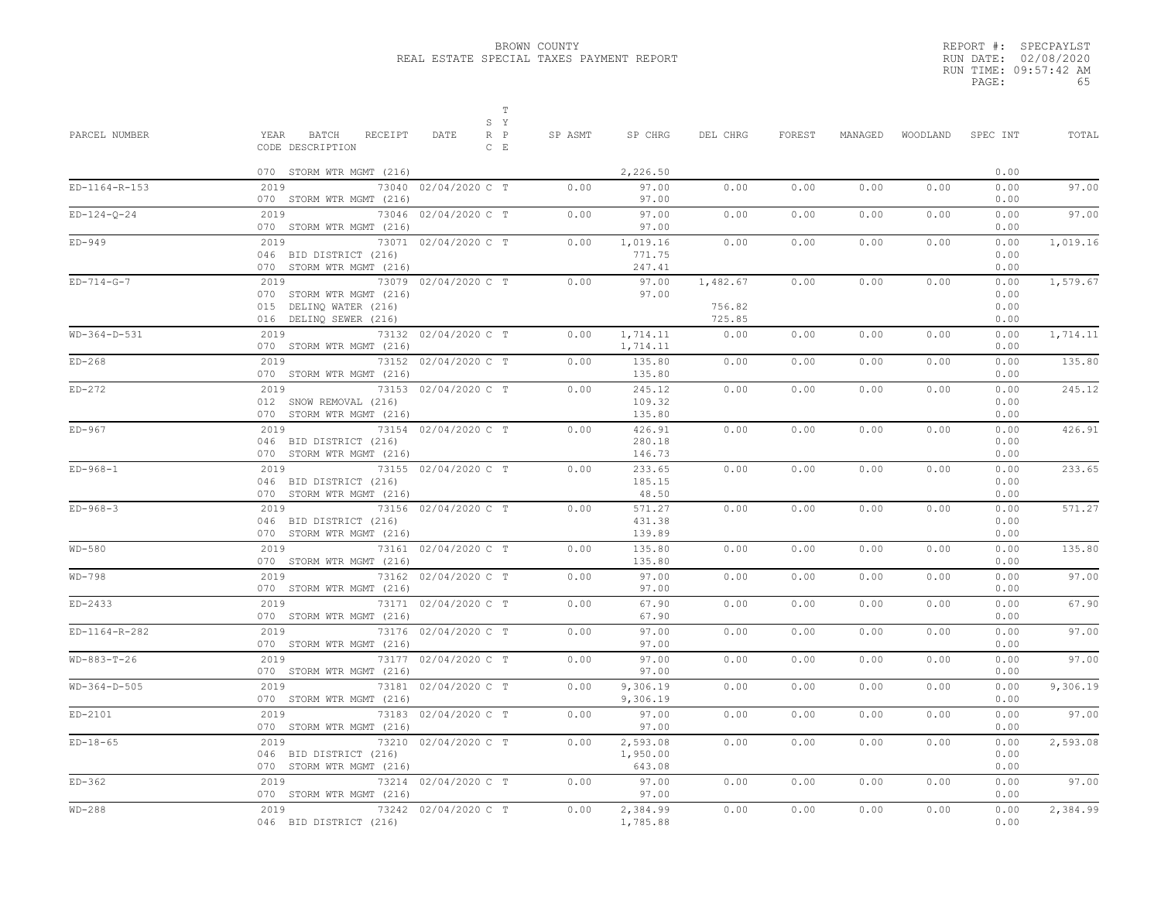|       | REPORT #: SPECPAYLST  |
|-------|-----------------------|
|       | RUN DATE: 02/08/2020  |
|       | RUN TIME: 09:57:42 AM |
| PAGE: | 65                    |

| PARCEL NUMBER  | S Y<br>YEAR BATCH<br>RECEIPT<br>DATE<br>$R$ $P$<br>CODE DESCRIPTION<br>$C$ E                                 | $\mathbb T$<br>SP ASMT | SP CHRG                        | DEL CHRG                     | FOREST | MANAGED |      | WOODLAND SPEC INT<br>0.00    | TOTAL    |
|----------------|--------------------------------------------------------------------------------------------------------------|------------------------|--------------------------------|------------------------------|--------|---------|------|------------------------------|----------|
| ED-1164-R-153  | 070 STORM WTR MGMT (216)<br>2019<br>73040 02/04/2020 C T<br>070 STORM WTR MGMT (216)                         | 0.00                   | 2,226.50<br>97.00<br>97.00     | 0.00                         | 0.00   | 0.00    | 0.00 | 0.00<br>0.00                 | 97.00    |
| $ED-124-0-24$  | 2019<br>73046 02/04/2020 C T<br>070 STORM WTR MGMT (216)                                                     | 0.00                   | 97.00<br>97.00                 | 0.00                         | 0.00   | 0.00    | 0.00 | 0.00<br>0.00                 | 97.00    |
| $ED-949$       | 2019<br>73071 02/04/2020 C T<br>046 BID DISTRICT (216)<br>070 STORM WTR MGMT (216)                           | 0.00                   | 1,019.16<br>771.75<br>247.41   | 0.00                         | 0.00   | 0.00    | 0.00 | 0.00<br>0.00<br>0.00         | 1,019.16 |
| $ED-714-G-7$   | 2019<br>73079 02/04/2020 C T<br>070 STORM WTR MGMT (216)<br>015 DELINQ WATER (216)<br>016 DELINQ SEWER (216) | 0.00                   | 97.00<br>97.00                 | 1,482.67<br>756.82<br>725.85 | 0.00   | 0.00    | 0.00 | 0.00<br>0.00<br>0.00<br>0.00 | 1,579.67 |
| WD-364-D-531   | 2019<br>73132 02/04/2020 C T<br>070 STORM WTR MGMT (216)                                                     | 0.00                   | 1,714.11<br>1,714.11           | 0.00                         | 0.00   | 0.00    | 0.00 | 0.00<br>0.00                 | 1,714.11 |
| $ED-268$       | 2019<br>73152 02/04/2020 C T<br>070 STORM WTR MGMT (216)                                                     | 0.00                   | 135.80<br>135.80               | 0.00                         | 0.00   | 0.00    | 0.00 | 0.00<br>0.00                 | 135.80   |
| $ED-272$       | 2019<br>73153 02/04/2020 C T<br>012 SNOW REMOVAL (216)<br>070 STORM WTR MGMT (216)                           | 0.00                   | 245.12<br>109.32<br>135.80     | 0.00                         | 0.00   | 0.00    | 0.00 | 0.00<br>0.00<br>0.00         | 245.12   |
| $ED-967$       | 2019<br>73154 02/04/2020 C T<br>046 BID DISTRICT (216)<br>070 STORM WTR MGMT (216)                           | 0.00                   | 426.91<br>280.18<br>146.73     | 0.00                         | 0.00   | 0.00    | 0.00 | 0.00<br>0.00<br>0.00         | 426.91   |
| $ED-968-1$     | 73155 02/04/2020 C T<br>2019<br>046 BID DISTRICT (216)<br>070 STORM WTR MGMT (216)                           | 0.00                   | 233.65<br>185.15<br>48.50      | 0.00                         | 0.00   | 0.00    | 0.00 | 0.00<br>0.00<br>0.00         | 233.65   |
| $ED-968-3$     | 2019<br>73156 02/04/2020 C T<br>046 BID DISTRICT (216)<br>070 STORM WTR MGMT (216)                           | 0.00                   | 571.27<br>431.38<br>139.89     | 0.00                         | 0.00   | 0.00    | 0.00 | 0.00<br>0.00<br>0.00         | 571.27   |
| $WD-580$       | 2019<br>73161 02/04/2020 C T<br>070 STORM WTR MGMT (216)                                                     | 0.00                   | 135.80<br>135.80               | 0.00                         | 0.00   | 0.00    | 0.00 | 0.00<br>0.00                 | 135.80   |
| WD-798         | 2019<br>73162 02/04/2020 C T<br>070 STORM WTR MGMT (216)                                                     | 0.00                   | 97.00<br>97.00                 | 0.00                         | 0.00   | 0.00    | 0.00 | 0.00<br>0.00                 | 97.00    |
| ED-2433        | 2019<br>73171 02/04/2020 C T<br>070 STORM WTR MGMT (216)                                                     | 0.00                   | 67.90<br>67.90                 | 0.00                         | 0.00   | 0.00    | 0.00 | 0.00<br>0.00                 | 67.90    |
| ED-1164-R-282  | 2019<br>73176 02/04/2020 C T<br>070 STORM WTR MGMT (216)                                                     | 0.00                   | 97.00<br>97.00                 | 0.00                         | 0.00   | 0.00    | 0.00 | 0.00<br>0.00                 | 97.00    |
| $WD-883-T-26$  | 2019<br>73177 02/04/2020 C T<br>070 STORM WTR MGMT (216)                                                     | 0.00                   | 97.00<br>97.00                 | 0.00                         | 0.00   | 0.00    | 0.00 | 0.00<br>0.00                 | 97.00    |
| $WD-364-D-505$ | 2019<br>73181 02/04/2020 C T<br>070 STORM WTR MGMT (216)                                                     | 0.00                   | 9,306.19<br>9,306.19           | 0.00                         | 0.00   | 0.00    | 0.00 | 0.00<br>0.00                 | 9,306.19 |
| ED-2101        | 2019<br>73183 02/04/2020 C T<br>070 STORM WTR MGMT (216)                                                     | 0.00                   | 97.00<br>97.00                 | 0.00                         | 0.00   | 0.00    | 0.00 | 0.00<br>0.00                 | 97.00    |
| $ED-18-65$     | 2019<br>73210 02/04/2020 C T<br>046 BID DISTRICT (216)<br>070 STORM WTR MGMT (216)                           | 0.00                   | 2,593.08<br>1,950.00<br>643.08 | 0.00                         | 0.00   | 0.00    | 0.00 | 0.00<br>0.00<br>0.00         | 2,593.08 |
| $ED-362$       | 2019<br>73214 02/04/2020 C T<br>070 STORM WTR MGMT (216)                                                     | 0.00                   | 97.00<br>97.00                 | 0.00                         | 0.00   | 0.00    | 0.00 | 0.00<br>0.00                 | 97.00    |
| $WD-288$       | 73242 02/04/2020 C T<br>2019<br>046 BID DISTRICT (216)                                                       | 0.00                   | 2,384.99<br>1,785.88           | 0.00                         | 0.00   | 0.00    | 0.00 | 0.00<br>0.00                 | 2,384.99 |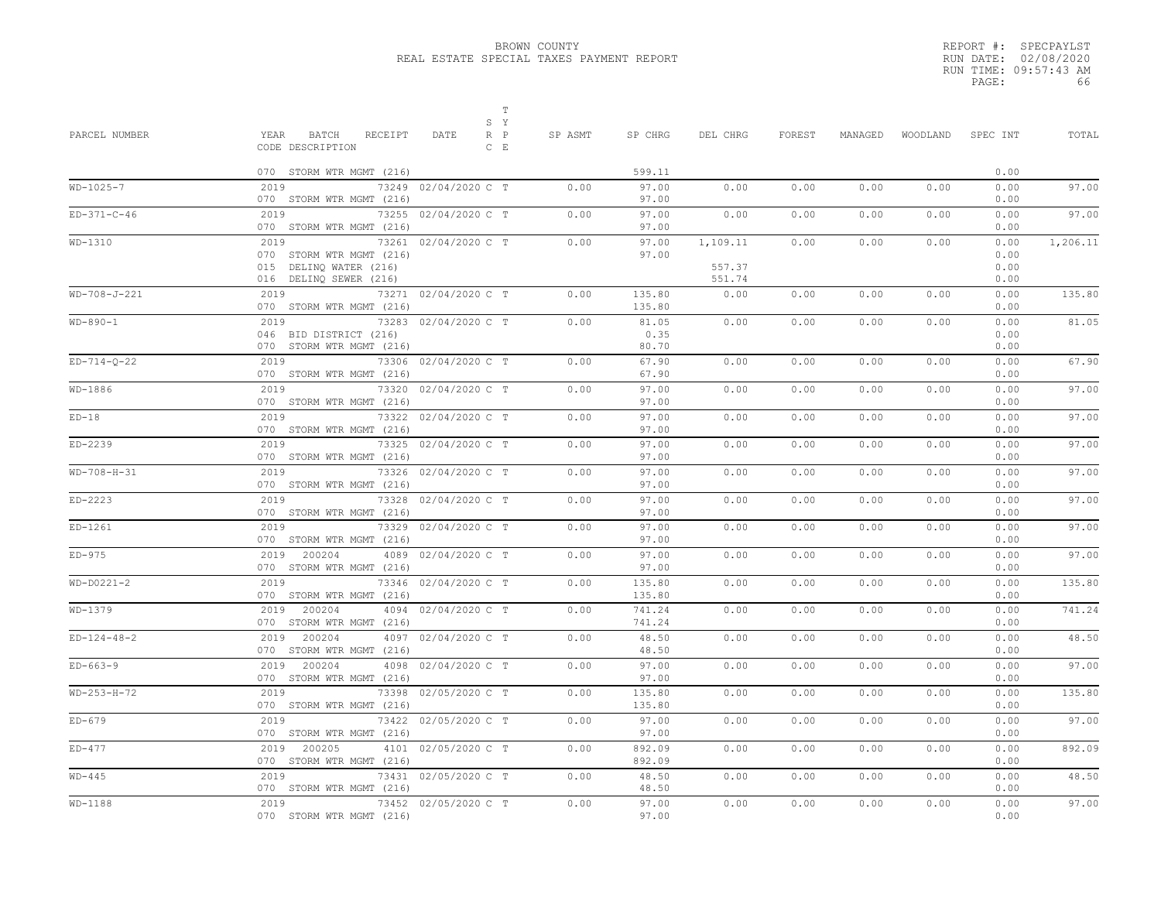|       | REPORT #: SPECPAYLST  |
|-------|-----------------------|
|       | RUN DATE: 02/08/2020  |
|       | RUN TIME: 09:57:43 AM |
| PAGE: | 66                    |

| PARCEL NUMBER | T<br>S Y<br>YEAR<br>BATCH<br>RECEIPT<br>$R$ $P$<br>DATE                            | SP ASMT | SP CHRG                | DEL CHRG           | FOREST | MANAGED | WOODLAND | SPEC INT             | TOTAL    |
|---------------|------------------------------------------------------------------------------------|---------|------------------------|--------------------|--------|---------|----------|----------------------|----------|
|               | CODE DESCRIPTION<br>$C$ $E$                                                        |         |                        |                    |        |         |          |                      |          |
|               | 070 STORM WTR MGMT (216)                                                           |         | 599.11                 |                    |        |         |          | 0.00                 |          |
| $WD-1025-7$   | 2019<br>73249 02/04/2020 C T<br>070 STORM WTR MGMT (216)                           | 0.00    | 97.00<br>97.00         | 0.00               | 0.00   | 0.00    | 0.00     | 0.00<br>0.00         | 97.00    |
| $ED-371-C-46$ | 2019<br>73255 02/04/2020 C T<br>070 STORM WTR MGMT (216)                           | 0.00    | 97.00<br>97.00         | 0.00               | 0.00   | 0.00    | 0.00     | 0.00<br>0.00         | 97.00    |
| WD-1310       | 73261 02/04/2020 C T<br>2019<br>070 STORM WTR MGMT (216)<br>015 DELINQ WATER (216) | 0.00    | 97.00<br>97.00         | 1,109.11<br>557.37 | 0.00   | 0.00    | 0.00     | 0.00<br>0.00<br>0.00 | 1,206.11 |
| WD-708-J-221  | 016 DELINQ SEWER (216)<br>2019<br>73271 02/04/2020 C T<br>070 STORM WTR MGMT (216) | 0.00    | 135.80<br>135.80       | 551.74<br>0.00     | 0.00   | 0.00    | 0.00     | 0.00<br>0.00<br>0.00 | 135.80   |
| $WD-890-1$    | 2019<br>73283 02/04/2020 C T<br>046 BID DISTRICT (216)<br>070 STORM WTR MGMT (216) | 0.00    | 81.05<br>0.35<br>80.70 | 0.00               | 0.00   | 0.00    | 0.00     | 0.00<br>0.00<br>0.00 | 81.05    |
| $ED-714-0-22$ | 2019<br>73306 02/04/2020 C T<br>070 STORM WTR MGMT (216)                           | 0.00    | 67.90<br>67.90         | 0.00               | 0.00   | 0.00    | 0.00     | 0.00<br>0.00         | 67.90    |
| WD-1886       | 73320 02/04/2020 C T<br>2019<br>070 STORM WTR MGMT (216)                           | 0.00    | 97.00<br>97.00         | 0.00               | 0.00   | 0.00    | 0.00     | 0.00<br>0.00         | 97.00    |
| $ED-18$       | 2019<br>73322 02/04/2020 C T<br>070 STORM WTR MGMT (216)                           | 0.00    | 97.00<br>97.00         | 0.00               | 0.00   | 0.00    | 0.00     | 0.00<br>0.00         | 97.00    |
| $ED-2239$     | 2019<br>73325 02/04/2020 C T<br>070 STORM WTR MGMT (216)                           | 0.00    | 97.00<br>97.00         | 0.00               | 0.00   | 0.00    | 0.00     | 0.00<br>0.00         | 97.00    |
| $WD-708-H-31$ | 2019<br>73326 02/04/2020 C T<br>070 STORM WTR MGMT (216)                           | 0.00    | 97.00<br>97.00         | 0.00               | 0.00   | 0.00    | 0.00     | 0.00<br>0.00         | 97.00    |
| $ED-2223$     | 73328 02/04/2020 C T<br>2019<br>070 STORM WTR MGMT (216)                           | 0.00    | 97.00<br>97.00         | 0.00               | 0.00   | 0.00    | 0.00     | 0.00<br>0.00         | 97.00    |
| ED-1261       | 2019<br>73329 02/04/2020 C T<br>070 STORM WTR MGMT (216)                           | 0.00    | 97.00<br>97.00         | 0.00               | 0.00   | 0.00    | 0.00     | 0.00<br>0.00         | 97.00    |
| $ED-975$      | 4089 02/04/2020 C T<br>2019 200204<br>070 STORM WTR MGMT (216)                     | 0.00    | 97.00<br>97.00         | 0.00               | 0.00   | 0.00    | 0.00     | 0.00<br>0.00         | 97.00    |
| $WD-D0221-2$  | 2019<br>73346 02/04/2020 C T<br>070 STORM WTR MGMT (216)                           | 0.00    | 135.80<br>135.80       | 0.00               | 0.00   | 0.00    | 0.00     | 0.00<br>0.00         | 135.80   |
| WD-1379       | 2019 200204<br>4094 02/04/2020 C T<br>070 STORM WTR MGMT (216)                     | 0.00    | 741.24<br>741.24       | 0.00               | 0.00   | 0.00    | 0.00     | 0.00<br>0.00         | 741.24   |
| $ED-124-48-2$ | 200204<br>4097 02/04/2020 C T<br>2019<br>070 STORM WTR MGMT (216)                  | 0.00    | 48.50<br>48.50         | 0.00               | 0.00   | 0.00    | 0.00     | 0.00<br>0.00         | 48.50    |
| $ED-663-9$    | 2019 200204<br>4098 02/04/2020 C T<br>070 STORM WTR MGMT (216)                     | 0.00    | 97.00<br>97.00         | 0.00               | 0.00   | 0.00    | 0.00     | 0.00<br>0.00         | 97.00    |
| $WD-253-H-72$ | 2019<br>73398 02/05/2020 C T<br>070 STORM WTR MGMT (216)                           | 0.00    | 135.80<br>135.80       | 0.00               | 0.00   | 0.00    | 0.00     | 0.00<br>0.00         | 135.80   |
| $ED-679$      | 73422 02/05/2020 C T<br>2019<br>070 STORM WTR MGMT (216)                           | 0.00    | 97.00<br>97.00         | 0.00               | 0.00   | 0.00    | 0.00     | 0.00<br>0.00         | 97.00    |
| $ED-477$      | 4101 02/05/2020 C T<br>2019 200205<br>070 STORM WTR MGMT (216)                     | 0.00    | 892.09<br>892.09       | 0.00               | 0.00   | 0.00    | 0.00     | 0.00<br>0.00         | 892.09   |
| $WD-445$      | 2019<br>73431 02/05/2020 C T<br>070 STORM WTR MGMT (216)                           | 0.00    | 48.50<br>48.50         | 0.00               | 0.00   | 0.00    | 0.00     | 0.00<br>0.00         | 48.50    |
| $WD-1188$     | 2019<br>73452 02/05/2020 C T<br>070 STORM WTR MGMT (216)                           | 0.00    | 97.00<br>97.00         | 0.00               | 0.00   | 0.00    | 0.00     | 0.00<br>0.00         | 97.00    |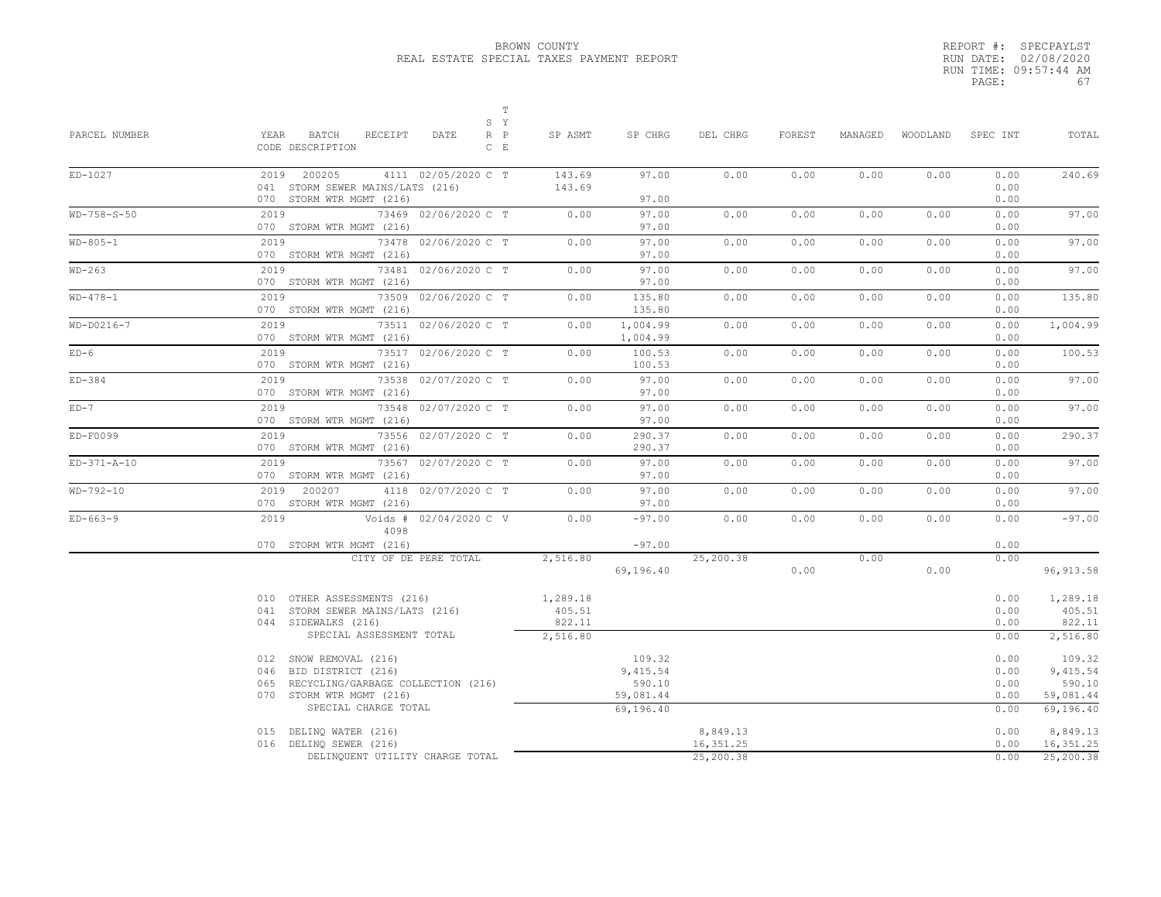|       | REPORT #: SPECPAYLST  |
|-------|-----------------------|
|       | RUN DATE: 02/08/2020  |
|       | RUN TIME: 09:57:44 AM |
| PAGE: | 67                    |

| PARCEL NUMBER | $\mathbb T$<br>S Y<br>YEAR BATCH RECEIPT<br>$R$ $P$<br>DATE<br>CODE DESCRIPTION<br>$C$ $E$                         | SP ASMT                                  | SP CHRG                          | DEL CHRG               | FOREST | MANAGED | WOODLAND SPEC INT |                              | TOTAL                                    |
|---------------|--------------------------------------------------------------------------------------------------------------------|------------------------------------------|----------------------------------|------------------------|--------|---------|-------------------|------------------------------|------------------------------------------|
| ED-1027       | 2019 200205<br>4111 02/05/2020 C T<br>041 STORM SEWER MAINS/LATS (216)                                             | 143.69<br>143.69                         | 97.00<br>97.00                   | 0.00                   | 0.00   | 0.00    | 0.00              | 0.00<br>0.00                 | 240.69                                   |
| $WD-758-S-50$ | 070 STORM WTR MGMT (216)<br>2019 72<br>73469 02/06/2020 C T                                                        | 0.00                                     | 97.00                            | 0.00                   | 0.00   | 0.00    | 0.00              | 0.00<br>0.00                 | 97.00                                    |
|               | 070 STORM WTR MGMT (216)                                                                                           |                                          | 97.00                            |                        |        |         |                   | 0.00                         |                                          |
| $WD-805-1$    | 2019<br>73478 02/06/2020 C T<br>070 STORM WTR MGMT (216)                                                           | 0.00                                     | 97.00<br>97.00                   | 0.00                   | 0.00   | 0.00    | 0.00              | 0.00<br>0.00                 | 97.00                                    |
| WD-263        | 2019<br>73481 02/06/2020 C T<br>070 STORM WTR MGMT (216)                                                           | 0.00                                     | 97.00<br>97.00                   | 0.00                   | 0.00   | 0.00    | 0.00              | 0.00<br>0.00                 | 97.00                                    |
| $WD-478-1$    | 2019<br>73509 02/06/2020 C T<br>070 STORM WTR MGMT (216)                                                           | 0.00                                     | 135.80<br>135.80                 | 0.00                   | 0.00   | 0.00    | 0.00              | 0.00<br>0.00                 | 135.80                                   |
| $WD-D0216-7$  | 2019<br>73511 02/06/2020 C T<br>070 STORM WTR MGMT (216)                                                           | 0.00                                     | 1,004.99<br>1,004.99             | 0.00                   | 0.00   | 0.00    | 0.00              | 0.00<br>0.00                 | 1,004.99                                 |
| $ED-6$        | 73517 02/06/2020 C T<br>2019 7<br>070 STORM WTR MGMT (216)                                                         | 0.00                                     | 100.53<br>100.53                 | 0.00                   | 0.00   | 0.00    | 0.00              | 0.00<br>0.00                 | 100.53                                   |
| $ED-384$      | 2019<br>73538 02/07/2020 C T<br>070 STORM WTR MGMT (216)                                                           | 0.00                                     | 97.00<br>97.00                   | 0.00                   | 0.00   | 0.00    | 0.00              | 0.00<br>0.00                 | 97.00                                    |
| $ED-7$        | 2019<br>73548 02/07/2020 C T<br>070 STORM WTR MGMT (216)                                                           | 0.00                                     | 97.00<br>97.00                   | 0.00                   | 0.00   | 0.00    | 0.00              | 0.00<br>0.00                 | 97.00                                    |
| ED-F0099      | 73556 02/07/2020 C T<br>2019<br>070 STORM WTR MGMT (216)                                                           | 0.00                                     | 290.37<br>290.37                 | 0.00                   | 0.00   | 0.00    | 0.00              | 0.00<br>0.00                 | 290.37                                   |
| $ED-371-A-10$ | 2019<br>73567 02/07/2020 C T<br>070 STORM WTR MGMT (216)                                                           | 0.00                                     | 97.00<br>97.00                   | 0.00                   | 0.00   | 0.00    | 0.00              | 0.00<br>0.00                 | 97.00                                    |
| $WD-792-10$   | 2019 200207<br>4118 02/07/2020 C T<br>070 STORM WTR MGMT (216)                                                     | 0.00                                     | 97.00<br>97.00                   | 0.00                   | 0.00   | 0.00    | 0.00              | 0.00<br>0.00                 | 97.00                                    |
| $ED-663-9$    | Voids # 02/04/2020 C V<br>2019<br>4098                                                                             | 0.00                                     | $-97.00$                         | 0.00                   | 0.00   | 0.00    | 0.00              | 0.00                         | $-97.00$                                 |
|               | 070 STORM WTR MGMT (216)<br>CITY OF DE PERE TOTAL                                                                  | 2,516.80                                 | $-97.00$                         | 25,200.38              |        | 0.00    |                   | 0.00<br>0.00                 |                                          |
|               |                                                                                                                    |                                          | 69,196.40                        |                        | 0.00   |         | 0.00              |                              | 96, 913.58                               |
|               | 010 OTHER ASSESSMENTS (216)<br>041 STORM SEWER MAINS/LATS (216)<br>044 SIDEWALKS (216)<br>SPECIAL ASSESSMENT TOTAL | 1,289.18<br>405.51<br>822.11<br>2,516.80 |                                  |                        |        |         |                   | 0.00<br>0.00<br>0.00<br>0.00 | 1,289.18<br>405.51<br>822.11<br>2,516.80 |
|               |                                                                                                                    |                                          |                                  |                        |        |         |                   |                              |                                          |
|               | 012 SNOW REMOVAL (216)<br>046 BID DISTRICT (216)                                                                   |                                          | 109.32<br>9,415.54               |                        |        |         |                   | 0.00<br>0.00                 | 109.32<br>9,415.54                       |
|               | 065 RECYCLING/GARBAGE COLLECTION (216)<br>070 STORM WTR MGMT (216)<br>SPECIAL CHARGE TOTAL                         |                                          | 590.10<br>59,081.44<br>69,196.40 |                        |        |         |                   | 0.00<br>0.00<br>0.00         | 590.10<br>59,081.44<br>69,196.40         |
|               | 015 DELINQ WATER (216)                                                                                             |                                          |                                  | 8,849.13               |        |         |                   | 0.00                         | 8,849.13                                 |
|               | 016 DELINQ SEWER (216)<br>DELINQUENT UTILITY CHARGE TOTAL                                                          |                                          |                                  | 16,351.25<br>25,200.38 |        |         |                   |                              | 0.00 16,351.25<br>0.00 25,200.38         |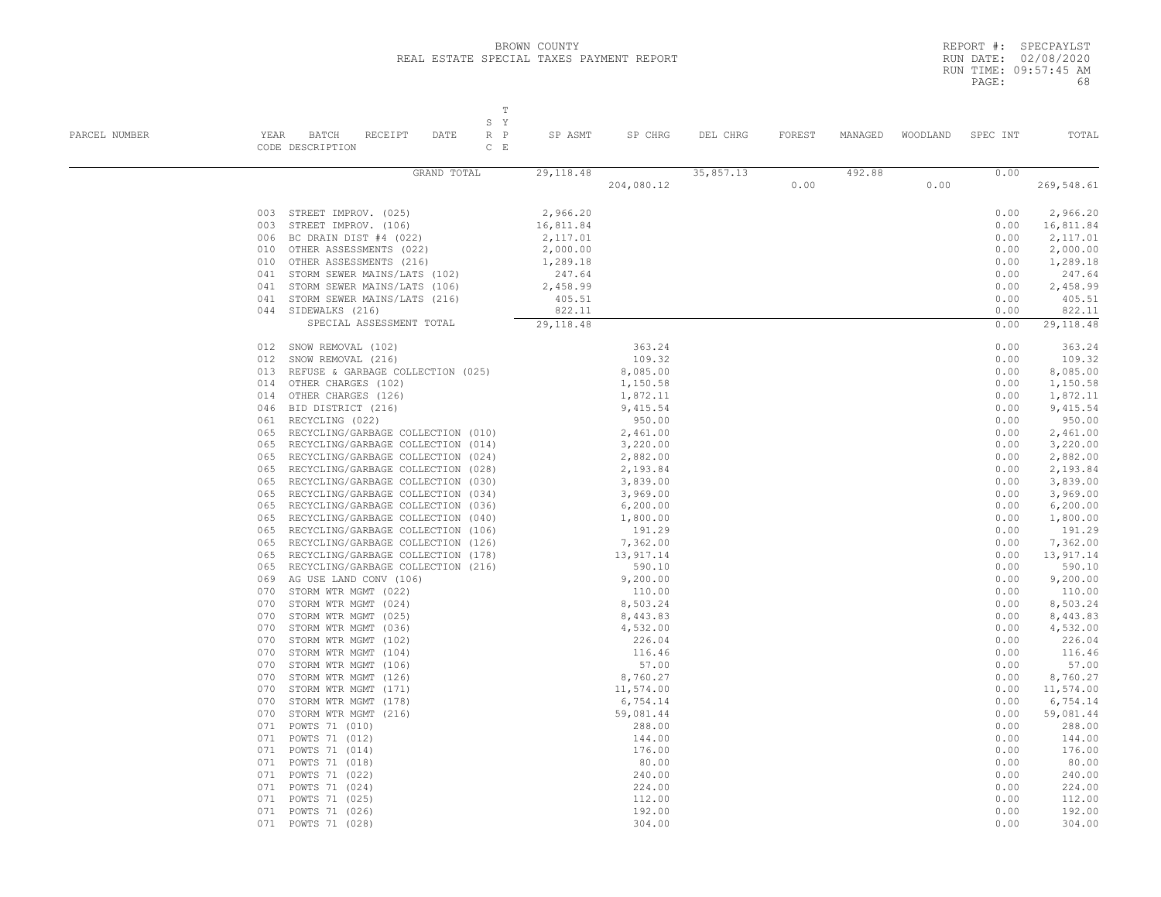|       | REPORT #: SPECPAYLST  |    |
|-------|-----------------------|----|
|       | RUN DATE: 02/08/2020  |    |
|       | RUN TIME: 09:57:45 AM |    |
| PAGE: |                       | 68 |

| PARCEL NUMBER | T<br>S Y<br>YEAR BATCH<br>RECEIPT<br>DATE<br>$R$ $P$<br>CODE DESCRIPTION<br>$C$ $E$                                                                                                                                                                                                                                                              | SP ASMT    | SP CHRG    | DEL CHRG  | FOREST | MANAGED |      | WOODLAND SPEC INT | TOTAL              |
|---------------|--------------------------------------------------------------------------------------------------------------------------------------------------------------------------------------------------------------------------------------------------------------------------------------------------------------------------------------------------|------------|------------|-----------|--------|---------|------|-------------------|--------------------|
|               | GRAND TOTAL                                                                                                                                                                                                                                                                                                                                      | 29, 118.48 |            | 35,857.13 |        | 492.88  |      | 0.00              |                    |
|               |                                                                                                                                                                                                                                                                                                                                                  |            | 204,080.12 |           | 0.00   |         | 0.00 |                   | 269,548.61         |
|               | 003 STREET IMPROV. (025)                                                                                                                                                                                                                                                                                                                         | 2,966.20   |            |           |        |         |      | 0.00              | 2,966.20           |
|               | STREET IMPROV. (106)<br>003                                                                                                                                                                                                                                                                                                                      | 16,811.84  |            |           |        |         |      | 0.00              | 16,811.84          |
|               | 006<br>BC DRAIN DIST #4 (022)                                                                                                                                                                                                                                                                                                                    | 2,117.01   |            |           |        |         |      | 0.00              | 2,117.01           |
|               | OTHER ASSESSMENTS (022)<br>010                                                                                                                                                                                                                                                                                                                   | 2,000.00   |            |           |        |         |      | 0.00              | 2,000.00           |
|               | OTHER ASSESSMENTS (216)<br>010                                                                                                                                                                                                                                                                                                                   | 1,289.18   |            |           |        |         |      | 0.00              | 1,289.18           |
|               | STORM SEWER MAINS/LATS (102)<br>041                                                                                                                                                                                                                                                                                                              | 247.64     |            |           |        |         |      | 0.00              | 247.64             |
|               | 041<br>STORM SEWER MAINS/LATS (106)                                                                                                                                                                                                                                                                                                              | 2,458.99   |            |           |        |         |      | 0.00              | 2,458.99           |
|               | 041<br>STORM SEWER MAINS/LATS (216)                                                                                                                                                                                                                                                                                                              | 405.51     |            |           |        |         |      | 0.00              | 405.51             |
|               | 044<br>SIDEWALKS (216)                                                                                                                                                                                                                                                                                                                           | 822.11     |            |           |        |         |      | 0.00              | 822.11             |
|               | SPECIAL ASSESSMENT TOTAL                                                                                                                                                                                                                                                                                                                         | 29, 118.48 |            |           |        |         |      | 0.00              | 29, 118.48         |
|               | 012 SNOW REMOVAL (102)                                                                                                                                                                                                                                                                                                                           |            | 363.24     |           |        |         |      | 0.00              | 363.24             |
|               | 012<br>SNOW REMOVAL (216)                                                                                                                                                                                                                                                                                                                        |            | 109.32     |           |        |         |      | 0.00              | 109.32             |
|               | 013<br>REFUSE & GARBAGE COLLECTION (025)                                                                                                                                                                                                                                                                                                         |            | 8,085.00   |           |        |         |      | 0.00              | 8,085.00           |
|               | 014<br>OTHER CHARGES (102)                                                                                                                                                                                                                                                                                                                       |            | 1,150.58   |           |        |         |      | 0.00              | 1,150.58           |
|               | OTHER CHARGES (126)<br>014                                                                                                                                                                                                                                                                                                                       |            | 1,872.11   |           |        |         |      | 0.00              | 1,872.11           |
|               | BID DISTRICT (216)<br>046                                                                                                                                                                                                                                                                                                                        |            | 9,415.54   |           |        |         |      | 0.00              | 9,415.54           |
|               | RECYCLING (022)<br>061                                                                                                                                                                                                                                                                                                                           |            | 950.00     |           |        |         |      | 0.00              | 950.00             |
|               | RECYCLING/GARBAGE COLLECTION (010)<br>065                                                                                                                                                                                                                                                                                                        |            | 2,461.00   |           |        |         |      | 0.00              | 2,461.00           |
|               | RECYCLING/GARBAGE COLLECTION (014)<br>065                                                                                                                                                                                                                                                                                                        |            | 3,220.00   |           |        |         |      | 0.00              | 3,220.00           |
|               | 065<br>RECYCLING/GARBAGE COLLECTION (024)                                                                                                                                                                                                                                                                                                        |            | 2,882.00   |           |        |         |      | 0.00              | 2,882.00           |
|               | RECYCLING/GARBAGE COLLECTION (028)<br>065                                                                                                                                                                                                                                                                                                        |            | 2,193.84   |           |        |         |      | 0.00              | 2,193.84           |
|               | 065<br>RECYCLING/GARBAGE COLLECTION (030)                                                                                                                                                                                                                                                                                                        |            | 3,839.00   |           |        |         |      | 0.00              | 3,839.00           |
|               | 065<br>RECYCLING/GARBAGE COLLECTION (034)                                                                                                                                                                                                                                                                                                        |            | 3,969.00   |           |        |         |      | 0.00              | 3,969.00           |
|               | RECYCLING/GARBAGE COLLECTION (036)<br>065                                                                                                                                                                                                                                                                                                        |            | 6,200.00   |           |        |         |      | 0.00              | 6, 200.00          |
|               | RECYCLING/GARBAGE COLLECTION (040)<br>065                                                                                                                                                                                                                                                                                                        |            | 1,800.00   |           |        |         |      | 0.00              | 1,800.00           |
|               | RECYCLING/GARBAGE COLLECTION (106)<br>065                                                                                                                                                                                                                                                                                                        |            | 191.29     |           |        |         |      | 0.00              | 191.29             |
|               | RECYCLING/GARBAGE COLLECTION (126)<br>065                                                                                                                                                                                                                                                                                                        |            | 7,362.00   |           |        |         |      | 0.00              | 7,362.00           |
|               | 065<br>RECYCLING/GARBAGE COLLECTION (178)                                                                                                                                                                                                                                                                                                        |            | 13,917.14  |           |        |         |      | 0.00              | 13,917.14          |
|               | 065<br>RECYCLING/GARBAGE COLLECTION (216)                                                                                                                                                                                                                                                                                                        |            | 590.10     |           |        |         |      | 0.00              | 590.10             |
|               | 069<br>AG USE LAND CONV (106)                                                                                                                                                                                                                                                                                                                    |            | 9,200.00   |           |        |         |      | 0.00              | 9,200.00           |
|               | STORM WTR MGMT (022)<br>070                                                                                                                                                                                                                                                                                                                      |            |            |           |        |         |      | 0.00              | 110.00             |
|               | 070<br>STORM WTR MGMT (024)<br>070                                                                                                                                                                                                                                                                                                               |            |            |           |        |         |      | 0.00              | 8,503.24           |
|               | STORM WTR MGMT (025)<br>070                                                                                                                                                                                                                                                                                                                      |            |            |           |        |         |      | 0.00<br>0.00      | 8,443.83           |
|               | (6)<br>(6)<br>(6)<br>(8,503.24<br>(8,503.24<br>(8,443.83<br>(8,443.83<br>(2)<br>(2)<br>(2)<br>(2)<br>(2)<br>(2)<br>(3)<br>(8,754.00<br>(8,754.00<br>(5)<br>(5)<br>(6)<br>(8,760.27<br>(6)<br>(7)<br>(11,574.00<br>6,754.14<br>(16)<br>(14,00<br>(14,00<br>(14,00<br>(14,00<br>(14,00<br>(<br>STORM WTR MGMT (036)<br>STORM WTR MGMT (102)<br>070 |            |            |           |        |         |      | 0.00              | 4,532.00<br>226.04 |
|               | 070<br>STORM WTR MGMT (104)                                                                                                                                                                                                                                                                                                                      |            |            |           |        |         |      | 0.00              | 116.46             |
|               | 070<br>STORM WTR MGMT (106)                                                                                                                                                                                                                                                                                                                      |            |            |           |        |         |      | 0.00              | 57.00              |
|               | 070<br>STORM WTR MGMT (126)                                                                                                                                                                                                                                                                                                                      |            |            |           |        |         |      | 0.00              | 8,760.27           |
|               | 070<br>STORM WTR MGMT (171)                                                                                                                                                                                                                                                                                                                      |            |            |           |        |         |      | 0.00              | 11,574.00          |
|               | 070<br>STORM WTR MGMT (178)                                                                                                                                                                                                                                                                                                                      |            |            |           |        |         |      | 0.00              | 6,754.14           |
|               | STORM WTR MGMT (216)<br>070                                                                                                                                                                                                                                                                                                                      |            |            |           |        |         |      | 0.00              | 59,081.44          |
|               | 071<br>POWTS 71 (010)                                                                                                                                                                                                                                                                                                                            |            |            |           |        |         |      | 0.00              | 288.00             |
|               | 071 POWTS 71 (012)                                                                                                                                                                                                                                                                                                                               |            |            |           |        |         |      | 0.00              | 144.00             |
|               | 071 POWTS 71 (014)                                                                                                                                                                                                                                                                                                                               |            |            |           |        |         |      | 0.00              | 176.00             |
|               | 0.71<br>POWTS 71 (018)                                                                                                                                                                                                                                                                                                                           |            |            |           |        |         |      | 0.00              | 80.00              |
|               | 071 POWTS 71 (022)                                                                                                                                                                                                                                                                                                                               |            |            |           |        |         |      | 0.00              | 240.00             |
|               | 071 POWTS 71 (024)                                                                                                                                                                                                                                                                                                                               |            |            |           |        |         |      | 0.00              | 224.00             |
|               | 071 POWTS 71 (025)                                                                                                                                                                                                                                                                                                                               |            |            |           |        |         |      | 0.00              | 112.00             |
|               | 071 POWTS 71 (026)                                                                                                                                                                                                                                                                                                                               |            |            |           |        |         |      | 0.00              | 192.00             |
|               | 071 POWTS 71 (028)                                                                                                                                                                                                                                                                                                                               |            | 304.00     |           |        |         |      | 0.00              | 304.00             |